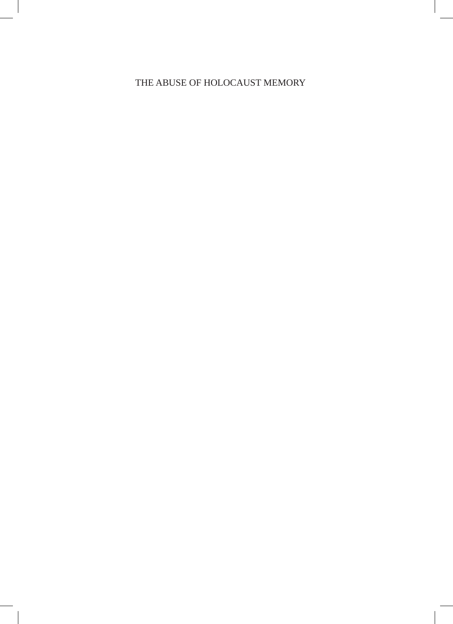## THE ABUSE OF HOLOCAUST MEMORY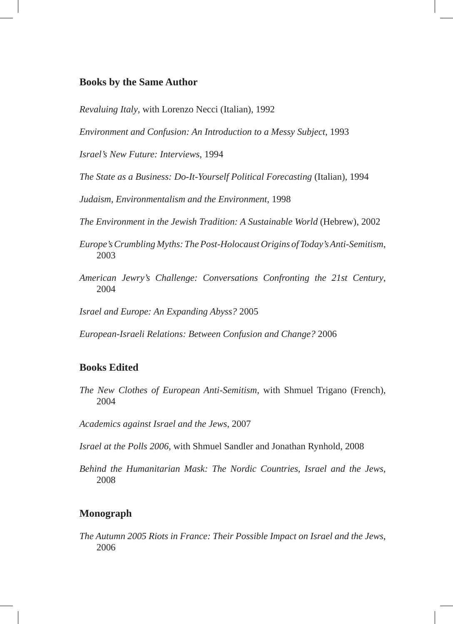### **Books by the Same Author**

*Revaluing Italy*, with Lorenzo Necci (Italian), 1992

*Environment and Confusion: An Introduction to a Messy Subject*, 1993

*Israel's New Future: Interviews*, 1994

*The State as a Business: Do-It-Yourself Political Forecasting* (Italian), 1994

*Judaism, Environmentalism and the Environment*, 1998

*The Environment in the Jewish Tradition: A Sustainable World* (Hebrew), 2002

- *Europe's Crumbling Myths: The Post-Holocaust Origins of Today's Anti-Semitism*, 2003
- *American Jewry's Challenge: Conversations Confronting the 21st Century*, 2004

*Israel and Europe: An Expanding Abyss?* 2005

*European-Israeli Relations: Between Confusion and Change?* 2006

### **Books Edited**

- *The New Clothes of European Anti-Semitism*, with Shmuel Trigano (French), 2004
- *Academics against Israel and the Jews,* 2007
- *Israel at the Polls 2006,* with Shmuel Sandler and Jonathan Rynhold, 2008
- *Behind the Humanitarian Mask: The Nordic Countries, Israel and the Jews*, 2008

### **Monograph**

*The Autumn 2005 Riots in France: Their Possible Impact on Israel and the Jews*, 2006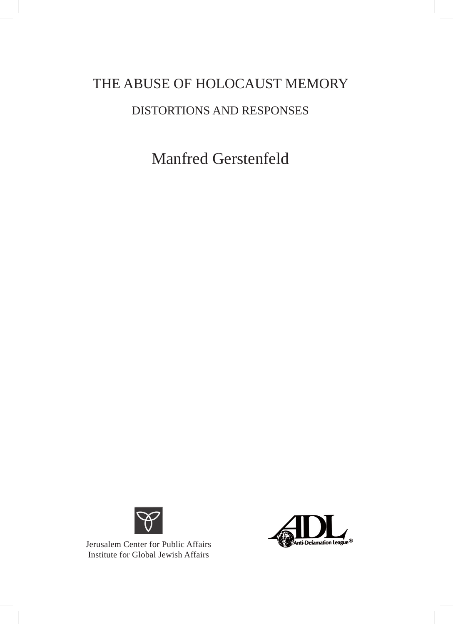# THE ABUSE OF HOLOCAUST MEMORY DISTORTIONS AND RESPONSES

Manfred Gerstenfeld



Jerusalem Center for Public Affairs Institute for Global Jewish Affairs

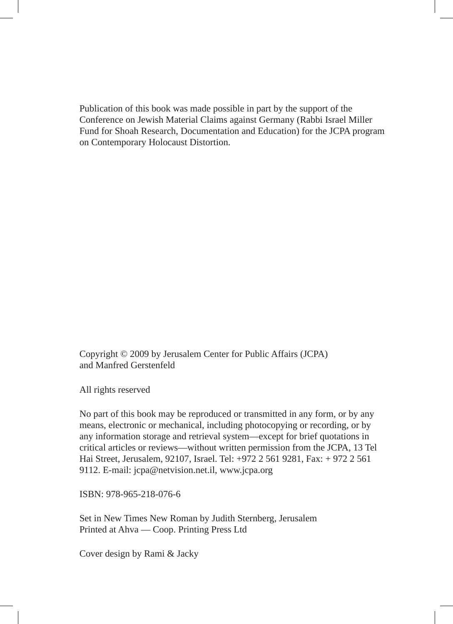Publication of this book was made possible in part by the support of the Conference on Jewish Material Claims against Germany (Rabbi Israel Miller Fund for Shoah Research, Documentation and Education) for the JCPA program on Contemporary Holocaust Distortion.

Copyright © 2009 by Jerusalem Center for Public Affairs (JCPA) and Manfred Gerstenfeld

All rights reserved

No part of this book may be reproduced or transmitted in any form, or by any means, electronic or mechanical, including photocopying or recording, or by any information storage and retrieval system—except for brief quotations in critical articles or reviews—without written permission from the JCPA, 13 Tel Hai Street, Jerusalem, 92107, Israel. Tel: +972 2 561 9281, Fax: + 972 2 561 9112. E-mail: jcpa@netvision.net.il, www.jcpa.org

ISBN: 978-965-218-076-6

Set in New Times New Roman by Judith Sternberg, Jerusalem Printed at Ahva — Coop. Printing Press Ltd

Cover design by Rami & Jacky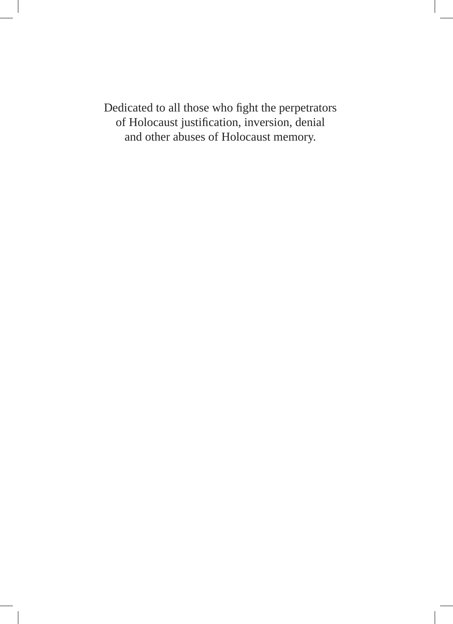Dedicated to all those who fight the perpetrators of Holocaust justification, inversion, denial and other abuses of Holocaust memory.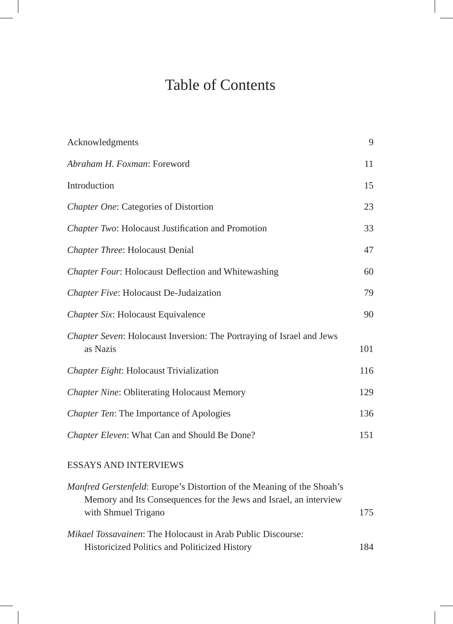# Table of Contents

| Acknowledgments                                                                   | 9   |
|-----------------------------------------------------------------------------------|-----|
| Abraham H. Foxman: Foreword                                                       | 11  |
| Introduction                                                                      | 15  |
| Chapter One: Categories of Distortion                                             | 23  |
| Chapter Two: Holocaust Justification and Promotion                                | 33  |
| Chapter Three: Holocaust Denial                                                   | 47  |
| Chapter Four: Holocaust Deflection and Whitewashing                               | 60  |
| Chapter Five: Holocaust De-Judaization                                            | 79  |
| Chapter Six: Holocaust Equivalence                                                | 90  |
| Chapter Seven: Holocaust Inversion: The Portraying of Israel and Jews<br>as Nazis | 101 |
| Chapter Eight: Holocaust Trivialization                                           | 116 |
| <b>Chapter Nine: Obliterating Holocaust Memory</b>                                | 129 |
| Chapter Ten: The Importance of Apologies                                          | 136 |
| Chapter Eleven: What Can and Should Be Done?                                      | 151 |
|                                                                                   |     |

## ESSAYS AND INTERVIEWS

| <i>Manfred Gerstenfeld:</i> Europe's Distortion of the Meaning of the Shoah's |     |
|-------------------------------------------------------------------------------|-----|
| Memory and Its Consequences for the Jews and Israel, an interview             |     |
| with Shmuel Trigano                                                           | 175 |
| <i>Mikael Tossavainen:</i> The Holocaust in Arab Public Discourse:            |     |
| Historicized Politics and Politicized History                                 | 184 |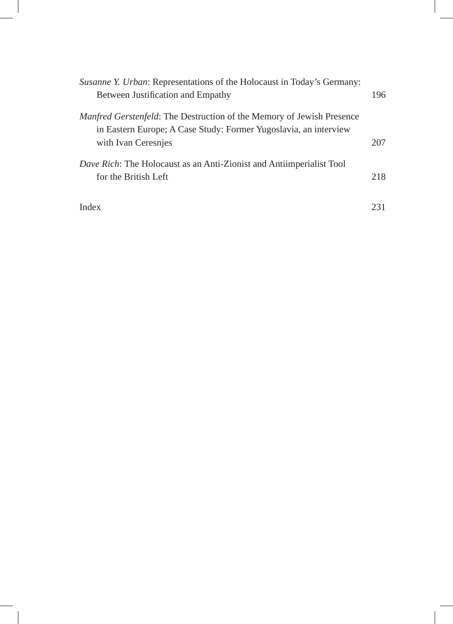| Susanne Y. Urban: Representations of the Holocaust in Today's Germany:                                                                           |     |
|--------------------------------------------------------------------------------------------------------------------------------------------------|-----|
| Between Justification and Empathy                                                                                                                | 196 |
| <i>Manfred Gerstenfeld:</i> The Destruction of the Memory of Jewish Presence<br>in Eastern Europe; A Case Study: Former Yugoslavia, an interview |     |
| with Ivan Ceresnies                                                                                                                              | 207 |
| <i>Dave Rich:</i> The Holocaust as an Anti-Zionist and Antiimperialist Tool<br>for the British Left                                              | 218 |
| Index                                                                                                                                            | 231 |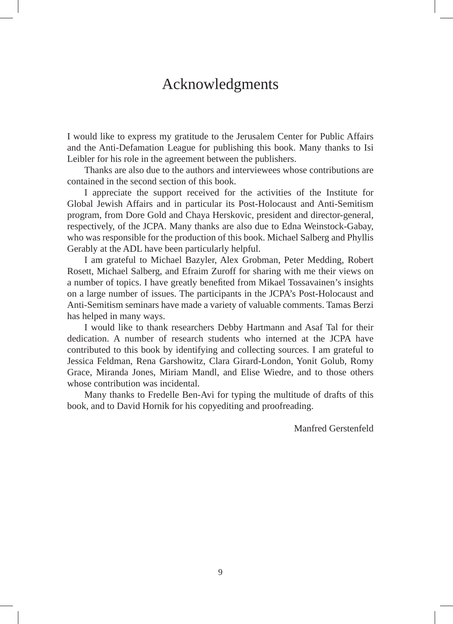# Acknowledgments

I would like to express my gratitude to the Jerusalem Center for Public Affairs and the Anti-Defamation League for publishing this book. Many thanks to Isi Leibler for his role in the agreement between the publishers.

Thanks are also due to the authors and interviewees whose contributions are contained in the second section of this book.

I appreciate the support received for the activities of the Institute for Global Jewish Affairs and in particular its Post-Holocaust and Anti-Semitism program, from Dore Gold and Chaya Herskovic, president and director-general, respectively, of the JCPA. Many thanks are also due to Edna Weinstock-Gabay, who was responsible for the production of this book. Michael Salberg and Phyllis Gerably at the ADL have been particularly helpful.

I am grateful to Michael Bazyler, Alex Grobman, Peter Medding, Robert Rosett, Michael Salberg, and Efraim Zuroff for sharing with me their views on a number of topics. I have greatly benefited from Mikael Tossavainen's insights on a large number of issues. The participants in the JCPA's Post-Holocaust and Anti-Semitism seminars have made a variety of valuable comments. Tamas Berzi has helped in many ways.

I would like to thank researchers Debby Hartmann and Asaf Tal for their dedication. A number of research students who interned at the JCPA have contributed to this book by identifying and collecting sources. I am grateful to Jessica Feldman, Rena Garshowitz, Clara Girard-London, Yonit Golub, Romy Grace, Miranda Jones, Miriam Mandl, and Elise Wiedre, and to those others whose contribution was incidental.

Many thanks to Fredelle Ben-Avi for typing the multitude of drafts of this book, and to David Hornik for his copyediting and proofreading.

Manfred Gerstenfeld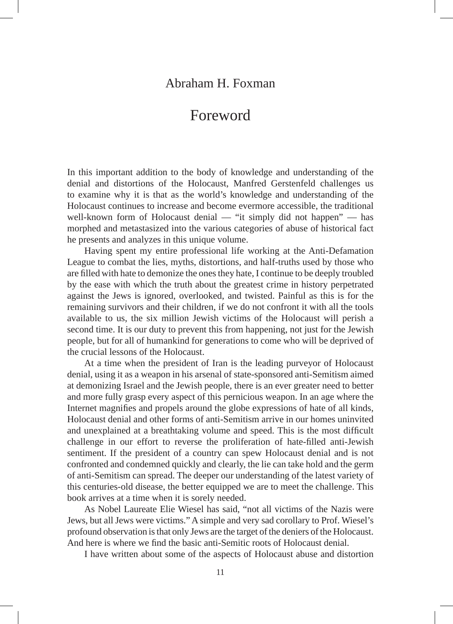## Abraham H. Foxman

# Foreword

In this important addition to the body of knowledge and understanding of the denial and distortions of the Holocaust, Manfred Gerstenfeld challenges us to examine why it is that as the world's knowledge and understanding of the Holocaust continues to increase and become evermore accessible, the traditional well-known form of Holocaust denial — "it simply did not happen" — has morphed and metastasized into the various categories of abuse of historical fact he presents and analyzes in this unique volume.

Having spent my entire professional life working at the Anti-Defamation League to combat the lies, myths, distortions, and half-truths used by those who are filled with hate to demonize the ones they hate, I continue to be deeply troubled by the ease with which the truth about the greatest crime in history perpetrated against the Jews is ignored, overlooked, and twisted. Painful as this is for the remaining survivors and their children, if we do not confront it with all the tools available to us, the six million Jewish victims of the Holocaust will perish a second time. It is our duty to prevent this from happening, not just for the Jewish people, but for all of humankind for generations to come who will be deprived of the crucial lessons of the Holocaust.

At a time when the president of Iran is the leading purveyor of Holocaust denial, using it as a weapon in his arsenal of state-sponsored anti-Semitism aimed at demonizing Israel and the Jewish people, there is an ever greater need to better and more fully grasp every aspect of this pernicious weapon. In an age where the Internet magnifies and propels around the globe expressions of hate of all kinds, Holocaust denial and other forms of anti-Semitism arrive in our homes uninvited and unexplained at a breathtaking volume and speed. This is the most difficult challenge in our effort to reverse the proliferation of hate-filled anti-Jewish sentiment. If the president of a country can spew Holocaust denial and is not confronted and condemned quickly and clearly, the lie can take hold and the germ of anti-Semitism can spread. The deeper our understanding of the latest variety of this centuries-old disease, the better equipped we are to meet the challenge. This book arrives at a time when it is sorely needed.

As Nobel Laureate Elie Wiesel has said, "not all victims of the Nazis were Jews, but all Jews were victims." A simple and very sad corollary to Prof. Wiesel's profound observation is that only Jews are the target of the deniers of the Holocaust. And here is where we find the basic anti-Semitic roots of Holocaust denial.

I have written about some of the aspects of Holocaust abuse and distortion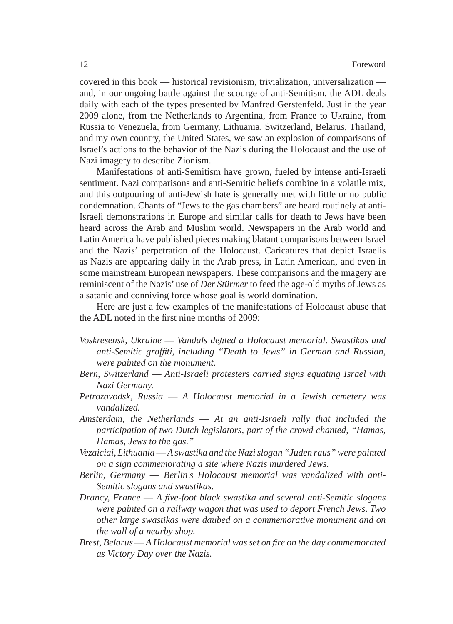covered in this book — historical revisionism, trivialization, universalization and, in our ongoing battle against the scourge of anti-Semitism, the ADL deals daily with each of the types presented by Manfred Gerstenfeld. Just in the year 2009 alone, from the Netherlands to Argentina, from France to Ukraine, from Russia to Venezuela, from Germany, Lithuania, Switzerland, Belarus, Thailand, and my own country, the United States, we saw an explosion of comparisons of Israel's actions to the behavior of the Nazis during the Holocaust and the use of Nazi imagery to describe Zionism.

Manifestations of anti-Semitism have grown, fueled by intense anti-Israeli sentiment. Nazi comparisons and anti-Semitic beliefs combine in a volatile mix, and this outpouring of anti-Jewish hate is generally met with little or no public condemnation. Chants of "Jews to the gas chambers" are heard routinely at anti-Israeli demonstrations in Europe and similar calls for death to Jews have been heard across the Arab and Muslim world. Newspapers in the Arab world and Latin America have published pieces making blatant comparisons between Israel and the Nazis' perpetration of the Holocaust. Caricatures that depict Israelis as Nazis are appearing daily in the Arab press, in Latin American, and even in some mainstream European newspapers. These comparisons and the imagery are reminiscent of the Nazis' use of *Der Stürmer* to feed the age-old myths of Jews as a satanic and conniving force whose goal is world domination.

Here are just a few examples of the manifestations of Holocaust abuse that the ADL noted in the first nine months of 2009:

- *Voskresensk, Ukraine* — *Vandals defiled a Holocaust memorial. Swastikas and anti-Semitic graffiti, including "Death to Jews" in German and Russian, were painted on the monument.*
- *Bern, Switzerland* — *Anti-Israeli protesters carried signs equating Israel with Nazi Germany.*
- *Petrozavodsk, Russia* — *A Holocaust memorial in a Jewish cemetery was vandalized.*
- *Amsterdam, the Netherlands* — *At an anti-Israeli rally that included the participation of two Dutch legislators, part of the crowd chanted, "Hamas, Hamas, Jews to the gas."*
- *Vezaiciai, Lithuania* — *A swastika and the Nazi slogan "Juden raus" were painted on a sign commemorating a site where Nazis murdered Jews.*
- *Berlin, Germany* — *Berlin's Holocaust memorial was vandalized with anti-Semitic slogans and swastikas.*
- *Drancy, France* — *A five-foot black swastika and several anti-Semitic slogans were painted on a railway wagon that was used to deport French Jews. Two other large swastikas were daubed on a commemorative monument and on the wall of a nearby shop.*
- *Brest, Belarus* — *A Holocaust memorial was set on fire on the day commemorated as Victory Day over the Nazis.*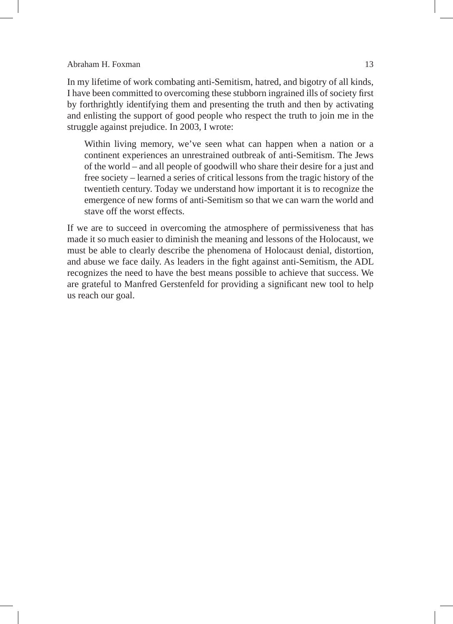### Abraham H. Foxman 13

In my lifetime of work combating anti-Semitism, hatred, and bigotry of all kinds, I have been committed to overcoming these stubborn ingrained ills of society first by forthrightly identifying them and presenting the truth and then by activating and enlisting the support of good people who respect the truth to join me in the struggle against prejudice. In 2003, I wrote:

Within living memory, we've seen what can happen when a nation or a continent experiences an unrestrained outbreak of anti-Semitism. The Jews of the world – and all people of goodwill who share their desire for a just and free society – learned a series of critical lessons from the tragic history of the twentieth century. Today we understand how important it is to recognize the emergence of new forms of anti-Semitism so that we can warn the world and stave off the worst effects.

If we are to succeed in overcoming the atmosphere of permissiveness that has made it so much easier to diminish the meaning and lessons of the Holocaust, we must be able to clearly describe the phenomena of Holocaust denial, distortion, and abuse we face daily. As leaders in the fight against anti-Semitism, the ADL recognizes the need to have the best means possible to achieve that success. We are grateful to Manfred Gerstenfeld for providing a significant new tool to help us reach our goal.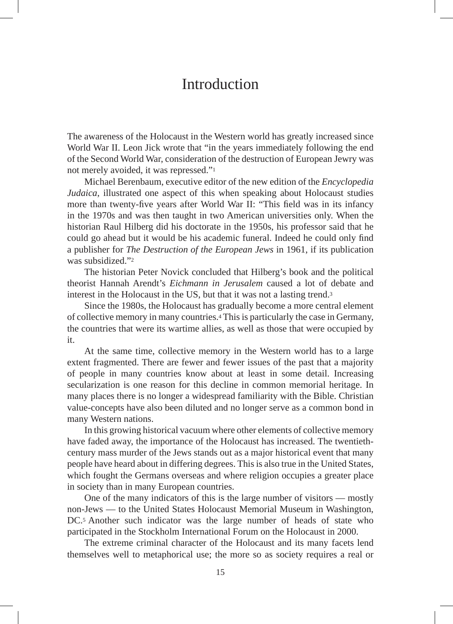## **Introduction**

The awareness of the Holocaust in the Western world has greatly increased since World War II. Leon Jick wrote that "in the years immediately following the end of the Second World War, consideration of the destruction of European Jewry was not merely avoided, it was repressed."1

Michael Berenbaum, executive editor of the new edition of the *Encyclopedia Judaica*, illustrated one aspect of this when speaking about Holocaust studies more than twenty-five years after World War II: "This field was in its infancy in the 1970s and was then taught in two American universities only. When the historian Raul Hilberg did his doctorate in the 1950s, his professor said that he could go ahead but it would be his academic funeral. Indeed he could only find a publisher for *The Destruction of the European Jews* in 1961, if its publication was subsidized."2

The historian Peter Novick concluded that Hilberg's book and the political theorist Hannah Arendt's *Eichmann in Jerusalem* caused a lot of debate and interest in the Holocaust in the US, but that it was not a lasting trend.3

Since the 1980s, the Holocaust has gradually become a more central element of collective memory in many countries.4 This is particularly the case in Germany, the countries that were its wartime allies, as well as those that were occupied by it.

At the same time, collective memory in the Western world has to a large extent fragmented. There are fewer and fewer issues of the past that a majority of people in many countries know about at least in some detail. Increasing secularization is one reason for this decline in common memorial heritage. In many places there is no longer a widespread familiarity with the Bible. Christian value-concepts have also been diluted and no longer serve as a common bond in many Western nations.

In this growing historical vacuum where other elements of collective memory have faded away, the importance of the Holocaust has increased. The twentiethcentury mass murder of the Jews stands out as a major historical event that many people have heard about in differing degrees. This is also true in the United States, which fought the Germans overseas and where religion occupies a greater place in society than in many European countries.

One of the many indicators of this is the large number of visitors — mostly non-Jews — to the United States Holocaust Memorial Museum in Washington, DC.5 Another such indicator was the large number of heads of state who participated in the Stockholm International Forum on the Holocaust in 2000.

The extreme criminal character of the Holocaust and its many facets lend themselves well to metaphorical use; the more so as society requires a real or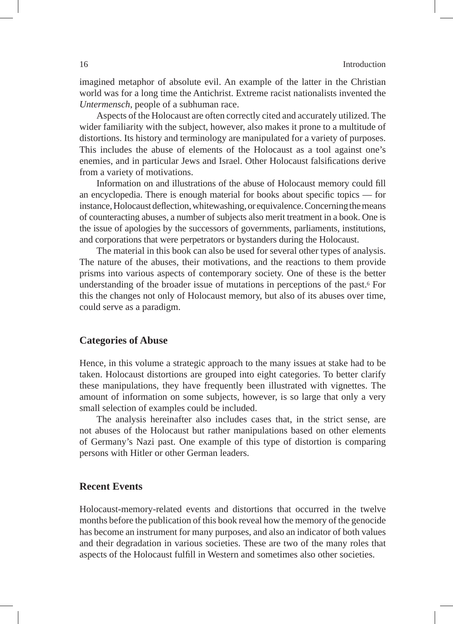imagined metaphor of absolute evil. An example of the latter in the Christian world was for a long time the Antichrist. Extreme racist nationalists invented the *Untermensch*, people of a subhuman race.

Aspects of the Holocaust are often correctly cited and accurately utilized. The wider familiarity with the subject, however, also makes it prone to a multitude of distortions. Its history and terminology are manipulated for a variety of purposes. This includes the abuse of elements of the Holocaust as a tool against one's enemies, and in particular Jews and Israel. Other Holocaust falsifications derive from a variety of motivations.

Information on and illustrations of the abuse of Holocaust memory could fill an encyclopedia. There is enough material for books about specific topics — for instance, Holocaust deflection, whitewashing, or equivalence. Concerning the means of counteracting abuses, a number of subjects also merit treatment in a book. One is the issue of apologies by the successors of governments, parliaments, institutions, and corporations that were perpetrators or bystanders during the Holocaust.

The material in this book can also be used for several other types of analysis. The nature of the abuses, their motivations, and the reactions to them provide prisms into various aspects of contemporary society. One of these is the better understanding of the broader issue of mutations in perceptions of the past.6 For this the changes not only of Holocaust memory, but also of its abuses over time, could serve as a paradigm.

### **Categories of Abuse**

Hence, in this volume a strategic approach to the many issues at stake had to be taken. Holocaust distortions are grouped into eight categories. To better clarify these manipulations, they have frequently been illustrated with vignettes. The amount of information on some subjects, however, is so large that only a very small selection of examples could be included.

The analysis hereinafter also includes cases that, in the strict sense, are not abuses of the Holocaust but rather manipulations based on other elements of Germany's Nazi past. One example of this type of distortion is comparing persons with Hitler or other German leaders.

### **Recent Events**

Holocaust-memory-related events and distortions that occurred in the twelve months before the publication of this book reveal how the memory of the genocide has become an instrument for many purposes, and also an indicator of both values and their degradation in various societies. These are two of the many roles that aspects of the Holocaust fulfill in Western and sometimes also other societies.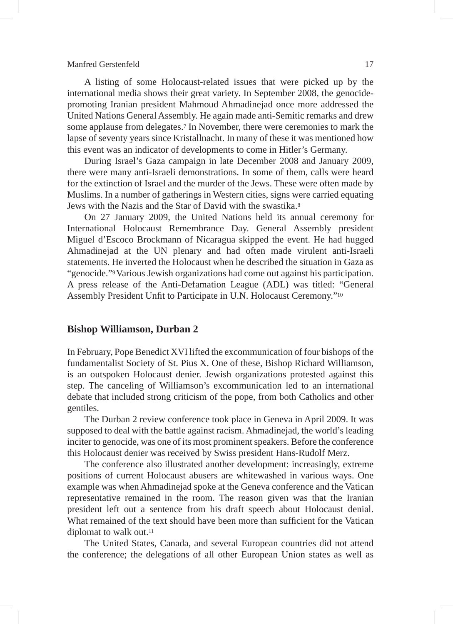A listing of some Holocaust-related issues that were picked up by the international media shows their great variety. In September 2008, the genocidepromoting Iranian president Mahmoud Ahmadinejad once more addressed the United Nations General Assembly. He again made anti-Semitic remarks and drew some applause from delegates.7 In November, there were ceremonies to mark the lapse of seventy years since Kristallnacht. In many of these it was mentioned how this event was an indicator of developments to come in Hitler's Germany.

During Israel's Gaza campaign in late December 2008 and January 2009, there were many anti-Israeli demonstrations. In some of them, calls were heard for the extinction of Israel and the murder of the Jews. These were often made by Muslims. In a number of gatherings in Western cities, signs were carried equating Jews with the Nazis and the Star of David with the swastika.8

On 27 January 2009, the United Nations held its annual ceremony for International Holocaust Remembrance Day. General Assembly president Miguel d'Escoco Brockmann of Nicaragua skipped the event. He had hugged Ahmadinejad at the UN plenary and had often made virulent anti-Israeli statements. He inverted the Holocaust when he described the situation in Gaza as "genocide."9 Various Jewish organizations had come out against his participation. A press release of the Anti-Defamation League (ADL) was titled: "General Assembly President Unfit to Participate in U.N. Holocaust Ceremony."10

### **Bishop Williamson, Durban 2**

In February, Pope Benedict XVI lifted the excommunication of four bishops of the fundamentalist Society of St. Pius X. One of these, Bishop Richard Williamson, is an outspoken Holocaust denier. Jewish organizations protested against this step. The canceling of Williamson's excommunication led to an international debate that included strong criticism of the pope, from both Catholics and other gentiles.

The Durban 2 review conference took place in Geneva in April 2009. It was supposed to deal with the battle against racism. Ahmadinejad, the world's leading inciter to genocide, was one of its most prominent speakers. Before the conference this Holocaust denier was received by Swiss president Hans-Rudolf Merz.

The conference also illustrated another development: increasingly, extreme positions of current Holocaust abusers are whitewashed in various ways. One example was when Ahmadinejad spoke at the Geneva conference and the Vatican representative remained in the room. The reason given was that the Iranian president left out a sentence from his draft speech about Holocaust denial. What remained of the text should have been more than sufficient for the Vatican diplomat to walk out.<sup>11</sup>

The United States, Canada, and several European countries did not attend the conference; the delegations of all other European Union states as well as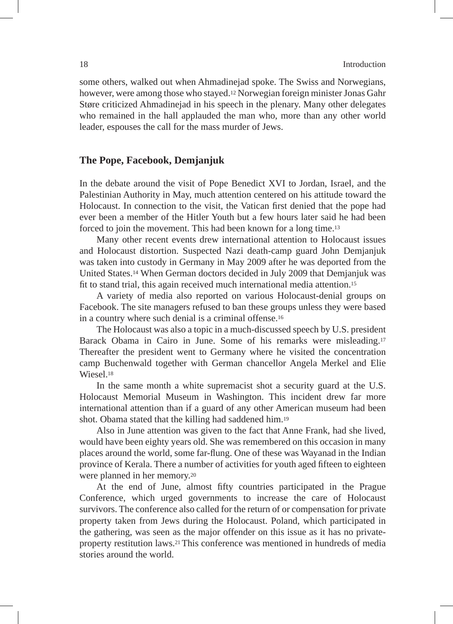some others, walked out when Ahmadinejad spoke. The Swiss and Norwegians, however, were among those who stayed.12 Norwegian foreign minister Jonas Gahr Støre criticized Ahmadinejad in his speech in the plenary. Many other delegates who remained in the hall applauded the man who, more than any other world leader, espouses the call for the mass murder of Jews.

### **The Pope, Facebook, Demjanjuk**

In the debate around the visit of Pope Benedict XVI to Jordan, Israel, and the Palestinian Authority in May, much attention centered on his attitude toward the Holocaust. In connection to the visit, the Vatican first denied that the pope had ever been a member of the Hitler Youth but a few hours later said he had been forced to join the movement. This had been known for a long time.13

Many other recent events drew international attention to Holocaust issues and Holocaust distortion. Suspected Nazi death-camp guard John Demjanjuk was taken into custody in Germany in May 2009 after he was deported from the United States.14 When German doctors decided in July 2009 that Demjanjuk was fit to stand trial, this again received much international media attention.15

A variety of media also reported on various Holocaust-denial groups on Facebook. The site managers refused to ban these groups unless they were based in a country where such denial is a criminal offense.16

The Holocaust was also a topic in a much-discussed speech by U.S. president Barack Obama in Cairo in June. Some of his remarks were misleading.17 Thereafter the president went to Germany where he visited the concentration camp Buchenwald together with German chancellor Angela Merkel and Elie Wiesel.18

In the same month a white supremacist shot a security guard at the U.S. Holocaust Memorial Museum in Washington. This incident drew far more international attention than if a guard of any other American museum had been shot. Obama stated that the killing had saddened him.19

Also in June attention was given to the fact that Anne Frank, had she lived, would have been eighty years old. She was remembered on this occasion in many places around the world, some far-flung. One of these was Wayanad in the Indian province of Kerala. There a number of activities for youth aged fifteen to eighteen were planned in her memory.20

At the end of June, almost fifty countries participated in the Prague Conference, which urged governments to increase the care of Holocaust survivors. The conference also called for the return of or compensation for private property taken from Jews during the Holocaust. Poland, which participated in the gathering, was seen as the major offender on this issue as it has no privateproperty restitution laws.21 This conference was mentioned in hundreds of media stories around the world.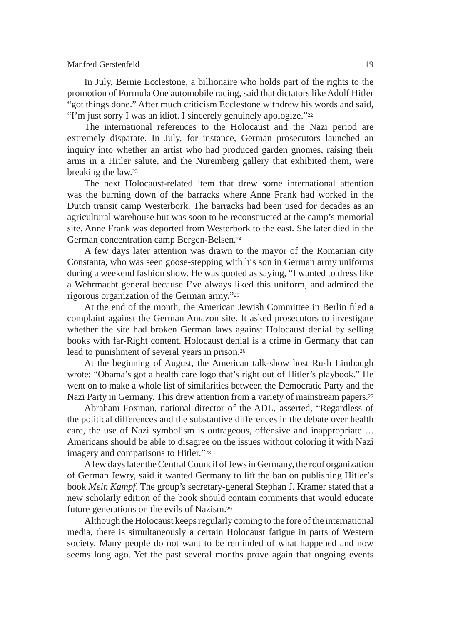In July, Bernie Ecclestone, a billionaire who holds part of the rights to the promotion of Formula One automobile racing, said that dictators like Adolf Hitler "got things done." After much criticism Ecclestone withdrew his words and said, "I'm just sorry I was an idiot. I sincerely genuinely apologize."22

The international references to the Holocaust and the Nazi period are extremely disparate. In July, for instance, German prosecutors launched an inquiry into whether an artist who had produced garden gnomes, raising their arms in a Hitler salute, and the Nuremberg gallery that exhibited them, were breaking the law.23

The next Holocaust-related item that drew some international attention was the burning down of the barracks where Anne Frank had worked in the Dutch transit camp Westerbork. The barracks had been used for decades as an agricultural warehouse but was soon to be reconstructed at the camp's memorial site. Anne Frank was deported from Westerbork to the east. She later died in the German concentration camp Bergen-Belsen.24

A few days later attention was drawn to the mayor of the Romanian city Constanta, who was seen goose-stepping with his son in German army uniforms during a weekend fashion show. He was quoted as saying, "I wanted to dress like a Wehrmacht general because I've always liked this uniform, and admired the rigorous organization of the German army."25

At the end of the month, the American Jewish Committee in Berlin filed a complaint against the German Amazon site. It asked prosecutors to investigate whether the site had broken German laws against Holocaust denial by selling books with far-Right content. Holocaust denial is a crime in Germany that can lead to punishment of several years in prison.26

At the beginning of August, the American talk-show host Rush Limbaugh wrote: "Obama's got a health care logo that's right out of Hitler's playbook." He went on to make a whole list of similarities between the Democratic Party and the Nazi Party in Germany. This drew attention from a variety of mainstream papers.27

Abraham Foxman, national director of the ADL, asserted, "Regardless of the political differences and the substantive differences in the debate over health care, the use of Nazi symbolism is outrageous, offensive and inappropriate…. Americans should be able to disagree on the issues without coloring it with Nazi imagery and comparisons to Hitler."28

A few days later the Central Council of Jews in Germany, the roof organization of German Jewry, said it wanted Germany to lift the ban on publishing Hitler's book *Mein Kampf*. The group's secretary-general Stephan J. Kramer stated that a new scholarly edition of the book should contain comments that would educate future generations on the evils of Nazism.29

Although the Holocaust keeps regularly coming to the fore of the international media, there is simultaneously a certain Holocaust fatigue in parts of Western society. Many people do not want to be reminded of what happened and now seems long ago. Yet the past several months prove again that ongoing events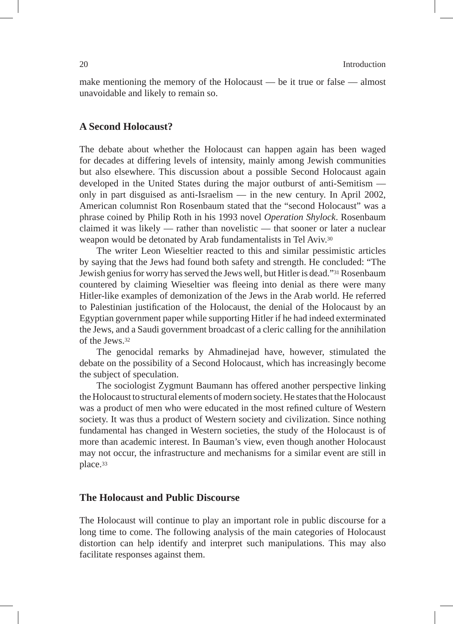make mentioning the memory of the Holocaust — be it true or false — almost unavoidable and likely to remain so.

### **A Second Holocaust?**

The debate about whether the Holocaust can happen again has been waged for decades at differing levels of intensity, mainly among Jewish communities but also elsewhere. This discussion about a possible Second Holocaust again developed in the United States during the major outburst of anti-Semitism only in part disguised as anti-Israelism — in the new century. In April 2002, American columnist Ron Rosenbaum stated that the "second Holocaust" was a phrase coined by Philip Roth in his 1993 novel *Operation Shylock*. Rosenbaum claimed it was likely — rather than novelistic — that sooner or later a nuclear weapon would be detonated by Arab fundamentalists in Tel Aviv.30

The writer Leon Wieseltier reacted to this and similar pessimistic articles by saying that the Jews had found both safety and strength. He concluded: "The Jewish genius for worry has served the Jews well, but Hitler is dead."31 Rosenbaum countered by claiming Wieseltier was fleeing into denial as there were many Hitler-like examples of demonization of the Jews in the Arab world. He referred to Palestinian justification of the Holocaust, the denial of the Holocaust by an Egyptian government paper while supporting Hitler if he had indeed exterminated the Jews, and a Saudi government broadcast of a cleric calling for the annihilation of the Jews.32

The genocidal remarks by Ahmadinejad have, however, stimulated the debate on the possibility of a Second Holocaust, which has increasingly become the subject of speculation.

The sociologist Zygmunt Baumann has offered another perspective linking the Holocaust to structural elements of modern society. He states that the Holocaust was a product of men who were educated in the most refined culture of Western society. It was thus a product of Western society and civilization. Since nothing fundamental has changed in Western societies, the study of the Holocaust is of more than academic interest. In Bauman's view, even though another Holocaust may not occur, the infrastructure and mechanisms for a similar event are still in place.33

### **The Holocaust and Public Discourse**

The Holocaust will continue to play an important role in public discourse for a long time to come. The following analysis of the main categories of Holocaust distortion can help identify and interpret such manipulations. This may also facilitate responses against them.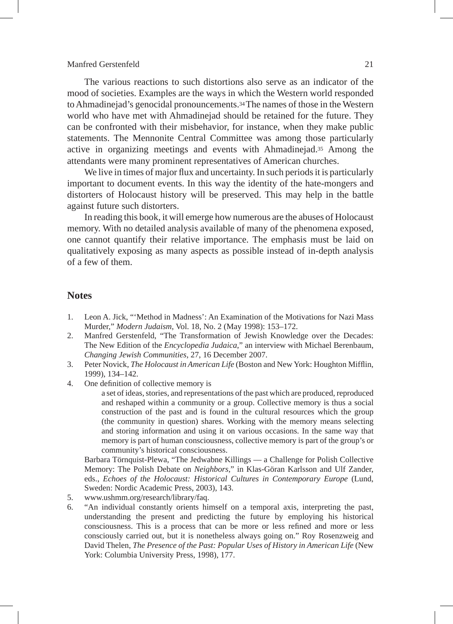The various reactions to such distortions also serve as an indicator of the mood of societies. Examples are the ways in which the Western world responded to Ahmadinejad's genocidal pronouncements.34 The names of those in the Western world who have met with Ahmadinejad should be retained for the future. They can be confronted with their misbehavior, for instance, when they make public statements. The Mennonite Central Committee was among those particularly active in organizing meetings and events with Ahmadinejad.35 Among the attendants were many prominent representatives of American churches.

We live in times of major flux and uncertainty. In such periods it is particularly important to document events. In this way the identity of the hate-mongers and distorters of Holocaust history will be preserved. This may help in the battle against future such distorters.

In reading this book, it will emerge how numerous are the abuses of Holocaust memory. With no detailed analysis available of many of the phenomena exposed, one cannot quantify their relative importance. The emphasis must be laid on qualitatively exposing as many aspects as possible instead of in-depth analysis of a few of them.

### **Notes**

- 1. Leon A. Jick, "'Method in Madness': An Examination of the Motivations for Nazi Mass Murder," *Modern Judaism*, Vol. 18, No. 2 (May 1998): 153–172.
- 2. Manfred Gerstenfeld, "The Transformation of Jewish Knowledge over the Decades: The New Edition of the *Encyclopedia Judaica*," an interview with Michael Berenbaum, *Changing Jewish Communities*, 27, 16 December 2007.
- 3. Peter Novick, *The Holocaust in American Life* (Boston and New York: Houghton Mifflin, 1999), 134–142.
- 4. One definition of collective memory is

a set of ideas, stories, and representations of the past which are produced, reproduced and reshaped within a community or a group. Collective memory is thus a social construction of the past and is found in the cultural resources which the group (the community in question) shares. Working with the memory means selecting and storing information and using it on various occasions. In the same way that memory is part of human consciousness, collective memory is part of the group's or community's historical consciousness.

 Barbara Törnquist-Plewa, "The Jedwabne Killings — a Challenge for Polish Collective Memory: The Polish Debate on *Neighbors*," in Klas-Göran Karlsson and Ulf Zander, eds., *Echoes of the Holocaust: Historical Cultures in Contemporary Europe* (Lund, Sweden: Nordic Academic Press, 2003), 143.

- 5. www.ushmm.org/research/library/faq.
- 6. "An individual constantly orients himself on a temporal axis, interpreting the past, understanding the present and predicting the future by employing his historical consciousness. This is a process that can be more or less refined and more or less consciously carried out, but it is nonetheless always going on." Roy Rosenzweig and David Thelen, *The Presence of the Past: Popular Uses of History in American Life* (New York: Columbia University Press, 1998), 177.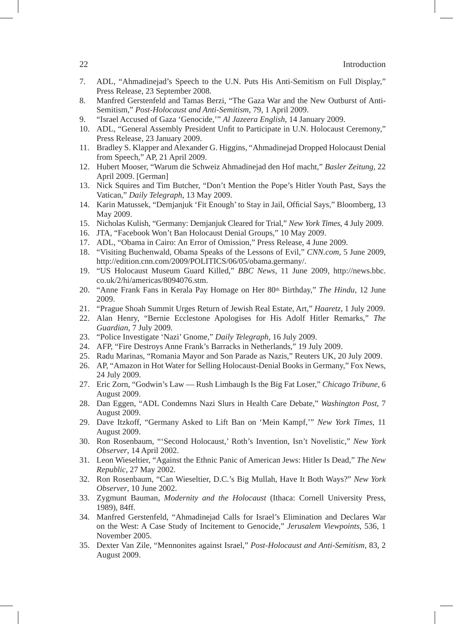- 7. ADL, "Ahmadinejad's Speech to the U.N. Puts His Anti-Semitism on Full Display," Press Release, 23 September 2008.
- 8. Manfred Gerstenfeld and Tamas Berzi, "The Gaza War and the New Outburst of Anti-Semitism," *Post-Holocaust and Anti-Semitism*, 79, 1 April 2009.
- 9. "Israel Accused of Gaza 'Genocide,'" *Al Jazeera English*, 14 January 2009.
- 10. ADL, "General Assembly President Unfit to Participate in U.N. Holocaust Ceremony," Press Release, 23 January 2009.
- 11. Bradley S. Klapper and Alexander G. Higgins, "Ahmadinejad Dropped Holocaust Denial from Speech," AP, 21 April 2009.
- 12. Hubert Mooser, "Warum die Schweiz Ahmadinejad den Hof macht," *Basler Zeitung,* 22 April 2009. [German]
- 13. Nick Squires and Tim Butcher, "Don't Mention the Pope's Hitler Youth Past, Says the Vatican," *Daily Telegraph*, 13 May 2009.
- 14. Karin Matussek, "Demjanjuk 'Fit Enough' to Stay in Jail, Official Says," Bloomberg, 13 May 2009.
- 15. Nicholas Kulish, "Germany: Demjanjuk Cleared for Trial," *New York Times*, 4 July 2009.
- 16. JTA, "Facebook Won't Ban Holocaust Denial Groups," 10 May 2009.
- 17. ADL, "Obama in Cairo: An Error of Omission," Press Release, 4 June 2009.
- 18. "Visiting Buchenwald, Obama Speaks of the Lessons of Evil," *CNN.com*, 5 June 2009, http://edition.cnn.com/2009/POLITICS/06/05/obama.germany/.
- 19. "US Holocaust Museum Guard Killed," *BBC News*, 11 June 2009, http://news.bbc. co.uk/2/hi/americas/8094076.stm.
- 20. "Anne Frank Fans in Kerala Pay Homage on Her 80th Birthday," *The Hindu*, 12 June 2009.
- 21. "Prague Shoah Summit Urges Return of Jewish Real Estate, Art," *Haaretz*, 1 July 2009.
- 22. Alan Henry, "Bernie Ecclestone Apologises for His Adolf Hitler Remarks," *The Guardian,* 7 July 2009.
- 23. "Police Investigate 'Nazi' Gnome," *Daily Telegraph*, 16 July 2009.
- 24. AFP, "Fire Destroys Anne Frank's Barracks in Netherlands," 19 July 2009.
- 25. Radu Marinas, "Romania Mayor and Son Parade as Nazis," Reuters UK, 20 July 2009.
- 26. AP, "Amazon in Hot Water for Selling Holocaust-Denial Books in Germany," Fox News, 24 July 2009.
- 27. Eric Zorn, "Godwin's Law Rush Limbaugh Is the Big Fat Loser," *Chicago Tribune,* 6 August 2009.
- 28. Dan Eggen, "ADL Condemns Nazi Slurs in Health Care Debate," *Washington Post*, 7 August 2009.
- 29. Dave Itzkoff, "Germany Asked to Lift Ban on 'Mein Kampf,'" *New York Times*, 11 August 2009.
- 30. Ron Rosenbaum, "'Second Holocaust,' Roth's Invention, Isn't Novelistic," *New York Observer*, 14 April 2002.
- 31. Leon Wieseltier, "Against the Ethnic Panic of American Jews: Hitler Is Dead," *The New Republic*, 27 May 2002.
- 32. Ron Rosenbaum, "Can Wieseltier, D.C.'s Big Mullah, Have It Both Ways?" *New York Observer*, 10 June 2002.
- 33. Zygmunt Bauman, *Modernity and the Holocaust* (Ithaca: Cornell University Press, 1989), 84ff.
- 34. Manfred Gerstenfeld, "Ahmadinejad Calls for Israel's Elimination and Declares War on the West: A Case Study of Incitement to Genocide," *Jerusalem Viewpoints*, 536, 1 November 2005.
- 35. Dexter Van Zile, "Mennonites against Israel," *Post-Holocaust and Anti-Semitism*, 83, 2 August 2009.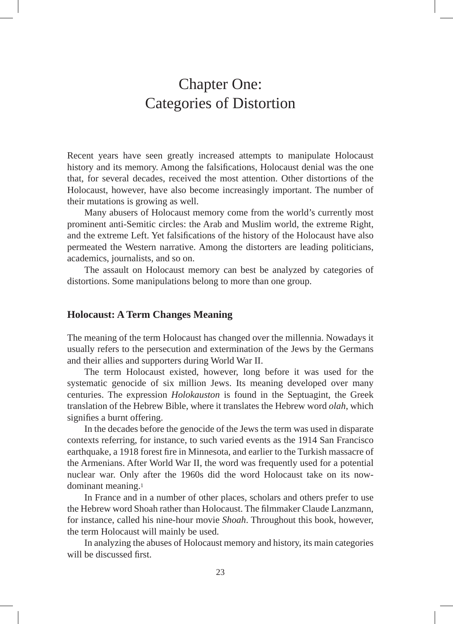# Chapter One: Categories of Distortion

Recent years have seen greatly increased attempts to manipulate Holocaust history and its memory. Among the falsifications, Holocaust denial was the one that, for several decades, received the most attention. Other distortions of the Holocaust, however, have also become increasingly important. The number of their mutations is growing as well.

Many abusers of Holocaust memory come from the world's currently most prominent anti-Semitic circles: the Arab and Muslim world, the extreme Right, and the extreme Left. Yet falsifications of the history of the Holocaust have also permeated the Western narrative. Among the distorters are leading politicians, academics, journalists, and so on.

The assault on Holocaust memory can best be analyzed by categories of distortions. Some manipulations belong to more than one group.

### **Holocaust: A Term Changes Meaning**

The meaning of the term Holocaust has changed over the millennia. Nowadays it usually refers to the persecution and extermination of the Jews by the Germans and their allies and supporters during World War II.

The term Holocaust existed, however, long before it was used for the systematic genocide of six million Jews. Its meaning developed over many centuries. The expression *Holokauston* is found in the Septuagint, the Greek translation of the Hebrew Bible, where it translates the Hebrew word *olah*, which signifies a burnt offering.

In the decades before the genocide of the Jews the term was used in disparate contexts referring, for instance, to such varied events as the 1914 San Francisco earthquake, a 1918 forest fire in Minnesota, and earlier to the Turkish massacre of the Armenians. After World War II, the word was frequently used for a potential nuclear war. Only after the 1960s did the word Holocaust take on its nowdominant meaning.1

In France and in a number of other places, scholars and others prefer to use the Hebrew word Shoah rather than Holocaust. The filmmaker Claude Lanzmann, for instance, called his nine-hour movie *Shoah*. Throughout this book, however, the term Holocaust will mainly be used.

In analyzing the abuses of Holocaust memory and history, its main categories will be discussed first.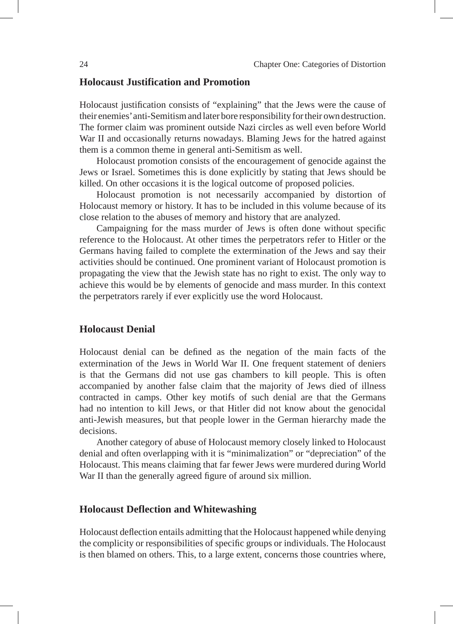### **Holocaust Justification and Promotion**

Holocaust justification consists of "explaining" that the Jews were the cause of their enemies' anti-Semitism and later bore responsibility for their own destruction. The former claim was prominent outside Nazi circles as well even before World War II and occasionally returns nowadays. Blaming Jews for the hatred against them is a common theme in general anti-Semitism as well.

Holocaust promotion consists of the encouragement of genocide against the Jews or Israel. Sometimes this is done explicitly by stating that Jews should be killed. On other occasions it is the logical outcome of proposed policies.

Holocaust promotion is not necessarily accompanied by distortion of Holocaust memory or history. It has to be included in this volume because of its close relation to the abuses of memory and history that are analyzed.

Campaigning for the mass murder of Jews is often done without specific reference to the Holocaust. At other times the perpetrators refer to Hitler or the Germans having failed to complete the extermination of the Jews and say their activities should be continued. One prominent variant of Holocaust promotion is propagating the view that the Jewish state has no right to exist. The only way to achieve this would be by elements of genocide and mass murder. In this context the perpetrators rarely if ever explicitly use the word Holocaust.

### **Holocaust Denial**

Holocaust denial can be defined as the negation of the main facts of the extermination of the Jews in World War II. One frequent statement of deniers is that the Germans did not use gas chambers to kill people. This is often accompanied by another false claim that the majority of Jews died of illness contracted in camps. Other key motifs of such denial are that the Germans had no intention to kill Jews, or that Hitler did not know about the genocidal anti-Jewish measures, but that people lower in the German hierarchy made the decisions.

Another category of abuse of Holocaust memory closely linked to Holocaust denial and often overlapping with it is "minimalization" or "depreciation" of the Holocaust. This means claiming that far fewer Jews were murdered during World War II than the generally agreed figure of around six million.

### **Holocaust Deflection and Whitewashing**

Holocaust deflection entails admitting that the Holocaust happened while denying the complicity or responsibilities of specific groups or individuals. The Holocaust is then blamed on others. This, to a large extent, concerns those countries where,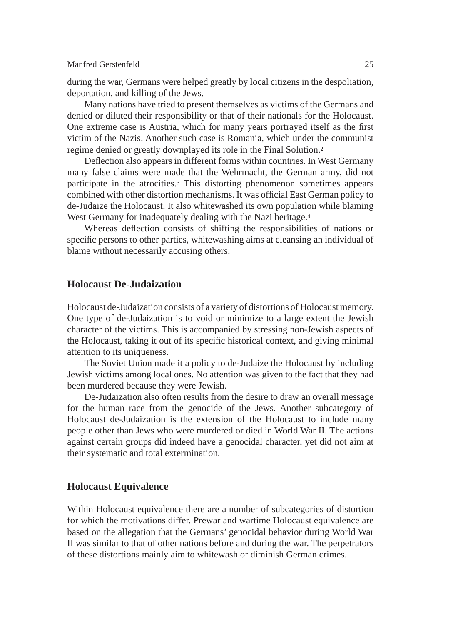during the war, Germans were helped greatly by local citizens in the despoliation, deportation, and killing of the Jews.

Many nations have tried to present themselves as victims of the Germans and denied or diluted their responsibility or that of their nationals for the Holocaust. One extreme case is Austria, which for many years portrayed itself as the first victim of the Nazis. Another such case is Romania, which under the communist regime denied or greatly downplayed its role in the Final Solution.2

Deflection also appears in different forms within countries. In West Germany many false claims were made that the Wehrmacht, the German army, did not participate in the atrocities.3 This distorting phenomenon sometimes appears combined with other distortion mechanisms. It was official East German policy to de-Judaize the Holocaust. It also whitewashed its own population while blaming West Germany for inadequately dealing with the Nazi heritage.<sup>4</sup>

Whereas deflection consists of shifting the responsibilities of nations or specific persons to other parties, whitewashing aims at cleansing an individual of blame without necessarily accusing others.

### **Holocaust De-Judaization**

Holocaust de-Judaization consists of a variety of distortions of Holocaust memory. One type of de-Judaization is to void or minimize to a large extent the Jewish character of the victims. This is accompanied by stressing non-Jewish aspects of the Holocaust, taking it out of its specific historical context, and giving minimal attention to its uniqueness.

The Soviet Union made it a policy to de-Judaize the Holocaust by including Jewish victims among local ones. No attention was given to the fact that they had been murdered because they were Jewish.

De-Judaization also often results from the desire to draw an overall message for the human race from the genocide of the Jews. Another subcategory of Holocaust de-Judaization is the extension of the Holocaust to include many people other than Jews who were murdered or died in World War II. The actions against certain groups did indeed have a genocidal character, yet did not aim at their systematic and total extermination.

### **Holocaust Equivalence**

Within Holocaust equivalence there are a number of subcategories of distortion for which the motivations differ. Prewar and wartime Holocaust equivalence are based on the allegation that the Germans' genocidal behavior during World War II was similar to that of other nations before and during the war. The perpetrators of these distortions mainly aim to whitewash or diminish German crimes.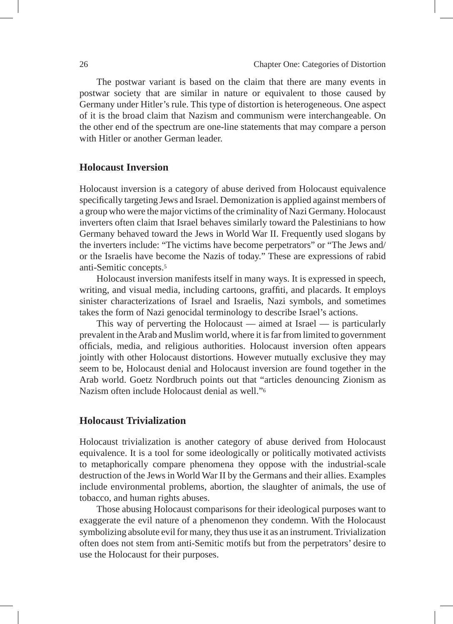The postwar variant is based on the claim that there are many events in postwar society that are similar in nature or equivalent to those caused by Germany under Hitler's rule. This type of distortion is heterogeneous. One aspect of it is the broad claim that Nazism and communism were interchangeable. On the other end of the spectrum are one-line statements that may compare a person with Hitler or another German leader.

### **Holocaust Inversion**

Holocaust inversion is a category of abuse derived from Holocaust equivalence specifically targeting Jews and Israel. Demonization is applied against members of a group who were the major victims of the criminality of Nazi Germany. Holocaust inverters often claim that Israel behaves similarly toward the Palestinians to how Germany behaved toward the Jews in World War II. Frequently used slogans by the inverters include: "The victims have become perpetrators" or "The Jews and/ or the Israelis have become the Nazis of today." These are expressions of rabid anti-Semitic concepts.5

Holocaust inversion manifests itself in many ways. It is expressed in speech, writing, and visual media, including cartoons, graffiti, and placards. It employs sinister characterizations of Israel and Israelis, Nazi symbols, and sometimes takes the form of Nazi genocidal terminology to describe Israel's actions.

This way of perverting the Holocaust — aimed at Israel — is particularly prevalent in the Arab and Muslim world, where it is far from limited to government officials, media, and religious authorities. Holocaust inversion often appears jointly with other Holocaust distortions. However mutually exclusive they may seem to be, Holocaust denial and Holocaust inversion are found together in the Arab world. Goetz Nordbruch points out that "articles denouncing Zionism as Nazism often include Holocaust denial as well."6

### **Holocaust Trivialization**

Holocaust trivialization is another category of abuse derived from Holocaust equivalence. It is a tool for some ideologically or politically motivated activists to metaphorically compare phenomena they oppose with the industrial-scale destruction of the Jews in World War II by the Germans and their allies. Examples include environmental problems, abortion, the slaughter of animals, the use of tobacco, and human rights abuses.

Those abusing Holocaust comparisons for their ideological purposes want to exaggerate the evil nature of a phenomenon they condemn. With the Holocaust symbolizing absolute evil for many, they thus use it as an instrument. Trivialization often does not stem from anti-Semitic motifs but from the perpetrators' desire to use the Holocaust for their purposes.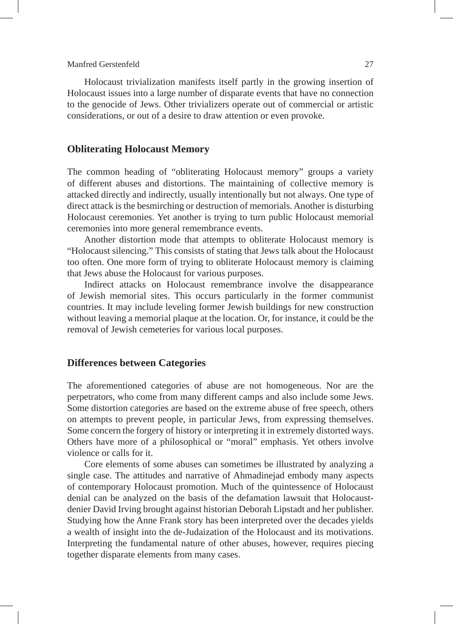Holocaust trivialization manifests itself partly in the growing insertion of Holocaust issues into a large number of disparate events that have no connection to the genocide of Jews. Other trivializers operate out of commercial or artistic considerations, or out of a desire to draw attention or even provoke.

### **Obliterating Holocaust Memory**

The common heading of "obliterating Holocaust memory" groups a variety of different abuses and distortions. The maintaining of collective memory is attacked directly and indirectly, usually intentionally but not always. One type of direct attack is the besmirching or destruction of memorials. Another is disturbing Holocaust ceremonies. Yet another is trying to turn public Holocaust memorial ceremonies into more general remembrance events.

Another distortion mode that attempts to obliterate Holocaust memory is "Holocaust silencing." This consists of stating that Jews talk about the Holocaust too often. One more form of trying to obliterate Holocaust memory is claiming that Jews abuse the Holocaust for various purposes.

Indirect attacks on Holocaust remembrance involve the disappearance of Jewish memorial sites. This occurs particularly in the former communist countries. It may include leveling former Jewish buildings for new construction without leaving a memorial plaque at the location. Or, for instance, it could be the removal of Jewish cemeteries for various local purposes.

### **Differences between Categories**

The aforementioned categories of abuse are not homogeneous. Nor are the perpetrators, who come from many different camps and also include some Jews. Some distortion categories are based on the extreme abuse of free speech, others on attempts to prevent people, in particular Jews, from expressing themselves. Some concern the forgery of history or interpreting it in extremely distorted ways. Others have more of a philosophical or "moral" emphasis. Yet others involve violence or calls for it.

Core elements of some abuses can sometimes be illustrated by analyzing a single case. The attitudes and narrative of Ahmadinejad embody many aspects of contemporary Holocaust promotion. Much of the quintessence of Holocaust denial can be analyzed on the basis of the defamation lawsuit that Holocaustdenier David Irving brought against historian Deborah Lipstadt and her publisher. Studying how the Anne Frank story has been interpreted over the decades yields a wealth of insight into the de-Judaization of the Holocaust and its motivations. Interpreting the fundamental nature of other abuses, however, requires piecing together disparate elements from many cases.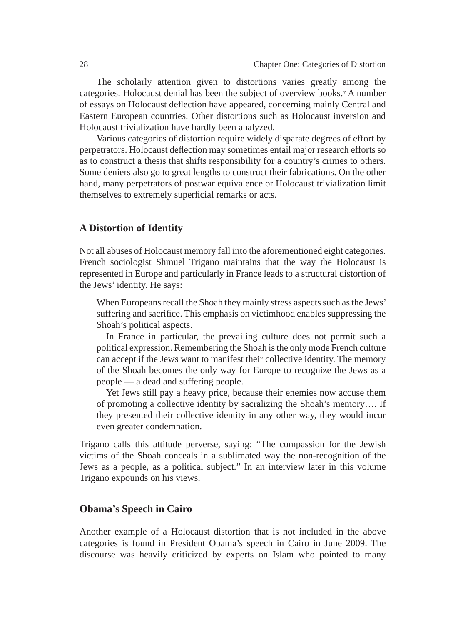The scholarly attention given to distortions varies greatly among the categories. Holocaust denial has been the subject of overview books.7 A number of essays on Holocaust deflection have appeared, concerning mainly Central and Eastern European countries. Other distortions such as Holocaust inversion and Holocaust trivialization have hardly been analyzed.

Various categories of distortion require widely disparate degrees of effort by perpetrators. Holocaust deflection may sometimes entail major research efforts so as to construct a thesis that shifts responsibility for a country's crimes to others. Some deniers also go to great lengths to construct their fabrications. On the other hand, many perpetrators of postwar equivalence or Holocaust trivialization limit themselves to extremely superficial remarks or acts.

### **A Distortion of Identity**

Not all abuses of Holocaust memory fall into the aforementioned eight categories. French sociologist Shmuel Trigano maintains that the way the Holocaust is represented in Europe and particularly in France leads to a structural distortion of the Jews' identity. He says:

When Europeans recall the Shoah they mainly stress aspects such as the Jews' suffering and sacrifice. This emphasis on victimhood enables suppressing the Shoah's political aspects.

In France in particular, the prevailing culture does not permit such a political expression. Remembering the Shoah is the only mode French culture can accept if the Jews want to manifest their collective identity. The memory of the Shoah becomes the only way for Europe to recognize the Jews as a people — a dead and suffering people.

Yet Jews still pay a heavy price, because their enemies now accuse them of promoting a collective identity by sacralizing the Shoah's memory…. If they presented their collective identity in any other way, they would incur even greater condemnation.

Trigano calls this attitude perverse, saying: "The compassion for the Jewish victims of the Shoah conceals in a sublimated way the non-recognition of the Jews as a people, as a political subject." In an interview later in this volume Trigano expounds on his views.

### **Obama's Speech in Cairo**

Another example of a Holocaust distortion that is not included in the above categories is found in President Obama's speech in Cairo in June 2009. The discourse was heavily criticized by experts on Islam who pointed to many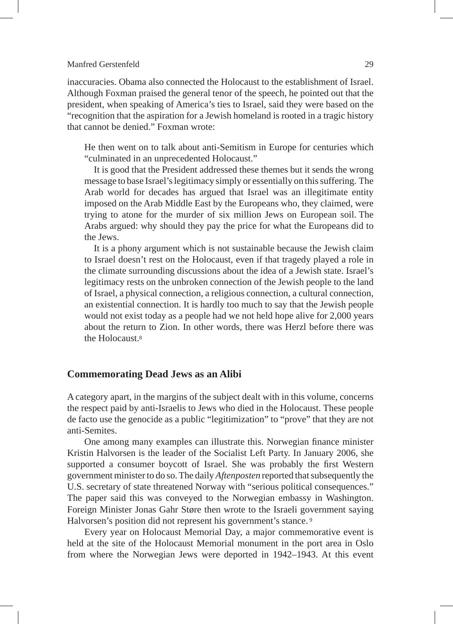inaccuracies. Obama also connected the Holocaust to the establishment of Israel. Although Foxman praised the general tenor of the speech, he pointed out that the president, when speaking of America's ties to Israel, said they were based on the "recognition that the aspiration for a Jewish homeland is rooted in a tragic history that cannot be denied." Foxman wrote:

He then went on to talk about anti-Semitism in Europe for centuries which "culminated in an unprecedented Holocaust."

It is good that the President addressed these themes but it sends the wrong message to base Israel's legitimacy simply or essentially on this suffering. The Arab world for decades has argued that Israel was an illegitimate entity imposed on the Arab Middle East by the Europeans who, they claimed, were trying to atone for the murder of six million Jews on European soil. The Arabs argued: why should they pay the price for what the Europeans did to the Jews.

It is a phony argument which is not sustainable because the Jewish claim to Israel doesn't rest on the Holocaust, even if that tragedy played a role in the climate surrounding discussions about the idea of a Jewish state. Israel's legitimacy rests on the unbroken connection of the Jewish people to the land of Israel, a physical connection, a religious connection, a cultural connection, an existential connection. It is hardly too much to say that the Jewish people would not exist today as a people had we not held hope alive for 2,000 years about the return to Zion. In other words, there was Herzl before there was the Holocaust.8

### **Commemorating Dead Jews as an Alibi**

A category apart, in the margins of the subject dealt with in this volume, concerns the respect paid by anti-Israelis to Jews who died in the Holocaust. These people de facto use the genocide as a public "legitimization" to "prove" that they are not anti-Semites.

One among many examples can illustrate this. Norwegian finance minister Kristin Halvorsen is the leader of the Socialist Left Party. In January 2006, she supported a consumer boycott of Israel. She was probably the first Western government minister to do so. The daily *Aftenposten* reported that subsequently the U.S. secretary of state threatened Norway with "serious political consequences." The paper said this was conveyed to the Norwegian embassy in Washington. Foreign Minister Jonas Gahr Støre then wrote to the Israeli government saying Halvorsen's position did not represent his government's stance. 9

Every year on Holocaust Memorial Day, a major commemorative event is held at the site of the Holocaust Memorial monument in the port area in Oslo from where the Norwegian Jews were deported in 1942–1943. At this event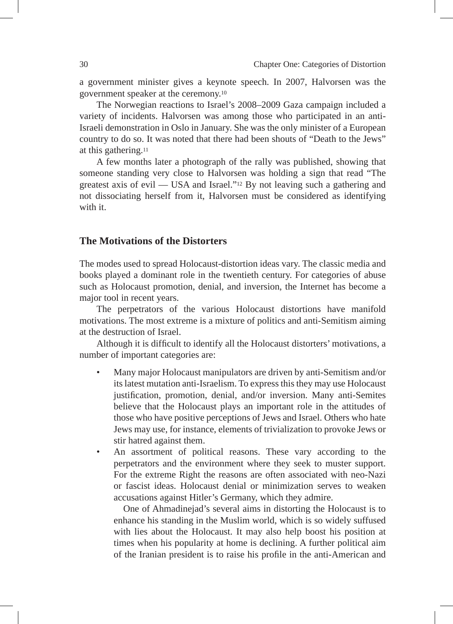a government minister gives a keynote speech. In 2007, Halvorsen was the government speaker at the ceremony.10

The Norwegian reactions to Israel's 2008–2009 Gaza campaign included a variety of incidents. Halvorsen was among those who participated in an anti-Israeli demonstration in Oslo in January. She was the only minister of a European country to do so. It was noted that there had been shouts of "Death to the Jews" at this gathering.11

A few months later a photograph of the rally was published, showing that someone standing very close to Halvorsen was holding a sign that read "The greatest axis of evil — USA and Israel."12 By not leaving such a gathering and not dissociating herself from it, Halvorsen must be considered as identifying with it.

### **The Motivations of the Distorters**

The modes used to spread Holocaust-distortion ideas vary. The classic media and books played a dominant role in the twentieth century. For categories of abuse such as Holocaust promotion, denial, and inversion, the Internet has become a major tool in recent years.

The perpetrators of the various Holocaust distortions have manifold motivations. The most extreme is a mixture of politics and anti-Semitism aiming at the destruction of Israel.

Although it is difficult to identify all the Holocaust distorters' motivations, a number of important categories are:

- Many major Holocaust manipulators are driven by anti-Semitism and/or its latest mutation anti-Israelism. To express this they may use Holocaust justification, promotion, denial, and/or inversion. Many anti-Semites believe that the Holocaust plays an important role in the attitudes of those who have positive perceptions of Jews and Israel. Others who hate Jews may use, for instance, elements of trivialization to provoke Jews or stir hatred against them.
- An assortment of political reasons. These vary according to the perpetrators and the environment where they seek to muster support. For the extreme Right the reasons are often associated with neo-Nazi or fascist ideas. Holocaust denial or minimization serves to weaken accusations against Hitler's Germany, which they admire.

 One of Ahmadinejad's several aims in distorting the Holocaust is to enhance his standing in the Muslim world, which is so widely suffused with lies about the Holocaust. It may also help boost his position at times when his popularity at home is declining. A further political aim of the Iranian president is to raise his profile in the anti-American and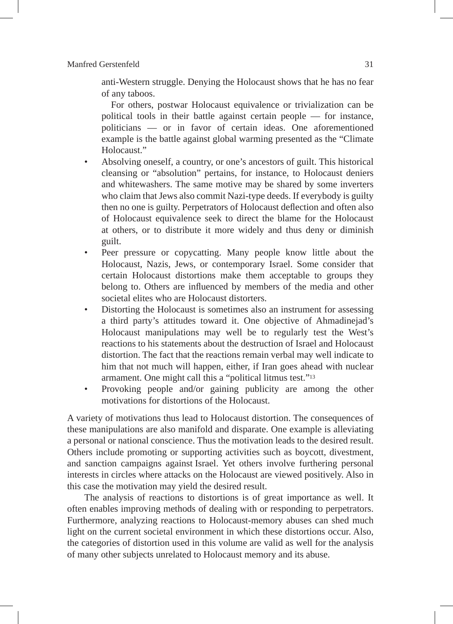anti-Western struggle. Denying the Holocaust shows that he has no fear of any taboos.

 For others, postwar Holocaust equivalence or trivialization can be political tools in their battle against certain people — for instance, politicians — or in favor of certain ideas. One aforementioned example is the battle against global warming presented as the "Climate Holocaust."

- Absolving oneself, a country, or one's ancestors of guilt. This historical cleansing or "absolution" pertains, for instance, to Holocaust deniers and whitewashers. The same motive may be shared by some inverters who claim that Jews also commit Nazi-type deeds. If everybody is guilty then no one is guilty. Perpetrators of Holocaust deflection and often also of Holocaust equivalence seek to direct the blame for the Holocaust at others, or to distribute it more widely and thus deny or diminish guilt.
- Peer pressure or copycatting. Many people know little about the Holocaust, Nazis, Jews, or contemporary Israel. Some consider that certain Holocaust distortions make them acceptable to groups they belong to. Others are influenced by members of the media and other societal elites who are Holocaust distorters.
- Distorting the Holocaust is sometimes also an instrument for assessing a third party's attitudes toward it. One objective of Ahmadinejad's Holocaust manipulations may well be to regularly test the West's reactions to his statements about the destruction of Israel and Holocaust distortion. The fact that the reactions remain verbal may well indicate to him that not much will happen, either, if Iran goes ahead with nuclear armament. One might call this a "political litmus test."13
- Provoking people and/or gaining publicity are among the other motivations for distortions of the Holocaust.

A variety of motivations thus lead to Holocaust distortion. The consequences of these manipulations are also manifold and disparate. One example is alleviating a personal or national conscience. Thus the motivation leads to the desired result. Others include promoting or supporting activities such as boycott, divestment, and sanction campaigns against Israel. Yet others involve furthering personal interests in circles where attacks on the Holocaust are viewed positively. Also in this case the motivation may yield the desired result.

The analysis of reactions to distortions is of great importance as well. It often enables improving methods of dealing with or responding to perpetrators. Furthermore, analyzing reactions to Holocaust-memory abuses can shed much light on the current societal environment in which these distortions occur. Also, the categories of distortion used in this volume are valid as well for the analysis of many other subjects unrelated to Holocaust memory and its abuse.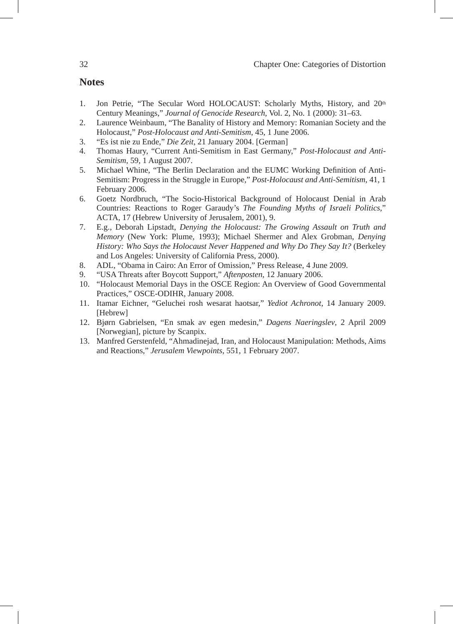### **Notes**

- 1. Jon Petrie, "The Secular Word HOLOCAUST: Scholarly Myths, History, and 20th Century Meanings," *Journal of Genocide Research*, Vol. 2, No. 1 (2000): 31–63.
- 2. Laurence Weinbaum, "The Banality of History and Memory: Romanian Society and the Holocaust," *Post-Holocaust and Anti-Semitism*, 45, 1 June 2006.
- 3. "Es ist nie zu Ende," *Die Zeit*, 21 January 2004. [German]
- 4. Thomas Haury, "Current Anti-Semitism in East Germany," *Post-Holocaust and Anti-Semitism*, 59, 1 August 2007.
- 5. Michael Whine, "The Berlin Declaration and the EUMC Working Definition of Anti-Semitism: Progress in the Struggle in Europe," *Post-Holocaust and Anti-Semitism*, 41, 1 February 2006.
- 6. Goetz Nordbruch, "The Socio-Historical Background of Holocaust Denial in Arab Countries: Reactions to Roger Garaudy's *The Founding Myths of Israeli Politics*," ACTA, 17 (Hebrew University of Jerusalem, 2001), 9.
- 7. E.g., Deborah Lipstadt, *Denying the Holocaust: The Growing Assault on Truth and Memory* (New York: Plume, 1993); Michael Shermer and Alex Grobman, *Denying History: Who Says the Holocaust Never Happened and Why Do They Say It?* (Berkeley and Los Angeles: University of California Press, 2000).
- 8. ADL, "Obama in Cairo: An Error of Omission," Press Release, 4 June 2009.
- 9. "USA Threats after Boycott Support," *Aftenposten*, 12 January 2006.
- 10. "Holocaust Memorial Days in the OSCE Region: An Overview of Good Governmental Practices," OSCE-ODIHR, January 2008.
- 11. Itamar Eichner, "Geluchei rosh wesarat haotsar," *Yediot Achronot,* 14 January 2009. [Hebrew]
- 12. Bjørn Gabrielsen, "En smak av egen medesin," *Dagens Naeringslev*, 2 April 2009 [Norwegian], picture by Scanpix.
- 13. Manfred Gerstenfeld, "Ahmadinejad, Iran, and Holocaust Manipulation: Methods, Aims and Reactions," *Jerusalem Viewpoints*, 551, 1 February 2007.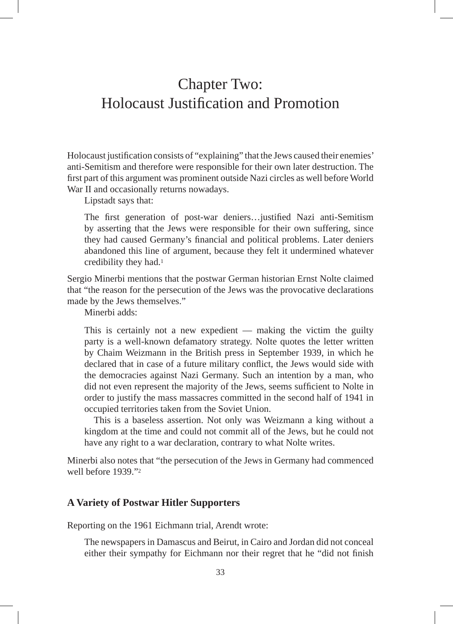# Chapter Two: Holocaust Justification and Promotion

Holocaust justification consists of "explaining" that the Jews caused their enemies' anti-Semitism and therefore were responsible for their own later destruction. The first part of this argument was prominent outside Nazi circles as well before World War II and occasionally returns nowadays.

Lipstadt says that:

The first generation of post-war deniers…justified Nazi anti-Semitism by asserting that the Jews were responsible for their own suffering, since they had caused Germany's financial and political problems. Later deniers abandoned this line of argument, because they felt it undermined whatever credibility they had.1

Sergio Minerbi mentions that the postwar German historian Ernst Nolte claimed that "the reason for the persecution of the Jews was the provocative declarations made by the Jews themselves."

Minerbi adds:

This is certainly not a new expedient — making the victim the guilty party is a well-known defamatory strategy. Nolte quotes the letter written by Chaim Weizmann in the British press in September 1939, in which he declared that in case of a future military conflict, the Jews would side with the democracies against Nazi Germany. Such an intention by a man, who did not even represent the majority of the Jews, seems sufficient to Nolte in order to justify the mass massacres committed in the second half of 1941 in occupied territories taken from the Soviet Union.

This is a baseless assertion. Not only was Weizmann a king without a kingdom at the time and could not commit all of the Jews, but he could not have any right to a war declaration, contrary to what Nolte writes.

Minerbi also notes that "the persecution of the Jews in Germany had commenced well before 1939."2

### **A Variety of Postwar Hitler Supporters**

Reporting on the 1961 Eichmann trial, Arendt wrote:

The newspapers in Damascus and Beirut, in Cairo and Jordan did not conceal either their sympathy for Eichmann nor their regret that he "did not finish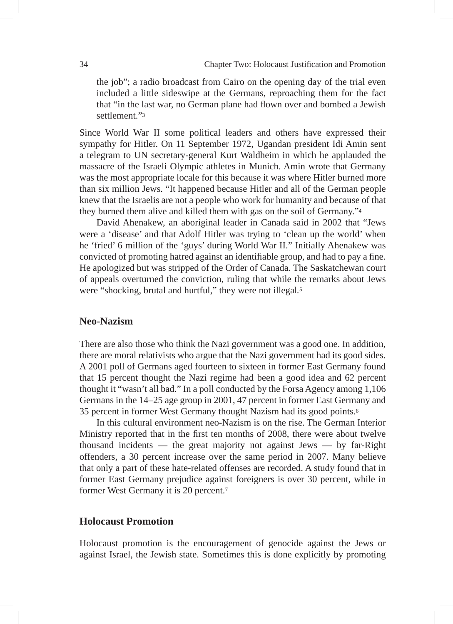the job"; a radio broadcast from Cairo on the opening day of the trial even included a little sideswipe at the Germans, reproaching them for the fact that "in the last war, no German plane had flown over and bombed a Jewish settlement."3

Since World War II some political leaders and others have expressed their sympathy for Hitler. On 11 September 1972, Ugandan president Idi Amin sent a telegram to UN secretary-general Kurt Waldheim in which he applauded the massacre of the Israeli Olympic athletes in Munich. Amin wrote that Germany was the most appropriate locale for this because it was where Hitler burned more than six million Jews. "It happened because Hitler and all of the German people knew that the Israelis are not a people who work for humanity and because of that they burned them alive and killed them with gas on the soil of Germany."4

David Ahenakew, an aboriginal leader in Canada said in 2002 that "Jews were a 'disease' and that Adolf Hitler was trying to 'clean up the world' when he 'fried' 6 million of the 'guys' during World War II." Initially Ahenakew was convicted of promoting hatred against an identifiable group, and had to pay a fine. He apologized but was stripped of the Order of Canada. The Saskatchewan court of appeals overturned the conviction, ruling that while the remarks about Jews were "shocking, brutal and hurtful," they were not illegal*.*<sup>5</sup>

### **Neo-Nazism**

There are also those who think the Nazi government was a good one. In addition, there are moral relativists who argue that the Nazi government had its good sides. A 2001 poll of Germans aged fourteen to sixteen in former East Germany found that 15 percent thought the Nazi regime had been a good idea and 62 percent thought it "wasn't all bad." In a poll conducted by the Forsa Agency among 1,106 Germans in the 14–25 age group in 2001, 47 percent in former East Germany and 35 percent in former West Germany thought Nazism had its good points.6

In this cultural environment neo-Nazism is on the rise. The German Interior Ministry reported that in the first ten months of 2008, there were about twelve thousand incidents — the great majority not against Jews — by far-Right offenders, a 30 percent increase over the same period in 2007. Many believe that only a part of these hate-related offenses are recorded. A study found that in former East Germany prejudice against foreigners is over 30 percent, while in former West Germany it is 20 percent.7

### **Holocaust Promotion**

Holocaust promotion is the encouragement of genocide against the Jews or against Israel, the Jewish state. Sometimes this is done explicitly by promoting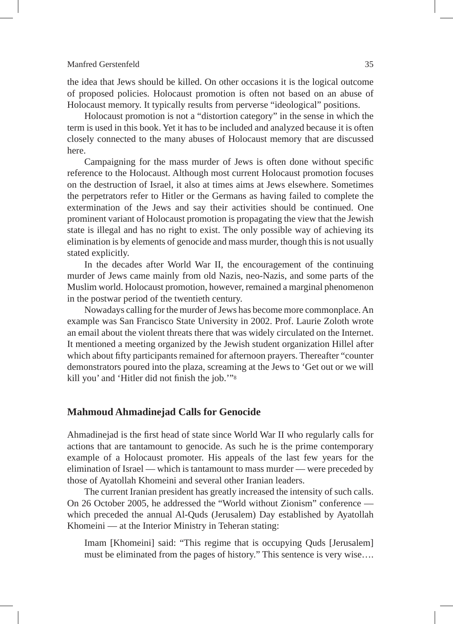the idea that Jews should be killed. On other occasions it is the logical outcome of proposed policies. Holocaust promotion is often not based on an abuse of Holocaust memory. It typically results from perverse "ideological" positions.

Holocaust promotion is not a "distortion category" in the sense in which the term is used in this book. Yet it has to be included and analyzed because it is often closely connected to the many abuses of Holocaust memory that are discussed here.

Campaigning for the mass murder of Jews is often done without specific reference to the Holocaust. Although most current Holocaust promotion focuses on the destruction of Israel, it also at times aims at Jews elsewhere. Sometimes the perpetrators refer to Hitler or the Germans as having failed to complete the extermination of the Jews and say their activities should be continued. One prominent variant of Holocaust promotion is propagating the view that the Jewish state is illegal and has no right to exist. The only possible way of achieving its elimination is by elements of genocide and mass murder, though this is not usually stated explicitly.

In the decades after World War II, the encouragement of the continuing murder of Jews came mainly from old Nazis, neo-Nazis, and some parts of the Muslim world. Holocaust promotion, however, remained a marginal phenomenon in the postwar period of the twentieth century.

Nowadays calling for the murder of Jews has become more commonplace. An example was San Francisco State University in 2002. Prof. Laurie Zoloth wrote an email about the violent threats there that was widely circulated on the Internet. It mentioned a meeting organized by the Jewish student organization Hillel after which about fifty participants remained for afternoon prayers. Thereafter "counter demonstrators poured into the plaza, screaming at the Jews to 'Get out or we will kill you' and 'Hitler did not finish the job.'"8

### **Mahmoud Ahmadinejad Calls for Genocide**

Ahmadinejad is the first head of state since World War II who regularly calls for actions that are tantamount to genocide. As such he is the prime contemporary example of a Holocaust promoter. His appeals of the last few years for the elimination of Israel — which is tantamount to mass murder — were preceded by those of Ayatollah Khomeini and several other Iranian leaders.

The current Iranian president has greatly increased the intensity of such calls. On 26 October 2005, he addressed the "World without Zionism" conference which preceded the annual Al-Quds (Jerusalem) Day established by Ayatollah Khomeini — at the Interior Ministry in Teheran stating:

Imam [Khomeini] said: "This regime that is occupying Quds [Jerusalem] must be eliminated from the pages of history." This sentence is very wise….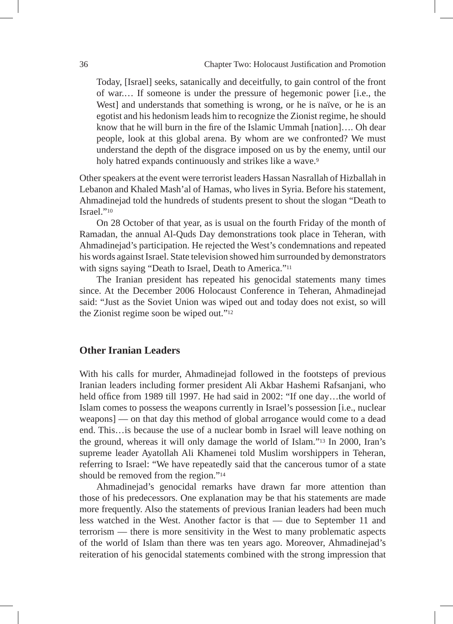Today, [Israel] seeks, satanically and deceitfully, to gain control of the front of war.… If someone is under the pressure of hegemonic power [i.e., the West] and understands that something is wrong, or he is naïve, or he is an egotist and his hedonism leads him to recognize the Zionist regime, he should know that he will burn in the fire of the Islamic Ummah [nation]…. Oh dear people, look at this global arena. By whom are we confronted? We must understand the depth of the disgrace imposed on us by the enemy, until our holy hatred expands continuously and strikes like a wave.<sup>9</sup>

Other speakers at the event were terrorist leaders Hassan Nasrallah of Hizballah in Lebanon and Khaled Mash'al of Hamas, who lives in Syria. Before his statement, Ahmadinejad told the hundreds of students present to shout the slogan "Death to Israel."10

On 28 October of that year, as is usual on the fourth Friday of the month of Ramadan, the annual Al-Quds Day demonstrations took place in Teheran, with Ahmadinejad's participation. He rejected the West's condemnations and repeated his words against Israel. State television showed him surrounded by demonstrators with signs saying "Death to Israel, Death to America."<sup>11</sup>

The Iranian president has repeated his genocidal statements many times since. At the December 2006 Holocaust Conference in Teheran, Ahmadinejad said: "Just as the Soviet Union was wiped out and today does not exist, so will the Zionist regime soon be wiped out."12

### **Other Iranian Leaders**

With his calls for murder, Ahmadinejad followed in the footsteps of previous Iranian leaders including former president Ali Akbar Hashemi Rafsanjani, who held office from 1989 till 1997. He had said in 2002: "If one day...the world of Islam comes to possess the weapons currently in Israel's possession [i.e., nuclear weapons] — on that day this method of global arrogance would come to a dead end. This…is because the use of a nuclear bomb in Israel will leave nothing on the ground, whereas it will only damage the world of Islam."13 In 2000, Iran's supreme leader Ayatollah Ali Khamenei told Muslim worshippers in Teheran, referring to Israel: "We have repeatedly said that the cancerous tumor of a state should be removed from the region."14

Ahmadinejad's genocidal remarks have drawn far more attention than those of his predecessors. One explanation may be that his statements are made more frequently. Also the statements of previous Iranian leaders had been much less watched in the West. Another factor is that — due to September 11 and terrorism — there is more sensitivity in the West to many problematic aspects of the world of Islam than there was ten years ago. Moreover, Ahmadinejad's reiteration of his genocidal statements combined with the strong impression that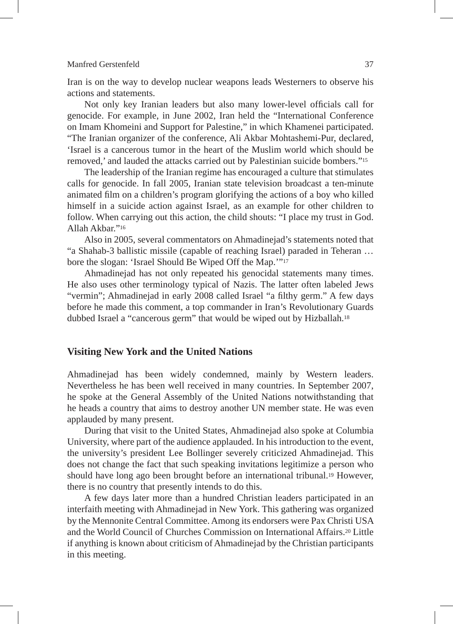Iran is on the way to develop nuclear weapons leads Westerners to observe his actions and statements.

Not only key Iranian leaders but also many lower-level officials call for genocide. For example, in June 2002, Iran held the "International Conference on Imam Khomeini and Support for Palestine," in which Khamenei participated. "The Iranian organizer of the conference, Ali Akbar Mohtashemi-Pur, declared, 'Israel is a cancerous tumor in the heart of the Muslim world which should be removed,' and lauded the attacks carried out by Palestinian suicide bombers."15

The leadership of the Iranian regime has encouraged a culture that stimulates calls for genocide. In fall 2005, Iranian state television broadcast a ten-minute animated film on a children's program glorifying the actions of a boy who killed himself in a suicide action against Israel, as an example for other children to follow. When carrying out this action, the child shouts: "I place my trust in God. Allah Akbar."16

Also in 2005, several commentators on Ahmadinejad's statements noted that "a Shahab-3 ballistic missile (capable of reaching Israel) paraded in Teheran … bore the slogan: 'Israel Should Be Wiped Off the Map.'"17

Ahmadinejad has not only repeated his genocidal statements many times. He also uses other terminology typical of Nazis. The latter often labeled Jews "vermin"; Ahmadinejad in early 2008 called Israel "a filthy germ." A few days before he made this comment, a top commander in Iran's Revolutionary Guards dubbed Israel a "cancerous germ" that would be wiped out by Hizballah.18

#### **Visiting New York and the United Nations**

Ahmadinejad has been widely condemned, mainly by Western leaders. Nevertheless he has been well received in many countries. In September 2007, he spoke at the General Assembly of the United Nations notwithstanding that he heads a country that aims to destroy another UN member state. He was even applauded by many present.

During that visit to the United States, Ahmadinejad also spoke at Columbia University, where part of the audience applauded. In his introduction to the event, the university's president Lee Bollinger severely criticized Ahmadinejad. This does not change the fact that such speaking invitations legitimize a person who should have long ago been brought before an international tribunal.19 However, there is no country that presently intends to do this.

A few days later more than a hundred Christian leaders participated in an interfaith meeting with Ahmadinejad in New York. This gathering was organized by the Mennonite Central Committee. Among its endorsers were Pax Christi USA and the World Council of Churches Commission on International Affairs.20 Little if anything is known about criticism of Ahmadinejad by the Christian participants in this meeting.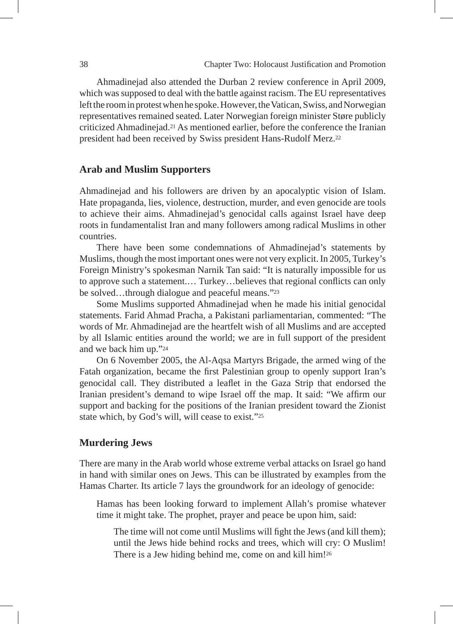Ahmadinejad also attended the Durban 2 review conference in April 2009, which was supposed to deal with the battle against racism. The EU representatives left the room in protest when he spoke. However, the Vatican, Swiss, and Norwegian representatives remained seated. Later Norwegian foreign minister Støre publicly criticized Ahmadinejad.21 As mentioned earlier, before the conference the Iranian president had been received by Swiss president Hans-Rudolf Merz.22

# **Arab and Muslim Supporters**

Ahmadinejad and his followers are driven by an apocalyptic vision of Islam. Hate propaganda, lies, violence, destruction, murder, and even genocide are tools to achieve their aims. Ahmadinejad's genocidal calls against Israel have deep roots in fundamentalist Iran and many followers among radical Muslims in other countries.

There have been some condemnations of Ahmadinejad's statements by Muslims, though the most important ones were not very explicit. In 2005, Turkey's Foreign Ministry's spokesman Narnik Tan said: "It is naturally impossible for us to approve such a statement.… Turkey…believes that regional conflicts can only be solved…through dialogue and peaceful means."23

Some Muslims supported Ahmadinejad when he made his initial genocidal statements. Farid Ahmad Pracha, a Pakistani parliamentarian, commented: "The words of Mr. Ahmadinejad are the heartfelt wish of all Muslims and are accepted by all Islamic entities around the world; we are in full support of the president and we back him up."24

On 6 November 2005, the Al-Aqsa Martyrs Brigade, the armed wing of the Fatah organization, became the first Palestinian group to openly support Iran's genocidal call. They distributed a leaflet in the Gaza Strip that endorsed the Iranian president's demand to wipe Israel off the map. It said: "We affirm our support and backing for the positions of the Iranian president toward the Zionist state which, by God's will, will cease to exist."25

# **Murdering Jews**

There are many in the Arab world whose extreme verbal attacks on Israel go hand in hand with similar ones on Jews. This can be illustrated by examples from the Hamas Charter. Its article 7 lays the groundwork for an ideology of genocide:

Hamas has been looking forward to implement Allah's promise whatever time it might take. The prophet, prayer and peace be upon him, said:

The time will not come until Muslims will fight the Jews (and kill them); until the Jews hide behind rocks and trees, which will cry: O Muslim! There is a Jew hiding behind me, come on and kill him!<sup>26</sup>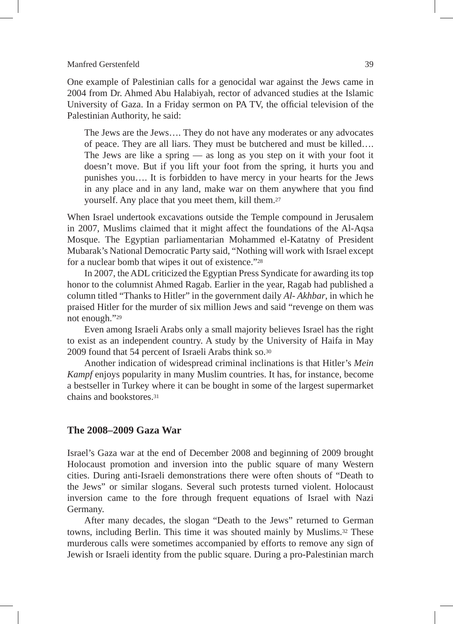One example of Palestinian calls for a genocidal war against the Jews came in 2004 from Dr. Ahmed Abu Halabiyah, rector of advanced studies at the Islamic University of Gaza. In a Friday sermon on PA TV, the official television of the Palestinian Authority, he said:

The Jews are the Jews…. They do not have any moderates or any advocates of peace. They are all liars. They must be butchered and must be killed…. The Jews are like a spring — as long as you step on it with your foot it doesn't move. But if you lift your foot from the spring, it hurts you and punishes you…. It is forbidden to have mercy in your hearts for the Jews in any place and in any land, make war on them anywhere that you find yourself. Any place that you meet them, kill them.27

When Israel undertook excavations outside the Temple compound in Jerusalem in 2007, Muslims claimed that it might affect the foundations of the Al-Aqsa Mosque. The Egyptian parliamentarian Mohammed el-Katatny of President Mubarak's National Democratic Party said, "Nothing will work with Israel except for a nuclear bomb that wipes it out of existence."28

In 2007, the ADL criticized the Egyptian Press Syndicate for awarding its top honor to the columnist Ahmed Ragab. Earlier in the year, Ragab had published a column titled "Thanks to Hitler" in the government daily *Al- Akhbar*, in which he praised Hitler for the murder of six million Jews and said "revenge on them was not enough."29

Even among Israeli Arabs only a small majority believes Israel has the right to exist as an independent country. A study by the University of Haifa in May 2009 found that 54 percent of Israeli Arabs think so.30

Another indication of widespread criminal inclinations is that Hitler's *Mein Kampf* enjoys popularity in many Muslim countries. It has, for instance, become a bestseller in Turkey where it can be bought in some of the largest supermarket chains and bookstores<sup>31</sup>

# **The 2008–2009 Gaza War**

Israel's Gaza war at the end of December 2008 and beginning of 2009 brought Holocaust promotion and inversion into the public square of many Western cities. During anti-Israeli demonstrations there were often shouts of "Death to the Jews" or similar slogans. Several such protests turned violent. Holocaust inversion came to the fore through frequent equations of Israel with Nazi Germany.

After many decades, the slogan "Death to the Jews" returned to German towns, including Berlin. This time it was shouted mainly by Muslims.32 These murderous calls were sometimes accompanied by efforts to remove any sign of Jewish or Israeli identity from the public square. During a pro-Palestinian march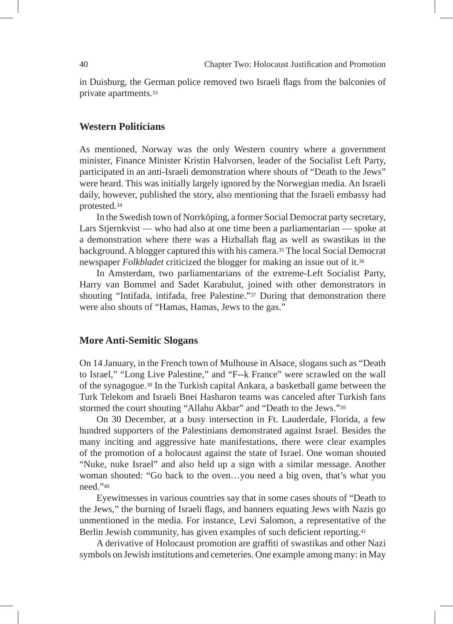in Duisburg, the German police removed two Israeli flags from the balconies of private apartments.33

# **Western Politicians**

As mentioned, Norway was the only Western country where a government minister, Finance Minister Kristin Halvorsen, leader of the Socialist Left Party, participated in an anti-Israeli demonstration where shouts of "Death to the Jews" were heard. This was initially largely ignored by the Norwegian media. An Israeli daily, however, published the story, also mentioning that the Israeli embassy had protested*.*<sup>34</sup>

In the Swedish town of Norrköping, a former Social Democrat party secretary, Lars Stjernkvist — who had also at one time been a parliamentarian — spoke at a demonstration where there was a Hizballah flag as well as swastikas in the background. A blogger captured this with his camera.35 The local Social Democrat newspaper *Folkbladet* criticized the blogger for making an issue out of it.36

In Amsterdam, two parliamentarians of the extreme-Left Socialist Party, Harry van Bommel and Sadet Karabulut, joined with other demonstrators in shouting "Intifada, intifada, free Palestine."37 During that demonstration there were also shouts of "Hamas, Hamas, Jews to the gas."

### **More Anti-Semitic Slogans**

On 14 January, in the French town of Mulhouse in Alsace, slogans such as "Death to Israel," "Long Live Palestine," and "F--k France" were scrawled on the wall of the synagogue.38 In the Turkish capital Ankara, a basketball game between the Turk Telekom and Israeli Bnei Hasharon teams was canceled after Turkish fans stormed the court shouting "Allahu Akbar" and "Death to the Jews."39

On 30 December, at a busy intersection in Ft. Lauderdale, Florida, a few hundred supporters of the Palestinians demonstrated against Israel. Besides the many inciting and aggressive hate manifestations, there were clear examples of the promotion of a holocaust against the state of Israel. One woman shouted "Nuke, nuke Israel" and also held up a sign with a similar message. Another woman shouted: "Go back to the oven…you need a big oven, that's what you need."40

Eyewitnesses in various countries say that in some cases shouts of "Death to the Jews," the burning of Israeli flags, and banners equating Jews with Nazis go unmentioned in the media. For instance, Levi Salomon, a representative of the Berlin Jewish community, has given examples of such deficient reporting.41

A derivative of Holocaust promotion are graffiti of swastikas and other Nazi symbols on Jewish institutions and cemeteries. One example among many: in May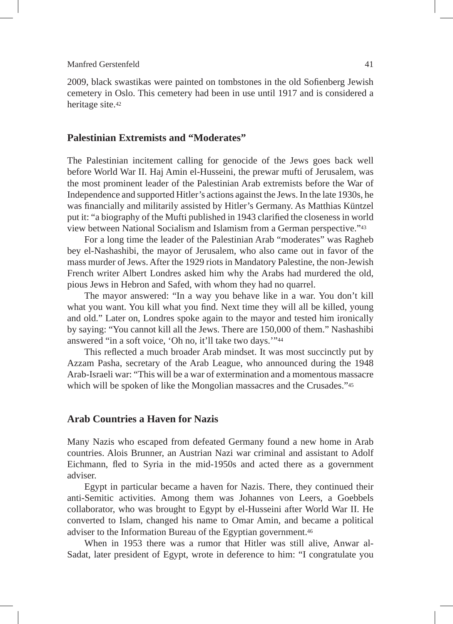2009, black swastikas were painted on tombstones in the old Sofienberg Jewish cemetery in Oslo. This cemetery had been in use until 1917 and is considered a heritage site.42

# **Palestinian Extremists and "Moderates"**

The Palestinian incitement calling for genocide of the Jews goes back well before World War II. Haj Amin el-Husseini, the prewar mufti of Jerusalem, was the most prominent leader of the Palestinian Arab extremists before the War of Independence and supported Hitler's actions against the Jews. In the late 1930s, he was financially and militarily assisted by Hitler's Germany. As Matthias Küntzel put it: "a biography of the Mufti published in 1943 clarified the closeness in world view between National Socialism and Islamism from a German perspective."43

For a long time the leader of the Palestinian Arab "moderates" was Ragheb bey el-Nashashibi, the mayor of Jerusalem, who also came out in favor of the mass murder of Jews. After the 1929 riots in Mandatory Palestine, the non-Jewish French writer Albert Londres asked him why the Arabs had murdered the old, pious Jews in Hebron and Safed, with whom they had no quarrel.

The mayor answered: "In a way you behave like in a war. You don't kill what you want. You kill what you find. Next time they will all be killed, young and old." Later on, Londres spoke again to the mayor and tested him ironically by saying: "You cannot kill all the Jews. There are 150,000 of them." Nashashibi answered "in a soft voice, 'Oh no, it'll take two days.'"44

This reflected a much broader Arab mindset. It was most succinctly put by Azzam Pasha, secretary of the Arab League, who announced during the 1948 Arab-Israeli war: "This will be a war of extermination and a momentous massacre which will be spoken of like the Mongolian massacres and the Crusades."<sup>45</sup>

# **Arab Countries a Haven for Nazis**

Many Nazis who escaped from defeated Germany found a new home in Arab countries. Alois Brunner, an Austrian Nazi war criminal and assistant to Adolf Eichmann, fled to Syria in the mid-1950s and acted there as a government adviser.

Egypt in particular became a haven for Nazis. There, they continued their anti-Semitic activities. Among them was Johannes von Leers, a Goebbels collaborator, who was brought to Egypt by el-Husseini after World War II. He converted to Islam, changed his name to Omar Amin, and became a political adviser to the Information Bureau of the Egyptian government.46

When in 1953 there was a rumor that Hitler was still alive, Anwar al-Sadat, later president of Egypt, wrote in deference to him: "I congratulate you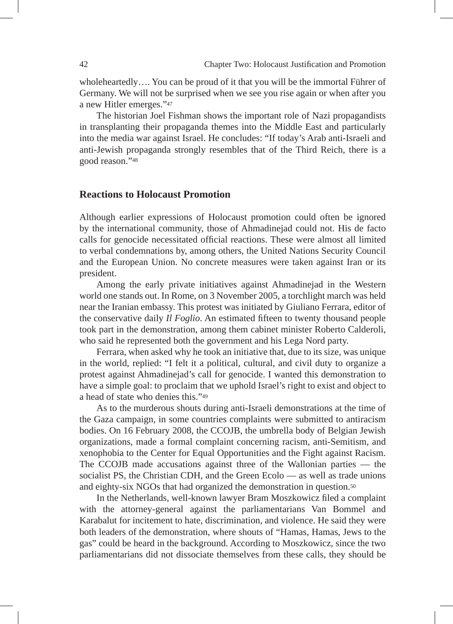wholeheartedly…. You can be proud of it that you will be the immortal Führer of Germany. We will not be surprised when we see you rise again or when after you a new Hitler emerges."47

The historian Joel Fishman shows the important role of Nazi propagandists in transplanting their propaganda themes into the Middle East and particularly into the media war against Israel. He concludes: "If today's Arab anti-Israeli and anti-Jewish propaganda strongly resembles that of the Third Reich, there is a good reason."48

# **Reactions to Holocaust Promotion**

Although earlier expressions of Holocaust promotion could often be ignored by the international community, those of Ahmadinejad could not. His de facto calls for genocide necessitated official reactions. These were almost all limited to verbal condemnations by, among others, the United Nations Security Council and the European Union. No concrete measures were taken against Iran or its president.

Among the early private initiatives against Ahmadinejad in the Western world one stands out. In Rome, on 3 November 2005, a torchlight march was held near the Iranian embassy. This protest was initiated by Giuliano Ferrara, editor of the conservative daily *Il Foglio*. An estimated fifteen to twenty thousand people took part in the demonstration, among them cabinet minister Roberto Calderoli, who said he represented both the government and his Lega Nord party.

Ferrara, when asked why he took an initiative that, due to its size, was unique in the world, replied: "I felt it a political, cultural, and civil duty to organize a protest against Ahmadinejad's call for genocide. I wanted this demonstration to have a simple goal: to proclaim that we uphold Israel's right to exist and object to a head of state who denies this."49

As to the murderous shouts during anti-Israeli demonstrations at the time of the Gaza campaign, in some countries complaints were submitted to antiracism bodies. On 16 February 2008, the CCOJB, the umbrella body of Belgian Jewish organizations, made a formal complaint concerning racism, anti-Semitism, and xenophobia to the Center for Equal Opportunities and the Fight against Racism. The CCOJB made accusations against three of the Wallonian parties — the socialist PS, the Christian CDH, and the Green Ecolo — as well as trade unions and eighty-six NGOs that had organized the demonstration in question.50

In the Netherlands, well-known lawyer Bram Moszkowicz filed a complaint with the attorney-general against the parliamentarians Van Bommel and Karabalut for incitement to hate, discrimination, and violence. He said they were both leaders of the demonstration, where shouts of "Hamas, Hamas, Jews to the gas" could be heard in the background. According to Moszkowicz, since the two parliamentarians did not dissociate themselves from these calls, they should be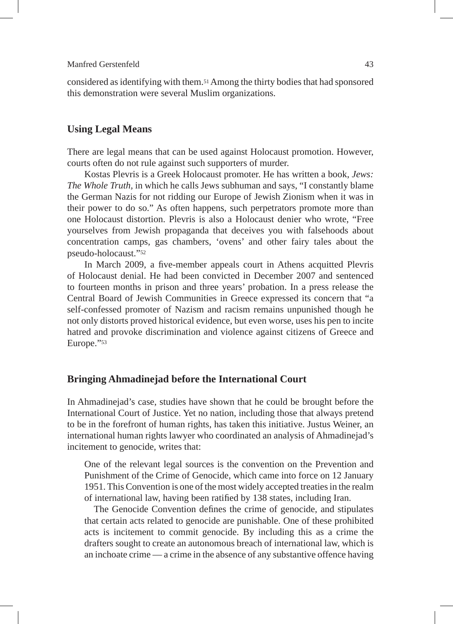considered as identifying with them.51 Among the thirty bodies that had sponsored this demonstration were several Muslim organizations.

# **Using Legal Means**

There are legal means that can be used against Holocaust promotion. However, courts often do not rule against such supporters of murder.

Kostas Plevris is a Greek Holocaust promoter. He has written a book, *Jews: The Whole Truth,* in which he calls Jews subhuman and says, "I constantly blame the German Nazis for not ridding our Europe of Jewish Zionism when it was in their power to do so." As often happens, such perpetrators promote more than one Holocaust distortion. Plevris is also a Holocaust denier who wrote, "Free yourselves from Jewish propaganda that deceives you with falsehoods about concentration camps, gas chambers, 'ovens' and other fairy tales about the pseudo-holocaust."52

In March 2009, a five-member appeals court in Athens acquitted Plevris of Holocaust denial. He had been convicted in December 2007 and sentenced to fourteen months in prison and three years' probation. In a press release the Central Board of Jewish Communities in Greece expressed its concern that "a self-confessed promoter of Nazism and racism remains unpunished though he not only distorts proved historical evidence, but even worse, uses his pen to incite hatred and provoke discrimination and violence against citizens of Greece and Europe."53

#### **Bringing Ahmadinejad before the International Court**

In Ahmadinejad's case, studies have shown that he could be brought before the International Court of Justice. Yet no nation, including those that always pretend to be in the forefront of human rights, has taken this initiative. Justus Weiner, an international human rights lawyer who coordinated an analysis of Ahmadinejad's incitement to genocide, writes that:

One of the relevant legal sources is the convention on the Prevention and Punishment of the Crime of Genocide, which came into force on 12 January 1951. This Convention is one of the most widely accepted treaties in the realm of international law, having been ratified by 138 states, including Iran.

The Genocide Convention defines the crime of genocide, and stipulates that certain acts related to genocide are punishable. One of these prohibited acts is incitement to commit genocide. By including this as a crime the drafters sought to create an autonomous breach of international law, which is an inchoate crime — a crime in the absence of any substantive offence having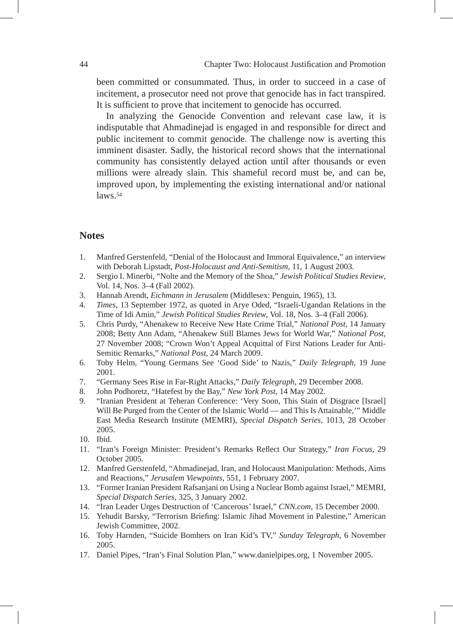been committed or consummated. Thus, in order to succeed in a case of incitement, a prosecutor need not prove that genocide has in fact transpired. It is sufficient to prove that incitement to genocide has occurred.

In analyzing the Genocide Convention and relevant case law, it is indisputable that Ahmadinejad is engaged in and responsible for direct and public incitement to commit genocide. The challenge now is averting this imminent disaster. Sadly, the historical record shows that the international community has consistently delayed action until after thousands or even millions were already slain. This shameful record must be, and can be, improved upon, by implementing the existing international and/or national laws.54

# **Notes**

- 1. Manfred Gerstenfeld, "Denial of the Holocaust and Immoral Equivalence," an interview with Deborah Lipstadt, *Post-Holocaust and Anti-Semitism,* 11, 1 August 2003.
- 2. Sergio I. Minerbi, "Nolte and the Memory of the Shoa," *Jewish Political Studies Review*, Vol. 14, Nos. 3–4 (Fall 2002).
- 3. Hannah Arendt, *Eichmann in Jerusalem* (Middlesex: Penguin, 1965), 13.
- 4. *Times*, 13 September 1972, as quoted in Arye Oded, "Israeli-Ugandan Relations in the Time of Idi Amin," *Jewish Political Studies Review*, Vol. 18, Nos. 3–4 (Fall 2006).
- 5. Chris Purdy, "Ahenakew to Receive New Hate Crime Trial," *National Post*, 14 January 2008; Betty Ann Adam, "Ahenakew Still Blames Jews for World War," *National Post,*  27 November 2008; "Crown Won't Appeal Acquittal of First Nations Leader for Anti-Semitic Remarks," *National Post*, 24 March 2009.
- 6. Toby Helm, "Young Germans See 'Good Side' to Nazis," *Daily Telegraph*, 19 June 2001.
- 7. "Germany Sees Rise in Far-Right Attacks," *Daily Telegraph*, 29 December 2008.
- 8. John Podhoretz, "Hatefest by the Bay," *New York Post*, 14 May 2002.
- 9. "Iranian President at Teheran Conference: 'Very Soon, This Stain of Disgrace [Israel] Will Be Purged from the Center of the Islamic World — and This Is Attainable,'" Middle East Media Research Institute (MEMRI), *Special Dispatch Series*, 1013, 28 October 2005.
- 10. Ibid.
- 11. "Iran's Foreign Minister: President's Remarks Reflect Our Strategy," *Iran Focus,* 29 October 2005.
- 12. Manfred Gerstenfeld, "Ahmadinejad, Iran, and Holocaust Manipulation: Methods, Aims and Reactions," *Jerusalem Viewpoints*, 551, 1 February 2007.
- 13. "Former Iranian President Rafsanjani on Using a Nuclear Bomb against Israel," MEMRI, *Special Dispatch Series*, 325, 3 January 2002.
- 14. "Iran Leader Urges Destruction of 'Cancerous' Israel," *CNN.com*, 15 December 2000.
- 15. Yehudit Barsky, "Terrorism Briefing: Islamic Jihad Movement in Palestine," American Jewish Committee, 2002.
- 16. Toby Harnden, "Suicide Bombers on Iran Kid's TV," *Sunday Telegraph*, 6 November 2005.
- 17. Daniel Pipes, "Iran's Final Solution Plan," www.danielpipes.org, 1 November 2005.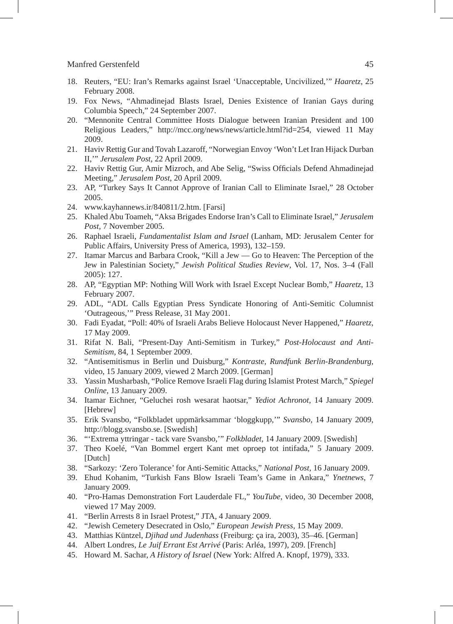- 18. Reuters, "EU: Iran's Remarks against Israel 'Unacceptable, Uncivilized,'" *Haaretz*, 25 February 2008.
- 19. Fox News, "Ahmadinejad Blasts Israel, Denies Existence of Iranian Gays during Columbia Speech," 24 September 2007.
- 20. "Mennonite Central Committee Hosts Dialogue between Iranian President and 100 Religious Leaders," http://mcc.org/news/news/article.html?id=254, viewed 11 May 2009.
- 21. Haviv Rettig Gur and Tovah Lazaroff, "Norwegian Envoy 'Won't Let Iran Hijack Durban II,'" *Jerusalem Post*, 22 April 2009.
- 22. Haviv Rettig Gur, Amir Mizroch, and Abe Selig, "Swiss Officials Defend Ahmadinejad Meeting," *Jerusalem Post*, 20 April 2009.
- 23. AP, "Turkey Says It Cannot Approve of Iranian Call to Eliminate Israel," 28 October 2005.
- 24. www.kayhannews.ir/840811/2.htm. [Farsi]
- 25. Khaled Abu Toameh, "Aksa Brigades Endorse Iran's Call to Eliminate Israel," *Jerusalem Post,* 7 November 2005.
- 26. Raphael Israeli, *Fundamentalist Islam and Israel* (Lanham, MD: Jerusalem Center for Public Affairs, University Press of America, 1993), 132–159.
- 27. Itamar Marcus and Barbara Crook, "Kill a Jew Go to Heaven: The Perception of the Jew in Palestinian Society," *Jewish Political Studies Review*, Vol. 17, Nos. 3–4 (Fall 2005): 127.
- 28. AP, "Egyptian MP: Nothing Will Work with Israel Except Nuclear Bomb," *Haaretz*, 13 February 2007.
- 29. ADL, "ADL Calls Egyptian Press Syndicate Honoring of Anti-Semitic Columnist 'Outrageous,'" Press Release, 31 May 2001.
- 30. Fadi Eyadat, "Poll: 40% of Israeli Arabs Believe Holocaust Never Happened," *Haaretz*, 17 May 2009.
- 31. Rifat N. Bali, "Present-Day Anti-Semitism in Turkey," *Post-Holocaust and Anti-Semitism*, 84, 1 September 2009.
- 32. "Antisemitismus in Berlin und Duisburg," *Kontraste, Rundfunk Berlin-Brandenburg*, video, 15 January 2009, viewed 2 March 2009. [German]
- 33. Yassin Musharbash, "Police Remove Israeli Flag during Islamist Protest March," *Spiegel Online*, 13 January 2009.
- 34. Itamar Eichner, "Geluchei rosh wesarat haotsar," *Yediot Achronot,* 14 January 2009. [Hebrew]
- 35. Erik Svansbo, "Folkbladet uppmärksammar 'bloggkupp,'" *Svansbo*, 14 January 2009, http://blogg.svansbo.se. [Swedish]
- 36. "'Extrema yttringar tack vare Svansbo,'" *Folkbladet*, 14 January 2009. [Swedish]
- 37. Theo Koelé, "Van Bommel ergert Kant met oproep tot intifada," 5 January 2009. [Dutch]
- 38. "Sarkozy: 'Zero Tolerance' for Anti-Semitic Attacks," *National Post*, 16 January 2009.
- 39. Ehud Kohanim, "Turkish Fans Blow Israeli Team's Game in Ankara," *Ynetnews*, 7 January 2009.
- 40. "Pro-Hamas Demonstration Fort Lauderdale FL," *YouTube*, video, 30 December 2008, viewed 17 May 2009.
- 41. "Berlin Arrests 8 in Israel Protest," JTA, 4 January 2009.
- 42. "Jewish Cemetery Desecrated in Oslo," *European Jewish Press,* 15 May 2009.
- 43. Matthias Küntzel, *Djihad und Judenhass* (Freiburg: ça ira, 2003), 35–46. [German]
- 44. Albert Londres, *Le Juif Errant Est Arrivé* (Paris: Arléa, 1997), 209. [French]
- 45. Howard M. Sachar, *A History of Israel* (New York: Alfred A. Knopf, 1979), 333.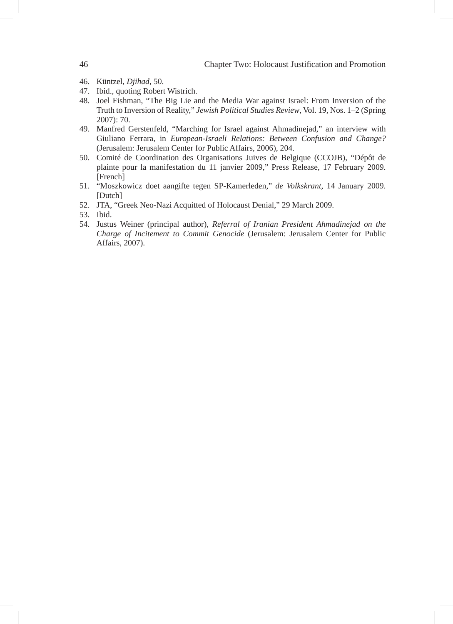- 46. Küntzel, *Djihad*, 50.
- 47. Ibid., quoting Robert Wistrich.
- 48. Joel Fishman, "The Big Lie and the Media War against Israel: From Inversion of the Truth to Inversion of Reality," *Jewish Political Studies Review*, Vol. 19, Nos. 1–2 (Spring 2007): 70.
- 49. Manfred Gerstenfeld, "Marching for Israel against Ahmadinejad," an interview with Giuliano Ferrara, in *European-Israeli Relations: Between Confusion and Change?*  (Jerusalem: Jerusalem Center for Public Affairs, 2006), 204.
- 50. Comité de Coordination des Organisations Juives de Belgique (CCOJB), "Dépôt de plainte pour la manifestation du 11 janvier 2009," Press Release, 17 February 2009. [French]
- 51. "Moszkowicz doet aangifte tegen SP-Kamerleden," *de Volkskrant*, 14 January 2009. [Dutch]
- 52. JTA, "Greek Neo-Nazi Acquitted of Holocaust Denial," 29 March 2009.
- 53. Ibid.
- 54. Justus Weiner (principal author), *Referral of Iranian President Ahmadinejad on the Charge of Incitement to Commit Genocide* (Jerusalem: Jerusalem Center for Public Affairs, 2007).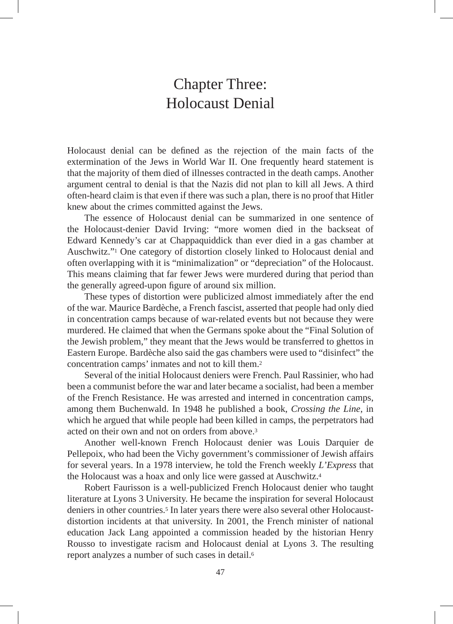# Chapter Three: Holocaust Denial

Holocaust denial can be defined as the rejection of the main facts of the extermination of the Jews in World War II. One frequently heard statement is that the majority of them died of illnesses contracted in the death camps. Another argument central to denial is that the Nazis did not plan to kill all Jews. A third often-heard claim is that even if there was such a plan, there is no proof that Hitler knew about the crimes committed against the Jews.

The essence of Holocaust denial can be summarized in one sentence of the Holocaust-denier David Irving: "more women died in the backseat of Edward Kennedy's car at Chappaquiddick than ever died in a gas chamber at Auschwitz."1 One category of distortion closely linked to Holocaust denial and often overlapping with it is "minimalization" or "depreciation" of the Holocaust. This means claiming that far fewer Jews were murdered during that period than the generally agreed-upon figure of around six million.

These types of distortion were publicized almost immediately after the end of the war. Maurice Bardèche, a French fascist, asserted that people had only died in concentration camps because of war-related events but not because they were murdered. He claimed that when the Germans spoke about the "Final Solution of the Jewish problem," they meant that the Jews would be transferred to ghettos in Eastern Europe. Bardèche also said the gas chambers were used to "disinfect" the concentration camps' inmates and not to kill them.2

Several of the initial Holocaust deniers were French. Paul Rassinier, who had been a communist before the war and later became a socialist, had been a member of the French Resistance. He was arrested and interned in concentration camps, among them Buchenwald. In 1948 he published a book, *Crossing the Line*, in which he argued that while people had been killed in camps, the perpetrators had acted on their own and not on orders from above.3

Another well-known French Holocaust denier was Louis Darquier de Pellepoix, who had been the Vichy government's commissioner of Jewish affairs for several years. In a 1978 interview, he told the French weekly *L'Express* that the Holocaust was a hoax and only lice were gassed at Auschwitz.4

Robert Faurisson is a well-publicized French Holocaust denier who taught literature at Lyons 3 University. He became the inspiration for several Holocaust deniers in other countries.<sup>5</sup> In later years there were also several other Holocaustdistortion incidents at that university. In 2001, the French minister of national education Jack Lang appointed a commission headed by the historian Henry Rousso to investigate racism and Holocaust denial at Lyons 3. The resulting report analyzes a number of such cases in detail.6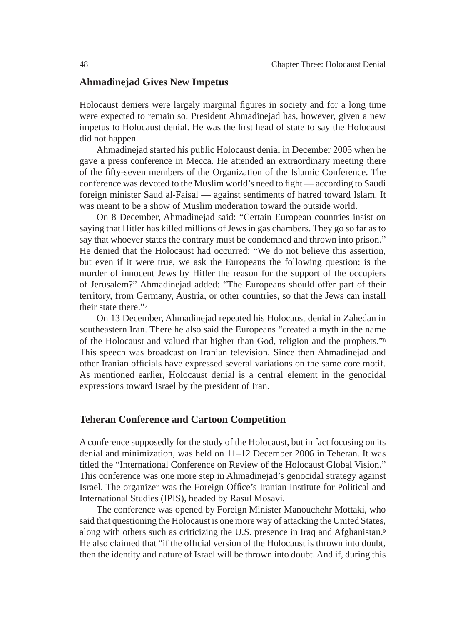# **Ahmadinejad Gives New Impetus**

Holocaust deniers were largely marginal figures in society and for a long time were expected to remain so. President Ahmadinejad has, however, given a new impetus to Holocaust denial. He was the first head of state to say the Holocaust did not happen.

Ahmadinejad started his public Holocaust denial in December 2005 when he gave a press conference in Mecca. He attended an extraordinary meeting there of the fifty-seven members of the Organization of the Islamic Conference. The conference was devoted to the Muslim world's need to fight — according to Saudi foreign minister Saud al-Faisal — against sentiments of hatred toward Islam. It was meant to be a show of Muslim moderation toward the outside world.

On 8 December, Ahmadinejad said: "Certain European countries insist on saying that Hitler has killed millions of Jews in gas chambers. They go so far as to say that whoever states the contrary must be condemned and thrown into prison." He denied that the Holocaust had occurred: "We do not believe this assertion, but even if it were true, we ask the Europeans the following question: is the murder of innocent Jews by Hitler the reason for the support of the occupiers of Jerusalem?" Ahmadinejad added: "The Europeans should offer part of their territory, from Germany, Austria, or other countries, so that the Jews can install their state there."7

On 13 December, Ahmadinejad repeated his Holocaust denial in Zahedan in southeastern Iran. There he also said the Europeans "created a myth in the name of the Holocaust and valued that higher than God, religion and the prophets."8 This speech was broadcast on Iranian television. Since then Ahmadinejad and other Iranian officials have expressed several variations on the same core motif. As mentioned earlier, Holocaust denial is a central element in the genocidal expressions toward Israel by the president of Iran.

# **Teheran Conference and Cartoon Competition**

A conference supposedly for the study of the Holocaust, but in fact focusing on its denial and minimization, was held on 11–12 December 2006 in Teheran. It was titled the "International Conference on Review of the Holocaust Global Vision." This conference was one more step in Ahmadinejad's genocidal strategy against Israel. The organizer was the Foreign Office's Iranian Institute for Political and International Studies (IPIS), headed by Rasul Mosavi.

The conference was opened by Foreign Minister Manouchehr Mottaki, who said that questioning the Holocaust is one more way of attacking the United States, along with others such as criticizing the U.S. presence in Iraq and Afghanistan.9 He also claimed that "if the official version of the Holocaust is thrown into doubt, then the identity and nature of Israel will be thrown into doubt. And if, during this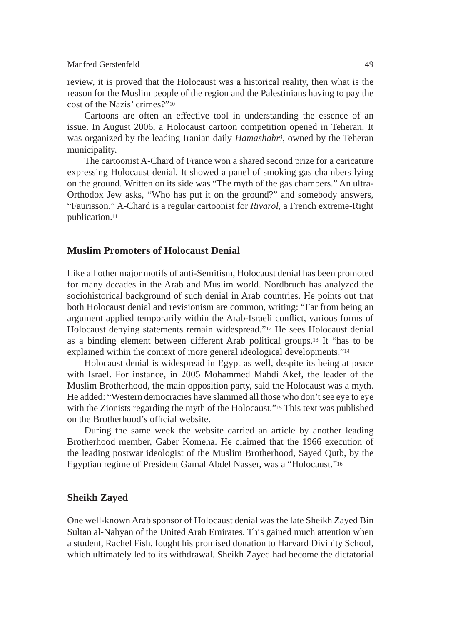review, it is proved that the Holocaust was a historical reality, then what is the reason for the Muslim people of the region and the Palestinians having to pay the cost of the Nazis' crimes?"10

Cartoons are often an effective tool in understanding the essence of an issue. In August 2006, a Holocaust cartoon competition opened in Teheran. It was organized by the leading Iranian daily *Hamashahri*, owned by the Teheran municipality.

The cartoonist A-Chard of France won a shared second prize for a caricature expressing Holocaust denial. It showed a panel of smoking gas chambers lying on the ground. Written on its side was "The myth of the gas chambers." An ultra-Orthodox Jew asks, "Who has put it on the ground?" and somebody answers, "Faurisson." A-Chard is a regular cartoonist for *Rivarol*, a French extreme-Right publication.11

# **Muslim Promoters of Holocaust Denial**

Like all other major motifs of anti-Semitism, Holocaust denial has been promoted for many decades in the Arab and Muslim world. Nordbruch has analyzed the sociohistorical background of such denial in Arab countries. He points out that both Holocaust denial and revisionism are common, writing: "Far from being an argument applied temporarily within the Arab-Israeli conflict, various forms of Holocaust denying statements remain widespread."12 He sees Holocaust denial as a binding element between different Arab political groups.13 It "has to be explained within the context of more general ideological developments."14

Holocaust denial is widespread in Egypt as well, despite its being at peace with Israel. For instance, in 2005 Mohammed Mahdi Akef, the leader of the Muslim Brotherhood, the main opposition party, said the Holocaust was a myth. He added: "Western democracies have slammed all those who don't see eye to eye with the Zionists regarding the myth of the Holocaust."<sup>15</sup> This text was published on the Brotherhood's official website.

During the same week the website carried an article by another leading Brotherhood member, Gaber Komeha. He claimed that the 1966 execution of the leading postwar ideologist of the Muslim Brotherhood, Sayed Qutb, by the Egyptian regime of President Gamal Abdel Nasser, was a "Holocaust."16

# **Sheikh Zayed**

One well-known Arab sponsor of Holocaust denial was the late Sheikh Zayed Bin Sultan al-Nahyan of the United Arab Emirates. This gained much attention when a student, Rachel Fish, fought his promised donation to Harvard Divinity School, which ultimately led to its withdrawal. Sheikh Zayed had become the dictatorial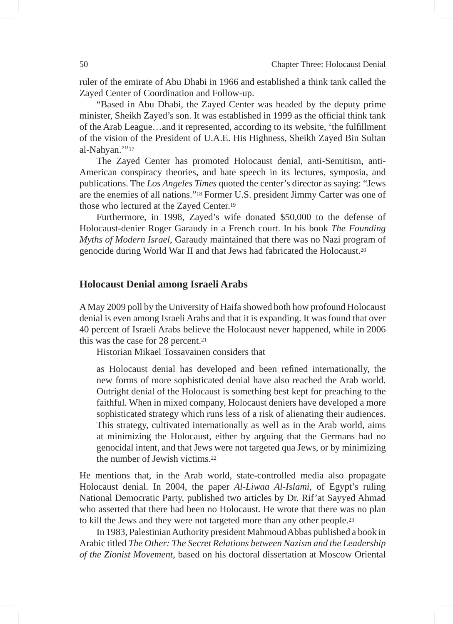ruler of the emirate of Abu Dhabi in 1966 and established a think tank called the Zayed Center of Coordination and Follow-up.

"Based in Abu Dhabi, the Zayed Center was headed by the deputy prime minister, Sheikh Zayed's son. It was established in 1999 as the official think tank of the Arab League…and it represented, according to its website, 'the fulfillment of the vision of the President of U.A.E. His Highness, Sheikh Zayed Bin Sultan al-Nahyan."'17

The Zayed Center has promoted Holocaust denial, anti-Semitism, anti-American conspiracy theories, and hate speech in its lectures, symposia, and publications. The *Los Angeles Times* quoted the center's director as saying: "Jews are the enemies of all nations."18 Former U.S. president Jimmy Carter was one of those who lectured at the Zayed Center.19

Furthermore, in 1998, Zayed's wife donated \$50,000 to the defense of Holocaust-denier Roger Garaudy in a French court. In his book *The Founding Myths of Modern Israel*, Garaudy maintained that there was no Nazi program of genocide during World War II and that Jews had fabricated the Holocaust.20

# **Holocaust Denial among Israeli Arabs**

A May 2009 poll by the University of Haifa showed both how profound Holocaust denial is even among Israeli Arabs and that it is expanding. It was found that over 40 percent of Israeli Arabs believe the Holocaust never happened, while in 2006 this was the case for 28 percent.21

Historian Mikael Tossavainen considers that

as Holocaust denial has developed and been refined internationally, the new forms of more sophisticated denial have also reached the Arab world. Outright denial of the Holocaust is something best kept for preaching to the faithful. When in mixed company, Holocaust deniers have developed a more sophisticated strategy which runs less of a risk of alienating their audiences. This strategy, cultivated internationally as well as in the Arab world, aims at minimizing the Holocaust, either by arguing that the Germans had no genocidal intent, and that Jews were not targeted qua Jews, or by minimizing the number of Jewish victims.22

He mentions that, in the Arab world, state-controlled media also propagate Holocaust denial. In 2004, the paper *Al-Liwaa Al-Islami,* of Egypt's ruling National Democratic Party, published two articles by Dr. Rif'at Sayyed Ahmad who asserted that there had been no Holocaust. He wrote that there was no plan to kill the Jews and they were not targeted more than any other people.23

In 1983, Palestinian Authority president Mahmoud Abbas published a book in Arabic titled *The Other: The Secret Relations between Nazism and the Leadership of the Zionist Movement*, based on his doctoral dissertation at Moscow Oriental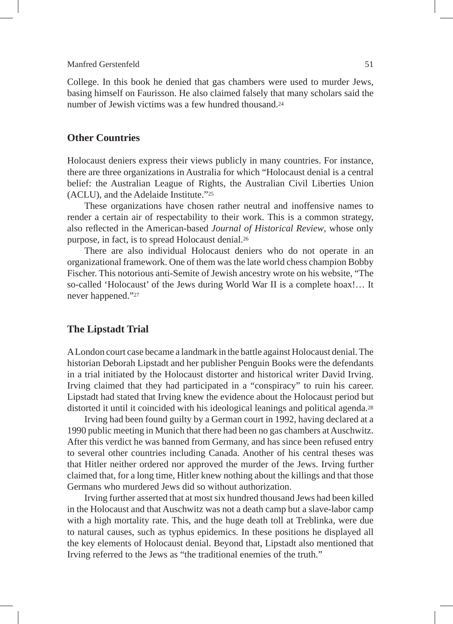College. In this book he denied that gas chambers were used to murder Jews, basing himself on Faurisson. He also claimed falsely that many scholars said the number of Jewish victims was a few hundred thousand.24

# **Other Countries**

Holocaust deniers express their views publicly in many countries. For instance, there are three organizations in Australia for which "Holocaust denial is a central belief: the Australian League of Rights, the Australian Civil Liberties Union (ACLU), and the Adelaide Institute."25

These organizations have chosen rather neutral and inoffensive names to render a certain air of respectability to their work. This is a common strategy, also reflected in the American-based *Journal of Historical Review*, whose only purpose, in fact, is to spread Holocaust denial.26

There are also individual Holocaust deniers who do not operate in an organizational framework. One of them was the late world chess champion Bobby Fischer. This notorious anti-Semite of Jewish ancestry wrote on his website, "The so-called 'Holocaust' of the Jews during World War II is a complete hoax!… It never happened."27

## **The Lipstadt Trial**

A London court case became a landmark in the battle against Holocaust denial. The historian Deborah Lipstadt and her publisher Penguin Books were the defendants in a trial initiated by the Holocaust distorter and historical writer David Irving. Irving claimed that they had participated in a "conspiracy" to ruin his career. Lipstadt had stated that Irving knew the evidence about the Holocaust period but distorted it until it coincided with his ideological leanings and political agenda.28

Irving had been found guilty by a German court in 1992, having declared at a 1990 public meeting in Munich that there had been no gas chambers at Auschwitz. After this verdict he was banned from Germany, and has since been refused entry to several other countries including Canada. Another of his central theses was that Hitler neither ordered nor approved the murder of the Jews. Irving further claimed that, for a long time, Hitler knew nothing about the killings and that those Germans who murdered Jews did so without authorization.

Irving further asserted that at most six hundred thousand Jews had been killed in the Holocaust and that Auschwitz was not a death camp but a slave-labor camp with a high mortality rate. This, and the huge death toll at Treblinka, were due to natural causes, such as typhus epidemics. In these positions he displayed all the key elements of Holocaust denial. Beyond that, Lipstadt also mentioned that Irving referred to the Jews as "the traditional enemies of the truth."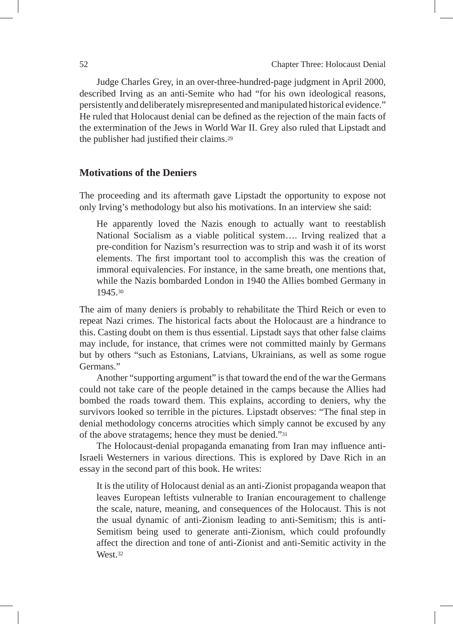Judge Charles Grey, in an over-three-hundred-page judgment in April 2000, described Irving as an anti-Semite who had "for his own ideological reasons, persistently and deliberately misrepresented and manipulated historical evidence." He ruled that Holocaust denial can be defined as the rejection of the main facts of the extermination of the Jews in World War II. Grey also ruled that Lipstadt and the publisher had justified their claims.29

#### **Motivations of the Deniers**

The proceeding and its aftermath gave Lipstadt the opportunity to expose not only Irving's methodology but also his motivations. In an interview she said:

He apparently loved the Nazis enough to actually want to reestablish National Socialism as a viable political system…. Irving realized that a pre-condition for Nazism's resurrection was to strip and wash it of its worst elements. The first important tool to accomplish this was the creation of immoral equivalencies. For instance, in the same breath, one mentions that, while the Nazis bombarded London in 1940 the Allies bombed Germany in 1945.30

The aim of many deniers is probably to rehabilitate the Third Reich or even to repeat Nazi crimes. The historical facts about the Holocaust are a hindrance to this. Casting doubt on them is thus essential. Lipstadt says that other false claims may include, for instance, that crimes were not committed mainly by Germans but by others "such as Estonians, Latvians, Ukrainians, as well as some rogue Germans."

Another "supporting argument" is that toward the end of the war the Germans could not take care of the people detained in the camps because the Allies had bombed the roads toward them. This explains, according to deniers, why the survivors looked so terrible in the pictures. Lipstadt observes: "The final step in denial methodology concerns atrocities which simply cannot be excused by any of the above stratagems; hence they must be denied."31

The Holocaust-denial propaganda emanating from Iran may influence anti-Israeli Westerners in various directions. This is explored by Dave Rich in an essay in the second part of this book. He writes:

It is the utility of Holocaust denial as an anti-Zionist propaganda weapon that leaves European leftists vulnerable to Iranian encouragement to challenge the scale, nature, meaning, and consequences of the Holocaust. This is not the usual dynamic of anti-Zionism leading to anti-Semitism; this is anti-Semitism being used to generate anti-Zionism, which could profoundly affect the direction and tone of anti-Zionist and anti-Semitic activity in the West<sub>32</sub>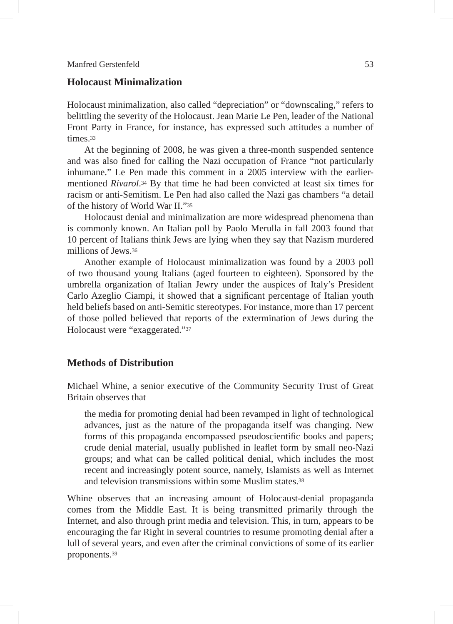# **Holocaust Minimalization**

Holocaust minimalization, also called "depreciation" or "downscaling," refers to belittling the severity of the Holocaust. Jean Marie Le Pen, leader of the National Front Party in France, for instance, has expressed such attitudes a number of times<sup>33</sup>

At the beginning of 2008, he was given a three-month suspended sentence and was also fined for calling the Nazi occupation of France "not particularly inhumane." Le Pen made this comment in a 2005 interview with the earliermentioned *Rivarol*.34 By that time he had been convicted at least six times for racism or anti-Semitism. Le Pen had also called the Nazi gas chambers "a detail of the history of World War II."35

Holocaust denial and minimalization are more widespread phenomena than is commonly known. An Italian poll by Paolo Merulla in fall 2003 found that 10 percent of Italians think Jews are lying when they say that Nazism murdered millions of Jews.36

Another example of Holocaust minimalization was found by a 2003 poll of two thousand young Italians (aged fourteen to eighteen). Sponsored by the umbrella organization of Italian Jewry under the auspices of Italy's President Carlo Azeglio Ciampi, it showed that a significant percentage of Italian youth held beliefs based on anti-Semitic stereotypes. For instance, more than 17 percent of those polled believed that reports of the extermination of Jews during the Holocaust were "exaggerated."37

# **Methods of Distribution**

Michael Whine, a senior executive of the Community Security Trust of Great Britain observes that

the media for promoting denial had been revamped in light of technological advances, just as the nature of the propaganda itself was changing. New forms of this propaganda encompassed pseudoscientific books and papers; crude denial material, usually published in leaflet form by small neo-Nazi groups; and what can be called political denial, which includes the most recent and increasingly potent source, namely, Islamists as well as Internet and television transmissions within some Muslim states 38

Whine observes that an increasing amount of Holocaust-denial propaganda comes from the Middle East. It is being transmitted primarily through the Internet, and also through print media and television. This, in turn, appears to be encouraging the far Right in several countries to resume promoting denial after a lull of several years, and even after the criminal convictions of some of its earlier proponents.39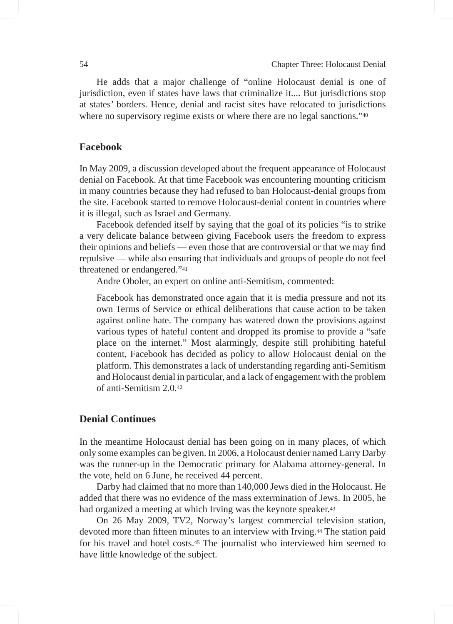He adds that a major challenge of "online Holocaust denial is one of jurisdiction, even if states have laws that criminalize it.... But jurisdictions stop at states' borders. Hence, denial and racist sites have relocated to jurisdictions where no supervisory regime exists or where there are no legal sanctions."<sup>40</sup>

# **Facebook**

In May 2009, a discussion developed about the frequent appearance of Holocaust denial on Facebook. At that time Facebook was encountering mounting criticism in many countries because they had refused to ban Holocaust-denial groups from the site. Facebook started to remove Holocaust-denial content in countries where it is illegal, such as Israel and Germany.

Facebook defended itself by saying that the goal of its policies "is to strike a very delicate balance between giving Facebook users the freedom to express their opinions and beliefs — even those that are controversial or that we may find repulsive — while also ensuring that individuals and groups of people do not feel threatened or endangered."41

Andre Oboler, an expert on online anti-Semitism, commented:

Facebook has demonstrated once again that it is media pressure and not its own Terms of Service or ethical deliberations that cause action to be taken against online hate. The company has watered down the provisions against various types of hateful content and dropped its promise to provide a "safe place on the internet." Most alarmingly, despite still prohibiting hateful content, Facebook has decided as policy to allow Holocaust denial on the platform. This demonstrates a lack of understanding regarding anti-Semitism and Holocaust denial in particular, and a lack of engagement with the problem of anti-Semitism 2.0.42

# **Denial Continues**

In the meantime Holocaust denial has been going on in many places, of which only some examples can be given. In 2006, a Holocaust denier named Larry Darby was the runner-up in the Democratic primary for Alabama attorney-general. In the vote, held on 6 June, he received 44 percent.

Darby had claimed that no more than 140,000 Jews died in the Holocaust. He added that there was no evidence of the mass extermination of Jews. In 2005, he had organized a meeting at which Irving was the keynote speaker.43

On 26 May 2009, TV2, Norway's largest commercial television station, devoted more than fifteen minutes to an interview with Irving.44 The station paid for his travel and hotel costs.45 The journalist who interviewed him seemed to have little knowledge of the subject.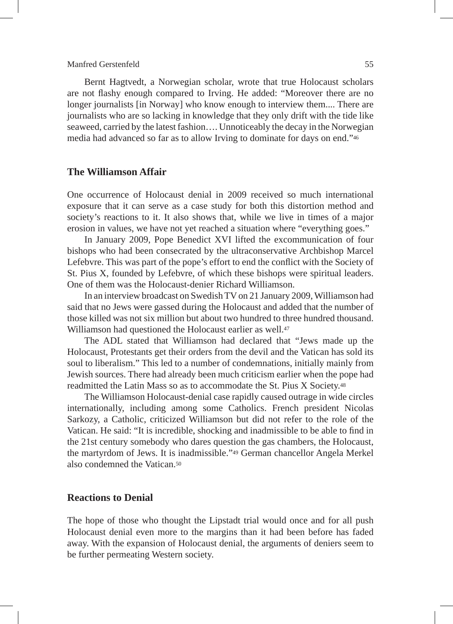Bernt Hagtvedt, a Norwegian scholar, wrote that true Holocaust scholars are not flashy enough compared to Irving. He added: "Moreover there are no longer journalists [in Norway] who know enough to interview them.... There are journalists who are so lacking in knowledge that they only drift with the tide like seaweed, carried by the latest fashion…. Unnoticeably the decay in the Norwegian media had advanced so far as to allow Irving to dominate for days on end."46

# **The Williamson Affair**

One occurrence of Holocaust denial in 2009 received so much international exposure that it can serve as a case study for both this distortion method and society's reactions to it. It also shows that, while we live in times of a major erosion in values, we have not yet reached a situation where "everything goes."

In January 2009, Pope Benedict XVI lifted the excommunication of four bishops who had been consecrated by the ultraconservative Archbishop Marcel Lefebvre. This was part of the pope's effort to end the conflict with the Society of St. Pius X, founded by Lefebvre, of which these bishops were spiritual leaders. One of them was the Holocaust-denier Richard Williamson.

In an interview broadcast on Swedish TV on 21 January 2009, Williamson had said that no Jews were gassed during the Holocaust and added that the number of those killed was not six million but about two hundred to three hundred thousand. Williamson had questioned the Holocaust earlier as well.<sup>47</sup>

The ADL stated that Williamson had declared that "Jews made up the Holocaust, Protestants get their orders from the devil and the Vatican has sold its soul to liberalism." This led to a number of condemnations, initially mainly from Jewish sources. There had already been much criticism earlier when the pope had readmitted the Latin Mass so as to accommodate the St. Pius X Society.48

The Williamson Holocaust-denial case rapidly caused outrage in wide circles internationally, including among some Catholics. French president Nicolas Sarkozy, a Catholic, criticized Williamson but did not refer to the role of the Vatican. He said: "It is incredible, shocking and inadmissible to be able to find in the 21st century somebody who dares question the gas chambers, the Holocaust, the martyrdom of Jews. It is inadmissible."49 German chancellor Angela Merkel also condemned the Vatican <sup>50</sup>

# **Reactions to Denial**

The hope of those who thought the Lipstadt trial would once and for all push Holocaust denial even more to the margins than it had been before has faded away. With the expansion of Holocaust denial, the arguments of deniers seem to be further permeating Western society.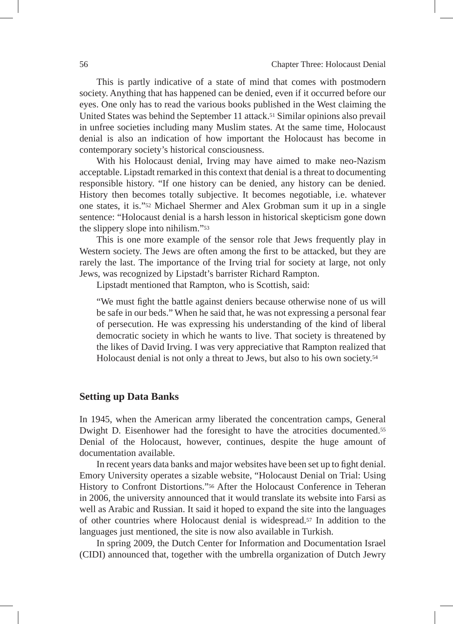This is partly indicative of a state of mind that comes with postmodern society. Anything that has happened can be denied, even if it occurred before our eyes. One only has to read the various books published in the West claiming the United States was behind the September 11 attack.51 Similar opinions also prevail in unfree societies including many Muslim states. At the same time, Holocaust denial is also an indication of how important the Holocaust has become in contemporary society's historical consciousness.

With his Holocaust denial, Irving may have aimed to make neo-Nazism acceptable. Lipstadt remarked in this context that denial is a threat to documenting responsible history. "If one history can be denied, any history can be denied. History then becomes totally subjective. It becomes negotiable, i.e. whatever one states, it is."52 Michael Shermer and Alex Grobman sum it up in a single sentence: "Holocaust denial is a harsh lesson in historical skepticism gone down the slippery slope into nihilism."53

This is one more example of the sensor role that Jews frequently play in Western society. The Jews are often among the first to be attacked, but they are rarely the last. The importance of the Irving trial for society at large, not only Jews, was recognized by Lipstadt's barrister Richard Rampton.

Lipstadt mentioned that Rampton, who is Scottish, said:

"We must fight the battle against deniers because otherwise none of us will be safe in our beds." When he said that, he was not expressing a personal fear of persecution. He was expressing his understanding of the kind of liberal democratic society in which he wants to live. That society is threatened by the likes of David Irving. I was very appreciative that Rampton realized that Holocaust denial is not only a threat to Jews, but also to his own society.54

## **Setting up Data Banks**

In 1945, when the American army liberated the concentration camps, General Dwight D. Eisenhower had the foresight to have the atrocities documented.<sup>55</sup> Denial of the Holocaust, however, continues, despite the huge amount of documentation available.

In recent years data banks and major websites have been set up to fight denial. Emory University operates a sizable website, "Holocaust Denial on Trial: Using History to Confront Distortions."56 After the Holocaust Conference in Teheran in 2006, the university announced that it would translate its website into Farsi as well as Arabic and Russian. It said it hoped to expand the site into the languages of other countries where Holocaust denial is widespread.57 In addition to the languages just mentioned, the site is now also available in Turkish.

In spring 2009, the Dutch Center for Information and Documentation Israel (CIDI) announced that, together with the umbrella organization of Dutch Jewry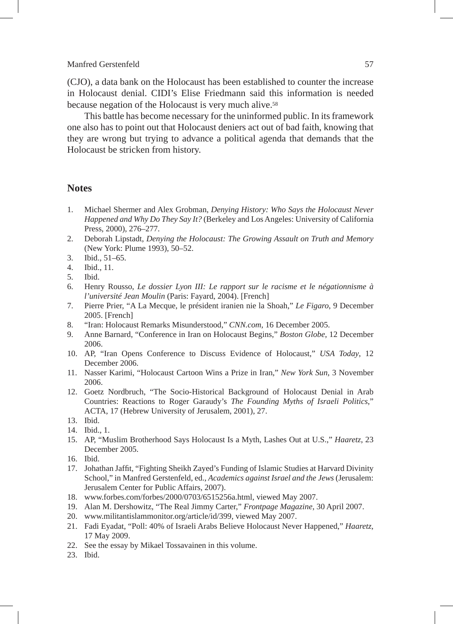(CJO), a data bank on the Holocaust has been established to counter the increase in Holocaust denial. CIDI's Elise Friedmann said this information is needed because negation of the Holocaust is very much alive.58

This battle has become necessary for the uninformed public. In its framework one also has to point out that Holocaust deniers act out of bad faith, knowing that they are wrong but trying to advance a political agenda that demands that the Holocaust be stricken from history.

# **Notes**

- 1. Michael Shermer and Alex Grobman, *Denying History: Who Says the Holocaust Never Happened and Why Do They Say It?* (Berkeley and Los Angeles: University of California Press, 2000), 276–277.
- 2. Deborah Lipstadt, *Denying the Holocaust: The Growing Assault on Truth and Memory* (New York: Plume 1993), 50–52.
- 3. Ibid., 51–65.
- 4. Ibid., 11.
- 5. Ibid.
- 6. Henry Rousso, *Le dossier Lyon III: Le rapport sur le racisme et le négationnisme à l'université Jean Moulin* (Paris: Fayard, 2004). [French]
- 7. Pierre Prier, "A La Mecque, le président iranien nie la Shoah," *Le Figaro*, 9 December 2005. [French]
- 8. "Iran: Holocaust Remarks Misunderstood," *CNN.com*, 16 December 2005.
- 9. Anne Barnard, "Conference in Iran on Holocaust Begins," *Boston Globe*, 12 December 2006.
- 10. AP, "Iran Opens Conference to Discuss Evidence of Holocaust," *USA Today*, 12 December 2006.
- 11. Nasser Karimi, "Holocaust Cartoon Wins a Prize in Iran," *New York Sun*, 3 November 2006.
- 12. Goetz Nordbruch, "The Socio-Historical Background of Holocaust Denial in Arab Countries: Reactions to Roger Garaudy's *The Founding Myths of Israeli Politics*," ACTA, 17 (Hebrew University of Jerusalem, 2001), 27.
- 13. Ibid.
- 14. Ibid., 1.
- 15. AP, "Muslim Brotherhood Says Holocaust Is a Myth, Lashes Out at U.S.," *Haaretz*, 23 December 2005.
- 16. Ibid.
- 17. Johathan Jaffit, "Fighting Sheikh Zayed's Funding of Islamic Studies at Harvard Divinity School," in Manfred Gerstenfeld, ed., *Academics against Israel and the Jews* (Jerusalem: Jerusalem Center for Public Affairs, 2007).
- 18. www.forbes.com/forbes/2000/0703/6515256a.html, viewed May 2007.
- 19. Alan M. Dershowitz, "The Real Jimmy Carter," *Frontpage Magazine*, 30 April 2007.
- 20. www.militantislammonitor.org/article/id/399, viewed May 2007.
- 21. Fadi Eyadat, "Poll: 40% of Israeli Arabs Believe Holocaust Never Happened," *Haaretz*, 17 May 2009.
- 22. See the essay by Mikael Tossavainen in this volume.
- 23. Ibid.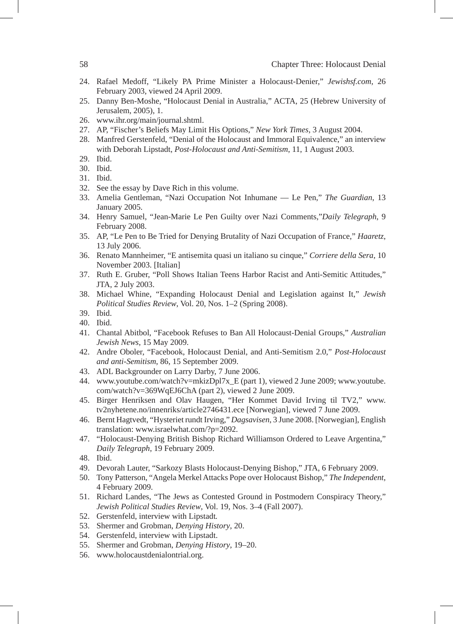- 24. Rafael Medoff, "Likely PA Prime Minister a Holocaust-Denier," *Jewishsf.com*, 26 February 2003, viewed 24 April 2009.
- 25. Danny Ben-Moshe, "Holocaust Denial in Australia," ACTA, 25 (Hebrew University of Jerusalem, 2005), 1.
- 26. www.ihr.org/main/journal.shtml.
- 27. AP, "Fischer's Beliefs May Limit His Options," *New York Times*, 3 August 2004.
- 28. Manfred Gerstenfeld, "Denial of the Holocaust and Immoral Equivalence," an interview with Deborah Lipstadt, *Post-Holocaust and Anti-Semitism*, 11, 1 August 2003.
- 29. Ibid.
- 30. Ibid.
- 31. Ibid.
- 32. See the essay by Dave Rich in this volume.
- 33. Amelia Gentleman, "Nazi Occupation Not Inhumane Le Pen," *The Guardian*, 13 January 2005.
- 34. Henry Samuel, "Jean-Marie Le Pen Guilty over Nazi Comments,"*Daily Telegraph*, 9 February 2008.
- 35. AP, "Le Pen to Be Tried for Denying Brutality of Nazi Occupation of France," *Haaretz*, 13 July 2006.
- 36. Renato Mannheimer, "E antisemita quasi un italiano su cinque," *Corriere della Sera*, 10 November 2003. [Italian]
- 37. Ruth E. Gruber, "Poll Shows Italian Teens Harbor Racist and Anti-Semitic Attitudes," JTA, 2 July 2003.
- 38. Michael Whine, "Expanding Holocaust Denial and Legislation against It," *Jewish Political Studies Review*, Vol. 20, Nos. 1–2 (Spring 2008).
- 39. Ibid.
- 40. Ibid.
- 41. Chantal Abitbol, "Facebook Refuses to Ban All Holocaust-Denial Groups," *Australian Jewish News*, 15 May 2009.
- 42. Andre Oboler, "Facebook, Holocaust Denial, and Anti-Semitism 2.0," *Post-Holocaust and anti-Semitism*, 86, 15 September 2009.
- 43. ADL Backgrounder on Larry Darby, 7 June 2006.
- 44. www.youtube.com/watch?v=mkizDpl7x\_E (part 1), viewed 2 June 2009; www.youtube. com/watch?v=369WqEJ6ChA (part 2), viewed 2 June 2009.
- 45. Birger Henriksen and Olav Haugen, "Her Kommet David Irving til TV2," www. tv2nyhetene.no/innenriks/article2746431.ece [Norwegian], viewed 7 June 2009.
- 46. Bernt Hagtvedt, "Hysteriet rundt Irving," *Dagsavisen*, 3 June 2008. [Norwegian], English translation: www.israelwhat.com/?p=2092.
- 47. "Holocaust-Denying British Bishop Richard Williamson Ordered to Leave Argentina," *Daily Telegraph*, 19 February 2009.
- 48. Ibid.
- 49. Devorah Lauter, "Sarkozy Blasts Holocaust-Denying Bishop," JTA, 6 February 2009.
- 50. Tony Patterson, "Angela Merkel Attacks Pope over Holocaust Bishop," *The Independent*, 4 February 2009.
- 51. Richard Landes, "The Jews as Contested Ground in Postmodern Conspiracy Theory," *Jewish Political Studies Review*, Vol. 19, Nos. 3–4 (Fall 2007).
- 52. Gerstenfeld, interview with Lipstadt*.*
- 53. Shermer and Grobman, *Denying History*, 20.
- 54. Gerstenfeld, interview with Lipstadt.
- 55. Shermer and Grobman, *Denying History*, 19–20.
- 56. www.holocaustdenialontrial.org.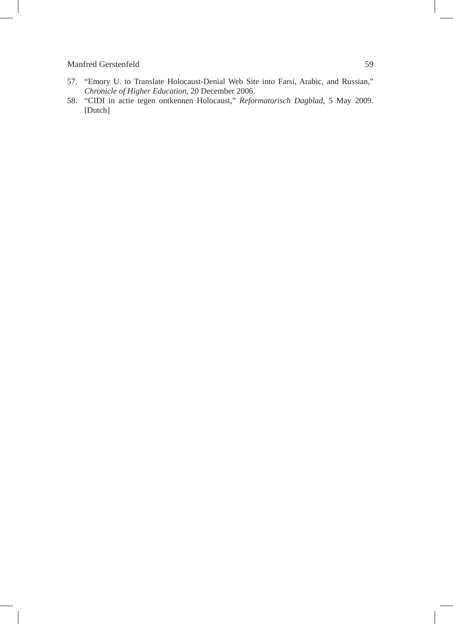- 57. "Emory U. to Translate Holocaust-Denial Web Site into Farsi, Arabic, and Russian," *Chronicle of Higher Education*, 20 December 2006.
- 58. "CIDI in actie tegen ontkennen Holocaust," *Reformatorisch Dagblad*, 5 May 2009. [Dutch]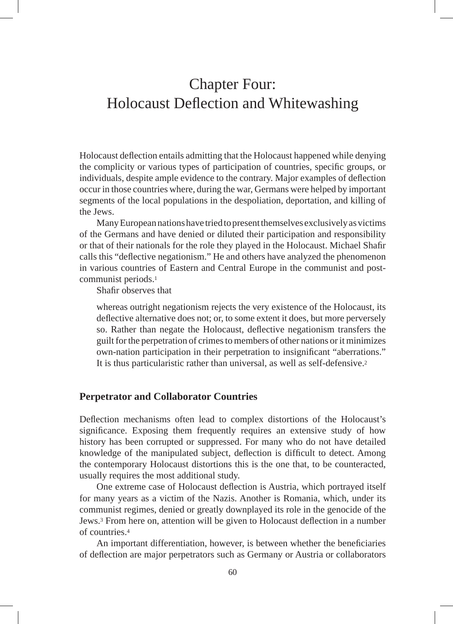# Chapter Four: Holocaust Deflection and Whitewashing

Holocaust deflection entails admitting that the Holocaust happened while denying the complicity or various types of participation of countries, specific groups, or individuals, despite ample evidence to the contrary. Major examples of deflection occur in those countries where, during the war, Germans were helped by important segments of the local populations in the despoliation, deportation, and killing of the Jews.

Many European nations have tried to present themselves exclusively as victims of the Germans and have denied or diluted their participation and responsibility or that of their nationals for the role they played in the Holocaust. Michael Shafir calls this "deflective negationism." He and others have analyzed the phenomenon in various countries of Eastern and Central Europe in the communist and postcommunist periods.1

Shafir observes that

whereas outright negationism rejects the very existence of the Holocaust, its deflective alternative does not; or, to some extent it does, but more perversely so. Rather than negate the Holocaust, deflective negationism transfers the guilt for the perpetration of crimes to members of other nations or it minimizes own-nation participation in their perpetration to insignificant "aberrations." It is thus particularistic rather than universal, as well as self-defensive.2

## **Perpetrator and Collaborator Countries**

Deflection mechanisms often lead to complex distortions of the Holocaust's significance. Exposing them frequently requires an extensive study of how history has been corrupted or suppressed. For many who do not have detailed knowledge of the manipulated subject, deflection is difficult to detect. Among the contemporary Holocaust distortions this is the one that, to be counteracted, usually requires the most additional study.

One extreme case of Holocaust deflection is Austria, which portrayed itself for many years as a victim of the Nazis. Another is Romania, which, under its communist regimes, denied or greatly downplayed its role in the genocide of the Jews.3 From here on, attention will be given to Holocaust deflection in a number of countries.4

An important differentiation, however, is between whether the beneficiaries of deflection are major perpetrators such as Germany or Austria or collaborators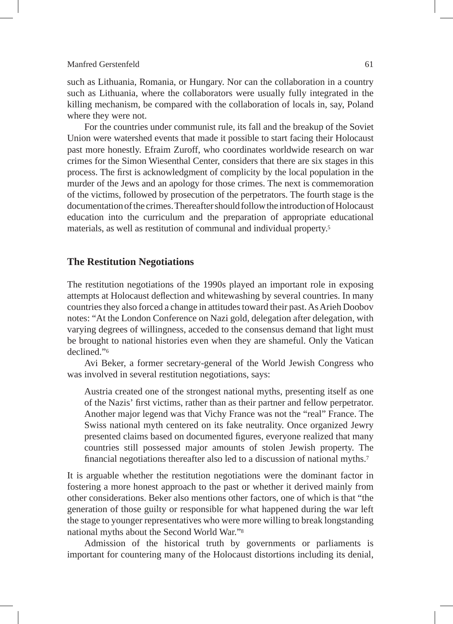such as Lithuania, Romania, or Hungary. Nor can the collaboration in a country such as Lithuania, where the collaborators were usually fully integrated in the killing mechanism, be compared with the collaboration of locals in, say, Poland where they were not.

For the countries under communist rule, its fall and the breakup of the Soviet Union were watershed events that made it possible to start facing their Holocaust past more honestly. Efraim Zuroff, who coordinates worldwide research on war crimes for the Simon Wiesenthal Center, considers that there are six stages in this process. The first is acknowledgment of complicity by the local population in the murder of the Jews and an apology for those crimes. The next is commemoration of the victims, followed by prosecution of the perpetrators. The fourth stage is the documentation of the crimes. Thereafter should follow the introduction of Holocaust education into the curriculum and the preparation of appropriate educational materials, as well as restitution of communal and individual property.5

# **The Restitution Negotiations**

The restitution negotiations of the 1990s played an important role in exposing attempts at Holocaust deflection and whitewashing by several countries. In many countries they also forced a change in attitudes toward their past. As Arieh Doobov notes: "At the London Conference on Nazi gold, delegation after delegation, with varying degrees of willingness, acceded to the consensus demand that light must be brought to national histories even when they are shameful. Only the Vatican declined."6

Avi Beker, a former secretary-general of the World Jewish Congress who was involved in several restitution negotiations, says:

Austria created one of the strongest national myths, presenting itself as one of the Nazis' first victims, rather than as their partner and fellow perpetrator. Another major legend was that Vichy France was not the "real" France. The Swiss national myth centered on its fake neutrality. Once organized Jewry presented claims based on documented figures, everyone realized that many countries still possessed major amounts of stolen Jewish property. The financial negotiations thereafter also led to a discussion of national myths.7

It is arguable whether the restitution negotiations were the dominant factor in fostering a more honest approach to the past or whether it derived mainly from other considerations. Beker also mentions other factors, one of which is that "the generation of those guilty or responsible for what happened during the war left the stage to younger representatives who were more willing to break longstanding national myths about the Second World War."8

Admission of the historical truth by governments or parliaments is important for countering many of the Holocaust distortions including its denial,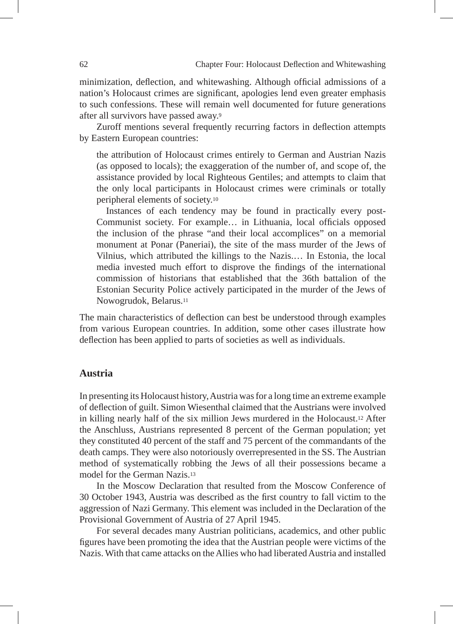minimization, deflection, and whitewashing. Although official admissions of a nation's Holocaust crimes are significant, apologies lend even greater emphasis to such confessions. These will remain well documented for future generations after all survivors have passed away.9

Zuroff mentions several frequently recurring factors in deflection attempts by Eastern European countries:

the attribution of Holocaust crimes entirely to German and Austrian Nazis (as opposed to locals); the exaggeration of the number of, and scope of, the assistance provided by local Righteous Gentiles; and attempts to claim that the only local participants in Holocaust crimes were criminals or totally peripheral elements of society.10

Instances of each tendency may be found in practically every post-Communist society. For example… in Lithuania, local officials opposed the inclusion of the phrase "and their local accomplices" on a memorial monument at Ponar (Paneriai), the site of the mass murder of the Jews of Vilnius, which attributed the killings to the Nazis.… In Estonia, the local media invested much effort to disprove the findings of the international commission of historians that established that the 36th battalion of the Estonian Security Police actively participated in the murder of the Jews of Nowogrudok, Belarus.11

The main characteristics of deflection can best be understood through examples from various European countries. In addition, some other cases illustrate how deflection has been applied to parts of societies as well as individuals.

#### **Austria**

In presenting its Holocaust history, Austria was for a long time an extreme example of deflection of guilt. Simon Wiesenthal claimed that the Austrians were involved in killing nearly half of the six million Jews murdered in the Holocaust.12 After the Anschluss, Austrians represented 8 percent of the German population; yet they constituted 40 percent of the staff and 75 percent of the commandants of the death camps. They were also notoriously overrepresented in the SS. The Austrian method of systematically robbing the Jews of all their possessions became a model for the German Nazis.13

In the Moscow Declaration that resulted from the Moscow Conference of 30 October 1943, Austria was described as the first country to fall victim to the aggression of Nazi Germany. This element was included in the Declaration of the Provisional Government of Austria of 27 April 1945.

For several decades many Austrian politicians, academics, and other public figures have been promoting the idea that the Austrian people were victims of the Nazis. With that came attacks on the Allies who had liberated Austria and installed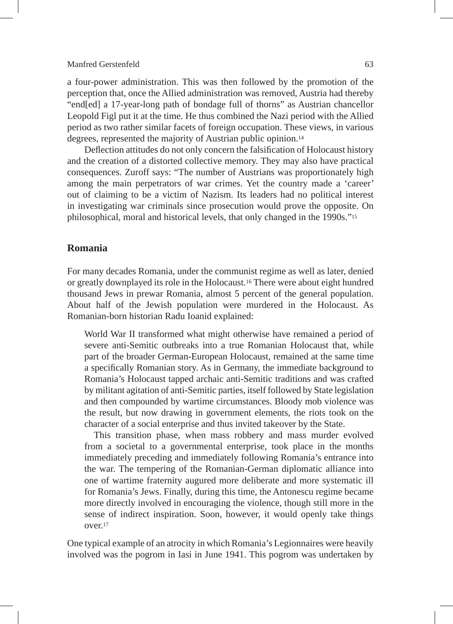a four-power administration. This was then followed by the promotion of the perception that, once the Allied administration was removed, Austria had thereby "end[ed] a 17-year-long path of bondage full of thorns" as Austrian chancellor Leopold Figl put it at the time. He thus combined the Nazi period with the Allied period as two rather similar facets of foreign occupation. These views, in various degrees, represented the majority of Austrian public opinion.14

Deflection attitudes do not only concern the falsification of Holocaust history and the creation of a distorted collective memory. They may also have practical consequences. Zuroff says: "The number of Austrians was proportionately high among the main perpetrators of war crimes. Yet the country made a 'career' out of claiming to be a victim of Nazism. Its leaders had no political interest in investigating war criminals since prosecution would prove the opposite. On philosophical, moral and historical levels, that only changed in the 1990s."15

# **Romania**

For many decades Romania, under the communist regime as well as later, denied or greatly downplayed its role in the Holocaust.16 There were about eight hundred thousand Jews in prewar Romania, almost 5 percent of the general population. About half of the Jewish population were murdered in the Holocaust. As Romanian-born historian Radu Ioanid explained:

World War II transformed what might otherwise have remained a period of severe anti-Semitic outbreaks into a true Romanian Holocaust that, while part of the broader German-European Holocaust, remained at the same time a specifically Romanian story. As in Germany, the immediate background to Romania's Holocaust tapped archaic anti-Semitic traditions and was crafted by militant agitation of anti-Semitic parties, itself followed by State legislation and then compounded by wartime circumstances. Bloody mob violence was the result, but now drawing in government elements, the riots took on the character of a social enterprise and thus invited takeover by the State.

This transition phase, when mass robbery and mass murder evolved from a societal to a governmental enterprise, took place in the months immediately preceding and immediately following Romania's entrance into the war. The tempering of the Romanian-German diplomatic alliance into one of wartime fraternity augured more deliberate and more systematic ill for Romania's Jews. Finally, during this time, the Antonescu regime became more directly involved in encouraging the violence, though still more in the sense of indirect inspiration. Soon, however, it would openly take things over.17

One typical example of an atrocity in which Romania's Legionnaires were heavily involved was the pogrom in Iasi in June 1941. This pogrom was undertaken by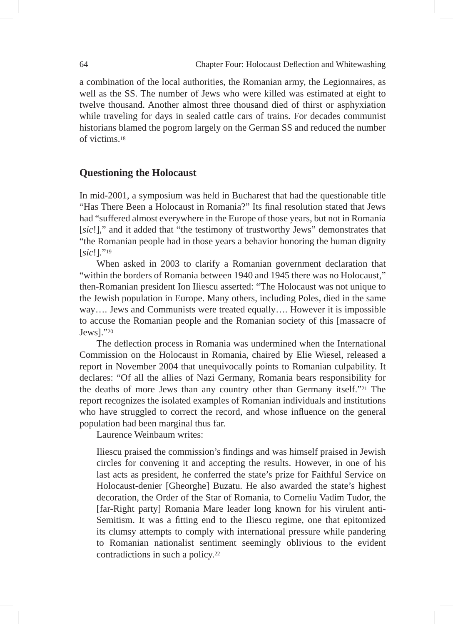a combination of the local authorities, the Romanian army, the Legionnaires, as well as the SS. The number of Jews who were killed was estimated at eight to twelve thousand. Another almost three thousand died of thirst or asphyxiation while traveling for days in sealed cattle cars of trains. For decades communist historians blamed the pogrom largely on the German SS and reduced the number of victims.18

# **Questioning the Holocaust**

In mid-2001, a symposium was held in Bucharest that had the questionable title "Has There Been a Holocaust in Romania?" Its final resolution stated that Jews had "suffered almost everywhere in the Europe of those years, but not in Romania [*sic*!]," and it added that "the testimony of trustworthy Jews" demonstrates that "the Romanian people had in those years a behavior honoring the human dignity [*sic*!]."19

When asked in 2003 to clarify a Romanian government declaration that "within the borders of Romania between 1940 and 1945 there was no Holocaust," then-Romanian president Ion Iliescu asserted: "The Holocaust was not unique to the Jewish population in Europe. Many others, including Poles, died in the same way…. Jews and Communists were treated equally…. However it is impossible to accuse the Romanian people and the Romanian society of this [massacre of Jews]."20

The deflection process in Romania was undermined when the International Commission on the Holocaust in Romania, chaired by Elie Wiesel, released a report in November 2004 that unequivocally points to Romanian culpability. It declares: "Of all the allies of Nazi Germany, Romania bears responsibility for the deaths of more Jews than any country other than Germany itself."21 The report recognizes the isolated examples of Romanian individuals and institutions who have struggled to correct the record, and whose influence on the general population had been marginal thus far.

Laurence Weinbaum writes:

Iliescu praised the commission's findings and was himself praised in Jewish circles for convening it and accepting the results. However, in one of his last acts as president, he conferred the state's prize for Faithful Service on Holocaust-denier [Gheorghe] Buzatu. He also awarded the state's highest decoration, the Order of the Star of Romania, to Corneliu Vadim Tudor, the [far-Right party] Romania Mare leader long known for his virulent anti-Semitism. It was a fitting end to the Iliescu regime, one that epitomized its clumsy attempts to comply with international pressure while pandering to Romanian nationalist sentiment seemingly oblivious to the evident contradictions in such a policy.22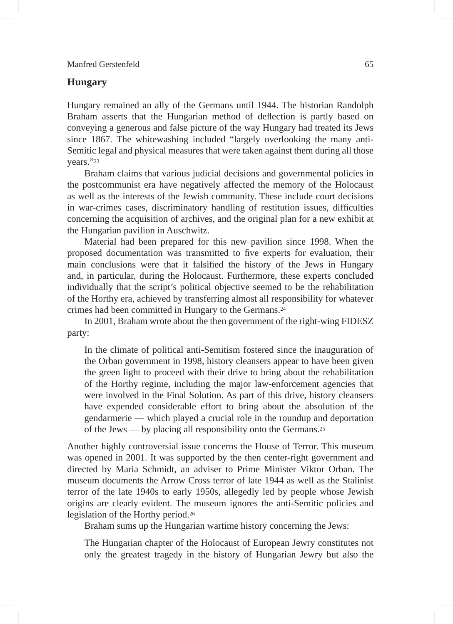# **Hungary**

Hungary remained an ally of the Germans until 1944. The historian Randolph Braham asserts that the Hungarian method of deflection is partly based on conveying a generous and false picture of the way Hungary had treated its Jews since 1867. The whitewashing included "largely overlooking the many anti-Semitic legal and physical measures that were taken against them during all those years."23

Braham claims that various judicial decisions and governmental policies in the postcommunist era have negatively affected the memory of the Holocaust as well as the interests of the Jewish community. These include court decisions in war-crimes cases, discriminatory handling of restitution issues, difficulties concerning the acquisition of archives, and the original plan for a new exhibit at the Hungarian pavilion in Auschwitz.

Material had been prepared for this new pavilion since 1998. When the proposed documentation was transmitted to five experts for evaluation, their main conclusions were that it falsified the history of the Jews in Hungary and, in particular, during the Holocaust. Furthermore, these experts concluded individually that the script's political objective seemed to be the rehabilitation of the Horthy era, achieved by transferring almost all responsibility for whatever crimes had been committed in Hungary to the Germans.24

In 2001, Braham wrote about the then government of the right-wing FIDESZ party:

In the climate of political anti-Semitism fostered since the inauguration of the Orban government in 1998, history cleansers appear to have been given the green light to proceed with their drive to bring about the rehabilitation of the Horthy regime, including the major law-enforcement agencies that were involved in the Final Solution. As part of this drive, history cleansers have expended considerable effort to bring about the absolution of the gendarmerie — which played a crucial role in the roundup and deportation of the Jews — by placing all responsibility onto the Germans.25

Another highly controversial issue concerns the House of Terror. This museum was opened in 2001. It was supported by the then center-right government and directed by Maria Schmidt, an adviser to Prime Minister Viktor Orban. The museum documents the Arrow Cross terror of late 1944 as well as the Stalinist terror of the late 1940s to early 1950s, allegedly led by people whose Jewish origins are clearly evident. The museum ignores the anti-Semitic policies and legislation of the Horthy period.26

Braham sums up the Hungarian wartime history concerning the Jews:

The Hungarian chapter of the Holocaust of European Jewry constitutes not only the greatest tragedy in the history of Hungarian Jewry but also the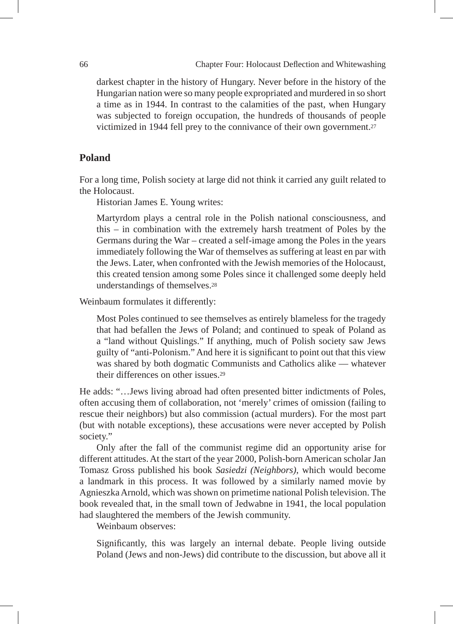darkest chapter in the history of Hungary. Never before in the history of the Hungarian nation were so many people expropriated and murdered in so short a time as in 1944. In contrast to the calamities of the past, when Hungary was subjected to foreign occupation, the hundreds of thousands of people victimized in 1944 fell prey to the connivance of their own government.27

# **Poland**

For a long time, Polish society at large did not think it carried any guilt related to the Holocaust.

Historian James E. Young writes:

Martyrdom plays a central role in the Polish national consciousness, and this – in combination with the extremely harsh treatment of Poles by the Germans during the War – created a self-image among the Poles in the years immediately following the War of themselves as suffering at least en par with the Jews. Later, when confronted with the Jewish memories of the Holocaust, this created tension among some Poles since it challenged some deeply held understandings of themselves.28

Weinbaum formulates it differently:

Most Poles continued to see themselves as entirely blameless for the tragedy that had befallen the Jews of Poland; and continued to speak of Poland as a "land without Quislings." If anything, much of Polish society saw Jews guilty of "anti-Polonism." And here it is significant to point out that this view was shared by both dogmatic Communists and Catholics alike — whatever their differences on other issues.29

He adds: "…Jews living abroad had often presented bitter indictments of Poles, often accusing them of collaboration, not 'merely' crimes of omission (failing to rescue their neighbors) but also commission (actual murders). For the most part (but with notable exceptions), these accusations were never accepted by Polish society."

Only after the fall of the communist regime did an opportunity arise for different attitudes. At the start of the year 2000, Polish-born American scholar Jan Tomasz Gross published his book *Sasiedzi (Neighbors)*, which would become a landmark in this process. It was followed by a similarly named movie by Agnieszka Arnold, which was shown on primetime national Polish television. The book revealed that, in the small town of Jedwabne in 1941, the local population had slaughtered the members of the Jewish community.

Weinbaum observes:

Significantly, this was largely an internal debate. People living outside Poland (Jews and non-Jews) did contribute to the discussion, but above all it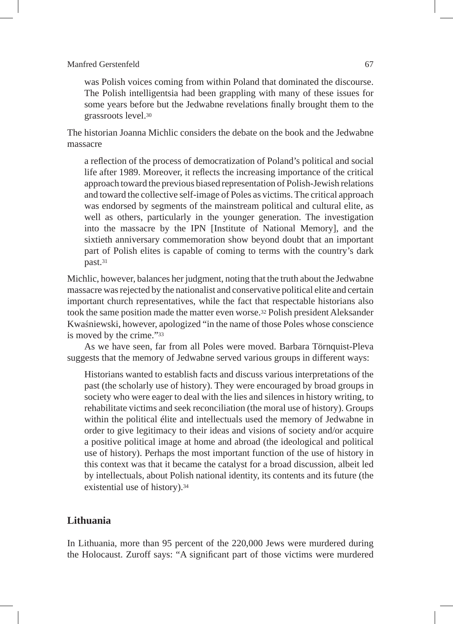was Polish voices coming from within Poland that dominated the discourse. The Polish intelligentsia had been grappling with many of these issues for some years before but the Jedwabne revelations finally brought them to the grassroots level.30

The historian Joanna Michlic considers the debate on the book and the Jedwabne massacre

a reflection of the process of democratization of Poland's political and social life after 1989. Moreover, it reflects the increasing importance of the critical approach toward the previous biased representation of Polish-Jewish relations and toward the collective self-image of Poles as victims. The critical approach was endorsed by segments of the mainstream political and cultural elite, as well as others, particularly in the younger generation. The investigation into the massacre by the IPN [Institute of National Memory], and the sixtieth anniversary commemoration show beyond doubt that an important part of Polish elites is capable of coming to terms with the country's dark past.31

Michlic, however, balances her judgment, noting that the truth about the Jedwabne massacre was rejected by the nationalist and conservative political elite and certain important church representatives, while the fact that respectable historians also took the same position made the matter even worse.32 Polish president Aleksander Kwaśniewski, however, apologized "in the name of those Poles whose conscience is moved by the crime."33

As we have seen, far from all Poles were moved. Barbara Törnquist-Pleva suggests that the memory of Jedwabne served various groups in different ways:

Historians wanted to establish facts and discuss various interpretations of the past (the scholarly use of history). They were encouraged by broad groups in society who were eager to deal with the lies and silences in history writing, to rehabilitate victims and seek reconciliation (the moral use of history). Groups within the political élite and intellectuals used the memory of Jedwabne in order to give legitimacy to their ideas and visions of society and/or acquire a positive political image at home and abroad (the ideological and political use of history). Perhaps the most important function of the use of history in this context was that it became the catalyst for a broad discussion, albeit led by intellectuals, about Polish national identity, its contents and its future (the existential use of history).34

# **Lithuania**

In Lithuania, more than 95 percent of the 220,000 Jews were murdered during the Holocaust. Zuroff says: "A significant part of those victims were murdered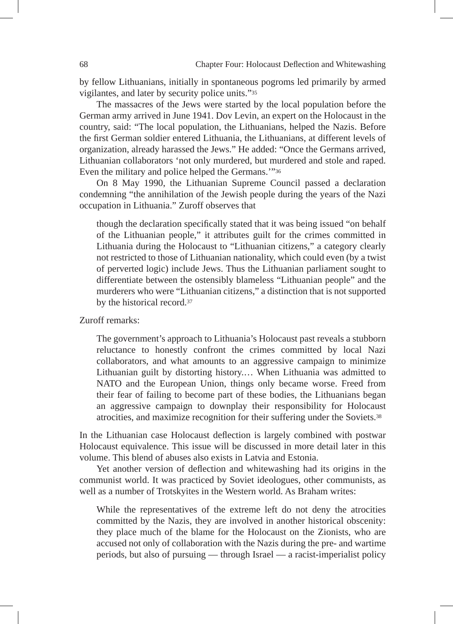by fellow Lithuanians, initially in spontaneous pogroms led primarily by armed vigilantes, and later by security police units."35

The massacres of the Jews were started by the local population before the German army arrived in June 1941. Dov Levin, an expert on the Holocaust in the country, said: "The local population, the Lithuanians, helped the Nazis. Before the first German soldier entered Lithuania, the Lithuanians, at different levels of organization, already harassed the Jews." He added: "Once the Germans arrived, Lithuanian collaborators 'not only murdered, but murdered and stole and raped. Even the military and police helped the Germans.'"36

On 8 May 1990, the Lithuanian Supreme Council passed a declaration condemning "the annihilation of the Jewish people during the years of the Nazi occupation in Lithuania." Zuroff observes that

though the declaration specifically stated that it was being issued "on behalf of the Lithuanian people," it attributes guilt for the crimes committed in Lithuania during the Holocaust to "Lithuanian citizens," a category clearly not restricted to those of Lithuanian nationality, which could even (by a twist of perverted logic) include Jews. Thus the Lithuanian parliament sought to differentiate between the ostensibly blameless "Lithuanian people" and the murderers who were "Lithuanian citizens," a distinction that is not supported by the historical record.37

Zuroff remarks:

The government's approach to Lithuania's Holocaust past reveals a stubborn reluctance to honestly confront the crimes committed by local Nazi collaborators, and what amounts to an aggressive campaign to minimize Lithuanian guilt by distorting history.… When Lithuania was admitted to NATO and the European Union, things only became worse. Freed from their fear of failing to become part of these bodies, the Lithuanians began an aggressive campaign to downplay their responsibility for Holocaust atrocities, and maximize recognition for their suffering under the Soviets.38

In the Lithuanian case Holocaust deflection is largely combined with postwar Holocaust equivalence. This issue will be discussed in more detail later in this volume. This blend of abuses also exists in Latvia and Estonia.

Yet another version of deflection and whitewashing had its origins in the communist world. It was practiced by Soviet ideologues, other communists, as well as a number of Trotskyites in the Western world. As Braham writes:

While the representatives of the extreme left do not deny the atrocities committed by the Nazis, they are involved in another historical obscenity: they place much of the blame for the Holocaust on the Zionists, who are accused not only of collaboration with the Nazis during the pre- and wartime periods, but also of pursuing — through Israel — a racist-imperialist policy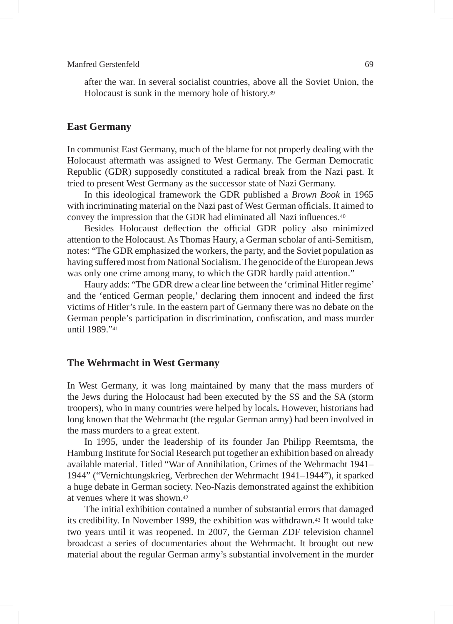after the war. In several socialist countries, above all the Soviet Union, the Holocaust is sunk in the memory hole of history.39

# **East Germany**

In communist East Germany, much of the blame for not properly dealing with the Holocaust aftermath was assigned to West Germany. The German Democratic Republic (GDR) supposedly constituted a radical break from the Nazi past. It tried to present West Germany as the successor state of Nazi Germany.

In this ideological framework the GDR published a *Brown Book* in 1965 with incriminating material on the Nazi past of West German officials. It aimed to convey the impression that the GDR had eliminated all Nazi influences.40

Besides Holocaust deflection the official GDR policy also minimized attention to the Holocaust. As Thomas Haury, a German scholar of anti-Semitism, notes: "The GDR emphasized the workers, the party, and the Soviet population as having suffered most from National Socialism. The genocide of the European Jews was only one crime among many, to which the GDR hardly paid attention."

Haury adds: "The GDR drew a clear line between the 'criminal Hitler regime' and the 'enticed German people,' declaring them innocent and indeed the first victims of Hitler's rule. In the eastern part of Germany there was no debate on the German people's participation in discrimination, confiscation, and mass murder until 1989."41

# **The Wehrmacht in West Germany**

In West Germany, it was long maintained by many that the mass murders of the Jews during the Holocaust had been executed by the SS and the SA (storm troopers), who in many countries were helped by locals**.** However, historians had long known that the Wehrmacht (the regular German army) had been involved in the mass murders to a great extent.

In 1995, under the leadership of its founder Jan Philipp Reemtsma, the Hamburg Institute for Social Research put together an exhibition based on already available material. Titled "War of Annihilation, Crimes of the Wehrmacht 1941– 1944" ("Vernichtungskrieg, Verbrechen der Wehrmacht 1941–1944"), it sparked a huge debate in German society. Neo-Nazis demonstrated against the exhibition at venues where it was shown.42

The initial exhibition contained a number of substantial errors that damaged its credibility. In November 1999, the exhibition was withdrawn.43 It would take two years until it was reopened. In 2007, the German ZDF television channel broadcast a series of documentaries about the Wehrmacht. It brought out new material about the regular German army's substantial involvement in the murder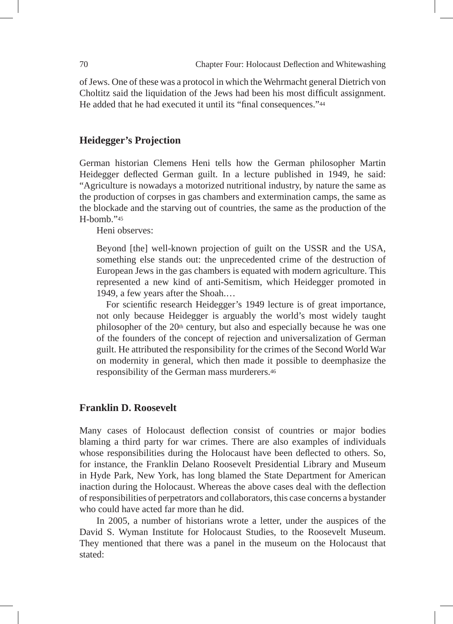of Jews. One of these was a protocol in which the Wehrmacht general Dietrich von Choltitz said the liquidation of the Jews had been his most difficult assignment. He added that he had executed it until its "final consequences."<sup>44</sup>

# **Heidegger's Projection**

German historian Clemens Heni tells how the German philosopher Martin Heidegger deflected German guilt. In a lecture published in 1949, he said: "Agriculture is nowadays a motorized nutritional industry, by nature the same as the production of corpses in gas chambers and extermination camps, the same as the blockade and the starving out of countries, the same as the production of the H-bomb."45

Heni observes:

Beyond [the] well-known projection of guilt on the USSR and the USA, something else stands out: the unprecedented crime of the destruction of European Jews in the gas chambers is equated with modern agriculture. This represented a new kind of anti-Semitism, which Heidegger promoted in 1949, a few years after the Shoah.…

For scientific research Heidegger's 1949 lecture is of great importance, not only because Heidegger is arguably the world's most widely taught philosopher of the 20<sup>th</sup> century, but also and especially because he was one of the founders of the concept of rejection and universalization of German guilt. He attributed the responsibility for the crimes of the Second World War on modernity in general, which then made it possible to deemphasize the responsibility of the German mass murderers.46

# **Franklin D. Roosevelt**

Many cases of Holocaust deflection consist of countries or major bodies blaming a third party for war crimes. There are also examples of individuals whose responsibilities during the Holocaust have been deflected to others. So, for instance, the Franklin Delano Roosevelt Presidential Library and Museum in Hyde Park, New York, has long blamed the State Department for American inaction during the Holocaust. Whereas the above cases deal with the deflection of responsibilities of perpetrators and collaborators, this case concerns a bystander who could have acted far more than he did.

In 2005, a number of historians wrote a letter, under the auspices of the David S. Wyman Institute for Holocaust Studies, to the Roosevelt Museum. They mentioned that there was a panel in the museum on the Holocaust that stated: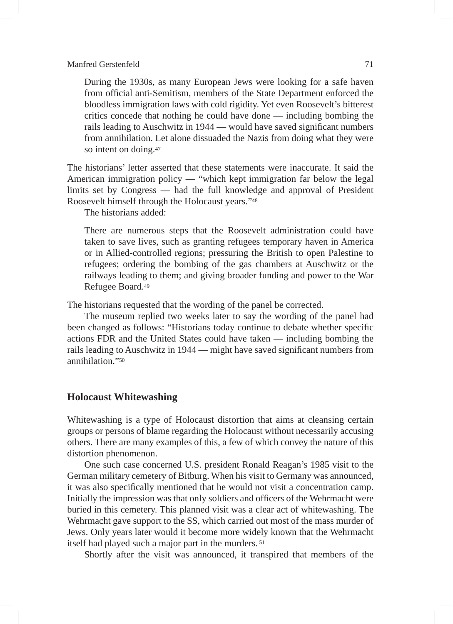During the 1930s, as many European Jews were looking for a safe haven from official anti-Semitism, members of the State Department enforced the bloodless immigration laws with cold rigidity. Yet even Roosevelt's bitterest critics concede that nothing he could have done — including bombing the rails leading to Auschwitz in 1944 — would have saved significant numbers from annihilation. Let alone dissuaded the Nazis from doing what they were so intent on doing.47

The historians' letter asserted that these statements were inaccurate. It said the American immigration policy — "which kept immigration far below the legal limits set by Congress — had the full knowledge and approval of President Roosevelt himself through the Holocaust years."48

The historians added:

There are numerous steps that the Roosevelt administration could have taken to save lives, such as granting refugees temporary haven in America or in Allied-controlled regions; pressuring the British to open Palestine to refugees; ordering the bombing of the gas chambers at Auschwitz or the railways leading to them; and giving broader funding and power to the War Refugee Board.49

The historians requested that the wording of the panel be corrected.

The museum replied two weeks later to say the wording of the panel had been changed as follows: "Historians today continue to debate whether specific actions FDR and the United States could have taken — including bombing the rails leading to Auschwitz in 1944 — might have saved significant numbers from annihilation<sup>"50</sup>

## **Holocaust Whitewashing**

Whitewashing is a type of Holocaust distortion that aims at cleansing certain groups or persons of blame regarding the Holocaust without necessarily accusing others. There are many examples of this, a few of which convey the nature of this distortion phenomenon.

One such case concerned U.S. president Ronald Reagan's 1985 visit to the German military cemetery of Bitburg. When his visit to Germany was announced, it was also specifically mentioned that he would not visit a concentration camp. Initially the impression was that only soldiers and officers of the Wehrmacht were buried in this cemetery. This planned visit was a clear act of whitewashing. The Wehrmacht gave support to the SS, which carried out most of the mass murder of Jews. Only years later would it become more widely known that the Wehrmacht itself had played such a major part in the murders. 51

Shortly after the visit was announced, it transpired that members of the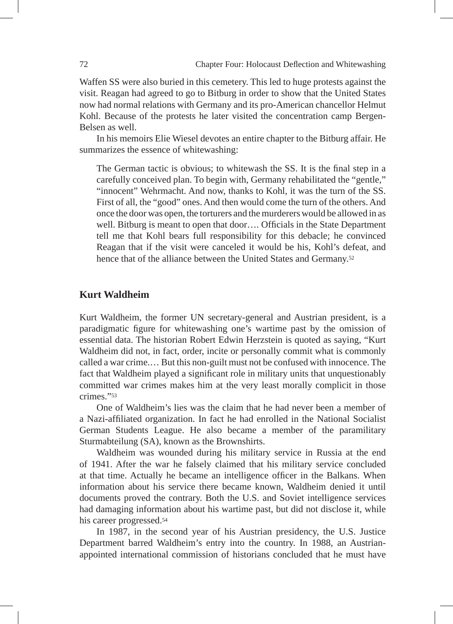Waffen SS were also buried in this cemetery. This led to huge protests against the visit. Reagan had agreed to go to Bitburg in order to show that the United States now had normal relations with Germany and its pro-American chancellor Helmut Kohl. Because of the protests he later visited the concentration camp Bergen-Belsen as well.

In his memoirs Elie Wiesel devotes an entire chapter to the Bitburg affair. He summarizes the essence of whitewashing:

The German tactic is obvious; to whitewash the SS. It is the final step in a carefully conceived plan. To begin with, Germany rehabilitated the "gentle," "innocent" Wehrmacht. And now, thanks to Kohl, it was the turn of the SS. First of all, the "good" ones. And then would come the turn of the others. And once the door was open, the torturers and the murderers would be allowed in as well. Bitburg is meant to open that door…. Officials in the State Department tell me that Kohl bears full responsibility for this debacle; he convinced Reagan that if the visit were canceled it would be his, Kohl's defeat, and hence that of the alliance between the United States and Germany.52

# **Kurt Waldheim**

Kurt Waldheim, the former UN secretary-general and Austrian president, is a paradigmatic figure for whitewashing one's wartime past by the omission of essential data. The historian Robert Edwin Herzstein is quoted as saying, "Kurt Waldheim did not, in fact, order, incite or personally commit what is commonly called a war crime.… But this non-guilt must not be confused with innocence. The fact that Waldheim played a significant role in military units that unquestionably committed war crimes makes him at the very least morally complicit in those crimes<sup>"53</sup>

One of Waldheim's lies was the claim that he had never been a member of a Nazi-affiliated organization. In fact he had enrolled in the National Socialist German Students League. He also became a member of the paramilitary Sturmabteilung (SA), known as the Brownshirts.

Waldheim was wounded during his military service in Russia at the end of 1941. After the war he falsely claimed that his military service concluded at that time. Actually he became an intelligence officer in the Balkans. When information about his service there became known, Waldheim denied it until documents proved the contrary. Both the U.S. and Soviet intelligence services had damaging information about his wartime past, but did not disclose it, while his career progressed.54

In 1987, in the second year of his Austrian presidency, the U.S. Justice Department barred Waldheim's entry into the country. In 1988, an Austrianappointed international commission of historians concluded that he must have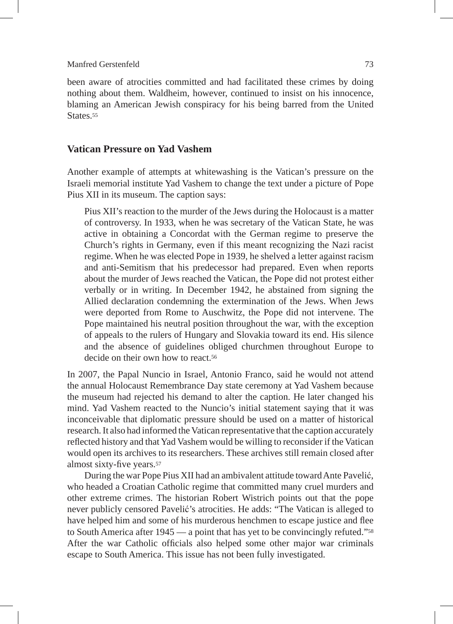been aware of atrocities committed and had facilitated these crimes by doing nothing about them. Waldheim, however, continued to insist on his innocence, blaming an American Jewish conspiracy for his being barred from the United States.<sup>55</sup>

# **Vatican Pressure on Yad Vashem**

Another example of attempts at whitewashing is the Vatican's pressure on the Israeli memorial institute Yad Vashem to change the text under a picture of Pope Pius XII in its museum. The caption says:

Pius XII's reaction to the murder of the Jews during the Holocaust is a matter of controversy. In 1933, when he was secretary of the Vatican State, he was active in obtaining a Concordat with the German regime to preserve the Church's rights in Germany, even if this meant recognizing the Nazi racist regime. When he was elected Pope in 1939, he shelved a letter against racism and anti-Semitism that his predecessor had prepared. Even when reports about the murder of Jews reached the Vatican, the Pope did not protest either verbally or in writing. In December 1942, he abstained from signing the Allied declaration condemning the extermination of the Jews. When Jews were deported from Rome to Auschwitz, the Pope did not intervene. The Pope maintained his neutral position throughout the war, with the exception of appeals to the rulers of Hungary and Slovakia toward its end. His silence and the absence of guidelines obliged churchmen throughout Europe to decide on their own how to react.<sup>56</sup>

In 2007, the Papal Nuncio in Israel, Antonio Franco, said he would not attend the annual Holocaust Remembrance Day state ceremony at Yad Vashem because the museum had rejected his demand to alter the caption. He later changed his mind. Yad Vashem reacted to the Nuncio's initial statement saying that it was inconceivable that diplomatic pressure should be used on a matter of historical research. It also had informed the Vatican representative that the caption accurately reflected history and that Yad Vashem would be willing to reconsider if the Vatican would open its archives to its researchers. These archives still remain closed after almost sixty-five years.57

During the war Pope Pius XII had an ambivalent attitude toward Ante Pavelić, who headed a Croatian Catholic regime that committed many cruel murders and other extreme crimes. The historian Robert Wistrich points out that the pope never publicly censored Pavelić's atrocities. He adds: "The Vatican is alleged to have helped him and some of his murderous henchmen to escape justice and flee to South America after 1945 — a point that has yet to be convincingly refuted."58 After the war Catholic officials also helped some other major war criminals escape to South America. This issue has not been fully investigated.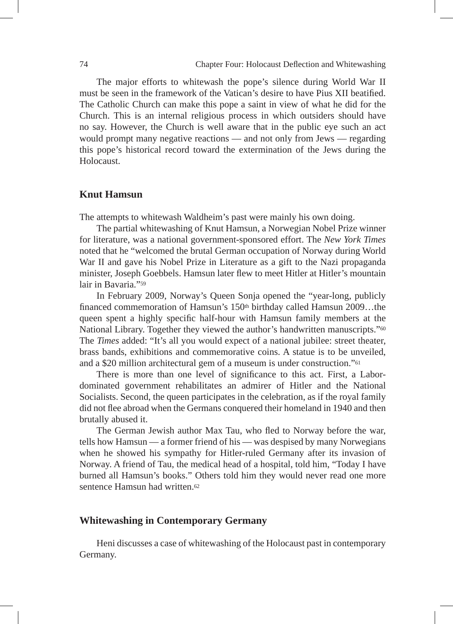The major efforts to whitewash the pope's silence during World War II must be seen in the framework of the Vatican's desire to have Pius XII beatified. The Catholic Church can make this pope a saint in view of what he did for the Church. This is an internal religious process in which outsiders should have no say. However, the Church is well aware that in the public eye such an act would prompt many negative reactions — and not only from Jews — regarding this pope's historical record toward the extermination of the Jews during the **Holocaust** 

## **Knut Hamsun**

The attempts to whitewash Waldheim's past were mainly his own doing.

The partial whitewashing of Knut Hamsun, a Norwegian Nobel Prize winner for literature, was a national government-sponsored effort. The *New York Times* noted that he "welcomed the brutal German occupation of Norway during World War II and gave his Nobel Prize in Literature as a gift to the Nazi propaganda minister, Joseph Goebbels. Hamsun later flew to meet Hitler at Hitler's mountain lair in Bavaria."59

In February 2009, Norway's Queen Sonja opened the "year-long, publicly financed commemoration of Hamsun's  $150<sup>th</sup>$  birthday called Hamsun  $2009...$ the queen spent a highly specific half-hour with Hamsun family members at the National Library. Together they viewed the author's handwritten manuscripts."<sup>60</sup> The *Times* added: "It's all you would expect of a national jubilee: street theater, brass bands, exhibitions and commemorative coins. A statue is to be unveiled, and a \$20 million architectural gem of a museum is under construction."61

There is more than one level of significance to this act. First, a Labordominated government rehabilitates an admirer of Hitler and the National Socialists. Second, the queen participates in the celebration, as if the royal family did not flee abroad when the Germans conquered their homeland in 1940 and then brutally abused it.

The German Jewish author Max Tau, who fled to Norway before the war, tells how Hamsun — a former friend of his — was despised by many Norwegians when he showed his sympathy for Hitler-ruled Germany after its invasion of Norway. A friend of Tau, the medical head of a hospital, told him, "Today I have burned all Hamsun's books." Others told him they would never read one more sentence Hamsun had written.<sup>62</sup>

# **Whitewashing in Contemporary Germany**

Heni discusses a case of whitewashing of the Holocaust past in contemporary Germany.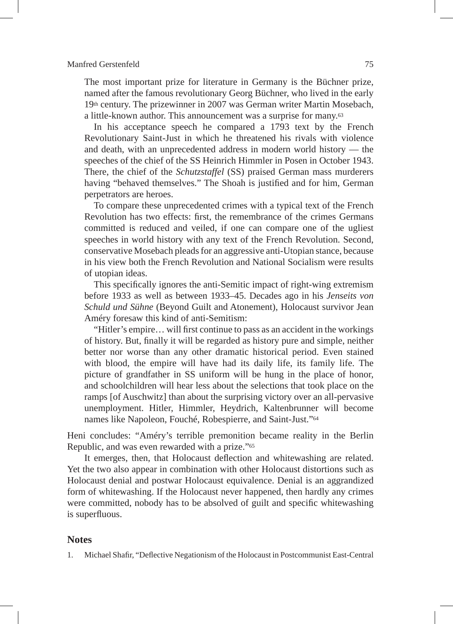The most important prize for literature in Germany is the Büchner prize, named after the famous revolutionary Georg Büchner, who lived in the early 19th century. The prizewinner in 2007 was German writer Martin Mosebach, a little-known author. This announcement was a surprise for many.63

In his acceptance speech he compared a 1793 text by the French Revolutionary Saint-Just in which he threatened his rivals with violence and death, with an unprecedented address in modern world history — the speeches of the chief of the SS Heinrich Himmler in Posen in October 1943. There, the chief of the *Schutzstaffel* (SS) praised German mass murderers having "behaved themselves." The Shoah is justified and for him, German perpetrators are heroes.

To compare these unprecedented crimes with a typical text of the French Revolution has two effects: first, the remembrance of the crimes Germans committed is reduced and veiled, if one can compare one of the ugliest speeches in world history with any text of the French Revolution. Second, conservative Mosebach pleads for an aggressive anti-Utopian stance, because in his view both the French Revolution and National Socialism were results of utopian ideas.

This specifically ignores the anti-Semitic impact of right-wing extremism before 1933 as well as between 1933–45. Decades ago in his *Jenseits von Schuld und Sühne* (Beyond Guilt and Atonement), Holocaust survivor Jean Améry foresaw this kind of anti-Semitism:

"Hitler's empire… will first continue to pass as an accident in the workings of history. But, finally it will be regarded as history pure and simple, neither better nor worse than any other dramatic historical period. Even stained with blood, the empire will have had its daily life, its family life. The picture of grandfather in SS uniform will be hung in the place of honor, and schoolchildren will hear less about the selections that took place on the ramps [of Auschwitz] than about the surprising victory over an all-pervasive unemployment. Hitler, Himmler, Heydrich, Kaltenbrunner will become names like Napoleon, Fouché, Robespierre, and Saint-Just."64

Heni concludes: "Améry's terrible premonition became reality in the Berlin Republic, and was even rewarded with a prize."65

It emerges, then, that Holocaust deflection and whitewashing are related. Yet the two also appear in combination with other Holocaust distortions such as Holocaust denial and postwar Holocaust equivalence. Denial is an aggrandized form of whitewashing. If the Holocaust never happened, then hardly any crimes were committed, nobody has to be absolved of guilt and specific whitewashing is superfluous.

# **Notes**

1. Michael Shafir, "Deflective Negationism of the Holocaust in Postcommunist East-Central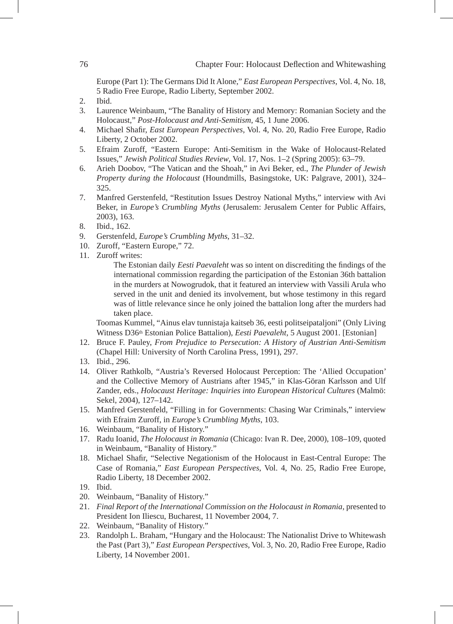Europe (Part 1): The Germans Did It Alone," *East European Perspectives*, Vol. 4, No. 18, 5 Radio Free Europe, Radio Liberty, September 2002.

- 2. Ibid.
- 3. Laurence Weinbaum, "The Banality of History and Memory: Romanian Society and the Holocaust," *Post-Holocaust and Anti-Semitism*, 45, 1 June 2006.
- 4. Michael Shafir, *East European Perspectives*, Vol. 4, No. 20, Radio Free Europe, Radio Liberty, 2 October 2002.
- 5. Efraim Zuroff, "Eastern Europe: Anti-Semitism in the Wake of Holocaust-Related Issues," *Jewish Political Studies Review*, Vol. 17, Nos. 1–2 (Spring 2005): 63–79.
- 6. Arieh Doobov, "The Vatican and the Shoah," in Avi Beker, ed., *The Plunder of Jewish Property during the Holocaust* (Houndmills, Basingstoke, UK: Palgrave, 2001), 324– 325.
- 7. Manfred Gerstenfeld, "Restitution Issues Destroy National Myths," interview with Avi Beker, in *Europe's Crumbling Myths* (Jerusalem: Jerusalem Center for Public Affairs, 2003), 163.
- 8. Ibid., 162.
- 9. Gerstenfeld*, Europe's Crumbling Myths*, 31–32.
- 10. Zuroff, "Eastern Europe," 72.
- 11. Zuroff writes:

 The Estonian daily *Eesti Paevaleht* was so intent on discrediting the findings of the international commission regarding the participation of the Estonian 36th battalion in the murders at Nowogrudok, that it featured an interview with Vassili Arula who served in the unit and denied its involvement, but whose testimony in this regard was of little relevance since he only joined the battalion long after the murders had taken place.

 Toomas Kummel, "Ainus elav tunnistaja kaitseb 36, eesti politseipataljoni" (Only Living Witness D36th Estonian Police Battalion), *Eesti Paevaleht*, 5 August 2001. [Estonian]

- 12. Bruce F. Pauley, *From Prejudice to Persecution: A History of Austrian Anti-Semitism* (Chapel Hill: University of North Carolina Press, 1991), 297.
- 13. Ibid., 296.
- 14. Oliver Rathkolb, "Austria's Reversed Holocaust Perception: The 'Allied Occupation' and the Collective Memory of Austrians after 1945," in Klas-Göran Karlsson and Ulf Zander, eds., *Holocaust Heritage: Inquiries into European Historical Cultures* (Malmö: Sekel, 2004), 127–142.
- 15. Manfred Gerstenfeld, "Filling in for Governments: Chasing War Criminals," interview with Efraim Zuroff, in *Europe's Crumbling Myths*, 103.
- 16. Weinbaum, "Banality of History."
- 17. Radu Ioanid, *The Holocaust in Romania* (Chicago: Ivan R. Dee, 2000), 108–109, quoted in Weinbaum, "Banality of History."
- 18. Michael Shafir, "Selective Negationism of the Holocaust in East-Central Europe: The Case of Romania," *East European Perspectives*, Vol. 4, No. 25, Radio Free Europe, Radio Liberty, 18 December 2002.
- 19. Ibid.
- 20. Weinbaum, "Banality of History."
- 21. *Final Report of the International Commission on the Holocaust in Romania,* presented to President Ion Iliescu, Bucharest, 11 November 2004, 7.
- 22. Weinbaum, "Banality of History."
- 23. Randolph L. Braham, "Hungary and the Holocaust: The Nationalist Drive to Whitewash the Past (Part 3)," *East European Perspectives*, Vol. 3, No. 20, Radio Free Europe, Radio Liberty, 14 November 2001.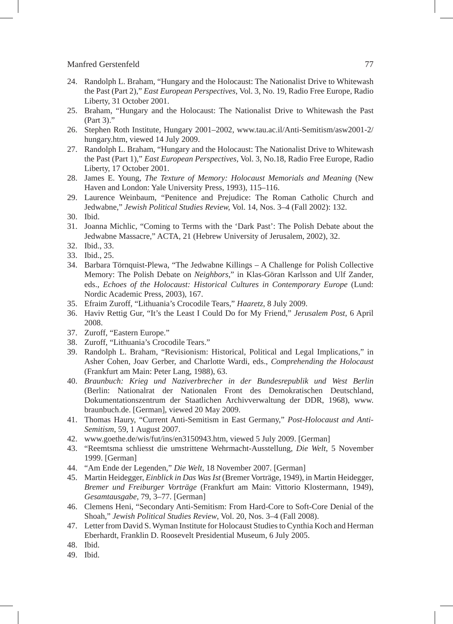- 24. Randolph L. Braham, "Hungary and the Holocaust: The Nationalist Drive to Whitewash the Past (Part 2)," *East European Perspectives*, Vol. 3, No. 19, Radio Free Europe, Radio Liberty, 31 October 2001.
- 25. Braham, "Hungary and the Holocaust: The Nationalist Drive to Whitewash the Past (Part 3).'
- 26. Stephen Roth Institute, Hungary 2001–2002, www.tau.ac.il/Anti-Semitism/asw2001-2/ hungary.htm, viewed 14 July 2009.
- 27. Randolph L. Braham, "Hungary and the Holocaust: The Nationalist Drive to Whitewash the Past (Part 1)," *East European Perspectives*, Vol. 3, No.18, Radio Free Europe, Radio Liberty, 17 October 2001.
- 28. James E. Young, *The Texture of Memory: Holocaust Memorials and Meaning* (New Haven and London: Yale University Press, 1993), 115–116.
- 29. Laurence Weinbaum, "Penitence and Prejudice: The Roman Catholic Church and Jedwabne," *Jewish Political Studies Review,* Vol. 14, Nos. 3–4 (Fall 2002): 132.
- 30. Ibid.
- 31. Joanna Michlic, "Coming to Terms with the 'Dark Past': The Polish Debate about the Jedwabne Massacre," ACTA, 21 (Hebrew University of Jerusalem, 2002), 32.
- 32. Ibid., 33.
- 33. Ibid., 25.
- 34. Barbara Törnquist-Plewa, "The Jedwabne Killings A Challenge for Polish Collective Memory: The Polish Debate on *Neighbors*," in Klas-Göran Karlsson and Ulf Zander, eds., *Echoes of the Holocaust: Historical Cultures in Contemporary Europe* (Lund: Nordic Academic Press, 2003), 167.
- 35. Efraim Zuroff, "Lithuania's Crocodile Tears," *Haaretz*, 8 July 2009.
- 36. Haviv Rettig Gur, "It's the Least I Could Do for My Friend," *Jerusalem Post*, 6 April 2008.
- 37. Zuroff, "Eastern Europe."
- 38. Zuroff, "Lithuania's Crocodile Tears."
- 39. Randolph L. Braham, "Revisionism: Historical, Political and Legal Implications," in Asher Cohen, Joav Gerber, and Charlotte Wardi, eds., *Comprehending the Holocaust* (Frankfurt am Main: Peter Lang, 1988), 63.
- 40. *Braunbuch: Krieg und Naziverbrecher in der Bundesrepublik und West Berlin* (Berlin: Nationalrat der Nationalen Front des Demokratischen Deutschland, Dokumentationszentrum der Staatlichen Archivverwaltung der DDR, 1968), www. braunbuch.de. [German], viewed 20 May 2009.
- 41. Thomas Haury, "Current Anti-Semitism in East Germany," *Post-Holocaust and Anti-Semitism*, 59, 1 August 2007.
- 42. www.goethe.de/wis/fut/ins/en3150943.htm, viewed 5 July 2009. [German]
- 43. "Reemtsma schliesst die umstrittene Wehrmacht-Ausstellung, *Die Welt*, 5 November 1999. [German]
- 44. "Am Ende der Legenden," *Die Welt*, 18 November 2007. [German]
- 45. Martin Heidegger, *Einblick in Das Was Ist* (Bremer Vorträge, 1949), in Martin Heidegger, *Bremer und Freiburger Vorträge* (Frankfurt am Main: Vittorio Klostermann, 1949), *Gesamtausgabe*, 79, 3–77. [German]
- 46. Clemens Heni, "Secondary Anti-Semitism: From Hard-Core to Soft-Core Denial of the Shoah," *Jewish Political Studies Review*, Vol. 20, Nos. 3–4 (Fall 2008).
- 47. Letter from David S. Wyman Institute for Holocaust Studies to Cynthia Koch and Herman Eberhardt, Franklin D. Roosevelt Presidential Museum, 6 July 2005.
- 48. Ibid.
- 49. Ibid.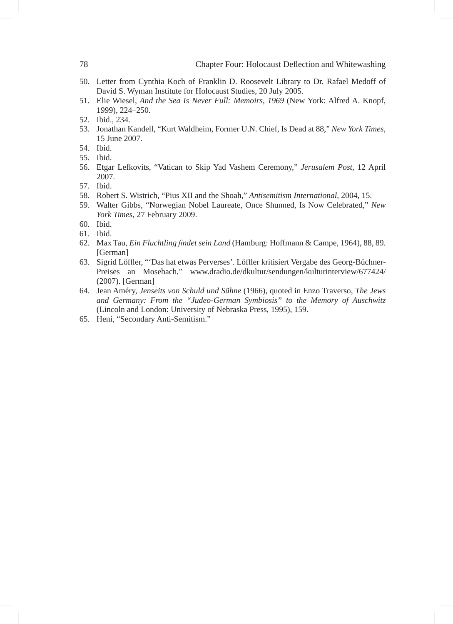- 50. Letter from Cynthia Koch of Franklin D. Roosevelt Library to Dr. Rafael Medoff of David S. Wyman Institute for Holocaust Studies, 20 July 2005.
- 51. Elie Wiesel, *And the Sea Is Never Full: Memoirs, 1969* (New York: Alfred A. Knopf, 1999), 224–250.
- 52. Ibid., 234.
- 53. Jonathan Kandell, "Kurt Waldheim, Former U.N. Chief, Is Dead at 88," *New York Times,*  15 June 2007.
- 54. Ibid.
- 55. Ibid.
- 56. Etgar Lefkovits, "Vatican to Skip Yad Vashem Ceremony," *Jerusalem Post*, 12 April 2007.
- 57. Ibid.
- 58. Robert S. Wistrich, "Pius XII and the Shoah," *Antisemitism International*, 2004, 15.
- 59. Walter Gibbs, "Norwegian Nobel Laureate, Once Shunned, Is Now Celebrated," *New York Times,* 27 February 2009.
- 60. Ibid.
- 61. Ibid.
- 62. Max Tau, *Ein Fluchtling findet sein Land* (Hamburg: Hoffmann & Campe, 1964), 88, 89. [German]
- 63. Sigrid Löffler, "'Das hat etwas Perverses'. Löffler kritisiert Vergabe des Georg-Büchner-Preises an Mosebach," www.dradio.de/dkultur/sendungen/kulturinterview/677424/ (2007). [German]
- 64. Jean Améry, *Jenseits von Schuld und Sühne* (1966), quoted in Enzo Traverso, *The Jews and Germany: From the "Judeo-German Symbiosis" to the Memory of Auschwitz* (Lincoln and London: University of Nebraska Press, 1995), 159.
- 65. Heni, "Secondary Anti-Semitism."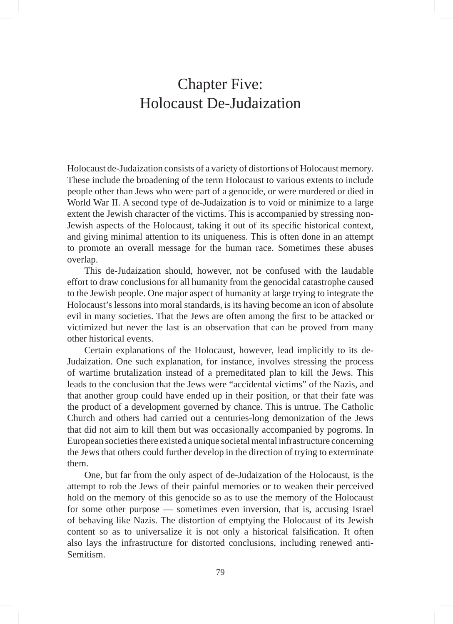# Chapter Five: Holocaust De-Judaization

Holocaust de-Judaization consists of a variety of distortions of Holocaust memory. These include the broadening of the term Holocaust to various extents to include people other than Jews who were part of a genocide, or were murdered or died in World War II. A second type of de-Judaization is to void or minimize to a large extent the Jewish character of the victims. This is accompanied by stressing non-Jewish aspects of the Holocaust, taking it out of its specific historical context, and giving minimal attention to its uniqueness. This is often done in an attempt to promote an overall message for the human race. Sometimes these abuses overlap.

This de-Judaization should, however, not be confused with the laudable effort to draw conclusions for all humanity from the genocidal catastrophe caused to the Jewish people. One major aspect of humanity at large trying to integrate the Holocaust's lessons into moral standards, is its having become an icon of absolute evil in many societies. That the Jews are often among the first to be attacked or victimized but never the last is an observation that can be proved from many other historical events.

Certain explanations of the Holocaust, however, lead implicitly to its de-Judaization. One such explanation, for instance, involves stressing the process of wartime brutalization instead of a premeditated plan to kill the Jews. This leads to the conclusion that the Jews were "accidental victims" of the Nazis, and that another group could have ended up in their position, or that their fate was the product of a development governed by chance. This is untrue. The Catholic Church and others had carried out a centuries-long demonization of the Jews that did not aim to kill them but was occasionally accompanied by pogroms. In European societies there existed a unique societal mental infrastructure concerning the Jews that others could further develop in the direction of trying to exterminate them.

One, but far from the only aspect of de-Judaization of the Holocaust, is the attempt to rob the Jews of their painful memories or to weaken their perceived hold on the memory of this genocide so as to use the memory of the Holocaust for some other purpose — sometimes even inversion, that is, accusing Israel of behaving like Nazis. The distortion of emptying the Holocaust of its Jewish content so as to universalize it is not only a historical falsification. It often also lays the infrastructure for distorted conclusions, including renewed anti-Semitism.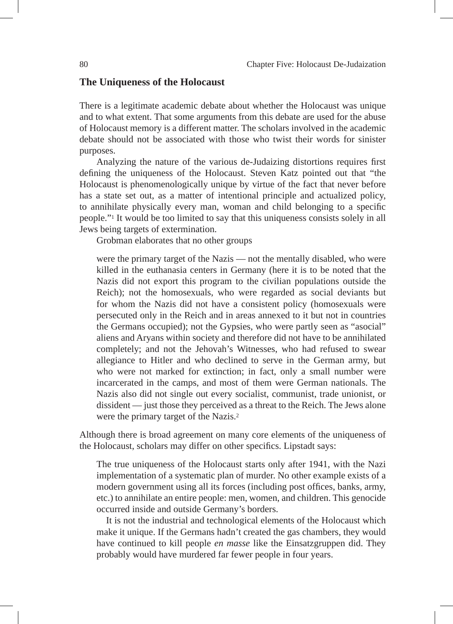### **The Uniqueness of the Holocaust**

There is a legitimate academic debate about whether the Holocaust was unique and to what extent. That some arguments from this debate are used for the abuse of Holocaust memory is a different matter. The scholars involved in the academic debate should not be associated with those who twist their words for sinister purposes.

Analyzing the nature of the various de-Judaizing distortions requires first defining the uniqueness of the Holocaust. Steven Katz pointed out that "the Holocaust is phenomenologically unique by virtue of the fact that never before has a state set out, as a matter of intentional principle and actualized policy, to annihilate physically every man, woman and child belonging to a specific people."1 It would be too limited to say that this uniqueness consists solely in all Jews being targets of extermination.

Grobman elaborates that no other groups

were the primary target of the Nazis — not the mentally disabled, who were killed in the euthanasia centers in Germany (here it is to be noted that the Nazis did not export this program to the civilian populations outside the Reich); not the homosexuals, who were regarded as social deviants but for whom the Nazis did not have a consistent policy (homosexuals were persecuted only in the Reich and in areas annexed to it but not in countries the Germans occupied); not the Gypsies, who were partly seen as "asocial" aliens and Aryans within society and therefore did not have to be annihilated completely; and not the Jehovah's Witnesses, who had refused to swear allegiance to Hitler and who declined to serve in the German army, but who were not marked for extinction; in fact, only a small number were incarcerated in the camps, and most of them were German nationals. The Nazis also did not single out every socialist, communist, trade unionist, or dissident — just those they perceived as a threat to the Reich. The Jews alone were the primary target of the Nazis.2

Although there is broad agreement on many core elements of the uniqueness of the Holocaust, scholars may differ on other specifics. Lipstadt says:

The true uniqueness of the Holocaust starts only after 1941, with the Nazi implementation of a systematic plan of murder. No other example exists of a modern government using all its forces (including post offices, banks, army, etc.) to annihilate an entire people: men, women, and children. This genocide occurred inside and outside Germany's borders.

It is not the industrial and technological elements of the Holocaust which make it unique. If the Germans hadn't created the gas chambers, they would have continued to kill people *en masse* like the Einsatzgruppen did. They probably would have murdered far fewer people in four years.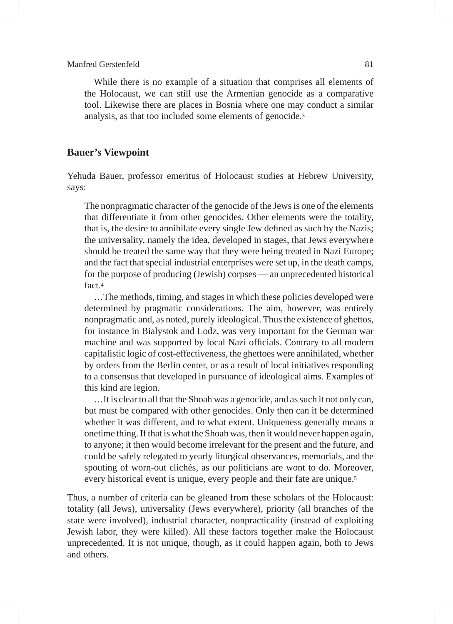While there is no example of a situation that comprises all elements of the Holocaust, we can still use the Armenian genocide as a comparative tool. Likewise there are places in Bosnia where one may conduct a similar analysis, as that too included some elements of genocide.3

#### **Bauer's Viewpoint**

Yehuda Bauer, professor emeritus of Holocaust studies at Hebrew University, says:

The nonpragmatic character of the genocide of the Jews is one of the elements that differentiate it from other genocides. Other elements were the totality, that is, the desire to annihilate every single Jew defined as such by the Nazis; the universality, namely the idea, developed in stages, that Jews everywhere should be treated the same way that they were being treated in Nazi Europe; and the fact that special industrial enterprises were set up, in the death camps, for the purpose of producing (Jewish) corpses — an unprecedented historical fact.4

…The methods, timing, and stages in which these policies developed were determined by pragmatic considerations. The aim, however, was entirely nonpragmatic and, as noted, purely ideological. Thus the existence of ghettos, for instance in Bialystok and Lodz, was very important for the German war machine and was supported by local Nazi officials. Contrary to all modern capitalistic logic of cost-effectiveness, the ghettoes were annihilated, whether by orders from the Berlin center, or as a result of local initiatives responding to a consensus that developed in pursuance of ideological aims. Examples of this kind are legion.

…It is clear to all that the Shoah was a genocide, and as such it not only can, but must be compared with other genocides. Only then can it be determined whether it was different, and to what extent. Uniqueness generally means a onetime thing. If that is what the Shoah was, then it would never happen again, to anyone; it then would become irrelevant for the present and the future, and could be safely relegated to yearly liturgical observances, memorials, and the spouting of worn-out clichés, as our politicians are wont to do. Moreover, every historical event is unique, every people and their fate are unique.<sup>5</sup>

Thus, a number of criteria can be gleaned from these scholars of the Holocaust: totality (all Jews), universality (Jews everywhere), priority (all branches of the state were involved), industrial character, nonpracticality (instead of exploiting Jewish labor, they were killed). All these factors together make the Holocaust unprecedented. It is not unique, though, as it could happen again, both to Jews and others.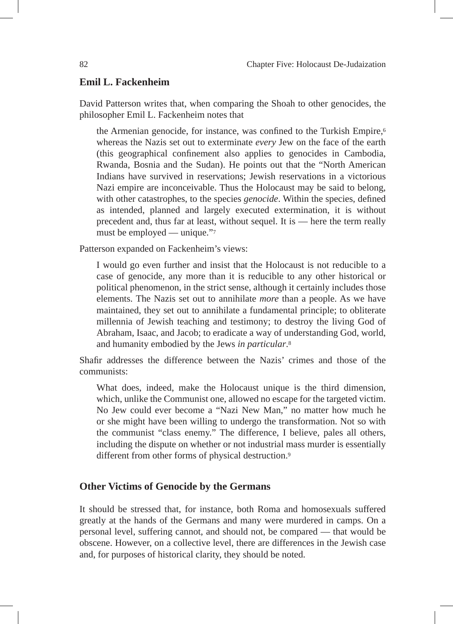# **Emil L. Fackenheim**

David Patterson writes that, when comparing the Shoah to other genocides, the philosopher Emil L. Fackenheim notes that

the Armenian genocide, for instance, was confined to the Turkish Empire,<sup>6</sup> whereas the Nazis set out to exterminate *every* Jew on the face of the earth (this geographical confinement also applies to genocides in Cambodia, Rwanda, Bosnia and the Sudan). He points out that the "North American Indians have survived in reservations; Jewish reservations in a victorious Nazi empire are inconceivable. Thus the Holocaust may be said to belong, with other catastrophes, to the species *genocide*. Within the species, defined as intended, planned and largely executed extermination, it is without precedent and, thus far at least, without sequel. It is — here the term really must be employed — unique."7

Patterson expanded on Fackenheim's views:

I would go even further and insist that the Holocaust is not reducible to a case of genocide, any more than it is reducible to any other historical or political phenomenon, in the strict sense, although it certainly includes those elements. The Nazis set out to annihilate *more* than a people. As we have maintained, they set out to annihilate a fundamental principle; to obliterate millennia of Jewish teaching and testimony; to destroy the living God of Abraham, Isaac, and Jacob; to eradicate a way of understanding God, world, and humanity embodied by the Jews *in particular*.8

Shafir addresses the difference between the Nazis' crimes and those of the communists:

What does, indeed, make the Holocaust unique is the third dimension, which, unlike the Communist one, allowed no escape for the targeted victim. No Jew could ever become a "Nazi New Man," no matter how much he or she might have been willing to undergo the transformation. Not so with the communist "class enemy." The difference, I believe, pales all others, including the dispute on whether or not industrial mass murder is essentially different from other forms of physical destruction.<sup>9</sup>

### **Other Victims of Genocide by the Germans**

It should be stressed that, for instance, both Roma and homosexuals suffered greatly at the hands of the Germans and many were murdered in camps. On a personal level, suffering cannot, and should not, be compared — that would be obscene. However, on a collective level, there are differences in the Jewish case and, for purposes of historical clarity, they should be noted.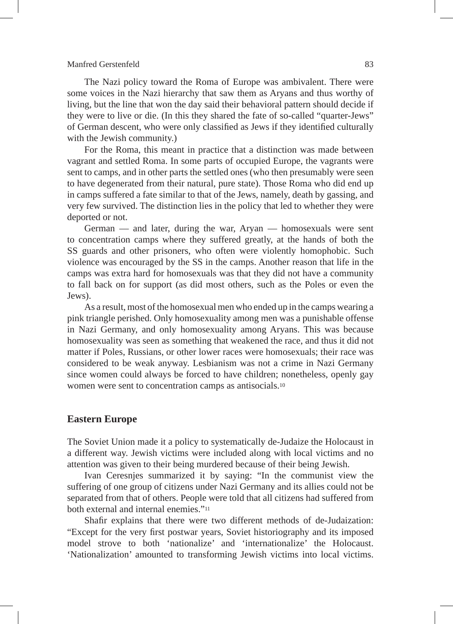The Nazi policy toward the Roma of Europe was ambivalent. There were some voices in the Nazi hierarchy that saw them as Aryans and thus worthy of living, but the line that won the day said their behavioral pattern should decide if they were to live or die. (In this they shared the fate of so-called "quarter-Jews" of German descent, who were only classified as Jews if they identified culturally with the Jewish community.)

For the Roma, this meant in practice that a distinction was made between vagrant and settled Roma. In some parts of occupied Europe, the vagrants were sent to camps, and in other parts the settled ones (who then presumably were seen to have degenerated from their natural, pure state). Those Roma who did end up in camps suffered a fate similar to that of the Jews, namely, death by gassing, and very few survived. The distinction lies in the policy that led to whether they were deported or not.

German — and later, during the war, Aryan — homosexuals were sent to concentration camps where they suffered greatly, at the hands of both the SS guards and other prisoners, who often were violently homophobic. Such violence was encouraged by the SS in the camps. Another reason that life in the camps was extra hard for homosexuals was that they did not have a community to fall back on for support (as did most others, such as the Poles or even the Jews).

As a result, most of the homosexual men who ended up in the camps wearing a pink triangle perished. Only homosexuality among men was a punishable offense in Nazi Germany, and only homosexuality among Aryans. This was because homosexuality was seen as something that weakened the race, and thus it did not matter if Poles, Russians, or other lower races were homosexuals; their race was considered to be weak anyway. Lesbianism was not a crime in Nazi Germany since women could always be forced to have children; nonetheless, openly gay women were sent to concentration camps as antisocials.10

#### **Eastern Europe**

The Soviet Union made it a policy to systematically de-Judaize the Holocaust in a different way. Jewish victims were included along with local victims and no attention was given to their being murdered because of their being Jewish.

Ivan Ceresnjes summarized it by saying: "In the communist view the suffering of one group of citizens under Nazi Germany and its allies could not be separated from that of others. People were told that all citizens had suffered from both external and internal enemies."11

Shafir explains that there were two different methods of de-Judaization: "Except for the very first postwar years, Soviet historiography and its imposed model strove to both 'nationalize' and 'internationalize' the Holocaust. 'Nationalization' amounted to transforming Jewish victims into local victims.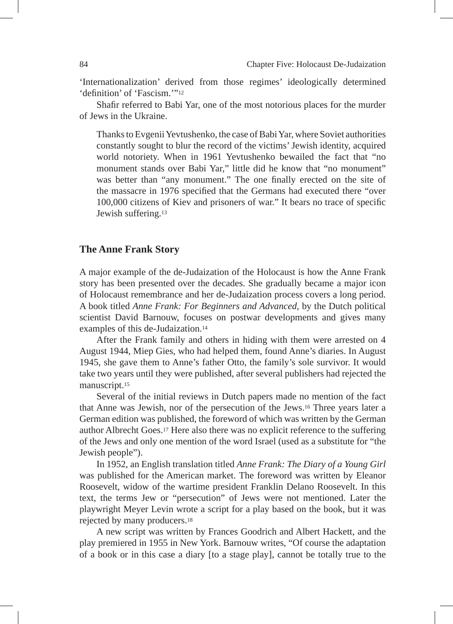'Internationalization' derived from those regimes' ideologically determined 'definition' of 'Fascism.'"12

Shafir referred to Babi Yar, one of the most notorious places for the murder of Jews in the Ukraine.

Thanks to Evgenii Yevtushenko, the case of Babi Yar, where Soviet authorities constantly sought to blur the record of the victims' Jewish identity, acquired world notoriety. When in 1961 Yevtushenko bewailed the fact that "no monument stands over Babi Yar," little did he know that "no monument" was better than "any monument." The one finally erected on the site of the massacre in 1976 specified that the Germans had executed there "over 100,000 citizens of Kiev and prisoners of war." It bears no trace of specific Jewish suffering.13

## **The Anne Frank Story**

A major example of the de-Judaization of the Holocaust is how the Anne Frank story has been presented over the decades. She gradually became a major icon of Holocaust remembrance and her de-Judaization process covers a long period. A book titled *Anne Frank: For Beginners and Advanced,* by the Dutch political scientist David Barnouw, focuses on postwar developments and gives many examples of this de-Judaization.14

After the Frank family and others in hiding with them were arrested on 4 August 1944, Miep Gies, who had helped them, found Anne's diaries. In August 1945, she gave them to Anne's father Otto, the family's sole survivor. It would take two years until they were published, after several publishers had rejected the manuscript.15

Several of the initial reviews in Dutch papers made no mention of the fact that Anne was Jewish, nor of the persecution of the Jews.16 Three years later a German edition was published, the foreword of which was written by the German author Albrecht Goes.17 Here also there was no explicit reference to the suffering of the Jews and only one mention of the word Israel (used as a substitute for "the Jewish people").

In 1952, an English translation titled *Anne Frank: The Diary of a Young Girl* was published for the American market. The foreword was written by Eleanor Roosevelt, widow of the wartime president Franklin Delano Roosevelt. In this text, the terms Jew or "persecution" of Jews were not mentioned. Later the playwright Meyer Levin wrote a script for a play based on the book, but it was rejected by many producers.18

A new script was written by Frances Goodrich and Albert Hackett, and the play premiered in 1955 in New York. Barnouw writes, "Of course the adaptation of a book or in this case a diary [to a stage play], cannot be totally true to the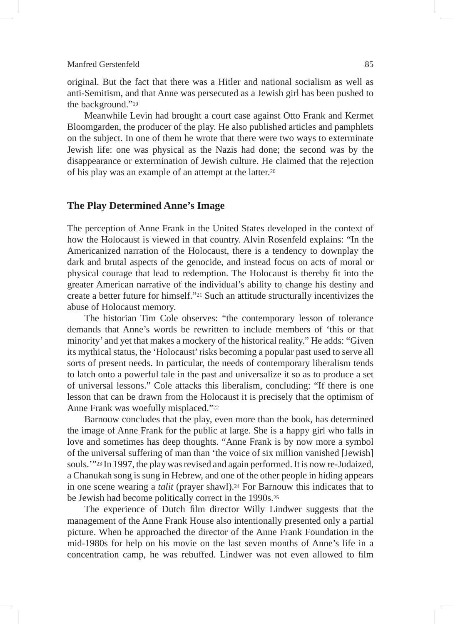original. But the fact that there was a Hitler and national socialism as well as anti-Semitism, and that Anne was persecuted as a Jewish girl has been pushed to the background."19

Meanwhile Levin had brought a court case against Otto Frank and Kermet Bloomgarden, the producer of the play. He also published articles and pamphlets on the subject. In one of them he wrote that there were two ways to exterminate Jewish life: one was physical as the Nazis had done; the second was by the disappearance or extermination of Jewish culture. He claimed that the rejection of his play was an example of an attempt at the latter.20

### **The Play Determined Anne's Image**

The perception of Anne Frank in the United States developed in the context of how the Holocaust is viewed in that country. Alvin Rosenfeld explains: "In the Americanized narration of the Holocaust, there is a tendency to downplay the dark and brutal aspects of the genocide, and instead focus on acts of moral or physical courage that lead to redemption. The Holocaust is thereby fit into the greater American narrative of the individual's ability to change his destiny and create a better future for himself."21 Such an attitude structurally incentivizes the abuse of Holocaust memory.

The historian Tim Cole observes: "the contemporary lesson of tolerance demands that Anne's words be rewritten to include members of 'this or that minority' and yet that makes a mockery of the historical reality." He adds: "Given its mythical status, the 'Holocaust' risks becoming a popular past used to serve all sorts of present needs. In particular, the needs of contemporary liberalism tends to latch onto a powerful tale in the past and universalize it so as to produce a set of universal lessons." Cole attacks this liberalism, concluding: "If there is one lesson that can be drawn from the Holocaust it is precisely that the optimism of Anne Frank was woefully misplaced."22

Barnouw concludes that the play, even more than the book, has determined the image of Anne Frank for the public at large. She is a happy girl who falls in love and sometimes has deep thoughts. "Anne Frank is by now more a symbol of the universal suffering of man than 'the voice of six million vanished [Jewish] souls.'"23 In 1997, the play was revised and again performed. It is now re-Judaized, a Chanukah song is sung in Hebrew, and one of the other people in hiding appears in one scene wearing a *talit* (prayer shawl).24 For Barnouw this indicates that to be Jewish had become politically correct in the 1990s.25

The experience of Dutch film director Willy Lindwer suggests that the management of the Anne Frank House also intentionally presented only a partial picture. When he approached the director of the Anne Frank Foundation in the mid-1980s for help on his movie on the last seven months of Anne's life in a concentration camp, he was rebuffed. Lindwer was not even allowed to film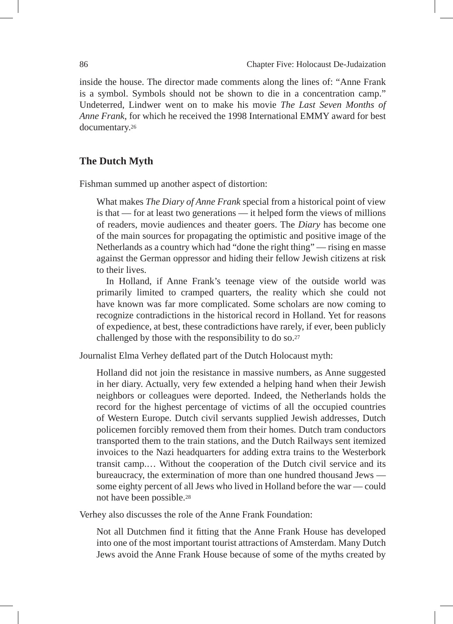inside the house. The director made comments along the lines of: "Anne Frank is a symbol. Symbols should not be shown to die in a concentration camp." Undeterred, Lindwer went on to make his movie *The Last Seven Months of Anne Frank*, for which he received the 1998 International EMMY award for best documentary.26

# **The Dutch Myth**

Fishman summed up another aspect of distortion:

What makes *The Diary of Anne Frank* special from a historical point of view is that — for at least two generations — it helped form the views of millions of readers, movie audiences and theater goers. The *Diary* has become one of the main sources for propagating the optimistic and positive image of the Netherlands as a country which had "done the right thing" — rising en masse against the German oppressor and hiding their fellow Jewish citizens at risk to their lives.

In Holland, if Anne Frank's teenage view of the outside world was primarily limited to cramped quarters, the reality which she could not have known was far more complicated. Some scholars are now coming to recognize contradictions in the historical record in Holland. Yet for reasons of expedience, at best, these contradictions have rarely, if ever, been publicly challenged by those with the responsibility to do so.27

Journalist Elma Verhey deflated part of the Dutch Holocaust myth:

Holland did not join the resistance in massive numbers, as Anne suggested in her diary. Actually, very few extended a helping hand when their Jewish neighbors or colleagues were deported. Indeed, the Netherlands holds the record for the highest percentage of victims of all the occupied countries of Western Europe. Dutch civil servants supplied Jewish addresses, Dutch policemen forcibly removed them from their homes. Dutch tram conductors transported them to the train stations, and the Dutch Railways sent itemized invoices to the Nazi headquarters for adding extra trains to the Westerbork transit camp.… Without the cooperation of the Dutch civil service and its bureaucracy, the extermination of more than one hundred thousand Jews some eighty percent of all Jews who lived in Holland before the war — could not have been possible.28

Verhey also discusses the role of the Anne Frank Foundation:

Not all Dutchmen find it fitting that the Anne Frank House has developed into one of the most important tourist attractions of Amsterdam. Many Dutch Jews avoid the Anne Frank House because of some of the myths created by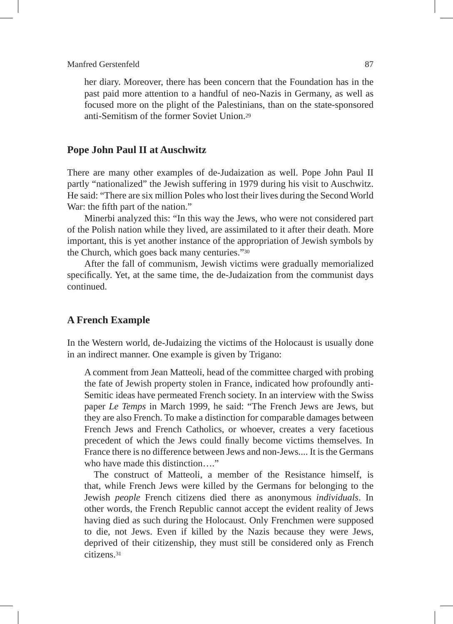her diary. Moreover, there has been concern that the Foundation has in the past paid more attention to a handful of neo-Nazis in Germany, as well as focused more on the plight of the Palestinians, than on the state-sponsored anti-Semitism of the former Soviet Union<sup>29</sup>

# **Pope John Paul II at Auschwitz**

There are many other examples of de-Judaization as well. Pope John Paul II partly "nationalized" the Jewish suffering in 1979 during his visit to Auschwitz. He said: "There are six million Poles who lost their lives during the Second World War: the fifth part of the nation."

Minerbi analyzed this: "In this way the Jews, who were not considered part of the Polish nation while they lived, are assimilated to it after their death. More important, this is yet another instance of the appropriation of Jewish symbols by the Church, which goes back many centuries."30

After the fall of communism, Jewish victims were gradually memorialized specifically. Yet, at the same time, the de-Judaization from the communist days continued.

### **A French Example**

In the Western world, de-Judaizing the victims of the Holocaust is usually done in an indirect manner. One example is given by Trigano:

A comment from Jean Matteoli, head of the committee charged with probing the fate of Jewish property stolen in France, indicated how profoundly anti-Semitic ideas have permeated French society. In an interview with the Swiss paper *Le Temps* in March 1999, he said: "The French Jews are Jews, but they are also French. To make a distinction for comparable damages between French Jews and French Catholics, or whoever, creates a very facetious precedent of which the Jews could finally become victims themselves. In France there is no difference between Jews and non-Jews.... It is the Germans who have made this distinction…."

The construct of Matteoli, a member of the Resistance himself, is that, while French Jews were killed by the Germans for belonging to the Jewish *people* French citizens died there as anonymous *individuals*. In other words, the French Republic cannot accept the evident reality of Jews having died as such during the Holocaust. Only Frenchmen were supposed to die, not Jews. Even if killed by the Nazis because they were Jews, deprived of their citizenship, they must still be considered only as French citizens.31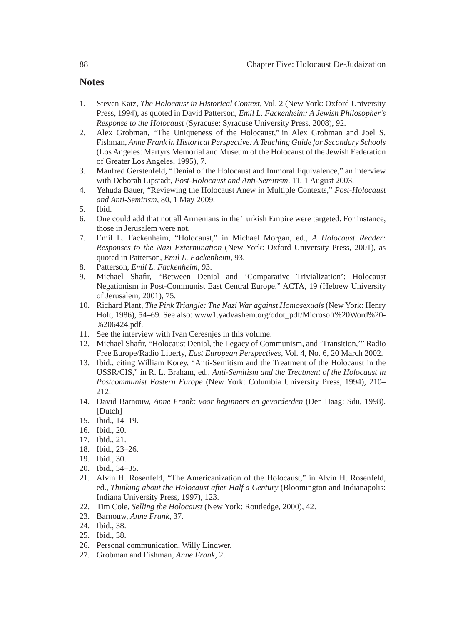# **Notes**

- 1. Steven Katz, *The Holocaust in Historical Context*, Vol. 2 (New York: Oxford University Press, 1994), as quoted in David Patterson, *Emil L. Fackenheim: A Jewish Philosopher's Response to the Holocaust* (Syracuse: Syracuse University Press, 2008), 92.
- 2. Alex Grobman, "The Uniqueness of the Holocaust," in Alex Grobman and Joel S. Fishman, *Anne Frank in Historical Perspective: A Teaching Guide for Secondary Schools* (Los Angeles: Martyrs Memorial and Museum of the Holocaust of the Jewish Federation of Greater Los Angeles, 1995), 7.
- 3. Manfred Gerstenfeld, "Denial of the Holocaust and Immoral Equivalence," an interview with Deborah Lipstadt, *Post-Holocaust and Anti-Semitism,* 11, 1 August 2003.
- 4. Yehuda Bauer, "Reviewing the Holocaust Anew in Multiple Contexts," *Post-Holocaust and Anti-Semitism*, 80, 1 May 2009.
- 5. Ibid.
- 6. One could add that not all Armenians in the Turkish Empire were targeted. For instance, those in Jerusalem were not.
- 7. Emil L. Fackenheim, "Holocaust," in Michael Morgan, ed., *A Holocaust Reader: Responses to the Nazi Extermination* (New York: Oxford University Press, 2001), as quoted in Patterson, *Emil L. Fackenheim*, 93.
- 8. Patterson, *Emil L. Fackenheim*, 93.
- 9. Michael Shafir, "Between Denial and 'Comparative Trivialization': Holocaust Negationism in Post-Communist East Central Europe," ACTA, 19 (Hebrew University of Jerusalem, 2001), 75.
- 10. Richard Plant, *The Pink Triangle: The Nazi War against Homosexuals* (New York: Henry Holt, 1986), 54–69. See also: www1.yadvashem.org/odot\_pdf/Microsoft%20Word%20- %206424.pdf.
- 11. See the interview with Ivan Ceresnjes in this volume.
- 12. Michael Shafir, "Holocaust Denial, the Legacy of Communism, and 'Transition,'" Radio Free Europe/Radio Liberty, *East European Perspectives*, Vol. 4, No. 6, 20 March 2002.
- 13. Ibid., citing William Korey, "Anti-Semitism and the Treatment of the Holocaust in the USSR/CIS," in R. L. Braham, ed., *Anti-Semitism and the Treatment of the Holocaust in Postcommunist Eastern Europe* (New York: Columbia University Press, 1994), 210– 212.
- 14. David Barnouw, *Anne Frank: voor beginners en gevorderden* (Den Haag: Sdu, 1998). [Dutch]
- 15. Ibid., 14–19.
- 16. Ibid., 20.
- 17. Ibid., 21.
- 18. Ibid., 23–26.
- 19. Ibid., 30.
- 20. Ibid., 34–35.
- 21. Alvin H. Rosenfeld, "The Americanization of the Holocaust," in Alvin H. Rosenfeld, ed., *Thinking about the Holocaust after Half a Century* (Bloomington and Indianapolis: Indiana University Press, 1997), 123.
- 22. Tim Cole, *Selling the Holocaust* (New York: Routledge, 2000), 42.
- 23. Barnouw, *Anne Frank*, 37.
- 24. Ibid., 38.
- 25. Ibid., 38.
- 26. Personal communication, Willy Lindwer.
- 27. Grobman and Fishman, *Anne Frank*, 2.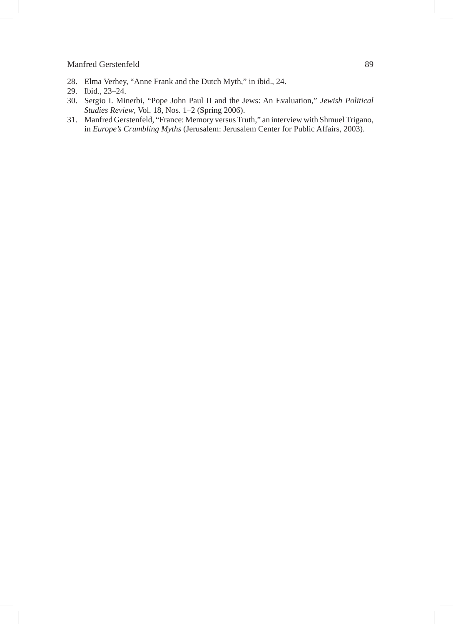- 28. Elma Verhey, "Anne Frank and the Dutch Myth," in ibid., 24.
- 29. Ibid., 23–24.
- 30. Sergio I. Minerbi, "Pope John Paul II and the Jews: An Evaluation," *Jewish Political Studies Review*, Vol. 18, Nos. 1–2 (Spring 2006).
- 31. Manfred Gerstenfeld, "France: Memory versus Truth," an interview with Shmuel Trigano, in *Europe's Crumbling Myths* (Jerusalem: Jerusalem Center for Public Affairs, 2003).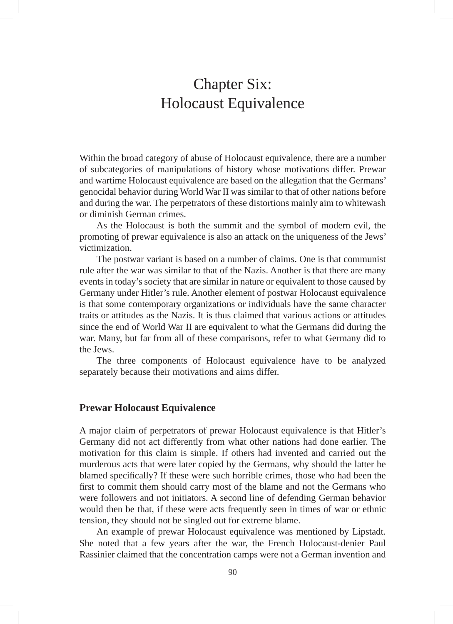# Chapter Six: Holocaust Equivalence

Within the broad category of abuse of Holocaust equivalence, there are a number of subcategories of manipulations of history whose motivations differ. Prewar and wartime Holocaust equivalence are based on the allegation that the Germans' genocidal behavior during World War II was similar to that of other nations before and during the war. The perpetrators of these distortions mainly aim to whitewash or diminish German crimes.

As the Holocaust is both the summit and the symbol of modern evil, the promoting of prewar equivalence is also an attack on the uniqueness of the Jews' victimization.

The postwar variant is based on a number of claims. One is that communist rule after the war was similar to that of the Nazis. Another is that there are many events in today's society that are similar in nature or equivalent to those caused by Germany under Hitler's rule. Another element of postwar Holocaust equivalence is that some contemporary organizations or individuals have the same character traits or attitudes as the Nazis. It is thus claimed that various actions or attitudes since the end of World War II are equivalent to what the Germans did during the war. Many, but far from all of these comparisons, refer to what Germany did to the Jews.

The three components of Holocaust equivalence have to be analyzed separately because their motivations and aims differ.

## **Prewar Holocaust Equivalence**

A major claim of perpetrators of prewar Holocaust equivalence is that Hitler's Germany did not act differently from what other nations had done earlier. The motivation for this claim is simple. If others had invented and carried out the murderous acts that were later copied by the Germans, why should the latter be blamed specifically? If these were such horrible crimes, those who had been the first to commit them should carry most of the blame and not the Germans who were followers and not initiators. A second line of defending German behavior would then be that, if these were acts frequently seen in times of war or ethnic tension, they should not be singled out for extreme blame.

An example of prewar Holocaust equivalence was mentioned by Lipstadt. She noted that a few years after the war, the French Holocaust-denier Paul Rassinier claimed that the concentration camps were not a German invention and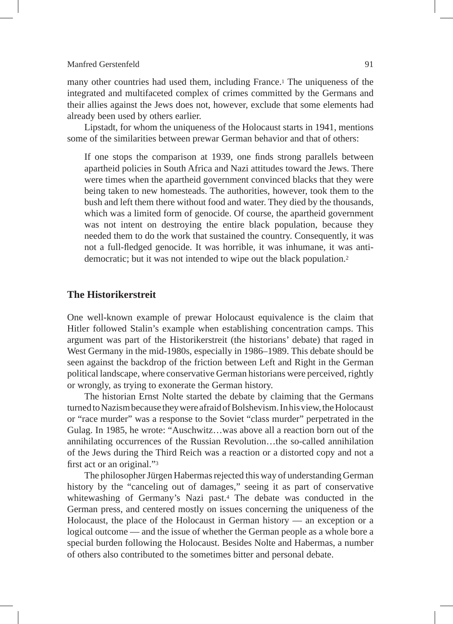many other countries had used them, including France.1 The uniqueness of the integrated and multifaceted complex of crimes committed by the Germans and their allies against the Jews does not, however, exclude that some elements had already been used by others earlier.

Lipstadt, for whom the uniqueness of the Holocaust starts in 1941, mentions some of the similarities between prewar German behavior and that of others:

If one stops the comparison at 1939, one finds strong parallels between apartheid policies in South Africa and Nazi attitudes toward the Jews. There were times when the apartheid government convinced blacks that they were being taken to new homesteads. The authorities, however, took them to the bush and left them there without food and water. They died by the thousands, which was a limited form of genocide. Of course, the apartheid government was not intent on destroying the entire black population, because they needed them to do the work that sustained the country. Consequently, it was not a full-fledged genocide. It was horrible, it was inhumane, it was antidemocratic; but it was not intended to wipe out the black population.2

# **The Historikerstreit**

One well-known example of prewar Holocaust equivalence is the claim that Hitler followed Stalin's example when establishing concentration camps. This argument was part of the Historikerstreit (the historians' debate) that raged in West Germany in the mid-1980s, especially in 1986–1989. This debate should be seen against the backdrop of the friction between Left and Right in the German political landscape, where conservative German historians were perceived, rightly or wrongly, as trying to exonerate the German history.

The historian Ernst Nolte started the debate by claiming that the Germans turned to Nazism because they were afraid of Bolshevism. In his view, the Holocaust or "race murder" was a response to the Soviet "class murder" perpetrated in the Gulag. In 1985, he wrote: "Auschwitz…was above all a reaction born out of the annihilating occurrences of the Russian Revolution…the so-called annihilation of the Jews during the Third Reich was a reaction or a distorted copy and not a first act or an original."3

The philosopher Jürgen Habermas rejected this way of understanding German history by the "canceling out of damages," seeing it as part of conservative whitewashing of Germany's Nazi past.4 The debate was conducted in the German press, and centered mostly on issues concerning the uniqueness of the Holocaust, the place of the Holocaust in German history — an exception or a logical outcome — and the issue of whether the German people as a whole bore a special burden following the Holocaust. Besides Nolte and Habermas, a number of others also contributed to the sometimes bitter and personal debate.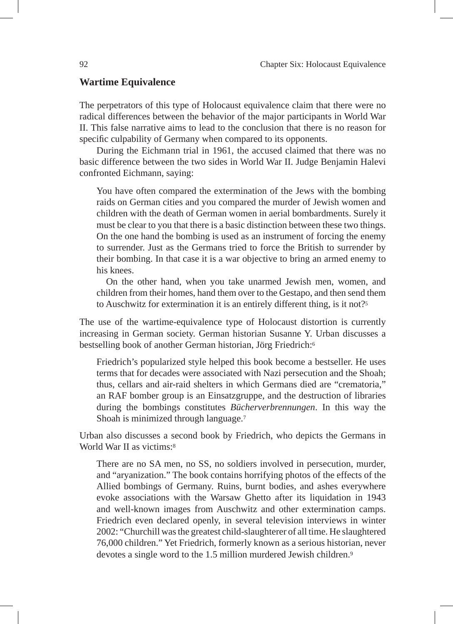#### **Wartime Equivalence**

The perpetrators of this type of Holocaust equivalence claim that there were no radical differences between the behavior of the major participants in World War II. This false narrative aims to lead to the conclusion that there is no reason for specific culpability of Germany when compared to its opponents.

During the Eichmann trial in 1961, the accused claimed that there was no basic difference between the two sides in World War II. Judge Benjamin Halevi confronted Eichmann, saying:

You have often compared the extermination of the Jews with the bombing raids on German cities and you compared the murder of Jewish women and children with the death of German women in aerial bombardments. Surely it must be clear to you that there is a basic distinction between these two things. On the one hand the bombing is used as an instrument of forcing the enemy to surrender. Just as the Germans tried to force the British to surrender by their bombing. In that case it is a war objective to bring an armed enemy to his knees.

On the other hand, when you take unarmed Jewish men, women, and children from their homes, hand them over to the Gestapo, and then send them to Auschwitz for extermination it is an entirely different thing, is it not?5

The use of the wartime-equivalence type of Holocaust distortion is currently increasing in German society. German historian Susanne Y. Urban discusses a bestselling book of another German historian, Jörg Friedrich:6

Friedrich's popularized style helped this book become a bestseller. He uses terms that for decades were associated with Nazi persecution and the Shoah; thus, cellars and air-raid shelters in which Germans died are "crematoria," an RAF bomber group is an Einsatzgruppe, and the destruction of libraries during the bombings constitutes *Bücherverbrennungen*. In this way the Shoah is minimized through language.7

Urban also discusses a second book by Friedrich, who depicts the Germans in World War II as victims:<sup>8</sup>

There are no SA men, no SS, no soldiers involved in persecution, murder, and "aryanization." The book contains horrifying photos of the effects of the Allied bombings of Germany. Ruins, burnt bodies, and ashes everywhere evoke associations with the Warsaw Ghetto after its liquidation in 1943 and well-known images from Auschwitz and other extermination camps. Friedrich even declared openly, in several television interviews in winter 2002: "Churchill was the greatest child-slaughterer of all time. He slaughtered 76,000 children." Yet Friedrich, formerly known as a serious historian, never devotes a single word to the 1.5 million murdered Jewish children.<sup>9</sup>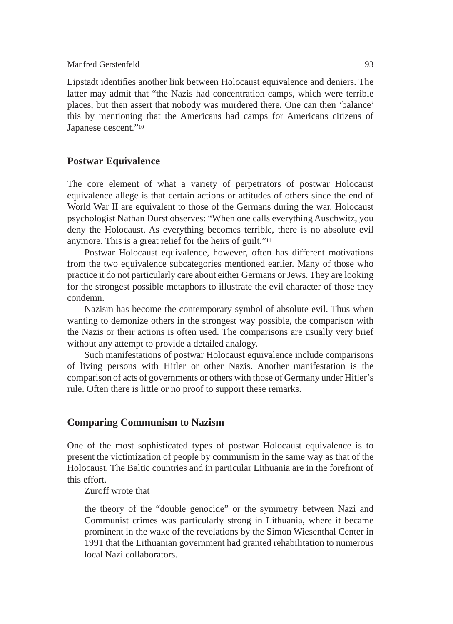Lipstadt identifies another link between Holocaust equivalence and deniers. The latter may admit that "the Nazis had concentration camps, which were terrible places, but then assert that nobody was murdered there. One can then 'balance' this by mentioning that the Americans had camps for Americans citizens of Japanese descent."10

#### **Postwar Equivalence**

The core element of what a variety of perpetrators of postwar Holocaust equivalence allege is that certain actions or attitudes of others since the end of World War II are equivalent to those of the Germans during the war. Holocaust psychologist Nathan Durst observes: "When one calls everything Auschwitz, you deny the Holocaust. As everything becomes terrible, there is no absolute evil anymore. This is a great relief for the heirs of guilt."11

Postwar Holocaust equivalence, however, often has different motivations from the two equivalence subcategories mentioned earlier. Many of those who practice it do not particularly care about either Germans or Jews. They are looking for the strongest possible metaphors to illustrate the evil character of those they condemn.

Nazism has become the contemporary symbol of absolute evil. Thus when wanting to demonize others in the strongest way possible, the comparison with the Nazis or their actions is often used. The comparisons are usually very brief without any attempt to provide a detailed analogy.

Such manifestations of postwar Holocaust equivalence include comparisons of living persons with Hitler or other Nazis. Another manifestation is the comparison of acts of governments or others with those of Germany under Hitler's rule. Often there is little or no proof to support these remarks.

#### **Comparing Communism to Nazism**

One of the most sophisticated types of postwar Holocaust equivalence is to present the victimization of people by communism in the same way as that of the Holocaust. The Baltic countries and in particular Lithuania are in the forefront of this effort.

Zuroff wrote that

the theory of the "double genocide" or the symmetry between Nazi and Communist crimes was particularly strong in Lithuania, where it became prominent in the wake of the revelations by the Simon Wiesenthal Center in 1991 that the Lithuanian government had granted rehabilitation to numerous local Nazi collaborators.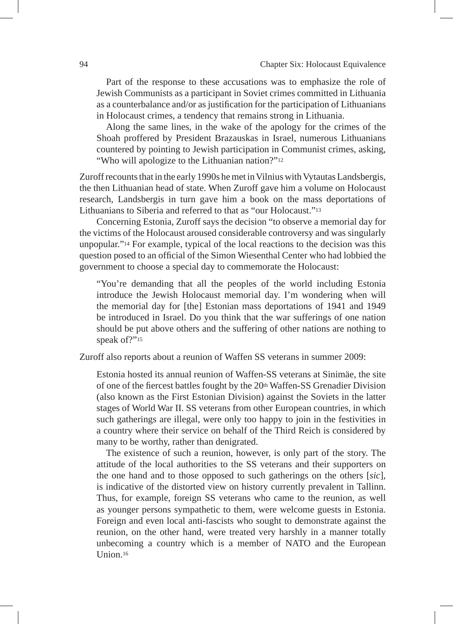Part of the response to these accusations was to emphasize the role of Jewish Communists as a participant in Soviet crimes committed in Lithuania as a counterbalance and/or as justification for the participation of Lithuanians in Holocaust crimes, a tendency that remains strong in Lithuania.

Along the same lines, in the wake of the apology for the crimes of the Shoah proffered by President Brazauskas in Israel, numerous Lithuanians countered by pointing to Jewish participation in Communist crimes, asking, "Who will apologize to the Lithuanian nation?"12

Zuroff recounts that in the early 1990s he met in Vilnius with Vytautas Landsbergis, the then Lithuanian head of state. When Zuroff gave him a volume on Holocaust research, Landsbergis in turn gave him a book on the mass deportations of Lithuanians to Siberia and referred to that as "our Holocaust."13

Concerning Estonia, Zuroff says the decision "to observe a memorial day for the victims of the Holocaust aroused considerable controversy and was singularly unpopular."14 For example, typical of the local reactions to the decision was this question posed to an official of the Simon Wiesenthal Center who had lobbied the government to choose a special day to commemorate the Holocaust:

"You're demanding that all the peoples of the world including Estonia introduce the Jewish Holocaust memorial day. I'm wondering when will the memorial day for [the] Estonian mass deportations of 1941 and 1949 be introduced in Israel. Do you think that the war sufferings of one nation should be put above others and the suffering of other nations are nothing to speak of?"<sup>15</sup>

Zuroff also reports about a reunion of Waffen SS veterans in summer 2009:

Estonia hosted its annual reunion of Waffen-SS veterans at Sinimäe, the site of one of the fiercest battles fought by the 20<sup>th</sup> Waffen-SS Grenadier Division (also known as the First Estonian Division) against the Soviets in the latter stages of World War II. SS veterans from other European countries, in which such gatherings are illegal, were only too happy to join in the festivities in a country where their service on behalf of the Third Reich is considered by many to be worthy, rather than denigrated.

The existence of such a reunion, however, is only part of the story. The attitude of the local authorities to the SS veterans and their supporters on the one hand and to those opposed to such gatherings on the others [*sic*], is indicative of the distorted view on history currently prevalent in Tallinn. Thus, for example, foreign SS veterans who came to the reunion, as well as younger persons sympathetic to them, were welcome guests in Estonia. Foreign and even local anti-fascists who sought to demonstrate against the reunion, on the other hand, were treated very harshly in a manner totally unbecoming a country which is a member of NATO and the European Union.16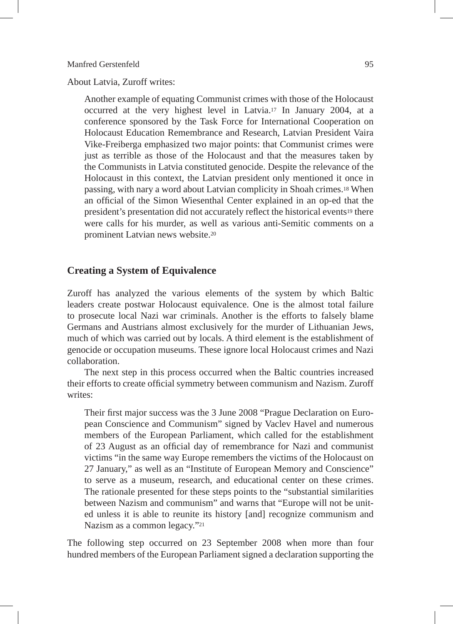About Latvia, Zuroff writes:

Another example of equating Communist crimes with those of the Holocaust occurred at the very highest level in Latvia.17 In January 2004, at a conference sponsored by the Task Force for International Cooperation on Holocaust Education Remembrance and Research, Latvian President Vaira Vike-Freiberga emphasized two major points: that Communist crimes were just as terrible as those of the Holocaust and that the measures taken by the Communists in Latvia constituted genocide. Despite the relevance of the Holocaust in this context, the Latvian president only mentioned it once in passing, with nary a word about Latvian complicity in Shoah crimes.18 When an official of the Simon Wiesenthal Center explained in an op-ed that the president's presentation did not accurately reflect the historical events19 there were calls for his murder, as well as various anti-Semitic comments on a prominent Latvian news website.20

### **Creating a System of Equivalence**

Zuroff has analyzed the various elements of the system by which Baltic leaders create postwar Holocaust equivalence. One is the almost total failure to prosecute local Nazi war criminals. Another is the efforts to falsely blame Germans and Austrians almost exclusively for the murder of Lithuanian Jews, much of which was carried out by locals. A third element is the establishment of genocide or occupation museums. These ignore local Holocaust crimes and Nazi collaboration.

The next step in this process occurred when the Baltic countries increased their efforts to create official symmetry between communism and Nazism. Zuroff writes:

Their first major success was the 3 June 2008 "Prague Declaration on European Conscience and Communism" signed by Vaclev Havel and numerous members of the European Parliament, which called for the establishment of 23 August as an official day of remembrance for Nazi and communist victims "in the same way Europe remembers the victims of the Holocaust on 27 January," as well as an "Institute of European Memory and Conscience" to serve as a museum, research, and educational center on these crimes. The rationale presented for these steps points to the "substantial similarities between Nazism and communism" and warns that "Europe will not be united unless it is able to reunite its history [and] recognize communism and Nazism as a common legacy."21

The following step occurred on 23 September 2008 when more than four hundred members of the European Parliament signed a declaration supporting the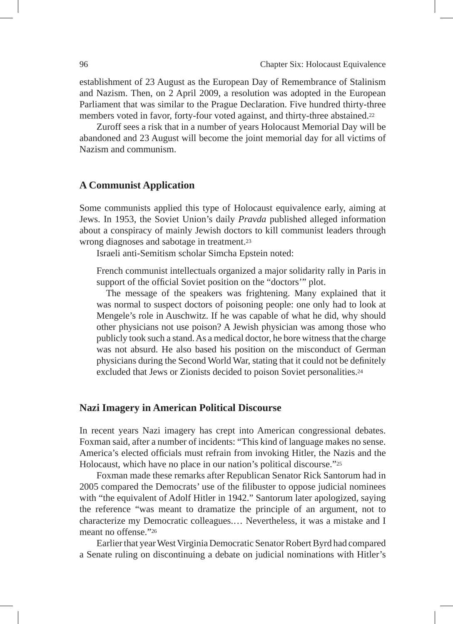establishment of 23 August as the European Day of Remembrance of Stalinism and Nazism. Then, on 2 April 2009, a resolution was adopted in the European Parliament that was similar to the Prague Declaration. Five hundred thirty-three members voted in favor, forty-four voted against, and thirty-three abstained.22

Zuroff sees a risk that in a number of years Holocaust Memorial Day will be abandoned and 23 August will become the joint memorial day for all victims of Nazism and communism.

### **A Communist Application**

Some communists applied this type of Holocaust equivalence early, aiming at Jews. In 1953, the Soviet Union's daily *Pravda* published alleged information about a conspiracy of mainly Jewish doctors to kill communist leaders through wrong diagnoses and sabotage in treatment.23

Israeli anti-Semitism scholar Simcha Epstein noted:

French communist intellectuals organized a major solidarity rally in Paris in support of the official Soviet position on the "doctors'" plot.

The message of the speakers was frightening. Many explained that it was normal to suspect doctors of poisoning people: one only had to look at Mengele's role in Auschwitz. If he was capable of what he did, why should other physicians not use poison? A Jewish physician was among those who publicly took such a stand. As a medical doctor, he bore witness that the charge was not absurd. He also based his position on the misconduct of German physicians during the Second World War, stating that it could not be definitely excluded that Jews or Zionists decided to poison Soviet personalities.24

#### **Nazi Imagery in American Political Discourse**

In recent years Nazi imagery has crept into American congressional debates. Foxman said, after a number of incidents: "This kind of language makes no sense. America's elected officials must refrain from invoking Hitler, the Nazis and the Holocaust, which have no place in our nation's political discourse."25

Foxman made these remarks after Republican Senator Rick Santorum had in 2005 compared the Democrats' use of the filibuster to oppose judicial nominees with "the equivalent of Adolf Hitler in 1942." Santorum later apologized, saying the reference "was meant to dramatize the principle of an argument, not to characterize my Democratic colleagues.… Nevertheless, it was a mistake and I meant no offense<sup>"26</sup>

Earlier that year West Virginia Democratic Senator Robert Byrd had compared a Senate ruling on discontinuing a debate on judicial nominations with Hitler's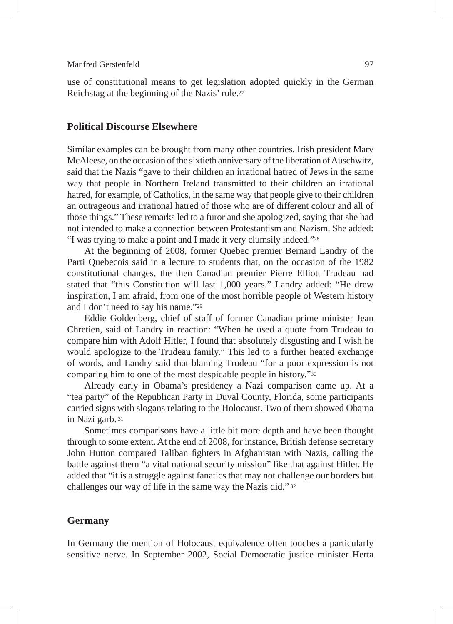use of constitutional means to get legislation adopted quickly in the German Reichstag at the beginning of the Nazis' rule.27

# **Political Discourse Elsewhere**

Similar examples can be brought from many other countries. Irish president Mary McAleese, on the occasion of the sixtieth anniversary of the liberation of Auschwitz, said that the Nazis "gave to their children an irrational hatred of Jews in the same way that people in Northern Ireland transmitted to their children an irrational hatred, for example, of Catholics, in the same way that people give to their children an outrageous and irrational hatred of those who are of different colour and all of those things." These remarks led to a furor and she apologized, saying that she had not intended to make a connection between Protestantism and Nazism. She added: "I was trying to make a point and I made it very clumsily indeed."28

At the beginning of 2008, former Quebec premier Bernard Landry of the Parti Quebecois said in a lecture to students that, on the occasion of the 1982 constitutional changes, the then Canadian premier Pierre Elliott Trudeau had stated that "this Constitution will last 1,000 years." Landry added: "He drew inspiration, I am afraid, from one of the most horrible people of Western history and I don't need to say his name."29

Eddie Goldenberg, chief of staff of former Canadian prime minister Jean Chretien, said of Landry in reaction: "When he used a quote from Trudeau to compare him with Adolf Hitler, I found that absolutely disgusting and I wish he would apologize to the Trudeau family." This led to a further heated exchange of words, and Landry said that blaming Trudeau "for a poor expression is not comparing him to one of the most despicable people in history."30

Already early in Obama's presidency a Nazi comparison came up. At a "tea party" of the Republican Party in Duval County, Florida, some participants carried signs with slogans relating to the Holocaust. Two of them showed Obama in Nazi garb. 31

Sometimes comparisons have a little bit more depth and have been thought through to some extent. At the end of 2008, for instance, British defense secretary John Hutton compared Taliban fighters in Afghanistan with Nazis, calling the battle against them "a vital national security mission" like that against Hitler. He added that "it is a struggle against fanatics that may not challenge our borders but challenges our way of life in the same way the Nazis did." 32

## **Germany**

In Germany the mention of Holocaust equivalence often touches a particularly sensitive nerve. In September 2002, Social Democratic justice minister Herta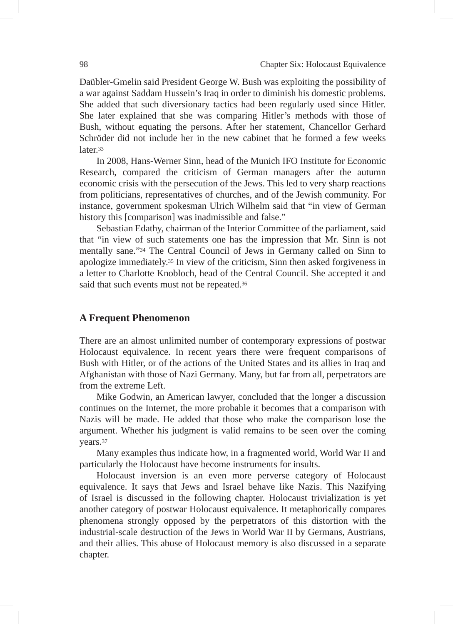Daübler-Gmelin said President George W. Bush was exploiting the possibility of a war against Saddam Hussein's Iraq in order to diminish his domestic problems. She added that such diversionary tactics had been regularly used since Hitler. She later explained that she was comparing Hitler's methods with those of Bush, without equating the persons. After her statement, Chancellor Gerhard Schröder did not include her in the new cabinet that he formed a few weeks later.33

In 2008, Hans-Werner Sinn, head of the Munich IFO Institute for Economic Research, compared the criticism of German managers after the autumn economic crisis with the persecution of the Jews. This led to very sharp reactions from politicians, representatives of churches, and of the Jewish community. For instance, government spokesman Ulrich Wilhelm said that "in view of German history this [comparison] was inadmissible and false."

Sebastian Edathy, chairman of the Interior Committee of the parliament, said that "in view of such statements one has the impression that Mr. Sinn is not mentally sane."34 The Central Council of Jews in Germany called on Sinn to apologize immediately.35 In view of the criticism, Sinn then asked forgiveness in a letter to Charlotte Knobloch, head of the Central Council. She accepted it and said that such events must not be repeated.<sup>36</sup>

## **A Frequent Phenomenon**

There are an almost unlimited number of contemporary expressions of postwar Holocaust equivalence. In recent years there were frequent comparisons of Bush with Hitler, or of the actions of the United States and its allies in Iraq and Afghanistan with those of Nazi Germany. Many, but far from all, perpetrators are from the extreme Left.

Mike Godwin, an American lawyer, concluded that the longer a discussion continues on the Internet, the more probable it becomes that a comparison with Nazis will be made. He added that those who make the comparison lose the argument. Whether his judgment is valid remains to be seen over the coming years.37

Many examples thus indicate how, in a fragmented world, World War II and particularly the Holocaust have become instruments for insults.

Holocaust inversion is an even more perverse category of Holocaust equivalence. It says that Jews and Israel behave like Nazis. This Nazifying of Israel is discussed in the following chapter. Holocaust trivialization is yet another category of postwar Holocaust equivalence. It metaphorically compares phenomena strongly opposed by the perpetrators of this distortion with the industrial-scale destruction of the Jews in World War II by Germans, Austrians, and their allies. This abuse of Holocaust memory is also discussed in a separate chapter.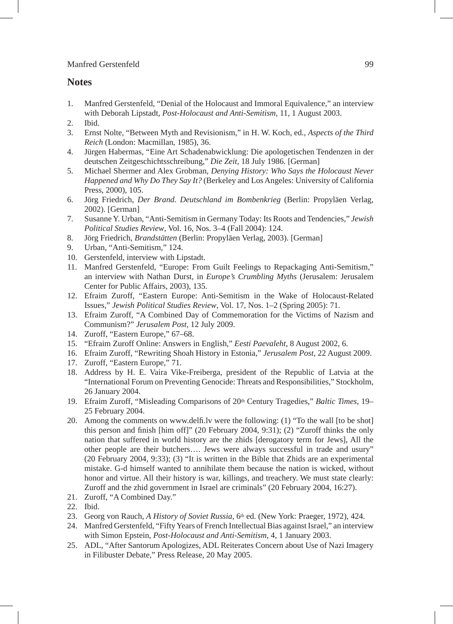#### **Notes**

- 1. Manfred Gerstenfeld, "Denial of the Holocaust and Immoral Equivalence," an interview with Deborah Lipstadt, *Post-Holocaust and Anti-Semitism,* 11, 1 August 2003.
- 2. Ibid.
- 3. Ernst Nolte, "Between Myth and Revisionism," in H. W. Koch, ed., *Aspects of the Third Reich* (London: Macmillan, 1985), 36.
- 4. Jürgen Habermas, "Eine Art Schadenabwicklung: Die apologetischen Tendenzen in der deutschen Zeitgeschichtsschreibung," *Die Zeit*, 18 July 1986. [German]
- 5. Michael Shermer and Alex Grobman, *Denying History: Who Says the Holocaust Never Happened and Why Do They Say It?* (Berkeley and Los Angeles: University of California Press, 2000), 105.
- 6. Jörg Friedrich, *Der Brand. Deutschland im Bombenkrieg* (Berlin: Propyläen Verlag, 2002). [German]
- 7. Susanne Y. Urban, "Anti-Semitism in Germany Today: Its Roots and Tendencies," *Jewish Political Studies Review*, Vol. 16, Nos. 3–4 (Fall 2004): 124.
- 8. Jörg Friedrich, *Brandstätten* (Berlin: Propyläen Verlag, 2003). [German]
- 9. Urban, "Anti-Semitism," 124.
- 10. Gerstenfeld, interview with Lipstadt.
- 11. Manfred Gerstenfeld, "Europe: From Guilt Feelings to Repackaging Anti-Semitism," an interview with Nathan Durst, in *Europe's Crumbling Myths* (Jerusalem: Jerusalem Center for Public Affairs, 2003), 135.
- 12. Efraim Zuroff, "Eastern Europe: Anti-Semitism in the Wake of Holocaust-Related Issues," *Jewish Political Studies Review*, Vol. 17, Nos. 1–2 (Spring 2005): 71.
- 13. Efraim Zuroff, "A Combined Day of Commemoration for the Victims of Nazism and Communism?" *Jerusalem Post*, 12 July 2009.
- 14. Zuroff, "Eastern Europe," 67–68.
- 15. "Efraim Zuroff Online: Answers in English," *Eesti Paevaleht*, 8 August 2002, 6.
- 16. Efraim Zuroff, "Rewriting Shoah History in Estonia," *Jerusalem Post*, 22 August 2009.
- 17. Zuroff, "Eastern Europe," 71.
- 18. Address by H. E. Vaira Vike-Freiberga, president of the Republic of Latvia at the "International Forum on Preventing Genocide: Threats and Responsibilities," Stockholm, 26 January 2004.
- 19. Efraim Zuroff, "Misleading Comparisons of 20th Century Tragedies," *Baltic Times*, 19– 25 February 2004.
- 20. Among the comments on www.delfi.lv were the following: (1) "To the wall [to be shot] this person and finish [him off]" (20 February 2004, 9:31); (2) "Zuroff thinks the only nation that suffered in world history are the zhids [derogatory term for Jews], All the other people are their butchers…. Jews were always successful in trade and usury" (20 February 2004, 9:33); (3) "It is written in the Bible that Zhids are an experimental mistake. G-d himself wanted to annihilate them because the nation is wicked, without honor and virtue. All their history is war, killings, and treachery. We must state clearly: Zuroff and the zhid government in Israel are criminals" (20 February 2004, 16:27).
- 21. Zuroff, "A Combined Day."
- 22. Ibid.
- 23. Georg von Rauch, *A History of Soviet Russia*, 6th ed. (New York: Praeger, 1972), 424.
- 24. Manfred Gerstenfeld, "Fifty Years of French Intellectual Bias against Israel," an interview with Simon Epstein, *Post-Holocaust and Anti-Semitism*, 4, 1 January 2003.
- 25. ADL, "After Santorum Apologizes, ADL Reiterates Concern about Use of Nazi Imagery in Filibuster Debate," Press Release, 20 May 2005.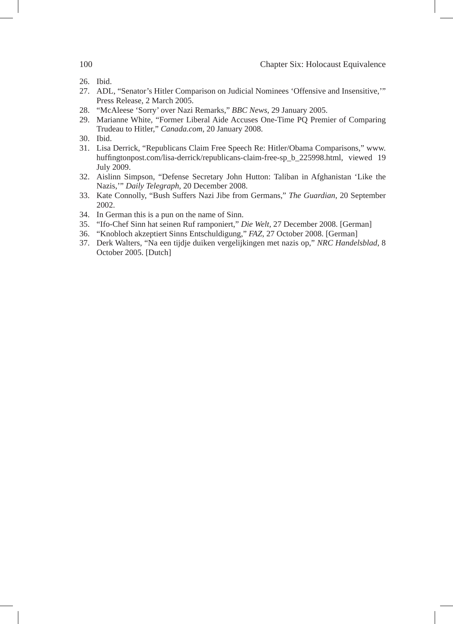- 26. Ibid.
- 27. ADL, "Senator's Hitler Comparison on Judicial Nominees 'Offensive and Insensitive,'" Press Release, 2 March 2005.
- 28. "McAleese 'Sorry' over Nazi Remarks," *BBC News*, 29 January 2005.
- 29. Marianne White, "Former Liberal Aide Accuses One-Time PQ Premier of Comparing Trudeau to Hitler," *Canada.com*, 20 January 2008.
- 30. Ibid.
- 31. Lisa Derrick, "Republicans Claim Free Speech Re: Hitler/Obama Comparisons," www. huffingtonpost.com/lisa-derrick/republicans-claim-free-sp\_b\_225998.html, viewed 19 July 2009.
- 32. Aislinn Simpson, "Defense Secretary John Hutton: Taliban in Afghanistan 'Like the Nazis,'" *Daily Telegraph*, 20 December 2008.
- 33. Kate Connolly, "Bush Suffers Nazi Jibe from Germans," *The Guardian*, 20 September 2002.
- 34. In German this is a pun on the name of Sinn.
- 35. "Ifo-Chef Sinn hat seinen Ruf ramponiert," *Die Welt,* 27 December 2008. [German]
- 36. "Knobloch akzeptiert Sinns Entschuldigung," *FAZ*, 27 October 2008. [German]
- 37. Derk Walters, "Na een tijdje duiken vergelijkingen met nazis op," *NRC Handelsblad*, 8 October 2005. [Dutch]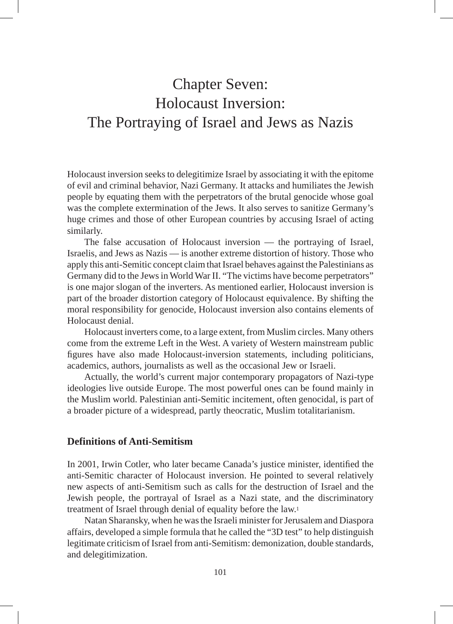# Chapter Seven: Holocaust Inversion: The Portraying of Israel and Jews as Nazis

Holocaust inversion seeks to delegitimize Israel by associating it with the epitome of evil and criminal behavior, Nazi Germany. It attacks and humiliates the Jewish people by equating them with the perpetrators of the brutal genocide whose goal was the complete extermination of the Jews. It also serves to sanitize Germany's huge crimes and those of other European countries by accusing Israel of acting similarly.

The false accusation of Holocaust inversion — the portraying of Israel, Israelis, and Jews as Nazis — is another extreme distortion of history. Those who apply this anti-Semitic concept claim that Israel behaves against the Palestinians as Germany did to the Jews in World War II. "The victims have become perpetrators" is one major slogan of the inverters. As mentioned earlier, Holocaust inversion is part of the broader distortion category of Holocaust equivalence. By shifting the moral responsibility for genocide, Holocaust inversion also contains elements of Holocaust denial.

Holocaust inverters come, to a large extent, from Muslim circles. Many others come from the extreme Left in the West. A variety of Western mainstream public figures have also made Holocaust-inversion statements, including politicians, academics, authors, journalists as well as the occasional Jew or Israeli.

Actually, the world's current major contemporary propagators of Nazi-type ideologies live outside Europe. The most powerful ones can be found mainly in the Muslim world. Palestinian anti-Semitic incitement, often genocidal, is part of a broader picture of a widespread, partly theocratic, Muslim totalitarianism.

# **Definitions of Anti-Semitism**

In 2001, Irwin Cotler, who later became Canada's justice minister, identified the anti-Semitic character of Holocaust inversion. He pointed to several relatively new aspects of anti-Semitism such as calls for the destruction of Israel and the Jewish people, the portrayal of Israel as a Nazi state, and the discriminatory treatment of Israel through denial of equality before the law.1

Natan Sharansky, when he was the Israeli minister for Jerusalem and Diaspora affairs, developed a simple formula that he called the "3D test" to help distinguish legitimate criticism of Israel from anti-Semitism: demonization, double standards, and delegitimization.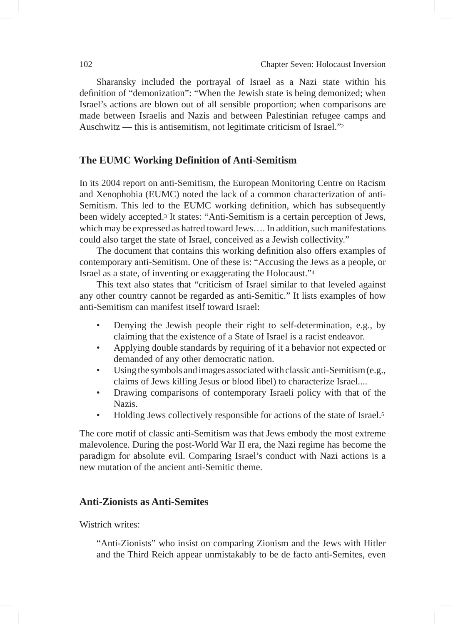Sharansky included the portrayal of Israel as a Nazi state within his definition of "demonization": "When the Jewish state is being demonized; when Israel's actions are blown out of all sensible proportion; when comparisons are made between Israelis and Nazis and between Palestinian refugee camps and Auschwitz — this is antisemitism, not legitimate criticism of Israel."2

# **The EUMC Working Definition of Anti-Semitism**

In its 2004 report on anti-Semitism, the European Monitoring Centre on Racism and Xenophobia (EUMC) noted the lack of a common characterization of anti-Semitism. This led to the EUMC working definition, which has subsequently been widely accepted.3 It states: "Anti-Semitism is a certain perception of Jews, which may be expressed as hatred toward Jews…. In addition, such manifestations could also target the state of Israel, conceived as a Jewish collectivity."

The document that contains this working definition also offers examples of contemporary anti-Semitism. One of these is: "Accusing the Jews as a people, or Israel as a state, of inventing or exaggerating the Holocaust."4

This text also states that "criticism of Israel similar to that leveled against any other country cannot be regarded as anti-Semitic." It lists examples of how anti-Semitism can manifest itself toward Israel:

- Denying the Jewish people their right to self-determination, e.g., by claiming that the existence of a State of Israel is a racist endeavor.
- Applying double standards by requiring of it a behavior not expected or demanded of any other democratic nation.
- Using the symbols and images associated with classic anti-Semitism (e.g., claims of Jews killing Jesus or blood libel) to characterize Israel....
- Drawing comparisons of contemporary Israeli policy with that of the Nazis.
- Holding Jews collectively responsible for actions of the state of Israel.<sup>5</sup>

The core motif of classic anti-Semitism was that Jews embody the most extreme malevolence. During the post-World War II era, the Nazi regime has become the paradigm for absolute evil. Comparing Israel's conduct with Nazi actions is a new mutation of the ancient anti-Semitic theme.

# **Anti-Zionists as Anti-Semites**

Wistrich writes:

"Anti-Zionists" who insist on comparing Zionism and the Jews with Hitler and the Third Reich appear unmistakably to be de facto anti-Semites, even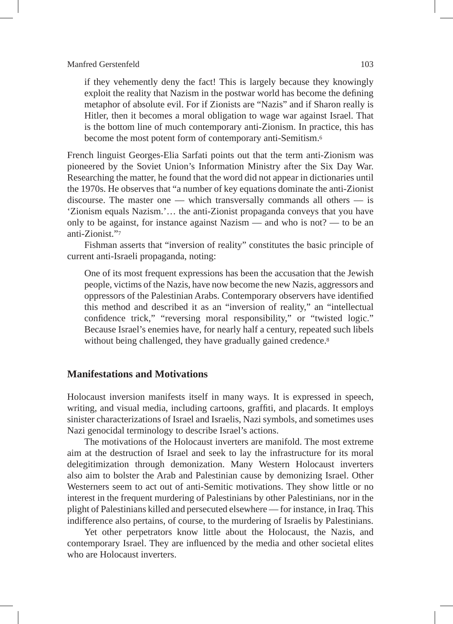if they vehemently deny the fact! This is largely because they knowingly exploit the reality that Nazism in the postwar world has become the defining metaphor of absolute evil. For if Zionists are "Nazis" and if Sharon really is Hitler, then it becomes a moral obligation to wage war against Israel. That is the bottom line of much contemporary anti-Zionism. In practice, this has become the most potent form of contemporary anti-Semitism.6

French linguist Georges-Elia Sarfati points out that the term anti-Zionism was pioneered by the Soviet Union's Information Ministry after the Six Day War. Researching the matter, he found that the word did not appear in dictionaries until the 1970s. He observes that "a number of key equations dominate the anti-Zionist discourse. The master one — which transversally commands all others — is 'Zionism equals Nazism.'… the anti-Zionist propaganda conveys that you have only to be against, for instance against Nazism — and who is not? — to be an anti-Zionist."7

Fishman asserts that "inversion of reality" constitutes the basic principle of current anti-Israeli propaganda, noting:

One of its most frequent expressions has been the accusation that the Jewish people, victims of the Nazis, have now become the new Nazis, aggressors and oppressors of the Palestinian Arabs. Contemporary observers have identified this method and described it as an "inversion of reality," an "intellectual confidence trick," "reversing moral responsibility," or "twisted logic." Because Israel's enemies have, for nearly half a century, repeated such libels without being challenged, they have gradually gained credence.<sup>8</sup>

# **Manifestations and Motivations**

Holocaust inversion manifests itself in many ways. It is expressed in speech, writing, and visual media, including cartoons, graffiti, and placards. It employs sinister characterizations of Israel and Israelis, Nazi symbols, and sometimes uses Nazi genocidal terminology to describe Israel's actions.

The motivations of the Holocaust inverters are manifold. The most extreme aim at the destruction of Israel and seek to lay the infrastructure for its moral delegitimization through demonization. Many Western Holocaust inverters also aim to bolster the Arab and Palestinian cause by demonizing Israel. Other Westerners seem to act out of anti-Semitic motivations. They show little or no interest in the frequent murdering of Palestinians by other Palestinians, nor in the plight of Palestinians killed and persecuted elsewhere — for instance, in Iraq. This indifference also pertains, of course, to the murdering of Israelis by Palestinians.

Yet other perpetrators know little about the Holocaust, the Nazis, and contemporary Israel. They are influenced by the media and other societal elites who are Holocaust inverters.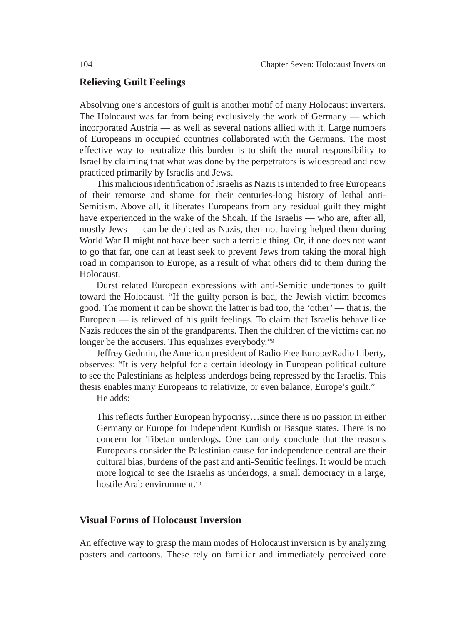#### **Relieving Guilt Feelings**

Absolving one's ancestors of guilt is another motif of many Holocaust inverters. The Holocaust was far from being exclusively the work of Germany — which incorporated Austria — as well as several nations allied with it. Large numbers of Europeans in occupied countries collaborated with the Germans. The most effective way to neutralize this burden is to shift the moral responsibility to Israel by claiming that what was done by the perpetrators is widespread and now practiced primarily by Israelis and Jews.

This malicious identification of Israelis as Nazis is intended to free Europeans of their remorse and shame for their centuries-long history of lethal anti-Semitism. Above all, it liberates Europeans from any residual guilt they might have experienced in the wake of the Shoah. If the Israelis — who are, after all, mostly Jews — can be depicted as Nazis, then not having helped them during World War II might not have been such a terrible thing. Or, if one does not want to go that far, one can at least seek to prevent Jews from taking the moral high road in comparison to Europe, as a result of what others did to them during the Holocaust.

Durst related European expressions with anti-Semitic undertones to guilt toward the Holocaust. "If the guilty person is bad, the Jewish victim becomes good. The moment it can be shown the latter is bad too, the 'other' — that is, the European — is relieved of his guilt feelings. To claim that Israelis behave like Nazis reduces the sin of the grandparents. Then the children of the victims can no longer be the accusers. This equalizes everybody."<sup>9</sup>

Jeffrey Gedmin, the American president of Radio Free Europe/Radio Liberty, observes: "It is very helpful for a certain ideology in European political culture to see the Palestinians as helpless underdogs being repressed by the Israelis. This thesis enables many Europeans to relativize, or even balance, Europe's guilt."

He adds:

This reflects further European hypocrisy…since there is no passion in either Germany or Europe for independent Kurdish or Basque states. There is no concern for Tibetan underdogs. One can only conclude that the reasons Europeans consider the Palestinian cause for independence central are their cultural bias, burdens of the past and anti-Semitic feelings. It would be much more logical to see the Israelis as underdogs, a small democracy in a large, hostile Arab environment.10

# **Visual Forms of Holocaust Inversion**

An effective way to grasp the main modes of Holocaust inversion is by analyzing posters and cartoons. These rely on familiar and immediately perceived core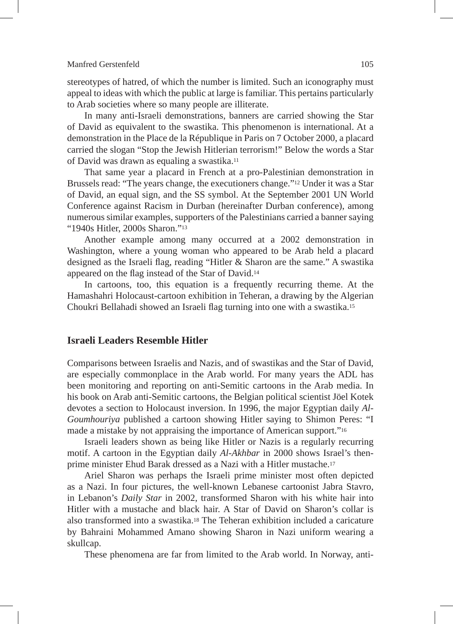stereotypes of hatred, of which the number is limited. Such an iconography must appeal to ideas with which the public at large is familiar. This pertains particularly to Arab societies where so many people are illiterate.

In many anti-Israeli demonstrations, banners are carried showing the Star of David as equivalent to the swastika. This phenomenon is international. At a demonstration in the Place de la République in Paris on 7 October 2000, a placard carried the slogan "Stop the Jewish Hitlerian terrorism!" Below the words a Star of David was drawn as equaling a swastika.11

That same year a placard in French at a pro-Palestinian demonstration in Brussels read: "The years change, the executioners change."12 Under it was a Star of David, an equal sign, and the SS symbol. At the September 2001 UN World Conference against Racism in Durban (hereinafter Durban conference), among numerous similar examples, supporters of the Palestinians carried a banner saying "1940s Hitler, 2000s Sharon."13

Another example among many occurred at a 2002 demonstration in Washington, where a young woman who appeared to be Arab held a placard designed as the Israeli flag, reading "Hitler & Sharon are the same." A swastika appeared on the flag instead of the Star of David.14

In cartoons, too, this equation is a frequently recurring theme. At the Hamashahri Holocaust-cartoon exhibition in Teheran, a drawing by the Algerian Choukri Bellahadi showed an Israeli flag turning into one with a swastika.15

# **Israeli Leaders Resemble Hitler**

Comparisons between Israelis and Nazis, and of swastikas and the Star of David, are especially commonplace in the Arab world. For many years the ADL has been monitoring and reporting on anti-Semitic cartoons in the Arab media. In his book on Arab anti-Semitic cartoons, the Belgian political scientist Jöel Kotek devotes a section to Holocaust inversion. In 1996, the major Egyptian daily *Al-Goumhouriya* published a cartoon showing Hitler saying to Shimon Peres: "I made a mistake by not appraising the importance of American support."16

Israeli leaders shown as being like Hitler or Nazis is a regularly recurring motif. A cartoon in the Egyptian daily *Al-Akhbar* in 2000 shows Israel's thenprime minister Ehud Barak dressed as a Nazi with a Hitler mustache.17

Ariel Sharon was perhaps the Israeli prime minister most often depicted as a Nazi. In four pictures, the well-known Lebanese cartoonist Jabra Stavro, in Lebanon's *Daily Star* in 2002, transformed Sharon with his white hair into Hitler with a mustache and black hair. A Star of David on Sharon's collar is also transformed into a swastika.18 The Teheran exhibition included a caricature by Bahraini Mohammed Amano showing Sharon in Nazi uniform wearing a skullcap.

These phenomena are far from limited to the Arab world. In Norway, anti-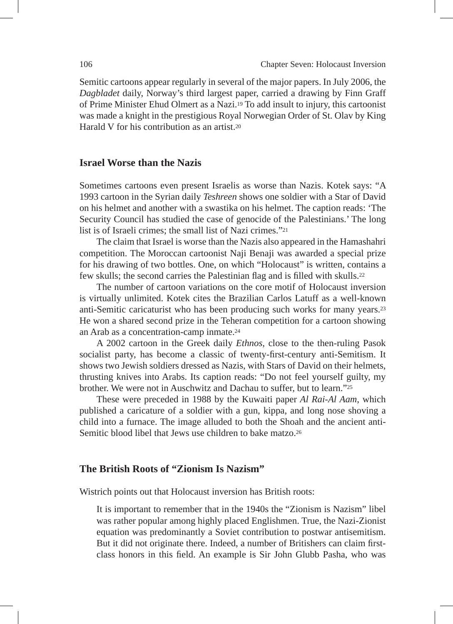Semitic cartoons appear regularly in several of the major papers. In July 2006, the *Dagbladet* daily, Norway's third largest paper, carried a drawing by Finn Graff of Prime Minister Ehud Olmert as a Nazi.19 To add insult to injury, this cartoonist was made a knight in the prestigious Royal Norwegian Order of St. Olav by King Harald V for his contribution as an artist  $20$ 

# **Israel Worse than the Nazis**

Sometimes cartoons even present Israelis as worse than Nazis. Kotek says: "A 1993 cartoon in the Syrian daily *Teshreen* shows one soldier with a Star of David on his helmet and another with a swastika on his helmet. The caption reads: 'The Security Council has studied the case of genocide of the Palestinians.' The long list is of Israeli crimes; the small list of Nazi crimes."21

The claim that Israel is worse than the Nazis also appeared in the Hamashahri competition. The Moroccan cartoonist Naji Benaji was awarded a special prize for his drawing of two bottles. One, on which "Holocaust" is written, contains a few skulls; the second carries the Palestinian flag and is filled with skulls.22

The number of cartoon variations on the core motif of Holocaust inversion is virtually unlimited. Kotek cites the Brazilian Carlos Latuff as a well-known anti-Semitic caricaturist who has been producing such works for many years.23 He won a shared second prize in the Teheran competition for a cartoon showing an Arab as a concentration-camp inmate.24

A 2002 cartoon in the Greek daily *Ethnos*, close to the then-ruling Pasok socialist party, has become a classic of twenty-first-century anti-Semitism. It shows two Jewish soldiers dressed as Nazis, with Stars of David on their helmets, thrusting knives into Arabs. Its caption reads: "Do not feel yourself guilty, my brother. We were not in Auschwitz and Dachau to suffer, but to learn."25

These were preceded in 1988 by the Kuwaiti paper *Al Rai-Al Aam*, which published a caricature of a soldier with a gun, kippa, and long nose shoving a child into a furnace. The image alluded to both the Shoah and the ancient anti-Semitic blood libel that Jews use children to bake matzo.26

## **The British Roots of "Zionism Is Nazism"**

Wistrich points out that Holocaust inversion has British roots:

It is important to remember that in the 1940s the "Zionism is Nazism" libel was rather popular among highly placed Englishmen. True, the Nazi-Zionist equation was predominantly a Soviet contribution to postwar antisemitism. But it did not originate there. Indeed, a number of Britishers can claim firstclass honors in this field. An example is Sir John Glubb Pasha, who was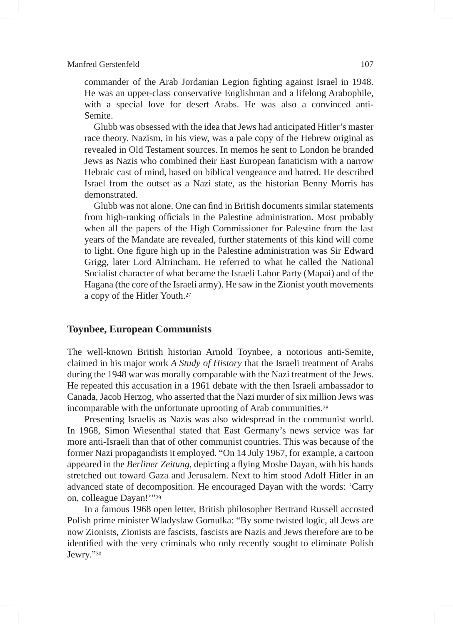commander of the Arab Jordanian Legion fighting against Israel in 1948. He was an upper-class conservative Englishman and a lifelong Arabophile, with a special love for desert Arabs. He was also a convinced anti-Semite.

Glubb was obsessed with the idea that Jews had anticipated Hitler's master race theory. Nazism, in his view, was a pale copy of the Hebrew original as revealed in Old Testament sources. In memos he sent to London he branded Jews as Nazis who combined their East European fanaticism with a narrow Hebraic cast of mind, based on biblical vengeance and hatred. He described Israel from the outset as a Nazi state, as the historian Benny Morris has demonstrated.

Glubb was not alone. One can find in British documents similar statements from high-ranking officials in the Palestine administration. Most probably when all the papers of the High Commissioner for Palestine from the last years of the Mandate are revealed, further statements of this kind will come to light. One figure high up in the Palestine administration was Sir Edward Grigg, later Lord Altrincham. He referred to what he called the National Socialist character of what became the Israeli Labor Party (Mapai) and of the Hagana (the core of the Israeli army). He saw in the Zionist youth movements a copy of the Hitler Youth.27

# **Toynbee, European Communists**

The well-known British historian Arnold Toynbee, a notorious anti-Semite, claimed in his major work *A Study of History* that the Israeli treatment of Arabs during the 1948 war was morally comparable with the Nazi treatment of the Jews. He repeated this accusation in a 1961 debate with the then Israeli ambassador to Canada, Jacob Herzog, who asserted that the Nazi murder of six million Jews was incomparable with the unfortunate uprooting of Arab communities.28

Presenting Israelis as Nazis was also widespread in the communist world. In 1968, Simon Wiesenthal stated that East Germany's news service was far more anti-Israeli than that of other communist countries. This was because of the former Nazi propagandists it employed. "On 14 July 1967, for example, a cartoon appeared in the *Berliner Zeitung*, depicting a flying Moshe Dayan, with his hands stretched out toward Gaza and Jerusalem. Next to him stood Adolf Hitler in an advanced state of decomposition. He encouraged Dayan with the words: 'Carry on, colleague Dayan!'"29

In a famous 1968 open letter, British philosopher Bertrand Russell accosted Polish prime minister Wladyslaw Gomulka: "By some twisted logic, all Jews are now Zionists, Zionists are fascists, fascists are Nazis and Jews therefore are to be identified with the very criminals who only recently sought to eliminate Polish Jewry."30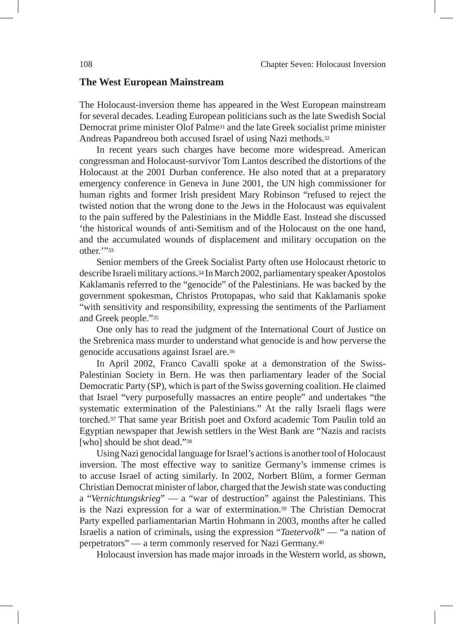### **The West European Mainstream**

The Holocaust-inversion theme has appeared in the West European mainstream for several decades. Leading European politicians such as the late Swedish Social Democrat prime minister Olof Palme31 and the late Greek socialist prime minister Andreas Papandreou both accused Israel of using Nazi methods.32

In recent years such charges have become more widespread. American congressman and Holocaust-survivor Tom Lantos described the distortions of the Holocaust at the 2001 Durban conference. He also noted that at a preparatory emergency conference in Geneva in June 2001, the UN high commissioner for human rights and former Irish president Mary Robinson "refused to reject the twisted notion that the wrong done to the Jews in the Holocaust was equivalent to the pain suffered by the Palestinians in the Middle East. Instead she discussed 'the historical wounds of anti-Semitism and of the Holocaust on the one hand, and the accumulated wounds of displacement and military occupation on the other.'"33

Senior members of the Greek Socialist Party often use Holocaust rhetoric to describe Israeli military actions.34 In March 2002, parliamentary speaker Apostolos Kaklamanis referred to the "genocide" of the Palestinians. He was backed by the government spokesman, Christos Protopapas, who said that Kaklamanis spoke "with sensitivity and responsibility, expressing the sentiments of the Parliament and Greek people."35

One only has to read the judgment of the International Court of Justice on the Srebrenica mass murder to understand what genocide is and how perverse the genocide accusations against Israel are.36

In April 2002, Franco Cavalli spoke at a demonstration of the Swiss-Palestinian Society in Bern. He was then parliamentary leader of the Social Democratic Party (SP), which is part of the Swiss governing coalition. He claimed that Israel "very purposefully massacres an entire people" and undertakes "the systematic extermination of the Palestinians." At the rally Israeli flags were torched.37 That same year British poet and Oxford academic Tom Paulin told an Egyptian newspaper that Jewish settlers in the West Bank are "Nazis and racists [who] should be shot dead."<sup>38</sup>

Using Nazi genocidal language for Israel's actions is another tool of Holocaust inversion. The most effective way to sanitize Germany's immense crimes is to accuse Israel of acting similarly. In 2002, Norbert Blüm, a former German Christian Democrat minister of labor, charged that the Jewish state was conducting a "*Vernichtungskrieg*" — a "war of destruction" against the Palestinians. This is the Nazi expression for a war of extermination.39 The Christian Democrat Party expelled parliamentarian Martin Hohmann in 2003, months after he called Israelis a nation of criminals, using the expression "*Taetervolk*" — "a nation of perpetrators" — a term commonly reserved for Nazi Germany.40

Holocaust inversion has made major inroads in the Western world, as shown,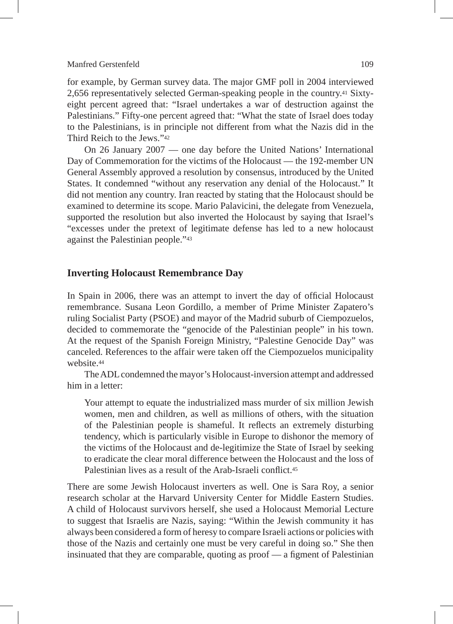for example, by German survey data. The major GMF poll in 2004 interviewed 2,656 representatively selected German-speaking people in the country.41 Sixtyeight percent agreed that: "Israel undertakes a war of destruction against the Palestinians." Fifty-one percent agreed that: "What the state of Israel does today to the Palestinians, is in principle not different from what the Nazis did in the Third Reich to the Jews."42

On 26 January 2007 — one day before the United Nations' International Day of Commemoration for the victims of the Holocaust — the 192-member UN General Assembly approved a resolution by consensus, introduced by the United States. It condemned "without any reservation any denial of the Holocaust." It did not mention any country. Iran reacted by stating that the Holocaust should be examined to determine its scope. Mario Palavicini, the delegate from Venezuela, supported the resolution but also inverted the Holocaust by saying that Israel's "excesses under the pretext of legitimate defense has led to a new holocaust against the Palestinian people."43

### **Inverting Holocaust Remembrance Day**

In Spain in 2006, there was an attempt to invert the day of official Holocaust remembrance. Susana Leon Gordillo, a member of Prime Minister Zapatero's ruling Socialist Party (PSOE) and mayor of the Madrid suburb of Ciempozuelos, decided to commemorate the "genocide of the Palestinian people" in his town. At the request of the Spanish Foreign Ministry, "Palestine Genocide Day" was canceled. References to the affair were taken off the Ciempozuelos municipality website.44

The ADL condemned the mayor's Holocaust-inversion attempt and addressed him in a letter:

Your attempt to equate the industrialized mass murder of six million Jewish women, men and children, as well as millions of others, with the situation of the Palestinian people is shameful. It reflects an extremely disturbing tendency, which is particularly visible in Europe to dishonor the memory of the victims of the Holocaust and de-legitimize the State of Israel by seeking to eradicate the clear moral difference between the Holocaust and the loss of Palestinian lives as a result of the Arab-Israeli conflict.<sup>45</sup>

There are some Jewish Holocaust inverters as well. One is Sara Roy, a senior research scholar at the Harvard University Center for Middle Eastern Studies. A child of Holocaust survivors herself, she used a Holocaust Memorial Lecture to suggest that Israelis are Nazis, saying: "Within the Jewish community it has always been considered a form of heresy to compare Israeli actions or policies with those of the Nazis and certainly one must be very careful in doing so." She then insinuated that they are comparable, quoting as proof — a figment of Palestinian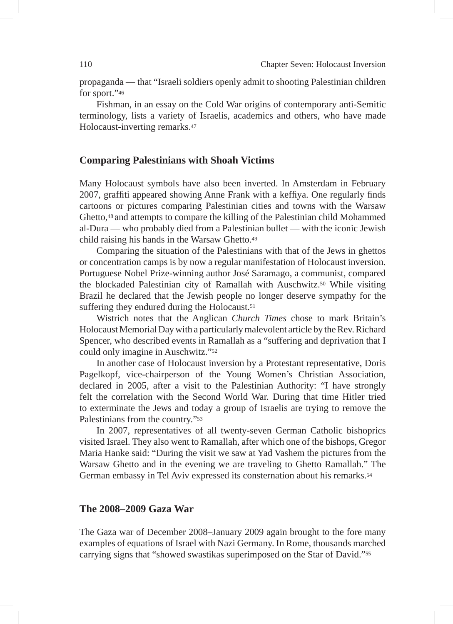propaganda — that "Israeli soldiers openly admit to shooting Palestinian children for sport."46

Fishman, in an essay on the Cold War origins of contemporary anti-Semitic terminology, lists a variety of Israelis, academics and others, who have made Holocaust-inverting remarks.47

#### **Comparing Palestinians with Shoah Victims**

Many Holocaust symbols have also been inverted. In Amsterdam in February 2007, graffiti appeared showing Anne Frank with a keffiya. One regularly finds cartoons or pictures comparing Palestinian cities and towns with the Warsaw Ghetto,48 and attempts to compare the killing of the Palestinian child Mohammed al-Dura — who probably died from a Palestinian bullet — with the iconic Jewish child raising his hands in the Warsaw Ghetto.49

Comparing the situation of the Palestinians with that of the Jews in ghettos or concentration camps is by now a regular manifestation of Holocaust inversion. Portuguese Nobel Prize-winning author José Saramago, a communist, compared the blockaded Palestinian city of Ramallah with Auschwitz.50 While visiting Brazil he declared that the Jewish people no longer deserve sympathy for the suffering they endured during the Holocaust.<sup>51</sup>

Wistrich notes that the Anglican *Church Times* chose to mark Britain's Holocaust Memorial Day with a particularly malevolent article by the Rev. Richard Spencer, who described events in Ramallah as a "suffering and deprivation that I could only imagine in Auschwitz."52

In another case of Holocaust inversion by a Protestant representative, Doris Pagelkopf, vice-chairperson of the Young Women's Christian Association, declared in 2005, after a visit to the Palestinian Authority: "I have strongly felt the correlation with the Second World War. During that time Hitler tried to exterminate the Jews and today a group of Israelis are trying to remove the Palestinians from the country."53

In 2007, representatives of all twenty-seven German Catholic bishoprics visited Israel. They also went to Ramallah, after which one of the bishops, Gregor Maria Hanke said: "During the visit we saw at Yad Vashem the pictures from the Warsaw Ghetto and in the evening we are traveling to Ghetto Ramallah." The German embassy in Tel Aviv expressed its consternation about his remarks.54

# **The 2008–2009 Gaza War**

The Gaza war of December 2008–January 2009 again brought to the fore many examples of equations of Israel with Nazi Germany. In Rome, thousands marched carrying signs that "showed swastikas superimposed on the Star of David."55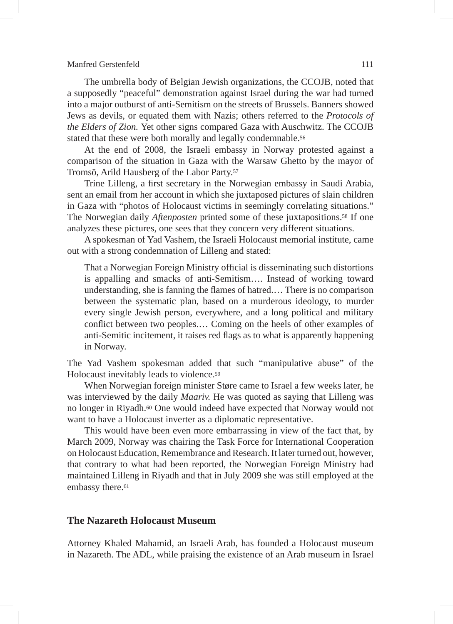The umbrella body of Belgian Jewish organizations, the CCOJB, noted that a supposedly "peaceful" demonstration against Israel during the war had turned into a major outburst of anti-Semitism on the streets of Brussels. Banners showed Jews as devils, or equated them with Nazis; others referred to the *Protocols of the Elders of Zion.* Yet other signs compared Gaza with Auschwitz. The CCOJB stated that these were both morally and legally condemnable.<sup>56</sup>

At the end of 2008, the Israeli embassy in Norway protested against a comparison of the situation in Gaza with the Warsaw Ghetto by the mayor of Tromsö, Arild Hausberg of the Labor Party.57

Trine Lilleng, a first secretary in the Norwegian embassy in Saudi Arabia, sent an email from her account in which she juxtaposed pictures of slain children in Gaza with "photos of Holocaust victims in seemingly correlating situations." The Norwegian daily *Aftenposten* printed some of these juxtapositions.58 If one analyzes these pictures, one sees that they concern very different situations.

A spokesman of Yad Vashem, the Israeli Holocaust memorial institute, came out with a strong condemnation of Lilleng and stated:

That a Norwegian Foreign Ministry official is disseminating such distortions is appalling and smacks of anti-Semitism…. Instead of working toward understanding, she is fanning the flames of hatred.… There is no comparison between the systematic plan, based on a murderous ideology, to murder every single Jewish person, everywhere, and a long political and military conflict between two peoples.… Coming on the heels of other examples of anti-Semitic incitement, it raises red flags as to what is apparently happening in Norway.

The Yad Vashem spokesman added that such "manipulative abuse" of the Holocaust inevitably leads to violence.59

When Norwegian foreign minister Støre came to Israel a few weeks later, he was interviewed by the daily *Maariv.* He was quoted as saying that Lilleng was no longer in Riyadh.60 One would indeed have expected that Norway would not want to have a Holocaust inverter as a diplomatic representative.

This would have been even more embarrassing in view of the fact that, by March 2009, Norway was chairing the Task Force for International Cooperation on Holocaust Education, Remembrance and Research. It later turned out, however, that contrary to what had been reported, the Norwegian Foreign Ministry had maintained Lilleng in Riyadh and that in July 2009 she was still employed at the embassy there.<sup>61</sup>

# **The Nazareth Holocaust Museum**

Attorney Khaled Mahamid, an Israeli Arab, has founded a Holocaust museum in Nazareth. The ADL, while praising the existence of an Arab museum in Israel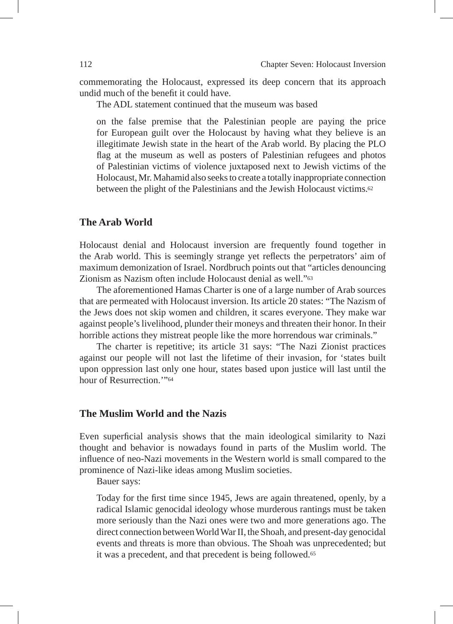commemorating the Holocaust, expressed its deep concern that its approach undid much of the benefit it could have.

The ADL statement continued that the museum was based

on the false premise that the Palestinian people are paying the price for European guilt over the Holocaust by having what they believe is an illegitimate Jewish state in the heart of the Arab world. By placing the PLO flag at the museum as well as posters of Palestinian refugees and photos of Palestinian victims of violence juxtaposed next to Jewish victims of the Holocaust, Mr. Mahamid also seeks to create a totally inappropriate connection between the plight of the Palestinians and the Jewish Holocaust victims.62

#### **The Arab World**

Holocaust denial and Holocaust inversion are frequently found together in the Arab world. This is seemingly strange yet reflects the perpetrators' aim of maximum demonization of Israel. Nordbruch points out that "articles denouncing Zionism as Nazism often include Holocaust denial as well."63

The aforementioned Hamas Charter is one of a large number of Arab sources that are permeated with Holocaust inversion. Its article 20 states: "The Nazism of the Jews does not skip women and children, it scares everyone. They make war against people's livelihood, plunder their moneys and threaten their honor. In their horrible actions they mistreat people like the more horrendous war criminals."

The charter is repetitive; its article 31 says: "The Nazi Zionist practices against our people will not last the lifetime of their invasion, for 'states built upon oppression last only one hour, states based upon justice will last until the hour of Resurrection.'"64

#### **The Muslim World and the Nazis**

Even superficial analysis shows that the main ideological similarity to Nazi thought and behavior is nowadays found in parts of the Muslim world. The influence of neo-Nazi movements in the Western world is small compared to the prominence of Nazi-like ideas among Muslim societies.

Bauer says:

Today for the first time since 1945, Jews are again threatened, openly, by a radical Islamic genocidal ideology whose murderous rantings must be taken more seriously than the Nazi ones were two and more generations ago. The direct connection between World War II, the Shoah, and present-day genocidal events and threats is more than obvious. The Shoah was unprecedented; but it was a precedent, and that precedent is being followed.65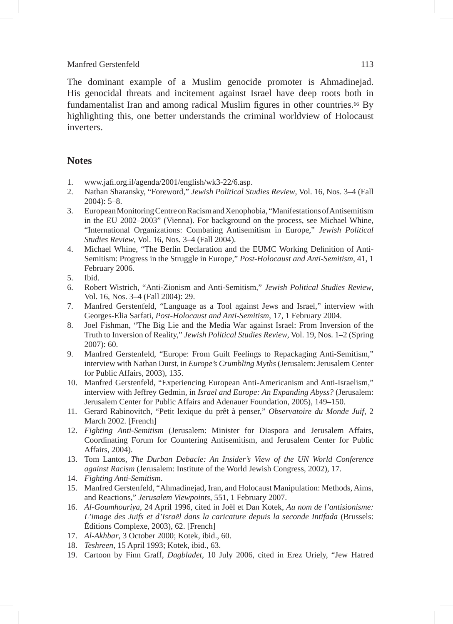The dominant example of a Muslim genocide promoter is Ahmadinejad. His genocidal threats and incitement against Israel have deep roots both in fundamentalist Iran and among radical Muslim figures in other countries.66 By highlighting this, one better understands the criminal worldview of Holocaust inverters.

# **Notes**

- 1. www.jafi.org.il/agenda/2001/english/wk3-22/6.asp.
- 2. Nathan Sharansky, "Foreword," *Jewish Political Studies Review*, Vol. 16, Nos. 3–4 (Fall  $2004$ : 5–8.
- 3. European Monitoring Centre on Racism and Xenophobia, "Manifestations of Antisemitism in the EU 2002–2003" (Vienna). For background on the process, see Michael Whine, "International Organizations: Combating Antisemitism in Europe," *Jewish Political Studies Review*, Vol. 16, Nos. 3–4 (Fall 2004).
- 4. Michael Whine, "The Berlin Declaration and the EUMC Working Definition of Anti-Semitism: Progress in the Struggle in Europe," *Post-Holocaust and Anti-Semitism*, 41, 1 February 2006.
- 5. Ibid.
- 6. Robert Wistrich, "Anti-Zionism and Anti-Semitism," *Jewish Political Studies Review*, Vol. 16, Nos. 3–4 (Fall 2004): 29.
- 7. Manfred Gerstenfeld, "Language as a Tool against Jews and Israel," interview with Georges-Elia Sarfati, *Post-Holocaust and Anti-Semitism*, 17, 1 February 2004.
- 8. Joel Fishman, "The Big Lie and the Media War against Israel: From Inversion of the Truth to Inversion of Reality," *Jewish Political Studies Review*, Vol. 19, Nos. 1–2 (Spring 2007): 60.
- 9. Manfred Gerstenfeld, "Europe: From Guilt Feelings to Repackaging Anti-Semitism," interview with Nathan Durst, in *Europe's Crumbling Myths* (Jerusalem: Jerusalem Center for Public Affairs, 2003), 135.
- 10. Manfred Gerstenfeld, "Experiencing European Anti-Americanism and Anti-Israelism," interview with Jeffrey Gedmin, in *Israel and Europe: An Expanding Abyss?* (Jerusalem: Jerusalem Center for Public Affairs and Adenauer Foundation, 2005), 149–150.
- 11. Gerard Rabinovitch, "Petit lexique du prêt à penser," *Observatoire du Monde Juif*, 2 March 2002. [French]
- 12. *Fighting Anti-Semitism* (Jerusalem: Minister for Diaspora and Jerusalem Affairs, Coordinating Forum for Countering Antisemitism, and Jerusalem Center for Public Affairs, 2004).
- 13. Tom Lantos, *The Durban Debacle: An Insider's View of the UN World Conference against Racism* (Jerusalem: Institute of the World Jewish Congress, 2002), 17.
- 14. *Fighting Anti-Semitism*.
- 15. Manfred Gerstenfeld, "Ahmadinejad, Iran, and Holocaust Manipulation: Methods, Aims, and Reactions," *Jerusalem Viewpoints*, 551, 1 February 2007.
- 16. *Al-Goumhouriya*, 24 April 1996, cited in Joël et Dan Kotek, *Au nom de l'antisionisme: L'image des Juifs et d'Israël dans la caricature depuis la seconde Intifada* (Brussels: Éditions Complexe, 2003), 62. [French]
- 17. *Al-Akhbar*, 3 October 2000; Kotek, ibid., 60.
- 18. *Teshreen*, 15 April 1993; Kotek, ibid., 63.
- 19. Cartoon by Finn Graff, *Dagbladet*, 10 July 2006, cited in Erez Uriely, "Jew Hatred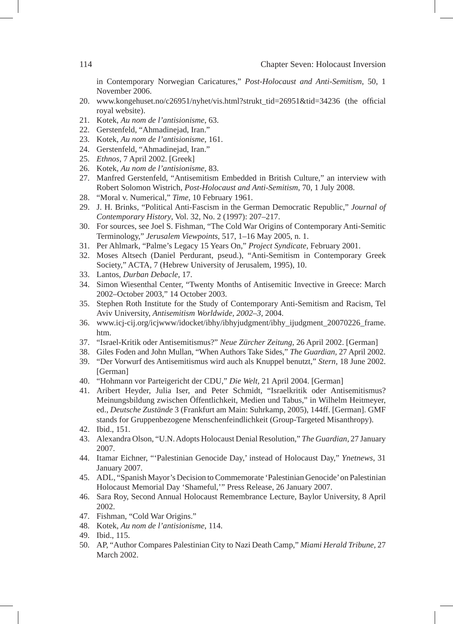in Contemporary Norwegian Caricatures," *Post-Holocaust and Anti-Semitism*, 50, 1 November 2006.

- 20. www.kongehuset.no/c26951/nyhet/vis.html?strukt\_tid=26951&tid=34236 (the official royal website).
- 21. Kotek, *Au nom de l'antisionisme*, 63.
- 22. Gerstenfeld, "Ahmadinejad, Iran."
- 23. Kotek, *Au nom de l'antisionisme*, 161.
- 24. Gerstenfeld, "Ahmadinejad, Iran."
- 25. *Ethnos*, 7 April 2002. [Greek]
- 26. Kotek, *Au nom de l'antisionisme*, 83.
- 27. Manfred Gerstenfeld, "Antisemitism Embedded in British Culture," an interview with Robert Solomon Wistrich, *Post-Holocaust and Anti-Semitism*, 70, 1 July 2008.
- 28. "Moral v. Numerical," *Time*, 10 February 1961.
- 29. J. H. Brinks, "Political Anti-Fascism in the German Democratic Republic," *Journal of Contemporary History*, Vol. 32, No. 2 (1997): 207–217.
- 30. For sources, see Joel S. Fishman, "The Cold War Origins of Contemporary Anti-Semitic Terminology," *Jerusalem Viewpoints*, 517, 1–16 May 2005, n. 1.
- 31. Per Ahlmark, "Palme's Legacy 15 Years On," *Project Syndicate,* February 2001.
- 32. Moses Altsech (Daniel Perdurant, pseud.), "Anti-Semitism in Contemporary Greek Society," ACTA*,* 7 (Hebrew University of Jerusalem, 1995), 10.
- 33. Lantos, *Durban Debacle*, 17.
- 34. Simon Wiesenthal Center, "Twenty Months of Antisemitic Invective in Greece: March 2002–October 2003," 14 October 2003.
- 35. Stephen Roth Institute for the Study of Contemporary Anti-Semitism and Racism, Tel Aviv University, *Antisemitism Worldwide, 2002–3*, 2004.
- 36. www.icj-cij.org/icjwww/idocket/ibhy/ibhyjudgment/ibhy\_ijudgment\_20070226\_frame. htm.
- 37. "Israel-Kritik oder Antisemitismus?" *Neue Zürcher Zeitung*, 26 April 2002. [German]
- 38. Giles Foden and John Mullan, "When Authors Take Sides," *The Guardian,* 27 April 2002.
- 39. "Der Vorwurf des Antisemitismus wird auch als Knuppel benutzt," *Stern,* 18 June 2002. [German]
- 40. "Hohmann vor Parteigericht der CDU," *Die Welt,* 21 April 2004. [German]
- 41. Aribert Heyder, Julia Iser, and Peter Schmidt, "Israelkritik oder Antisemitismus? Meinungsbildung zwischen Öffentlichkeit, Medien und Tabus," in Wilhelm Heitmeyer, ed., *Deutsche Zustände* 3 (Frankfurt am Main: Suhrkamp, 2005), 144ff. [German]. GMF stands for Gruppenbezogene Menschenfeindlichkeit (Group-Targeted Misanthropy).
- 42. Ibid., 151.
- 43. Alexandra Olson, "U.N. Adopts Holocaust Denial Resolution," *The Guardian*, 27 January 2007.
- 44. Itamar Eichner, "'Palestinian Genocide Day,' instead of Holocaust Day," *Ynetnews*, 31 January 2007.
- 45. ADL, "Spanish Mayor's Decision to Commemorate 'Palestinian Genocide' on Palestinian Holocaust Memorial Day 'Shameful,'" Press Release, 26 January 2007.
- 46. Sara Roy, Second Annual Holocaust Remembrance Lecture, Baylor University, 8 April 2002.
- 47. Fishman, "Cold War Origins."
- 48. Kotek, *Au nom de l'antisionisme*, 114.
- 49. Ibid., 115.
- 50. AP, "Author Compares Palestinian City to Nazi Death Camp," *Miami Herald Tribune,* 27 March 2002.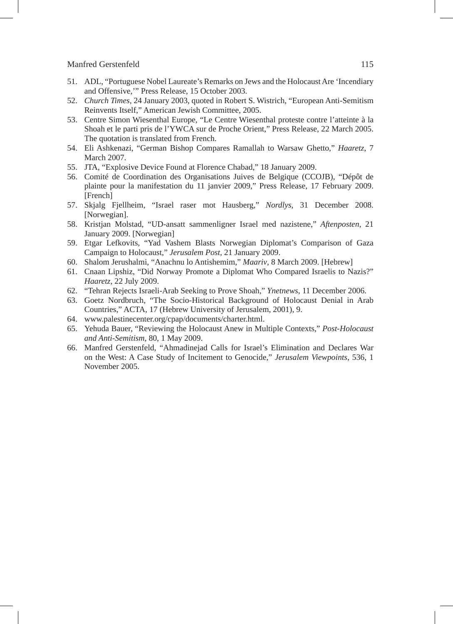- 51. ADL, "Portuguese Nobel Laureate's Remarks on Jews and the Holocaust Are 'Incendiary and Offensive,'" Press Release, 15 October 2003.
- 52. *Church Times,* 24 January 2003, quoted in Robert S. Wistrich, "European Anti-Semitism Reinvents Itself," American Jewish Committee, 2005.
- 53. Centre Simon Wiesenthal Europe, "Le Centre Wiesenthal proteste contre l'atteinte à la Shoah et le parti pris de l'YWCA sur de Proche Orient," Press Release, 22 March 2005. The quotation is translated from French.
- 54. Eli Ashkenazi, "German Bishop Compares Ramallah to Warsaw Ghetto," *Haaretz*, 7 March 2007.
- 55. JTA, "Explosive Device Found at Florence Chabad," 18 January 2009.
- 56. Comité de Coordination des Organisations Juives de Belgique (CCOJB), "Dépôt de plainte pour la manifestation du 11 janvier 2009," Press Release, 17 February 2009. [French]
- 57. Skjalg Fjellheim, "Israel raser mot Hausberg," *Nordlys*, 31 December 2008. [Norwegian].
- 58. Kristjan Molstad, "UD-ansatt sammenligner Israel med nazistene," *Aftenposten*, 21 January 2009. [Norwegian]
- 59. Etgar Lefkovits, "Yad Vashem Blasts Norwegian Diplomat's Comparison of Gaza Campaign to Holocaust," *Jerusalem Post*, 21 January 2009.
- 60. Shalom Jerushalmi, "Anachnu lo Antishemim," *Maariv*, 8 March 2009. [Hebrew]
- 61. Cnaan Lipshiz, "Did Norway Promote a Diplomat Who Compared Israelis to Nazis?" *Haaretz*, 22 July 2009.
- 62. "Tehran Rejects Israeli-Arab Seeking to Prove Shoah," *Ynetnews*, 11 December 2006.
- 63. Goetz Nordbruch, "The Socio-Historical Background of Holocaust Denial in Arab Countries," ACTA, 17 (Hebrew University of Jerusalem, 2001), 9.
- 64. www.palestinecenter.org/cpap/documents/charter.html.
- 65. Yehuda Bauer, "Reviewing the Holocaust Anew in Multiple Contexts," *Post-Holocaust and Anti-Semitism*, 80, 1 May 2009.
- 66. Manfred Gerstenfeld, "Ahmadinejad Calls for Israel's Elimination and Declares War on the West: A Case Study of Incitement to Genocide," *Jerusalem Viewpoints*, 536, 1 November 2005.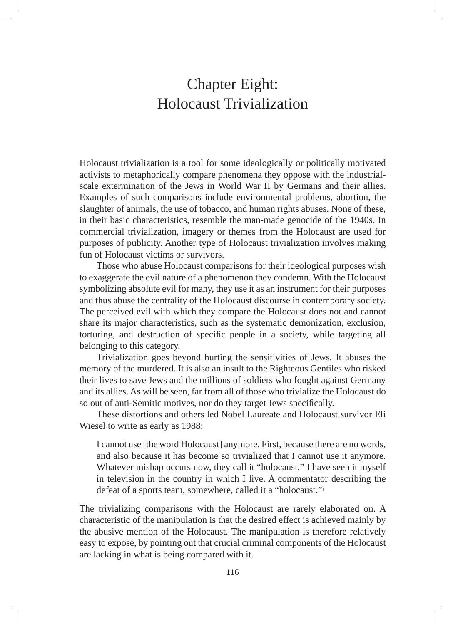# Chapter Eight: Holocaust Trivialization

Holocaust trivialization is a tool for some ideologically or politically motivated activists to metaphorically compare phenomena they oppose with the industrialscale extermination of the Jews in World War II by Germans and their allies. Examples of such comparisons include environmental problems, abortion, the slaughter of animals, the use of tobacco, and human rights abuses. None of these, in their basic characteristics, resemble the man-made genocide of the 1940s. In commercial trivialization, imagery or themes from the Holocaust are used for purposes of publicity. Another type of Holocaust trivialization involves making fun of Holocaust victims or survivors.

Those who abuse Holocaust comparisons for their ideological purposes wish to exaggerate the evil nature of a phenomenon they condemn. With the Holocaust symbolizing absolute evil for many, they use it as an instrument for their purposes and thus abuse the centrality of the Holocaust discourse in contemporary society. The perceived evil with which they compare the Holocaust does not and cannot share its major characteristics, such as the systematic demonization, exclusion, torturing, and destruction of specific people in a society, while targeting all belonging to this category.

Trivialization goes beyond hurting the sensitivities of Jews. It abuses the memory of the murdered. It is also an insult to the Righteous Gentiles who risked their lives to save Jews and the millions of soldiers who fought against Germany and its allies. As will be seen, far from all of those who trivialize the Holocaust do so out of anti-Semitic motives, nor do they target Jews specifically.

These distortions and others led Nobel Laureate and Holocaust survivor Eli Wiesel to write as early as 1988:

I cannot use [the word Holocaust] anymore. First, because there are no words, and also because it has become so trivialized that I cannot use it anymore. Whatever mishap occurs now, they call it "holocaust." I have seen it myself in television in the country in which I live. A commentator describing the defeat of a sports team, somewhere, called it a "holocaust."1

The trivializing comparisons with the Holocaust are rarely elaborated on. A characteristic of the manipulation is that the desired effect is achieved mainly by the abusive mention of the Holocaust. The manipulation is therefore relatively easy to expose, by pointing out that crucial criminal components of the Holocaust are lacking in what is being compared with it.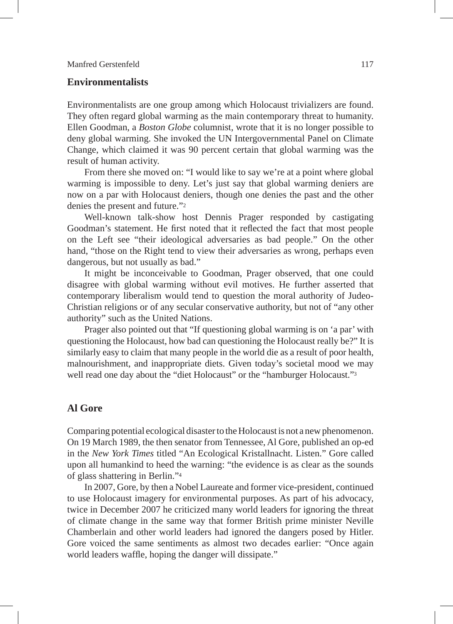# **Environmentalists**

Environmentalists are one group among which Holocaust trivializers are found. They often regard global warming as the main contemporary threat to humanity. Ellen Goodman, a *Boston Globe* columnist, wrote that it is no longer possible to deny global warming. She invoked the UN Intergovernmental Panel on Climate Change, which claimed it was 90 percent certain that global warming was the result of human activity.

From there she moved on: "I would like to say we're at a point where global warming is impossible to deny. Let's just say that global warming deniers are now on a par with Holocaust deniers, though one denies the past and the other denies the present and future."2

Well-known talk-show host Dennis Prager responded by castigating Goodman's statement. He first noted that it reflected the fact that most people on the Left see "their ideological adversaries as bad people." On the other hand, "those on the Right tend to view their adversaries as wrong, perhaps even dangerous, but not usually as bad."

It might be inconceivable to Goodman, Prager observed, that one could disagree with global warming without evil motives. He further asserted that contemporary liberalism would tend to question the moral authority of Judeo-Christian religions or of any secular conservative authority, but not of "any other authority" such as the United Nations.

Prager also pointed out that "If questioning global warming is on 'a par' with questioning the Holocaust, how bad can questioning the Holocaust really be?" It is similarly easy to claim that many people in the world die as a result of poor health, malnourishment, and inappropriate diets. Given today's societal mood we may well read one day about the "diet Holocaust" or the "hamburger Holocaust."3

# **Al Gore**

Comparing potential ecological disaster to the Holocaust is not a new phenomenon. On 19 March 1989, the then senator from Tennessee, Al Gore, published an op-ed in the *New York Times* titled "An Ecological Kristallnacht. Listen." Gore called upon all humankind to heed the warning: "the evidence is as clear as the sounds of glass shattering in Berlin."4

In 2007, Gore, by then a Nobel Laureate and former vice-president, continued to use Holocaust imagery for environmental purposes. As part of his advocacy, twice in December 2007 he criticized many world leaders for ignoring the threat of climate change in the same way that former British prime minister Neville Chamberlain and other world leaders had ignored the dangers posed by Hitler. Gore voiced the same sentiments as almost two decades earlier: "Once again world leaders waffle, hoping the danger will dissipate."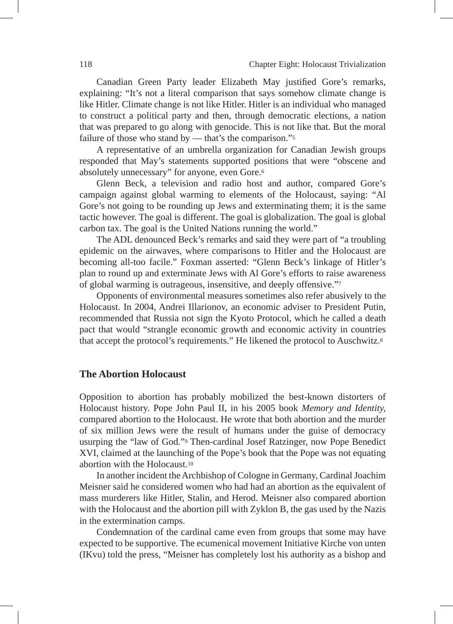Canadian Green Party leader Elizabeth May justified Gore's remarks, explaining: "It's not a literal comparison that says somehow climate change is like Hitler. Climate change is not like Hitler. Hitler is an individual who managed to construct a political party and then, through democratic elections, a nation that was prepared to go along with genocide. This is not like that. But the moral failure of those who stand by — that's the comparison."<sup>5</sup>

A representative of an umbrella organization for Canadian Jewish groups responded that May's statements supported positions that were "obscene and absolutely unnecessary" for anyone, even Gore.6

Glenn Beck, a television and radio host and author, compared Gore's campaign against global warming to elements of the Holocaust, saying: "Al Gore's not going to be rounding up Jews and exterminating them; it is the same tactic however. The goal is different. The goal is globalization. The goal is global carbon tax. The goal is the United Nations running the world."

The ADL denounced Beck's remarks and said they were part of "a troubling epidemic on the airwaves, where comparisons to Hitler and the Holocaust are becoming all-too facile." Foxman asserted: "Glenn Beck's linkage of Hitler's plan to round up and exterminate Jews with Al Gore's efforts to raise awareness of global warming is outrageous, insensitive, and deeply offensive."7

Opponents of environmental measures sometimes also refer abusively to the Holocaust. In 2004, Andrei Illarionov, an economic adviser to President Putin, recommended that Russia not sign the Kyoto Protocol, which he called a death pact that would "strangle economic growth and economic activity in countries that accept the protocol's requirements." He likened the protocol to Auschwitz.8

# **The Abortion Holocaust**

Opposition to abortion has probably mobilized the best-known distorters of Holocaust history. Pope John Paul II, in his 2005 book *Memory and Identity,*  compared abortion to the Holocaust. He wrote that both abortion and the murder of six million Jews were the result of humans under the guise of democracy usurping the "law of God."9 Then-cardinal Josef Ratzinger, now Pope Benedict XVI, claimed at the launching of the Pope's book that the Pope was not equating abortion with the Holocaust.10

In another incident the Archbishop of Cologne in Germany, Cardinal Joachim Meisner said he considered women who had had an abortion as the equivalent of mass murderers like Hitler, Stalin, and Herod. Meisner also compared abortion with the Holocaust and the abortion pill with Zyklon B, the gas used by the Nazis in the extermination camps.

Condemnation of the cardinal came even from groups that some may have expected to be supportive. The ecumenical movement Initiative Kirche von unten (IKvu) told the press, "Meisner has completely lost his authority as a bishop and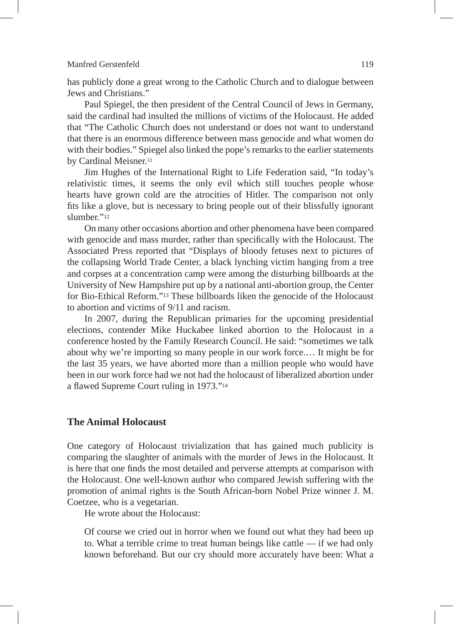has publicly done a great wrong to the Catholic Church and to dialogue between Jews and Christians."

Paul Spiegel, the then president of the Central Council of Jews in Germany, said the cardinal had insulted the millions of victims of the Holocaust. He added that "The Catholic Church does not understand or does not want to understand that there is an enormous difference between mass genocide and what women do with their bodies." Spiegel also linked the pope's remarks to the earlier statements by Cardinal Meisner.<sup>11</sup>

Jim Hughes of the International Right to Life Federation said, "In today's relativistic times, it seems the only evil which still touches people whose hearts have grown cold are the atrocities of Hitler. The comparison not only fits like a glove, but is necessary to bring people out of their blissfully ignorant slumber"<sup>12</sup>

On many other occasions abortion and other phenomena have been compared with genocide and mass murder, rather than specifically with the Holocaust. The Associated Press reported that "Displays of bloody fetuses next to pictures of the collapsing World Trade Center, a black lynching victim hanging from a tree and corpses at a concentration camp were among the disturbing billboards at the University of New Hampshire put up by a national anti-abortion group, the Center for Bio-Ethical Reform."13 These billboards liken the genocide of the Holocaust to abortion and victims of 9/11 and racism.

In 2007, during the Republican primaries for the upcoming presidential elections, contender Mike Huckabee linked abortion to the Holocaust in a conference hosted by the Family Research Council. He said: "sometimes we talk about why we're importing so many people in our work force.… It might be for the last 35 years, we have aborted more than a million people who would have been in our work force had we not had the holocaust of liberalized abortion under a flawed Supreme Court ruling in 1973."14

# **The Animal Holocaust**

One category of Holocaust trivialization that has gained much publicity is comparing the slaughter of animals with the murder of Jews in the Holocaust. It is here that one finds the most detailed and perverse attempts at comparison with the Holocaust. One well-known author who compared Jewish suffering with the promotion of animal rights is the South African-born Nobel Prize winner J. M. Coetzee, who is a vegetarian.

He wrote about the Holocaust:

Of course we cried out in horror when we found out what they had been up to. What a terrible crime to treat human beings like cattle — if we had only known beforehand. But our cry should more accurately have been: What a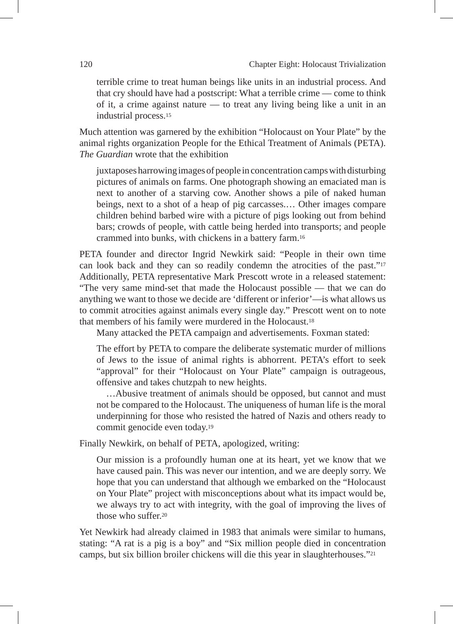terrible crime to treat human beings like units in an industrial process. And that cry should have had a postscript: What a terrible crime — come to think of it, a crime against nature — to treat any living being like a unit in an industrial process.15

Much attention was garnered by the exhibition "Holocaust on Your Plate" by the animal rights organization People for the Ethical Treatment of Animals (PETA). *The Guardian* wrote that the exhibition

juxtaposes harrowing images of people in concentration camps with disturbing pictures of animals on farms. One photograph showing an emaciated man is next to another of a starving cow. Another shows a pile of naked human beings, next to a shot of a heap of pig carcasses.… Other images compare children behind barbed wire with a picture of pigs looking out from behind bars; crowds of people, with cattle being herded into transports; and people crammed into bunks, with chickens in a battery farm.16

PETA founder and director Ingrid Newkirk said: "People in their own time can look back and they can so readily condemn the atrocities of the past."17 Additionally, PETA representative Mark Prescott wrote in a released statement: "The very same mind-set that made the Holocaust possible — that we can do anything we want to those we decide are 'different or inferior'—is what allows us to commit atrocities against animals every single day." Prescott went on to note that members of his family were murdered in the Holocaust.18

Many attacked the PETA campaign and advertisements. Foxman stated:

The effort by PETA to compare the deliberate systematic murder of millions of Jews to the issue of animal rights is abhorrent. PETA's effort to seek "approval" for their "Holocaust on Your Plate" campaign is outrageous, offensive and takes chutzpah to new heights.

…Abusive treatment of animals should be opposed, but cannot and must not be compared to the Holocaust. The uniqueness of human life is the moral underpinning for those who resisted the hatred of Nazis and others ready to commit genocide even today.19

Finally Newkirk, on behalf of PETA, apologized, writing:

Our mission is a profoundly human one at its heart, yet we know that we have caused pain. This was never our intention, and we are deeply sorry. We hope that you can understand that although we embarked on the "Holocaust on Your Plate" project with misconceptions about what its impact would be, we always try to act with integrity, with the goal of improving the lives of those who suffer.20

Yet Newkirk had already claimed in 1983 that animals were similar to humans, stating: "A rat is a pig is a boy" and "Six million people died in concentration camps, but six billion broiler chickens will die this year in slaughterhouses."21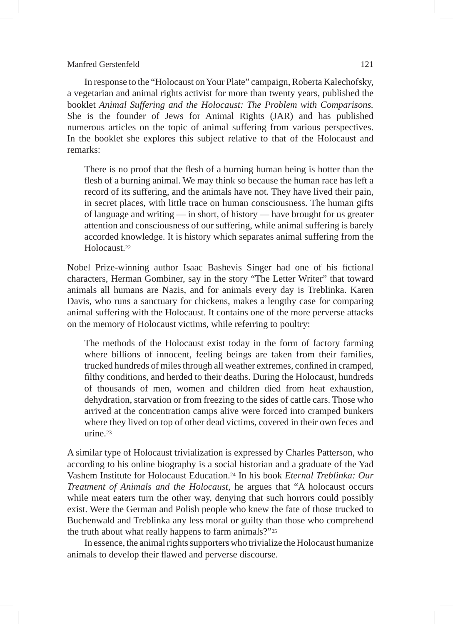In response to the "Holocaust on Your Plate" campaign, Roberta Kalechofsky, a vegetarian and animal rights activist for more than twenty years, published the booklet *Animal Suffering and the Holocaust: The Problem with Comparisons.* She is the founder of Jews for Animal Rights (JAR) and has published numerous articles on the topic of animal suffering from various perspectives. In the booklet she explores this subject relative to that of the Holocaust and remarks:

There is no proof that the flesh of a burning human being is hotter than the flesh of a burning animal. We may think so because the human race has left a record of its suffering, and the animals have not. They have lived their pain, in secret places, with little trace on human consciousness. The human gifts of language and writing — in short, of history — have brought for us greater attention and consciousness of our suffering, while animal suffering is barely accorded knowledge. It is history which separates animal suffering from the Holocaust.22

Nobel Prize-winning author Isaac Bashevis Singer had one of his fictional characters, Herman Gombiner, say in the story "The Letter Writer" that toward animals all humans are Nazis, and for animals every day is Treblinka. Karen Davis, who runs a sanctuary for chickens, makes a lengthy case for comparing animal suffering with the Holocaust. It contains one of the more perverse attacks on the memory of Holocaust victims, while referring to poultry:

The methods of the Holocaust exist today in the form of factory farming where billions of innocent, feeling beings are taken from their families, trucked hundreds of miles through all weather extremes, confined in cramped, filthy conditions, and herded to their deaths. During the Holocaust, hundreds of thousands of men, women and children died from heat exhaustion, dehydration, starvation or from freezing to the sides of cattle cars. Those who arrived at the concentration camps alive were forced into cramped bunkers where they lived on top of other dead victims, covered in their own feces and urine.<sup>23</sup>

A similar type of Holocaust trivialization is expressed by Charles Patterson, who according to his online biography is a social historian and a graduate of the Yad Vashem Institute for Holocaust Education.24 In his book *Eternal Treblinka: Our Treatment of Animals and the Holocaust*, he argues that "A holocaust occurs while meat eaters turn the other way, denying that such horrors could possibly exist. Were the German and Polish people who knew the fate of those trucked to Buchenwald and Treblinka any less moral or guilty than those who comprehend the truth about what really happens to farm animals?"25

In essence, the animal rights supporters who trivialize the Holocaust humanize animals to develop their flawed and perverse discourse.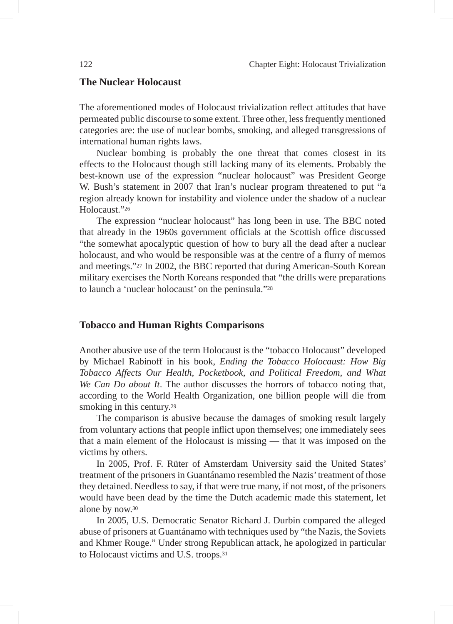# **The Nuclear Holocaust**

The aforementioned modes of Holocaust trivialization reflect attitudes that have permeated public discourse to some extent. Three other, less frequently mentioned categories are: the use of nuclear bombs, smoking, and alleged transgressions of international human rights laws.

Nuclear bombing is probably the one threat that comes closest in its effects to the Holocaust though still lacking many of its elements. Probably the best-known use of the expression "nuclear holocaust" was President George W. Bush's statement in 2007 that Iran's nuclear program threatened to put "a region already known for instability and violence under the shadow of a nuclear Holocaust."26

The expression "nuclear holocaust" has long been in use. The BBC noted that already in the 1960s government officials at the Scottish office discussed "the somewhat apocalyptic question of how to bury all the dead after a nuclear holocaust, and who would be responsible was at the centre of a flurry of memos and meetings."27 In 2002, the BBC reported that during American-South Korean military exercises the North Koreans responded that "the drills were preparations to launch a 'nuclear holocaust' on the peninsula."28

# **Tobacco and Human Rights Comparisons**

Another abusive use of the term Holocaust is the "tobacco Holocaust" developed by Michael Rabinoff in his book, *Ending the Tobacco Holocaust: How Big Tobacco Affects Our Health, Pocketbook, and Political Freedom, and What We Can Do about It*. The author discusses the horrors of tobacco noting that, according to the World Health Organization, one billion people will die from smoking in this century.<sup>29</sup>

The comparison is abusive because the damages of smoking result largely from voluntary actions that people inflict upon themselves; one immediately sees that a main element of the Holocaust is missing — that it was imposed on the victims by others.

In 2005, Prof. F. Rüter of Amsterdam University said the United States' treatment of the prisoners in Guantánamo resembled the Nazis' treatment of those they detained. Needless to say, if that were true many, if not most, of the prisoners would have been dead by the time the Dutch academic made this statement, let alone by now.30

In 2005, U.S. Democratic Senator Richard J. Durbin compared the alleged abuse of prisoners at Guantánamo with techniques used by "the Nazis, the Soviets and Khmer Rouge." Under strong Republican attack, he apologized in particular to Holocaust victims and U.S. troops.31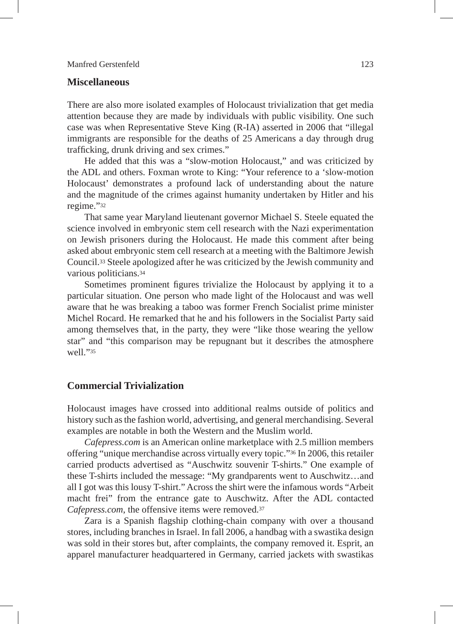# **Miscellaneous**

There are also more isolated examples of Holocaust trivialization that get media attention because they are made by individuals with public visibility. One such case was when Representative Steve King (R-IA) asserted in 2006 that "illegal immigrants are responsible for the deaths of 25 Americans a day through drug trafficking, drunk driving and sex crimes."

He added that this was a "slow-motion Holocaust," and was criticized by the ADL and others. Foxman wrote to King: "Your reference to a 'slow-motion Holocaust' demonstrates a profound lack of understanding about the nature and the magnitude of the crimes against humanity undertaken by Hitler and his regime."32

That same year Maryland lieutenant governor Michael S. Steele equated the science involved in embryonic stem cell research with the Nazi experimentation on Jewish prisoners during the Holocaust. He made this comment after being asked about embryonic stem cell research at a meeting with the Baltimore Jewish Council.33 Steele apologized after he was criticized by the Jewish community and various politicians.34

Sometimes prominent figures trivialize the Holocaust by applying it to a particular situation. One person who made light of the Holocaust and was well aware that he was breaking a taboo was former French Socialist prime minister Michel Rocard. He remarked that he and his followers in the Socialist Party said among themselves that, in the party, they were "like those wearing the yellow star" and "this comparison may be repugnant but it describes the atmosphere well<sup>"35</sup>

# **Commercial Trivialization**

Holocaust images have crossed into additional realms outside of politics and history such as the fashion world, advertising, and general merchandising. Several examples are notable in both the Western and the Muslim world.

*Cafepress.com* is an American online marketplace with 2.5 million members offering "unique merchandise across virtually every topic."36 In 2006, this retailer carried products advertised as "Auschwitz souvenir T-shirts." One example of these T-shirts included the message: "My grandparents went to Auschwitz…and all I got was this lousy T-shirt." Across the shirt were the infamous words "Arbeit macht frei" from the entrance gate to Auschwitz. After the ADL contacted *Cafepress.com*, the offensive items were removed.37

Zara is a Spanish flagship clothing-chain company with over a thousand stores, including branches in Israel. In fall 2006, a handbag with a swastika design was sold in their stores but, after complaints, the company removed it. Esprit, an apparel manufacturer headquartered in Germany, carried jackets with swastikas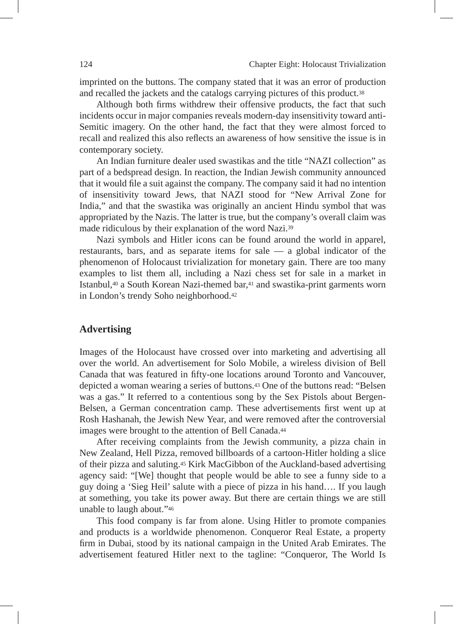imprinted on the buttons. The company stated that it was an error of production and recalled the jackets and the catalogs carrying pictures of this product.38

Although both firms withdrew their offensive products, the fact that such incidents occur in major companies reveals modern-day insensitivity toward anti-Semitic imagery. On the other hand, the fact that they were almost forced to recall and realized this also reflects an awareness of how sensitive the issue is in contemporary society.

An Indian furniture dealer used swastikas and the title "NAZI collection" as part of a bedspread design. In reaction, the Indian Jewish community announced that it would file a suit against the company. The company said it had no intention of insensitivity toward Jews, that NAZI stood for "New Arrival Zone for India," and that the swastika was originally an ancient Hindu symbol that was appropriated by the Nazis. The latter is true, but the company's overall claim was made ridiculous by their explanation of the word Nazi.39

Nazi symbols and Hitler icons can be found around the world in apparel, restaurants, bars, and as separate items for sale — a global indicator of the phenomenon of Holocaust trivialization for monetary gain. There are too many examples to list them all, including a Nazi chess set for sale in a market in Istanbul,40 a South Korean Nazi-themed bar,41 and swastika-print garments worn in London's trendy Soho neighborhood.42

# **Advertising**

Images of the Holocaust have crossed over into marketing and advertising all over the world. An advertisement for Solo Mobile, a wireless division of Bell Canada that was featured in fifty-one locations around Toronto and Vancouver, depicted a woman wearing a series of buttons.43 One of the buttons read: "Belsen was a gas." It referred to a contentious song by the Sex Pistols about Bergen-Belsen, a German concentration camp. These advertisements first went up at Rosh Hashanah, the Jewish New Year, and were removed after the controversial images were brought to the attention of Bell Canada.<sup>44</sup>

After receiving complaints from the Jewish community, a pizza chain in New Zealand, Hell Pizza, removed billboards of a cartoon-Hitler holding a slice of their pizza and saluting.45 Kirk MacGibbon of the Auckland-based advertising agency said: "[We] thought that people would be able to see a funny side to a guy doing a 'Sieg Heil' salute with a piece of pizza in his hand…. If you laugh at something, you take its power away. But there are certain things we are still unable to laugh about."46

This food company is far from alone. Using Hitler to promote companies and products is a worldwide phenomenon. Conqueror Real Estate, a property firm in Dubai, stood by its national campaign in the United Arab Emirates. The advertisement featured Hitler next to the tagline: "Conqueror, The World Is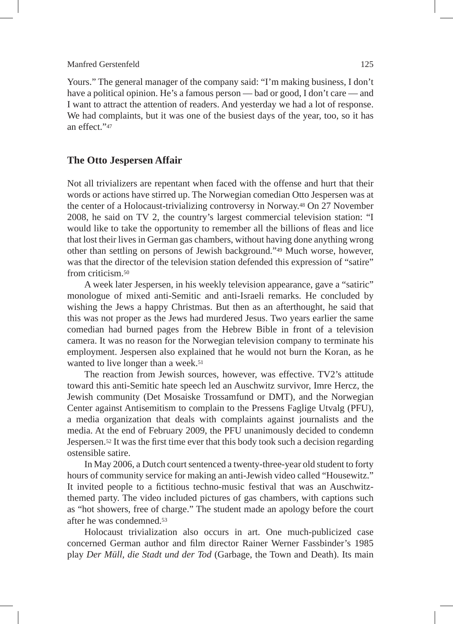Yours." The general manager of the company said: "I'm making business, I don't have a political opinion. He's a famous person — bad or good, I don't care — and I want to attract the attention of readers. And yesterday we had a lot of response. We had complaints, but it was one of the busiest days of the year, too, so it has an effect<sup>"47</sup>

# **The Otto Jespersen Affair**

Not all trivializers are repentant when faced with the offense and hurt that their words or actions have stirred up. The Norwegian comedian Otto Jespersen was at the center of a Holocaust-trivializing controversy in Norway.48 On 27 November 2008, he said on TV 2, the country's largest commercial television station: "I would like to take the opportunity to remember all the billions of fleas and lice that lost their lives in German gas chambers, without having done anything wrong other than settling on persons of Jewish background."49 Much worse, however, was that the director of the television station defended this expression of "satire" from criticism.50

A week later Jespersen, in his weekly television appearance, gave a "satiric" monologue of mixed anti-Semitic and anti-Israeli remarks. He concluded by wishing the Jews a happy Christmas. But then as an afterthought, he said that this was not proper as the Jews had murdered Jesus. Two years earlier the same comedian had burned pages from the Hebrew Bible in front of a television camera. It was no reason for the Norwegian television company to terminate his employment. Jespersen also explained that he would not burn the Koran, as he wanted to live longer than a week.<sup>51</sup>

The reaction from Jewish sources, however, was effective. TV2's attitude toward this anti-Semitic hate speech led an Auschwitz survivor, Imre Hercz, the Jewish community (Det Mosaiske Trossamfund or DMT), and the Norwegian Center against Antisemitism to complain to the Pressens Faglige Utvalg (PFU), a media organization that deals with complaints against journalists and the media. At the end of February 2009, the PFU unanimously decided to condemn Jespersen.52 It was the first time ever that this body took such a decision regarding ostensible satire.

In May 2006, a Dutch court sentenced a twenty-three-year old student to forty hours of community service for making an anti-Jewish video called "Housewitz." It invited people to a fictitious techno-music festival that was an Auschwitzthemed party. The video included pictures of gas chambers, with captions such as "hot showers, free of charge." The student made an apology before the court after he was condemned.53

Holocaust trivialization also occurs in art. One much-publicized case concerned German author and film director Rainer Werner Fassbinder's 1985 play *Der Müll, die Stadt und der Tod* (Garbage, the Town and Death). Its main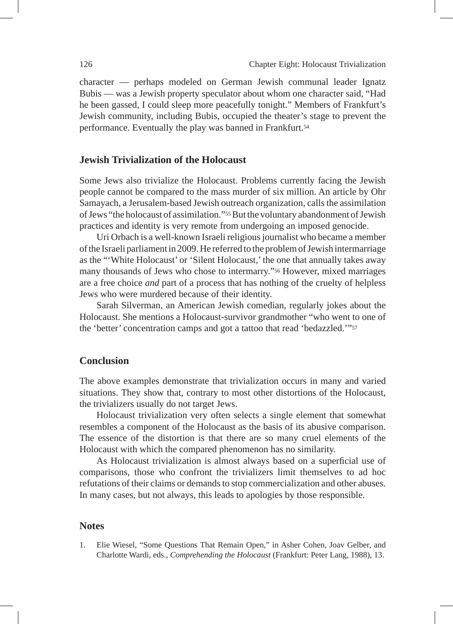character — perhaps modeled on German Jewish communal leader Ignatz Bubis — was a Jewish property speculator about whom one character said, "Had he been gassed, I could sleep more peacefully tonight." Members of Frankfurt's Jewish community, including Bubis, occupied the theater's stage to prevent the performance. Eventually the play was banned in Frankfurt.54

#### **Jewish Trivialization of the Holocaust**

Some Jews also trivialize the Holocaust. Problems currently facing the Jewish people cannot be compared to the mass murder of six million. An article by Ohr Samayach, a Jerusalem-based Jewish outreach organization, calls the assimilation of Jews "the holocaust of assimilation."55 But the voluntary abandonment of Jewish practices and identity is very remote from undergoing an imposed genocide.

Uri Orbach is a well-known Israeli religious journalist who became a member of the Israeli parliament in 2009. He referred to the problem of Jewish intermarriage as the "'White Holocaust' or 'Silent Holocaust,' the one that annually takes away many thousands of Jews who chose to intermarry."56 However, mixed marriages are a free choice *and* part of a process that has nothing of the cruelty of helpless Jews who were murdered because of their identity.

Sarah Silverman, an American Jewish comedian, regularly jokes about the Holocaust. She mentions a Holocaust-survivor grandmother "who went to one of the 'better' concentration camps and got a tattoo that read 'bedazzled.'"57

# **Conclusion**

The above examples demonstrate that trivialization occurs in many and varied situations. They show that, contrary to most other distortions of the Holocaust, the trivializers usually do not target Jews.

Holocaust trivialization very often selects a single element that somewhat resembles a component of the Holocaust as the basis of its abusive comparison. The essence of the distortion is that there are so many cruel elements of the Holocaust with which the compared phenomenon has no similarity.

As Holocaust trivialization is almost always based on a superficial use of comparisons, those who confront the trivializers limit themselves to ad hoc refutations of their claims or demands to stop commercialization and other abuses. In many cases, but not always, this leads to apologies by those responsible.

#### **Notes**

1. Elie Wiesel, "Some Questions That Remain Open," in Asher Cohen, Joav Gelber, and Charlotte Wardi, eds., *Comprehending the Holocaust* (Frankfurt: Peter Lang, 1988), 13.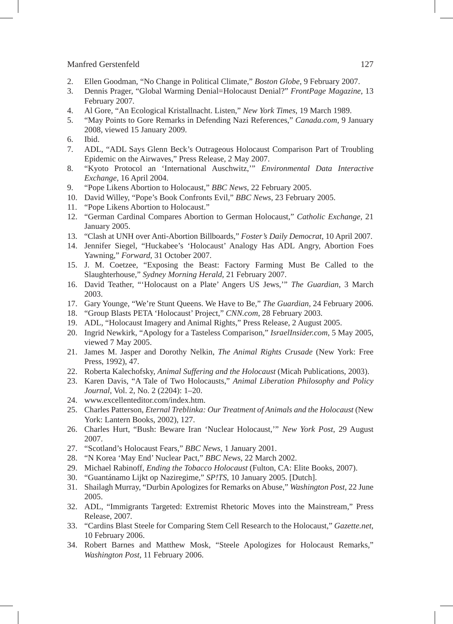- 2. Ellen Goodman, "No Change in Political Climate," *Boston Globe*, 9 February 2007.
- 3. Dennis Prager, "Global Warming Denial=Holocaust Denial?" *FrontPage Magazine*, 13 February 2007.
- 4. Al Gore, "An Ecological Kristallnacht. Listen," *New York Times*, 19 March 1989.
- 5. "May Points to Gore Remarks in Defending Nazi References," *Canada.com*, 9 January 2008, viewed 15 January 2009.
- 6. Ibid.
- 7. ADL, "ADL Says Glenn Beck's Outrageous Holocaust Comparison Part of Troubling Epidemic on the Airwaves," Press Release, 2 May 2007.
- 8. "Kyoto Protocol an 'International Auschwitz,'" *Environmental Data Interactive Exchange*, 16 April 2004.
- 9. "Pope Likens Abortion to Holocaust," *BBC News*, 22 February 2005.
- 10. David Willey, "Pope's Book Confronts Evil," *BBC News*, 23 February 2005.
- 11. "Pope Likens Abortion to Holocaust."
- 12. "German Cardinal Compares Abortion to German Holocaust," *Catholic Exchange,* 21 January 2005.
- 13. "Clash at UNH over Anti-Abortion Billboards," *Foster's Daily Democrat*, 10 April 2007.
- 14. Jennifer Siegel, "Huckabee's 'Holocaust' Analogy Has ADL Angry, Abortion Foes Yawning," *Forward*, 31 October 2007.
- 15. J. M. Coetzee, "Exposing the Beast: Factory Farming Must Be Called to the Slaughterhouse," *Sydney Morning Herald*, 21 February 2007.
- 16. David Teather, "'Holocaust on a Plate' Angers US Jews,'" *The Guardian*, 3 March 2003.
- 17. Gary Younge, "We're Stunt Queens. We Have to Be," *The Guardian,* 24 February 2006.
- 18. "Group Blasts PETA 'Holocaust' Project," *CNN.com*, 28 February 2003.
- 19. ADL, "Holocaust Imagery and Animal Rights," Press Release, 2 August 2005.
- 20. Ingrid Newkirk, "Apology for a Tasteless Comparison," *IsraelInsider.com*, 5 May 2005, viewed 7 May 2005.
- 21. James M. Jasper and Dorothy Nelkin, *The Animal Rights Crusade* (New York: Free Press, 1992), 47.
- 22. Roberta Kalechofsky, *Animal Suffering and the Holocaust* (Micah Publications, 2003).
- 23. Karen Davis, "A Tale of Two Holocausts," *Animal Liberation Philosophy and Policy Journal*, Vol. 2, No. 2 (2204): 1–20.
- 24. www.excellenteditor.com/index.htm.
- 25. Charles Patterson, *Eternal Treblinka: Our Treatment of Animals and the Holocaust* (New York: Lantern Books, 2002), 127.
- 26. Charles Hurt, "Bush: Beware Iran 'Nuclear Holocaust,'" *New York Post*, 29 August 2007.
- 27. "Scotland's Holocaust Fears," *BBC News,* 1 January 2001.
- 28. "N Korea 'May End' Nuclear Pact," *BBC News*, 22 March 2002.
- 29. Michael Rabinoff, *Ending the Tobacco Holocaust* (Fulton, CA: Elite Books, 2007).
- 30. "Guantánamo Lijkt op Naziregime," *SP!TS*, 10 January 2005. [Dutch].
- 31. Shailagh Murray, "Durbin Apologizes for Remarks on Abuse," *Washington Post*, 22 June 2005.
- 32. ADL, "Immigrants Targeted: Extremist Rhetoric Moves into the Mainstream," Press Release, 2007*.*
- 33. "Cardins Blast Steele for Comparing Stem Cell Research to the Holocaust," *Gazette.net*, 10 February 2006.
- 34. Robert Barnes and Matthew Mosk, "Steele Apologizes for Holocaust Remarks," *Washington Post*, 11 February 2006.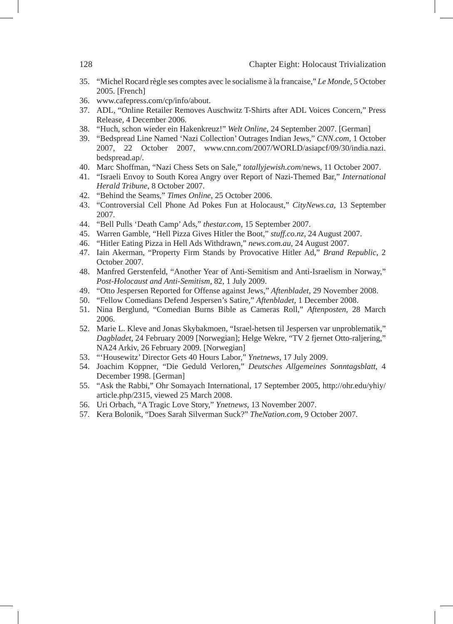- 35. "Michel Rocard règle ses comptes avec le socialisme à la francaise," *Le Monde*, 5 October 2005. [French]
- 36. www.cafepress.com/cp/info/about.
- 37. ADL, "Online Retailer Removes Auschwitz T-Shirts after ADL Voices Concern," Press Release, 4 December 2006.
- 38. "Huch, schon wieder ein Hakenkreuz!" *Welt Online*, 24 September 2007. [German]
- 39. "Bedspread Line Named 'Nazi Collection' Outrages Indian Jews," *CNN.com*, 1 October 2007, 22 October 2007, www.cnn.com/2007/WORLD/asiapcf/09/30/india.nazi. bedspread.ap/.
- 40. Marc Shoffman, "Nazi Chess Sets on Sale," *totallyjewish.com*/news, 11 October 2007.
- 41. "Israeli Envoy to South Korea Angry over Report of Nazi-Themed Bar," *International Herald Tribune*, 8 October 2007.
- 42. "Behind the Seams," *Times Online*, 25 October 2006.
- 43. "Controversial Cell Phone Ad Pokes Fun at Holocaust," *CityNews.ca,* 13 September 2007.
- 44. "Bell Pulls 'Death Camp' Ads," *thestar.com*, 15 September 2007.
- 45. Warren Gamble, "Hell Pizza Gives Hitler the Boot," *stuff.co.nz*, 24 August 2007.
- 46. "Hitler Eating Pizza in Hell Ads Withdrawn," *news.com.au*, 24 August 2007.
- 47. Iain Akerman, "Property Firm Stands by Provocative Hitler Ad," *Brand Republic,* 2 October 2007.
- 48. Manfred Gerstenfeld, "Another Year of Anti-Semitism and Anti-Israelism in Norway," *Post-Holocaust and Anti-Semitism*, 82, 1 July 2009.
- 49. "Otto Jespersen Reported for Offense against Jews," *Aftenbladet*, 29 November 2008.
- 50. "Fellow Comedians Defend Jespersen's Satire," *Aftenbladet,* 1 December 2008.
- 51. Nina Berglund, "Comedian Burns Bible as Cameras Roll," *Aftenposten*, 28 March 2006.
- 52. Marie L. Kleve and Jonas Skybakmoen, "Israel-hetsen til Jespersen var unproblematik," *Dagbladet*, 24 February 2009 [Norwegian]; Helge Wekre, "TV 2 fjernet Otto-raljering," NA24 Arkiv, 26 February 2009. [Norwegian]
- 53. "'Housewitz' Director Gets 40 Hours Labor," *Ynetnews*, 17 July 2009.
- 54. Joachim Koppner, "Die Geduld Verloren," *Deutsches Allgemeines Sonntagsblatt*, 4 December 1998. [German]
- 55. "Ask the Rabbi," Ohr Somayach International, 17 September 2005, http://ohr.edu/yhiy/ article.php/2315, viewed 25 March 2008.
- 56. Uri Orbach, "A Tragic Love Story," *Ynetnews*, 13 November 2007.
- 57. Kera Bolonik, "Does Sarah Silverman Suck?" *TheNation.com*, 9 October 2007.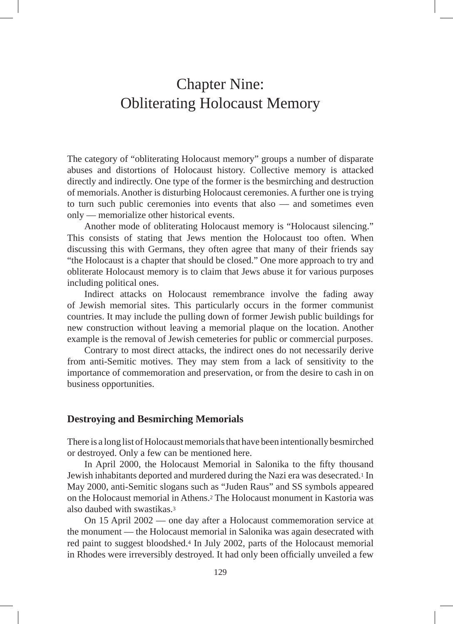# Chapter Nine: Obliterating Holocaust Memory

The category of "obliterating Holocaust memory" groups a number of disparate abuses and distortions of Holocaust history. Collective memory is attacked directly and indirectly. One type of the former is the besmirching and destruction of memorials. Another is disturbing Holocaust ceremonies. A further one is trying to turn such public ceremonies into events that also — and sometimes even only — memorialize other historical events.

Another mode of obliterating Holocaust memory is "Holocaust silencing." This consists of stating that Jews mention the Holocaust too often. When discussing this with Germans, they often agree that many of their friends say "the Holocaust is a chapter that should be closed." One more approach to try and obliterate Holocaust memory is to claim that Jews abuse it for various purposes including political ones.

Indirect attacks on Holocaust remembrance involve the fading away of Jewish memorial sites. This particularly occurs in the former communist countries. It may include the pulling down of former Jewish public buildings for new construction without leaving a memorial plaque on the location. Another example is the removal of Jewish cemeteries for public or commercial purposes.

Contrary to most direct attacks, the indirect ones do not necessarily derive from anti-Semitic motives. They may stem from a lack of sensitivity to the importance of commemoration and preservation, or from the desire to cash in on business opportunities.

#### **Destroying and Besmirching Memorials**

There is a long list of Holocaust memorials that have been intentionally besmirched or destroyed. Only a few can be mentioned here.

In April 2000, the Holocaust Memorial in Salonika to the fifty thousand Jewish inhabitants deported and murdered during the Nazi era was desecrated.1 In May 2000, anti-Semitic slogans such as "Juden Raus" and SS symbols appeared on the Holocaust memorial in Athens.2 The Holocaust monument in Kastoria was also daubed with swastikas.3

On 15 April 2002 — one day after a Holocaust commemoration service at the monument — the Holocaust memorial in Salonika was again desecrated with red paint to suggest bloodshed.4 In July 2002, parts of the Holocaust memorial in Rhodes were irreversibly destroyed. It had only been officially unveiled a few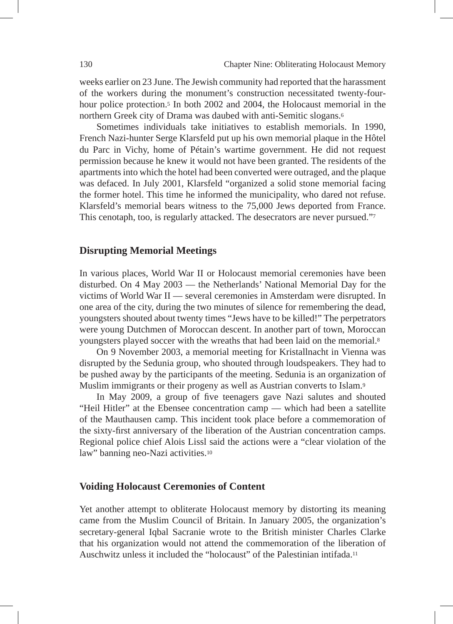weeks earlier on 23 June. The Jewish community had reported that the harassment of the workers during the monument's construction necessitated twenty-fourhour police protection.<sup>5</sup> In both 2002 and 2004, the Holocaust memorial in the northern Greek city of Drama was daubed with anti-Semitic slogans.6

Sometimes individuals take initiatives to establish memorials. In 1990, French Nazi-hunter Serge Klarsfeld put up his own memorial plaque in the Hôtel du Parc in Vichy, home of Pétain's wartime government. He did not request permission because he knew it would not have been granted. The residents of the apartments into which the hotel had been converted were outraged, and the plaque was defaced. In July 2001, Klarsfeld "organized a solid stone memorial facing the former hotel. This time he informed the municipality, who dared not refuse. Klarsfeld's memorial bears witness to the 75,000 Jews deported from France. This cenotaph, too, is regularly attacked. The desecrators are never pursued."7

# **Disrupting Memorial Meetings**

In various places, World War II or Holocaust memorial ceremonies have been disturbed. On 4 May 2003 — the Netherlands' National Memorial Day for the victims of World War II — several ceremonies in Amsterdam were disrupted. In one area of the city, during the two minutes of silence for remembering the dead, youngsters shouted about twenty times "Jews have to be killed!" The perpetrators were young Dutchmen of Moroccan descent. In another part of town, Moroccan youngsters played soccer with the wreaths that had been laid on the memorial.8

On 9 November 2003, a memorial meeting for Kristallnacht in Vienna was disrupted by the Sedunia group, who shouted through loudspeakers. They had to be pushed away by the participants of the meeting. Sedunia is an organization of Muslim immigrants or their progeny as well as Austrian converts to Islam.<sup>9</sup>

In May 2009, a group of five teenagers gave Nazi salutes and shouted "Heil Hitler" at the Ebensee concentration camp — which had been a satellite of the Mauthausen camp. This incident took place before a commemoration of the sixty-first anniversary of the liberation of the Austrian concentration camps. Regional police chief Alois Lissl said the actions were a "clear violation of the law" banning neo-Nazi activities.10

#### **Voiding Holocaust Ceremonies of Content**

Yet another attempt to obliterate Holocaust memory by distorting its meaning came from the Muslim Council of Britain. In January 2005, the organization's secretary-general Iqbal Sacranie wrote to the British minister Charles Clarke that his organization would not attend the commemoration of the liberation of Auschwitz unless it included the "holocaust" of the Palestinian intifada.11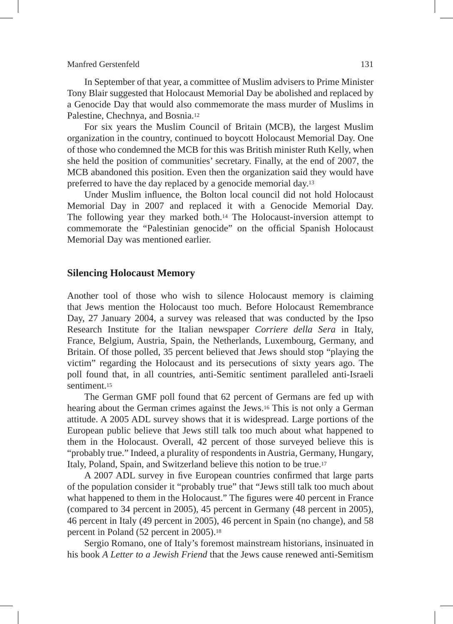In September of that year, a committee of Muslim advisers to Prime Minister Tony Blair suggested that Holocaust Memorial Day be abolished and replaced by a Genocide Day that would also commemorate the mass murder of Muslims in Palestine, Chechnya, and Bosnia.12

For six years the Muslim Council of Britain (MCB), the largest Muslim organization in the country, continued to boycott Holocaust Memorial Day. One of those who condemned the MCB for this was British minister Ruth Kelly, when she held the position of communities' secretary. Finally, at the end of 2007, the MCB abandoned this position. Even then the organization said they would have preferred to have the day replaced by a genocide memorial day.13

Under Muslim influence, the Bolton local council did not hold Holocaust Memorial Day in 2007 and replaced it with a Genocide Memorial Day. The following year they marked both.14 The Holocaust-inversion attempt to commemorate the "Palestinian genocide" on the official Spanish Holocaust Memorial Day was mentioned earlier.

#### **Silencing Holocaust Memory**

Another tool of those who wish to silence Holocaust memory is claiming that Jews mention the Holocaust too much. Before Holocaust Remembrance Day, 27 January 2004, a survey was released that was conducted by the Ipso Research Institute for the Italian newspaper *Corriere della Sera* in Italy, France, Belgium, Austria, Spain, the Netherlands, Luxembourg, Germany, and Britain. Of those polled, 35 percent believed that Jews should stop "playing the victim" regarding the Holocaust and its persecutions of sixty years ago. The poll found that, in all countries, anti-Semitic sentiment paralleled anti-Israeli sentiment.15

The German GMF poll found that 62 percent of Germans are fed up with hearing about the German crimes against the Jews.16 This is not only a German attitude. A 2005 ADL survey shows that it is widespread. Large portions of the European public believe that Jews still talk too much about what happened to them in the Holocaust. Overall, 42 percent of those surveyed believe this is "probably true." Indeed, a plurality of respondents in Austria, Germany, Hungary, Italy, Poland, Spain, and Switzerland believe this notion to be true.17

A 2007 ADL survey in five European countries confirmed that large parts of the population consider it "probably true" that "Jews still talk too much about what happened to them in the Holocaust." The figures were 40 percent in France (compared to 34 percent in 2005), 45 percent in Germany (48 percent in 2005), 46 percent in Italy (49 percent in 2005), 46 percent in Spain (no change), and 58 percent in Poland (52 percent in 2005).18

Sergio Romano, one of Italy's foremost mainstream historians, insinuated in his book *A Letter to a Jewish Friend* that the Jews cause renewed anti-Semitism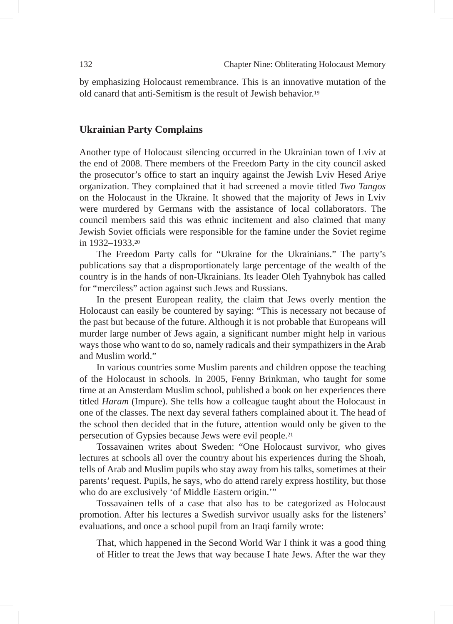by emphasizing Holocaust remembrance. This is an innovative mutation of the old canard that anti-Semitism is the result of Jewish behavior.19

# **Ukrainian Party Complains**

Another type of Holocaust silencing occurred in the Ukrainian town of Lviv at the end of 2008. There members of the Freedom Party in the city council asked the prosecutor's office to start an inquiry against the Jewish Lviv Hesed Ariye organization. They complained that it had screened a movie titled *Two Tangos* on the Holocaust in the Ukraine. It showed that the majority of Jews in Lviv were murdered by Germans with the assistance of local collaborators. The council members said this was ethnic incitement and also claimed that many Jewish Soviet officials were responsible for the famine under the Soviet regime in 1932–1933.20

The Freedom Party calls for "Ukraine for the Ukrainians." The party's publications say that a disproportionately large percentage of the wealth of the country is in the hands of non-Ukrainians. Its leader Oleh Tyahnybok has called for "merciless" action against such Jews and Russians.

In the present European reality, the claim that Jews overly mention the Holocaust can easily be countered by saying: "This is necessary not because of the past but because of the future. Although it is not probable that Europeans will murder large number of Jews again, a significant number might help in various ways those who want to do so, namely radicals and their sympathizers in the Arab and Muslim world."

In various countries some Muslim parents and children oppose the teaching of the Holocaust in schools. In 2005, Fenny Brinkman, who taught for some time at an Amsterdam Muslim school, published a book on her experiences there titled *Haram* (Impure). She tells how a colleague taught about the Holocaust in one of the classes. The next day several fathers complained about it. The head of the school then decided that in the future, attention would only be given to the persecution of Gypsies because Jews were evil people.21

Tossavainen writes about Sweden: "One Holocaust survivor, who gives lectures at schools all over the country about his experiences during the Shoah, tells of Arab and Muslim pupils who stay away from his talks, sometimes at their parents' request. Pupils, he says, who do attend rarely express hostility, but those who do are exclusively 'of Middle Eastern origin.'"

Tossavainen tells of a case that also has to be categorized as Holocaust promotion. After his lectures a Swedish survivor usually asks for the listeners' evaluations, and once a school pupil from an Iraqi family wrote:

That, which happened in the Second World War I think it was a good thing of Hitler to treat the Jews that way because I hate Jews. After the war they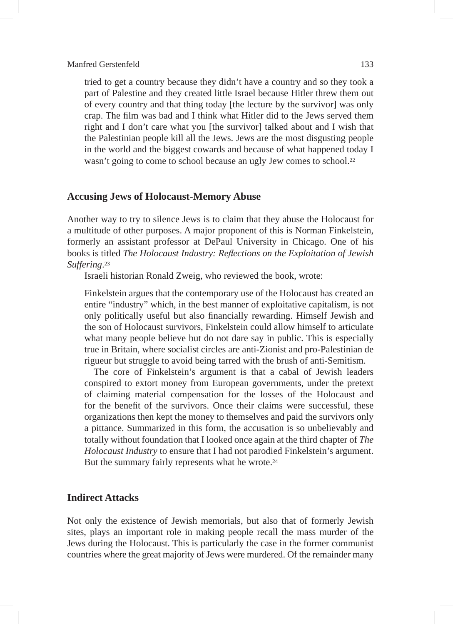tried to get a country because they didn't have a country and so they took a part of Palestine and they created little Israel because Hitler threw them out of every country and that thing today [the lecture by the survivor] was only crap. The film was bad and I think what Hitler did to the Jews served them right and I don't care what you [the survivor] talked about and I wish that the Palestinian people kill all the Jews. Jews are the most disgusting people in the world and the biggest cowards and because of what happened today I wasn't going to come to school because an ugly Jew comes to school.<sup>22</sup>

#### **Accusing Jews of Holocaust-Memory Abuse**

Another way to try to silence Jews is to claim that they abuse the Holocaust for a multitude of other purposes. A major proponent of this is Norman Finkelstein, formerly an assistant professor at DePaul University in Chicago. One of his books is titled *The Holocaust Industry: Reflections on the Exploitation of Jewish Suffering*.23

Israeli historian Ronald Zweig, who reviewed the book, wrote:

Finkelstein argues that the contemporary use of the Holocaust has created an entire "industry" which, in the best manner of exploitative capitalism, is not only politically useful but also financially rewarding. Himself Jewish and the son of Holocaust survivors, Finkelstein could allow himself to articulate what many people believe but do not dare say in public. This is especially true in Britain, where socialist circles are anti-Zionist and pro-Palestinian de rigueur but struggle to avoid being tarred with the brush of anti-Semitism.

The core of Finkelstein's argument is that a cabal of Jewish leaders conspired to extort money from European governments, under the pretext of claiming material compensation for the losses of the Holocaust and for the benefit of the survivors. Once their claims were successful, these organizations then kept the money to themselves and paid the survivors only a pittance. Summarized in this form, the accusation is so unbelievably and totally without foundation that I looked once again at the third chapter of *The Holocaust Industry* to ensure that I had not parodied Finkelstein's argument. But the summary fairly represents what he wrote.<sup>24</sup>

## **Indirect Attacks**

Not only the existence of Jewish memorials, but also that of formerly Jewish sites, plays an important role in making people recall the mass murder of the Jews during the Holocaust. This is particularly the case in the former communist countries where the great majority of Jews were murdered. Of the remainder many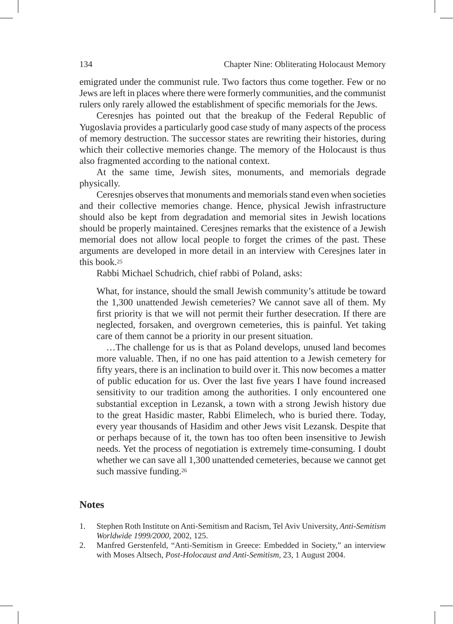emigrated under the communist rule. Two factors thus come together. Few or no Jews are left in places where there were formerly communities, and the communist rulers only rarely allowed the establishment of specific memorials for the Jews.

Ceresnjes has pointed out that the breakup of the Federal Republic of Yugoslavia provides a particularly good case study of many aspects of the process of memory destruction. The successor states are rewriting their histories, during which their collective memories change. The memory of the Holocaust is thus also fragmented according to the national context.

At the same time, Jewish sites, monuments, and memorials degrade physically.

Ceresnjes observes that monuments and memorials stand even when societies and their collective memories change. Hence, physical Jewish infrastructure should also be kept from degradation and memorial sites in Jewish locations should be properly maintained. Ceresjnes remarks that the existence of a Jewish memorial does not allow local people to forget the crimes of the past. These arguments are developed in more detail in an interview with Ceresjnes later in this book.25

Rabbi Michael Schudrich, chief rabbi of Poland, asks:

What, for instance, should the small Jewish community's attitude be toward the 1,300 unattended Jewish cemeteries? We cannot save all of them. My first priority is that we will not permit their further desecration. If there are neglected, forsaken, and overgrown cemeteries, this is painful. Yet taking care of them cannot be a priority in our present situation.

…The challenge for us is that as Poland develops, unused land becomes more valuable. Then, if no one has paid attention to a Jewish cemetery for fifty years, there is an inclination to build over it. This now becomes a matter of public education for us. Over the last five years I have found increased sensitivity to our tradition among the authorities. I only encountered one substantial exception in Lezansk, a town with a strong Jewish history due to the great Hasidic master, Rabbi Elimelech, who is buried there. Today, every year thousands of Hasidim and other Jews visit Lezansk. Despite that or perhaps because of it, the town has too often been insensitive to Jewish needs. Yet the process of negotiation is extremely time-consuming. I doubt whether we can save all 1,300 unattended cemeteries, because we cannot get such massive funding.<sup>26</sup>

# **Notes**

- 1. Stephen Roth Institute on Anti-Semitism and Racism, Tel Aviv University, *Anti-Semitism Worldwide 1999/2000*, 2002, 125.
- 2. Manfred Gerstenfeld, "Anti-Semitism in Greece: Embedded in Society," an interview with Moses Altsech, *Post-Holocaust and Anti-Semitism,* 23, 1 August 2004.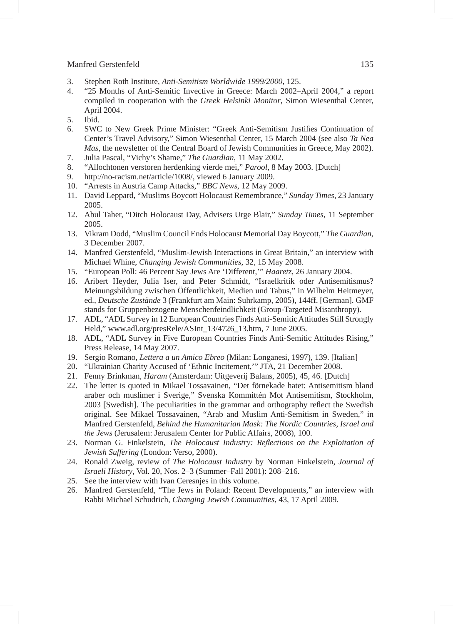- 3. Stephen Roth Institute, *Anti-Semitism Worldwide 1999/2000*, 125.
- 4. "25 Months of Anti-Semitic Invective in Greece: March 2002–April 2004," a report compiled in cooperation with the *Greek Helsinki Monitor*, Simon Wiesenthal Center, April 2004.
- 5. Ibid.
- 6. SWC to New Greek Prime Minister: "Greek Anti-Semitism Justifies Continuation of Center's Travel Advisory," Simon Wiesenthal Center, 15 March 2004 (see also *Ta Nea Mas*, the newsletter of the Central Board of Jewish Communities in Greece, May 2002).
- 7. Julia Pascal, "Vichy's Shame," *The Guardian*, 11 May 2002.
- 8. "Allochtonen verstoren herdenking vierde mei," *Parool*, 8 May 2003. [Dutch]
- 9. http://no-racism.net/article/1008/, viewed 6 January 2009.
- 10. "Arrests in Austria Camp Attacks," *BBC News*, 12 May 2009.
- 11. David Leppard, "Muslims Boycott Holocaust Remembrance," *Sunday Times*, 23 January 2005.
- 12. Abul Taher, "Ditch Holocaust Day, Advisers Urge Blair," *Sunday Times*, 11 September 2005.
- 13. Vikram Dodd, "Muslim Council Ends Holocaust Memorial Day Boycott," *The Guardian*, 3 December 2007.
- 14. Manfred Gerstenfeld, "Muslim-Jewish Interactions in Great Britain," an interview with Michael Whine, *Changing Jewish Communities*, 32, 15 May 2008.
- 15. "European Poll: 46 Percent Say Jews Are 'Different,'" *Haaretz*, 26 January 2004.
- 16. Aribert Heyder, Julia Iser, and Peter Schmidt, "Israelkritik oder Antisemitismus? Meinungsbildung zwischen Öffentlichkeit, Medien und Tabus," in Wilhelm Heitmeyer, ed., *Deutsche Zustände* 3 (Frankfurt am Main: Suhrkamp, 2005), 144ff. [German]. GMF stands for Gruppenbezogene Menschenfeindlichkeit (Group-Targeted Misanthropy).
- 17. ADL, "ADL Survey in 12 European Countries Finds Anti-Semitic Attitudes Still Strongly Held," www.adl.org/presRele/ASInt\_13/4726\_13.htm, 7 June 2005.
- 18. ADL, "ADL Survey in Five European Countries Finds Anti-Semitic Attitudes Rising," Press Release, 14 May 2007.
- 19. Sergio Romano*, Lettera a un Amico Ebreo* (Milan: Longanesi, 1997), 139. [Italian]
- 20. "Ukrainian Charity Accused of 'Ethnic Incitement,'" JTA, 21 December 2008.
- 21. Fenny Brinkman, *Haram* (Amsterdam: Uitgeverij Balans, 2005), 45, 46. [Dutch]
- 22. The letter is quoted in Mikael Tossavainen, "Det förnekade hatet: Antisemitism bland araber och muslimer i Sverige," Svenska Kommittén Mot Antisemitism, Stockholm, 2003 [Swedish]. The peculiarities in the grammar and orthography reflect the Swedish original. See Mikael Tossavainen, "Arab and Muslim Anti-Semitism in Sweden," in Manfred Gerstenfeld, *Behind the Humanitarian Mask: The Nordic Countries, Israel and the Jews* (Jerusalem: Jerusalem Center for Public Affairs, 2008), 100.
- 23. Norman G. Finkelstein, *The Holocaust Industry: Reflections on the Exploitation of Jewish Suffering* (London: Verso, 2000).
- 24. Ronald Zweig, review of *The Holocaust Industry* by Norman Finkelstein, *Journal of Israeli History*, Vol. 20, Nos. 2–3 (Summer–Fall 2001): 208–216.
- 25. See the interview with Ivan Ceresnjes in this volume.
- 26. Manfred Gerstenfeld, "The Jews in Poland: Recent Developments," an interview with Rabbi Michael Schudrich, *Changing Jewish Communities*, 43, 17 April 2009.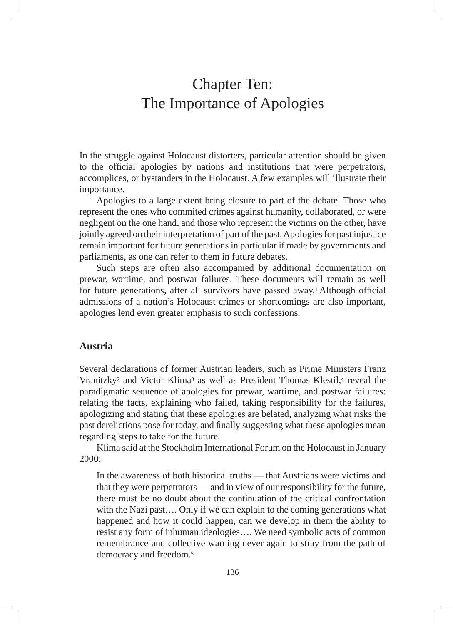# Chapter Ten: The Importance of Apologies

In the struggle against Holocaust distorters, particular attention should be given to the official apologies by nations and institutions that were perpetrators, accomplices, or bystanders in the Holocaust. A few examples will illustrate their importance.

Apologies to a large extent bring closure to part of the debate. Those who represent the ones who commited crimes against humanity, collaborated, or were negligent on the one hand, and those who represent the victims on the other, have jointly agreed on their interpretation of part of the past. Apologies for past injustice remain important for future generations in particular if made by governments and parliaments, as one can refer to them in future debates.

Such steps are often also accompanied by additional documentation on prewar, wartime, and postwar failures. These documents will remain as well for future generations, after all survivors have passed away.1 Although official admissions of a nation's Holocaust crimes or shortcomings are also important, apologies lend even greater emphasis to such confessions.

# **Austria**

Several declarations of former Austrian leaders, such as Prime Ministers Franz Vranitzky2 and Victor Klima3 as well as President Thomas Klestil,4 reveal the paradigmatic sequence of apologies for prewar, wartime, and postwar failures: relating the facts, explaining who failed, taking responsibility for the failures, apologizing and stating that these apologies are belated, analyzing what risks the past derelictions pose for today, and finally suggesting what these apologies mean regarding steps to take for the future.

Klima said at the Stockholm International Forum on the Holocaust in January 2000:

In the awareness of both historical truths — that Austrians were victims and that they were perpetrators — and in view of our responsibility for the future, there must be no doubt about the continuation of the critical confrontation with the Nazi past.... Only if we can explain to the coming generations what happened and how it could happen, can we develop in them the ability to resist any form of inhuman ideologies…. We need symbolic acts of common remembrance and collective warning never again to stray from the path of democracy and freedom.5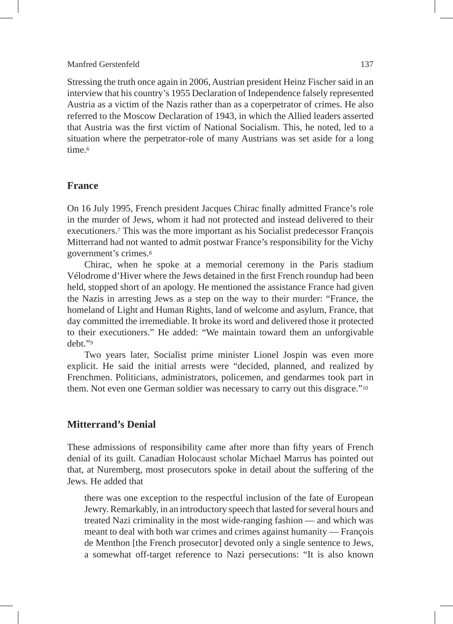Stressing the truth once again in 2006, Austrian president Heinz Fischer said in an interview that his country's 1955 Declaration of Independence falsely represented Austria as a victim of the Nazis rather than as a coperpetrator of crimes. He also referred to the Moscow Declaration of 1943, in which the Allied leaders asserted that Austria was the first victim of National Socialism. This, he noted, led to a situation where the perpetrator-role of many Austrians was set aside for a long time <sup>6</sup>

## **France**

On 16 July 1995, French president Jacques Chirac finally admitted France's role in the murder of Jews, whom it had not protected and instead delivered to their executioners.7 This was the more important as his Socialist predecessor François Mitterrand had not wanted to admit postwar France's responsibility for the Vichy government's crimes.8

Chirac, when he spoke at a memorial ceremony in the Paris stadium Vélodrome d'Hiver where the Jews detained in the first French roundup had been held, stopped short of an apology. He mentioned the assistance France had given the Nazis in arresting Jews as a step on the way to their murder: "France, the homeland of Light and Human Rights, land of welcome and asylum, France, that day committed the irremediable. It broke its word and delivered those it protected to their executioners." He added: "We maintain toward them an unforgivable debt."9

Two years later, Socialist prime minister Lionel Jospin was even more explicit. He said the initial arrests were "decided, planned, and realized by Frenchmen. Politicians, administrators, policemen, and gendarmes took part in them. Not even one German soldier was necessary to carry out this disgrace."10

# **Mitterrand's Denial**

These admissions of responsibility came after more than fifty years of French denial of its guilt. Canadian Holocaust scholar Michael Marrus has pointed out that, at Nuremberg, most prosecutors spoke in detail about the suffering of the Jews. He added that

there was one exception to the respectful inclusion of the fate of European Jewry. Remarkably, in an introductory speech that lasted for several hours and treated Nazi criminality in the most wide-ranging fashion — and which was meant to deal with both war crimes and crimes against humanity — François de Menthon [the French prosecutor] devoted only a single sentence to Jews, a somewhat off-target reference to Nazi persecutions: "It is also known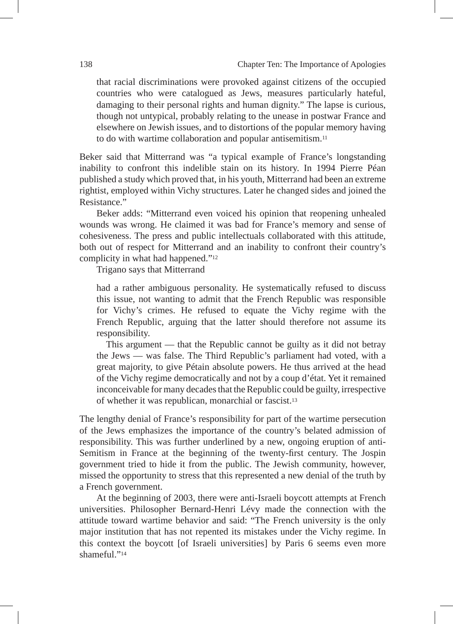that racial discriminations were provoked against citizens of the occupied countries who were catalogued as Jews, measures particularly hateful, damaging to their personal rights and human dignity." The lapse is curious, though not untypical, probably relating to the unease in postwar France and elsewhere on Jewish issues, and to distortions of the popular memory having to do with wartime collaboration and popular antisemitism.11

Beker said that Mitterrand was "a typical example of France's longstanding inability to confront this indelible stain on its history. In 1994 Pierre Péan published a study which proved that, in his youth, Mitterrand had been an extreme rightist, employed within Vichy structures. Later he changed sides and joined the Resistance."

Beker adds: "Mitterrand even voiced his opinion that reopening unhealed wounds was wrong. He claimed it was bad for France's memory and sense of cohesiveness. The press and public intellectuals collaborated with this attitude, both out of respect for Mitterrand and an inability to confront their country's complicity in what had happened."12

Trigano says that Mitterrand

had a rather ambiguous personality. He systematically refused to discuss this issue, not wanting to admit that the French Republic was responsible for Vichy's crimes. He refused to equate the Vichy regime with the French Republic, arguing that the latter should therefore not assume its responsibility.

This argument — that the Republic cannot be guilty as it did not betray the Jews — was false. The Third Republic's parliament had voted, with a great majority, to give Pétain absolute powers. He thus arrived at the head of the Vichy regime democratically and not by a coup d'état. Yet it remained inconceivable for many decades that the Republic could be guilty, irrespective of whether it was republican, monarchial or fascist.13

The lengthy denial of France's responsibility for part of the wartime persecution of the Jews emphasizes the importance of the country's belated admission of responsibility. This was further underlined by a new, ongoing eruption of anti-Semitism in France at the beginning of the twenty-first century. The Jospin government tried to hide it from the public. The Jewish community, however, missed the opportunity to stress that this represented a new denial of the truth by a French government.

At the beginning of 2003, there were anti-Israeli boycott attempts at French universities. Philosopher Bernard-Henri Lévy made the connection with the attitude toward wartime behavior and said: "The French university is the only major institution that has not repented its mistakes under the Vichy regime. In this context the boycott [of Israeli universities] by Paris 6 seems even more shameful<sup>"14</sup>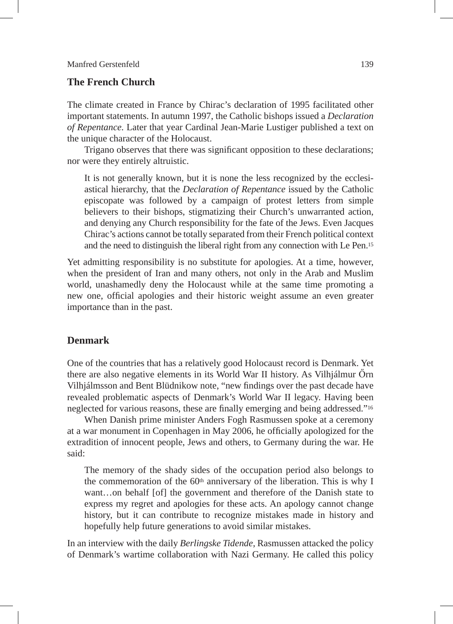# **The French Church**

The climate created in France by Chirac's declaration of 1995 facilitated other important statements. In autumn 1997, the Catholic bishops issued a *Declaration of Repentance.* Later that year Cardinal Jean-Marie Lustiger published a text on the unique character of the Holocaust.

Trigano observes that there was significant opposition to these declarations; nor were they entirely altruistic.

It is not generally known, but it is none the less recognized by the ecclesiastical hierarchy, that the *Declaration of Repentance* issued by the Catholic episcopate was followed by a campaign of protest letters from simple believers to their bishops, stigmatizing their Church's unwarranted action, and denying any Church responsibility for the fate of the Jews. Even Jacques Chirac's actions cannot be totally separated from their French political context and the need to distinguish the liberal right from any connection with Le Pen.15

Yet admitting responsibility is no substitute for apologies. At a time, however, when the president of Iran and many others, not only in the Arab and Muslim world, unashamedly deny the Holocaust while at the same time promoting a new one, official apologies and their historic weight assume an even greater importance than in the past.

# **Denmark**

One of the countries that has a relatively good Holocaust record is Denmark. Yet there are also negative elements in its World War II history. As Vilhjálmur Őrn Vilhjálmsson and Bent Blüdnikow note, "new findings over the past decade have revealed problematic aspects of Denmark's World War II legacy. Having been neglected for various reasons, these are finally emerging and being addressed."16

When Danish prime minister Anders Fogh Rasmussen spoke at a ceremony at a war monument in Copenhagen in May 2006, he officially apologized for the extradition of innocent people, Jews and others, to Germany during the war. He said:

The memory of the shady sides of the occupation period also belongs to the commemoration of the  $60<sup>th</sup>$  anniversary of the liberation. This is why I want…on behalf [of] the government and therefore of the Danish state to express my regret and apologies for these acts. An apology cannot change history, but it can contribute to recognize mistakes made in history and hopefully help future generations to avoid similar mistakes.

In an interview with the daily *Berlingske Tidende*, Rasmussen attacked the policy of Denmark's wartime collaboration with Nazi Germany. He called this policy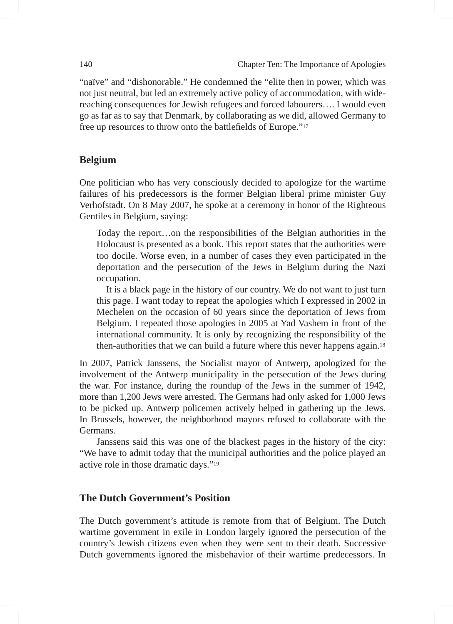"naïve" and "dishonorable." He condemned the "elite then in power, which was not just neutral, but led an extremely active policy of accommodation, with widereaching consequences for Jewish refugees and forced labourers…. I would even go as far as to say that Denmark, by collaborating as we did, allowed Germany to free up resources to throw onto the battlefields of Europe."17

### **Belgium**

One politician who has very consciously decided to apologize for the wartime failures of his predecessors is the former Belgian liberal prime minister Guy Verhofstadt. On 8 May 2007, he spoke at a ceremony in honor of the Righteous Gentiles in Belgium, saying:

Today the report…on the responsibilities of the Belgian authorities in the Holocaust is presented as a book. This report states that the authorities were too docile. Worse even, in a number of cases they even participated in the deportation and the persecution of the Jews in Belgium during the Nazi occupation.

It is a black page in the history of our country. We do not want to just turn this page. I want today to repeat the apologies which I expressed in 2002 in Mechelen on the occasion of 60 years since the deportation of Jews from Belgium. I repeated those apologies in 2005 at Yad Vashem in front of the international community. It is only by recognizing the responsibility of the then-authorities that we can build a future where this never happens again.18

In 2007, Patrick Janssens, the Socialist mayor of Antwerp, apologized for the involvement of the Antwerp municipality in the persecution of the Jews during the war. For instance, during the roundup of the Jews in the summer of 1942, more than 1,200 Jews were arrested. The Germans had only asked for 1,000 Jews to be picked up. Antwerp policemen actively helped in gathering up the Jews. In Brussels, however, the neighborhood mayors refused to collaborate with the Germans.

Janssens said this was one of the blackest pages in the history of the city: "We have to admit today that the municipal authorities and the police played an active role in those dramatic days."19

## **The Dutch Government's Position**

The Dutch government's attitude is remote from that of Belgium. The Dutch wartime government in exile in London largely ignored the persecution of the country's Jewish citizens even when they were sent to their death. Successive Dutch governments ignored the misbehavior of their wartime predecessors. In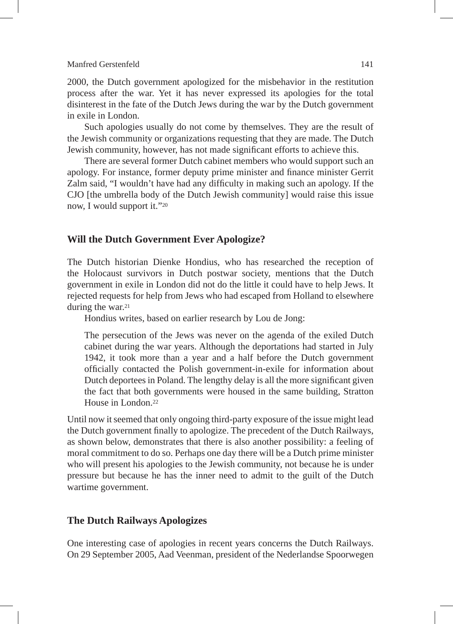2000, the Dutch government apologized for the misbehavior in the restitution process after the war. Yet it has never expressed its apologies for the total disinterest in the fate of the Dutch Jews during the war by the Dutch government in exile in London.

Such apologies usually do not come by themselves. They are the result of the Jewish community or organizations requesting that they are made. The Dutch Jewish community, however, has not made significant efforts to achieve this.

There are several former Dutch cabinet members who would support such an apology. For instance, former deputy prime minister and finance minister Gerrit Zalm said, "I wouldn't have had any difficulty in making such an apology. If the CJO [the umbrella body of the Dutch Jewish community] would raise this issue now, I would support it."20

# **Will the Dutch Government Ever Apologize?**

The Dutch historian Dienke Hondius, who has researched the reception of the Holocaust survivors in Dutch postwar society, mentions that the Dutch government in exile in London did not do the little it could have to help Jews. It rejected requests for help from Jews who had escaped from Holland to elsewhere during the war.<sup>21</sup>

Hondius writes, based on earlier research by Lou de Jong:

The persecution of the Jews was never on the agenda of the exiled Dutch cabinet during the war years. Although the deportations had started in July 1942, it took more than a year and a half before the Dutch government officially contacted the Polish government-in-exile for information about Dutch deportees in Poland. The lengthy delay is all the more significant given the fact that both governments were housed in the same building, Stratton House in London.22

Until now it seemed that only ongoing third-party exposure of the issue might lead the Dutch government finally to apologize. The precedent of the Dutch Railways, as shown below, demonstrates that there is also another possibility: a feeling of moral commitment to do so. Perhaps one day there will be a Dutch prime minister who will present his apologies to the Jewish community, not because he is under pressure but because he has the inner need to admit to the guilt of the Dutch wartime government.

#### **The Dutch Railways Apologizes**

One interesting case of apologies in recent years concerns the Dutch Railways. On 29 September 2005, Aad Veenman, president of the Nederlandse Spoorwegen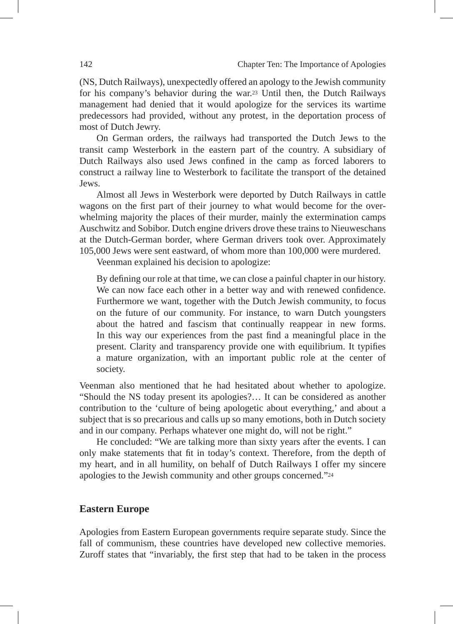(NS, Dutch Railways), unexpectedly offered an apology to the Jewish community for his company's behavior during the war.23 Until then, the Dutch Railways management had denied that it would apologize for the services its wartime predecessors had provided, without any protest, in the deportation process of most of Dutch Jewry.

On German orders, the railways had transported the Dutch Jews to the transit camp Westerbork in the eastern part of the country. A subsidiary of Dutch Railways also used Jews confined in the camp as forced laborers to construct a railway line to Westerbork to facilitate the transport of the detained Jews.

Almost all Jews in Westerbork were deported by Dutch Railways in cattle wagons on the first part of their journey to what would become for the overwhelming majority the places of their murder, mainly the extermination camps Auschwitz and Sobibor. Dutch engine drivers drove these trains to Nieuweschans at the Dutch-German border, where German drivers took over. Approximately 105,000 Jews were sent eastward, of whom more than 100,000 were murdered.

Veenman explained his decision to apologize:

By defining our role at that time, we can close a painful chapter in our history. We can now face each other in a better way and with renewed confidence. Furthermore we want, together with the Dutch Jewish community, to focus on the future of our community. For instance, to warn Dutch youngsters about the hatred and fascism that continually reappear in new forms. In this way our experiences from the past find a meaningful place in the present. Clarity and transparency provide one with equilibrium. It typifies a mature organization, with an important public role at the center of society.

Veenman also mentioned that he had hesitated about whether to apologize. "Should the NS today present its apologies?… It can be considered as another contribution to the 'culture of being apologetic about everything,' and about a subject that is so precarious and calls up so many emotions, both in Dutch society and in our company. Perhaps whatever one might do, will not be right."

He concluded: "We are talking more than sixty years after the events. I can only make statements that fit in today's context. Therefore, from the depth of my heart, and in all humility, on behalf of Dutch Railways I offer my sincere apologies to the Jewish community and other groups concerned."24

# **Eastern Europe**

Apologies from Eastern European governments require separate study. Since the fall of communism, these countries have developed new collective memories. Zuroff states that "invariably, the first step that had to be taken in the process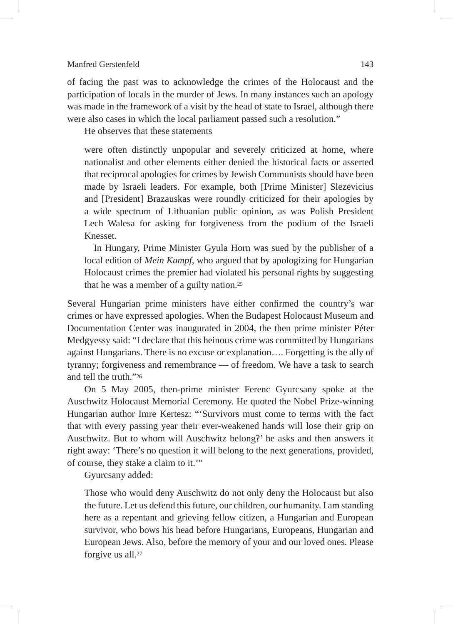of facing the past was to acknowledge the crimes of the Holocaust and the participation of locals in the murder of Jews. In many instances such an apology was made in the framework of a visit by the head of state to Israel, although there were also cases in which the local parliament passed such a resolution."

He observes that these statements

were often distinctly unpopular and severely criticized at home, where nationalist and other elements either denied the historical facts or asserted that reciprocal apologies for crimes by Jewish Communists should have been made by Israeli leaders. For example, both [Prime Minister] Slezevicius and [President] Brazauskas were roundly criticized for their apologies by a wide spectrum of Lithuanian public opinion, as was Polish President Lech Walesa for asking for forgiveness from the podium of the Israeli Knesset.

In Hungary, Prime Minister Gyula Horn was sued by the publisher of a local edition of *Mein Kampf*, who argued that by apologizing for Hungarian Holocaust crimes the premier had violated his personal rights by suggesting that he was a member of a guilty nation.25

Several Hungarian prime ministers have either confirmed the country's war crimes or have expressed apologies. When the Budapest Holocaust Museum and Documentation Center was inaugurated in 2004, the then prime minister Péter Medgyessy said: "I declare that this heinous crime was committed by Hungarians against Hungarians. There is no excuse or explanation…. Forgetting is the ally of tyranny; forgiveness and remembrance — of freedom. We have a task to search and tell the truth."26

On 5 May 2005, then-prime minister Ferenc Gyurcsany spoke at the Auschwitz Holocaust Memorial Ceremony. He quoted the Nobel Prize-winning Hungarian author Imre Kertesz: "'Survivors must come to terms with the fact that with every passing year their ever-weakened hands will lose their grip on Auschwitz. But to whom will Auschwitz belong?' he asks and then answers it right away: 'There's no question it will belong to the next generations, provided, of course, they stake a claim to it.'"

Gyurcsany added:

Those who would deny Auschwitz do not only deny the Holocaust but also the future. Let us defend this future, our children, our humanity. I am standing here as a repentant and grieving fellow citizen, a Hungarian and European survivor, who bows his head before Hungarians, Europeans, Hungarian and European Jews. Also, before the memory of your and our loved ones. Please forgive us all.27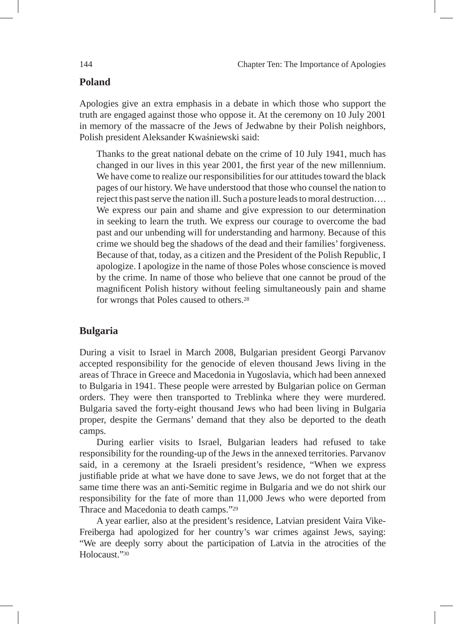# **Poland**

Apologies give an extra emphasis in a debate in which those who support the truth are engaged against those who oppose it. At the ceremony on 10 July 2001 in memory of the massacre of the Jews of Jedwabne by their Polish neighbors, Polish president Aleksander Kwaśniewski said:

Thanks to the great national debate on the crime of 10 July 1941, much has changed in our lives in this year 2001, the first year of the new millennium. We have come to realize our responsibilities for our attitudes toward the black pages of our history. We have understood that those who counsel the nation to reject this past serve the nation ill. Such a posture leads to moral destruction…. We express our pain and shame and give expression to our determination in seeking to learn the truth. We express our courage to overcome the bad past and our unbending will for understanding and harmony. Because of this crime we should beg the shadows of the dead and their families' forgiveness. Because of that, today, as a citizen and the President of the Polish Republic, I apologize. I apologize in the name of those Poles whose conscience is moved by the crime. In name of those who believe that one cannot be proud of the magnificent Polish history without feeling simultaneously pain and shame for wrongs that Poles caused to others.28

# **Bulgaria**

During a visit to Israel in March 2008, Bulgarian president Georgi Parvanov accepted responsibility for the genocide of eleven thousand Jews living in the areas of Thrace in Greece and Macedonia in Yugoslavia, which had been annexed to Bulgaria in 1941. These people were arrested by Bulgarian police on German orders. They were then transported to Treblinka where they were murdered. Bulgaria saved the forty-eight thousand Jews who had been living in Bulgaria proper, despite the Germans' demand that they also be deported to the death camps.

During earlier visits to Israel, Bulgarian leaders had refused to take responsibility for the rounding-up of the Jews in the annexed territories. Parvanov said, in a ceremony at the Israeli president's residence, "When we express justifiable pride at what we have done to save Jews, we do not forget that at the same time there was an anti-Semitic regime in Bulgaria and we do not shirk our responsibility for the fate of more than 11,000 Jews who were deported from Thrace and Macedonia to death camps."29

A year earlier, also at the president's residence, Latvian president Vaira Vike-Freiberga had apologized for her country's war crimes against Jews, saying: "We are deeply sorry about the participation of Latvia in the atrocities of the Holocaust<sup>"30</sup>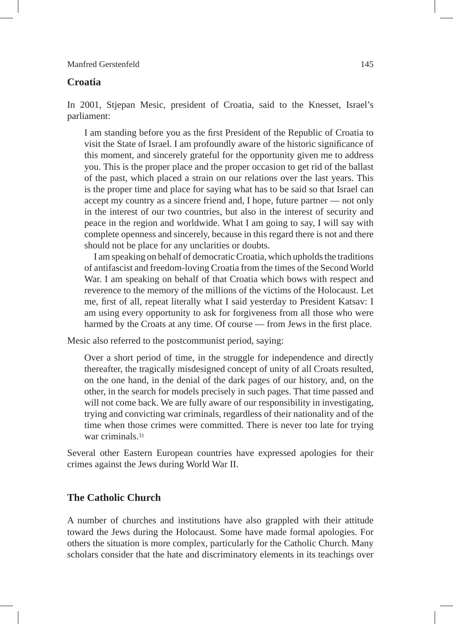#### **Croatia**

In 2001, Stjepan Mesic, president of Croatia, said to the Knesset, Israel's parliament:

I am standing before you as the first President of the Republic of Croatia to visit the State of Israel. I am profoundly aware of the historic significance of this moment, and sincerely grateful for the opportunity given me to address you. This is the proper place and the proper occasion to get rid of the ballast of the past, which placed a strain on our relations over the last years. This is the proper time and place for saying what has to be said so that Israel can accept my country as a sincere friend and, I hope, future partner — not only in the interest of our two countries, but also in the interest of security and peace in the region and worldwide. What I am going to say, I will say with complete openness and sincerely, because in this regard there is not and there should not be place for any unclarities or doubts.

I am speaking on behalf of democratic Croatia, which upholds the traditions of antifascist and freedom-loving Croatia from the times of the Second World War. I am speaking on behalf of that Croatia which bows with respect and reverence to the memory of the millions of the victims of the Holocaust. Let me, first of all, repeat literally what I said yesterday to President Katsav: I am using every opportunity to ask for forgiveness from all those who were harmed by the Croats at any time. Of course — from Jews in the first place.

Mesic also referred to the postcommunist period, saying:

Over a short period of time, in the struggle for independence and directly thereafter, the tragically misdesigned concept of unity of all Croats resulted, on the one hand, in the denial of the dark pages of our history, and, on the other, in the search for models precisely in such pages. That time passed and will not come back. We are fully aware of our responsibility in investigating, trying and convicting war criminals, regardless of their nationality and of the time when those crimes were committed. There is never too late for trying war criminals.31

Several other Eastern European countries have expressed apologies for their crimes against the Jews during World War II.

#### **The Catholic Church**

A number of churches and institutions have also grappled with their attitude toward the Jews during the Holocaust. Some have made formal apologies. For others the situation is more complex, particularly for the Catholic Church. Many scholars consider that the hate and discriminatory elements in its teachings over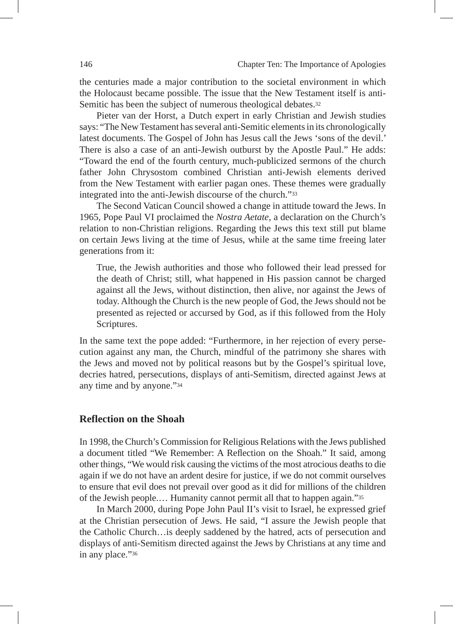the centuries made a major contribution to the societal environment in which the Holocaust became possible. The issue that the New Testament itself is anti-Semitic has been the subject of numerous theological debates.<sup>32</sup>

Pieter van der Horst, a Dutch expert in early Christian and Jewish studies says: "The New Testament has several anti-Semitic elements in its chronologically latest documents. The Gospel of John has Jesus call the Jews 'sons of the devil.' There is also a case of an anti-Jewish outburst by the Apostle Paul." He adds: "Toward the end of the fourth century, much-publicized sermons of the church father John Chrysostom combined Christian anti-Jewish elements derived from the New Testament with earlier pagan ones. These themes were gradually integrated into the anti-Jewish discourse of the church."33

The Second Vatican Council showed a change in attitude toward the Jews. In 1965, Pope Paul VI proclaimed the *Nostra Aetate*, a declaration on the Church's relation to non-Christian religions. Regarding the Jews this text still put blame on certain Jews living at the time of Jesus, while at the same time freeing later generations from it:

True, the Jewish authorities and those who followed their lead pressed for the death of Christ; still, what happened in His passion cannot be charged against all the Jews, without distinction, then alive, nor against the Jews of today. Although the Church is the new people of God, the Jews should not be presented as rejected or accursed by God, as if this followed from the Holy Scriptures.

In the same text the pope added: "Furthermore, in her rejection of every persecution against any man, the Church, mindful of the patrimony she shares with the Jews and moved not by political reasons but by the Gospel's spiritual love, decries hatred, persecutions, displays of anti-Semitism, directed against Jews at any time and by anyone."34

#### **Reflection on the Shoah**

In 1998, the Church's Commission for Religious Relations with the Jews published a document titled "We Remember: A Reflection on the Shoah." It said, among other things, "We would risk causing the victims of the most atrocious deaths to die again if we do not have an ardent desire for justice, if we do not commit ourselves to ensure that evil does not prevail over good as it did for millions of the children of the Jewish people.… Humanity cannot permit all that to happen again."35

In March 2000, during Pope John Paul II's visit to Israel, he expressed grief at the Christian persecution of Jews. He said, "I assure the Jewish people that the Catholic Church…is deeply saddened by the hatred, acts of persecution and displays of anti-Semitism directed against the Jews by Christians at any time and in any place."36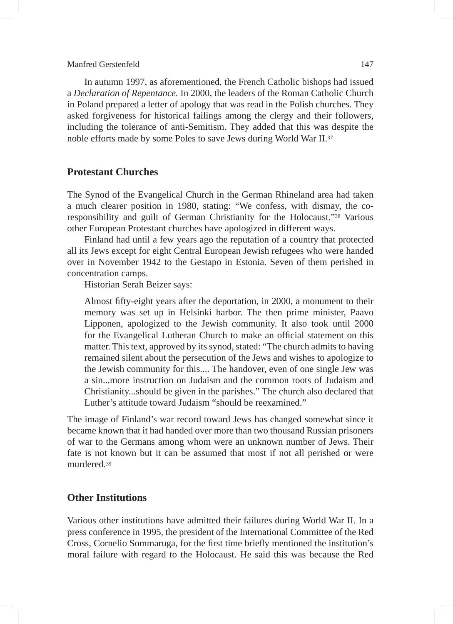In autumn 1997, as aforementioned, the French Catholic bishops had issued a *Declaration of Repentance.* In 2000, the leaders of the Roman Catholic Church in Poland prepared a letter of apology that was read in the Polish churches. They asked forgiveness for historical failings among the clergy and their followers, including the tolerance of anti-Semitism. They added that this was despite the noble efforts made by some Poles to save Jews during World War II.37

#### **Protestant Churches**

The Synod of the Evangelical Church in the German Rhineland area had taken a much clearer position in 1980, stating: "We confess, with dismay, the coresponsibility and guilt of German Christianity for the Holocaust."38 Various other European Protestant churches have apologized in different ways.

Finland had until a few years ago the reputation of a country that protected all its Jews except for eight Central European Jewish refugees who were handed over in November 1942 to the Gestapo in Estonia. Seven of them perished in concentration camps.

Historian Serah Beizer says:

Almost fifty-eight years after the deportation, in 2000, a monument to their memory was set up in Helsinki harbor. The then prime minister, Paavo Lipponen, apologized to the Jewish community. It also took until 2000 for the Evangelical Lutheran Church to make an official statement on this matter. This text, approved by its synod, stated: "The church admits to having remained silent about the persecution of the Jews and wishes to apologize to the Jewish community for this.... The handover, even of one single Jew was a sin...more instruction on Judaism and the common roots of Judaism and Christianity...should be given in the parishes." The church also declared that Luther's attitude toward Judaism "should be reexamined."

The image of Finland's war record toward Jews has changed somewhat since it became known that it had handed over more than two thousand Russian prisoners of war to the Germans among whom were an unknown number of Jews. Their fate is not known but it can be assumed that most if not all perished or were murdered<sup>39</sup>

#### **Other Institutions**

Various other institutions have admitted their failures during World War II. In a press conference in 1995, the president of the International Committee of the Red Cross, Cornelio Sommaruga, for the first time briefly mentioned the institution's moral failure with regard to the Holocaust. He said this was because the Red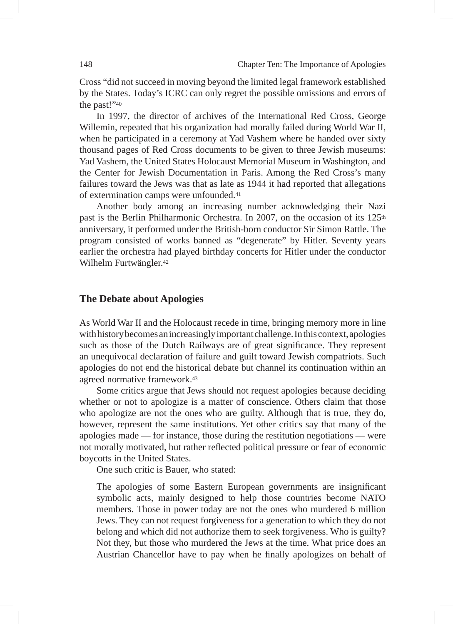Cross "did not succeed in moving beyond the limited legal framework established by the States. Today's ICRC can only regret the possible omissions and errors of the past!"40

In 1997, the director of archives of the International Red Cross, George Willemin, repeated that his organization had morally failed during World War II, when he participated in a ceremony at Yad Vashem where he handed over sixty thousand pages of Red Cross documents to be given to three Jewish museums: Yad Vashem, the United States Holocaust Memorial Museum in Washington, and the Center for Jewish Documentation in Paris. Among the Red Cross's many failures toward the Jews was that as late as 1944 it had reported that allegations of extermination camps were unfounded.41

Another body among an increasing number acknowledging their Nazi past is the Berlin Philharmonic Orchestra. In 2007, on the occasion of its  $125<sup>th</sup>$ anniversary, it performed under the British-born conductor Sir Simon Rattle. The program consisted of works banned as "degenerate" by Hitler. Seventy years earlier the orchestra had played birthday concerts for Hitler under the conductor Wilhelm Furtwängler.42

#### **The Debate about Apologies**

As World War II and the Holocaust recede in time, bringing memory more in line with history becomes an increasingly important challenge. In this context, apologies such as those of the Dutch Railways are of great significance. They represent an unequivocal declaration of failure and guilt toward Jewish compatriots. Such apologies do not end the historical debate but channel its continuation within an agreed normative framework.43

Some critics argue that Jews should not request apologies because deciding whether or not to apologize is a matter of conscience. Others claim that those who apologize are not the ones who are guilty. Although that is true, they do, however, represent the same institutions. Yet other critics say that many of the apologies made — for instance, those during the restitution negotiations — were not morally motivated, but rather reflected political pressure or fear of economic boycotts in the United States.

One such critic is Bauer, who stated:

The apologies of some Eastern European governments are insignificant symbolic acts, mainly designed to help those countries become NATO members. Those in power today are not the ones who murdered 6 million Jews. They can not request forgiveness for a generation to which they do not belong and which did not authorize them to seek forgiveness. Who is guilty? Not they, but those who murdered the Jews at the time. What price does an Austrian Chancellor have to pay when he finally apologizes on behalf of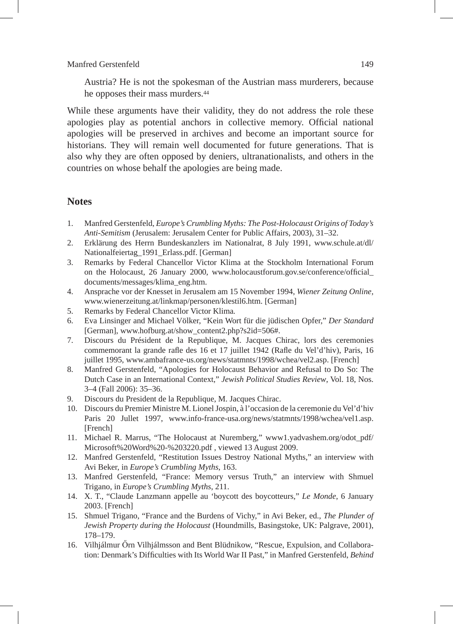Austria? He is not the spokesman of the Austrian mass murderers, because he opposes their mass murders.44

While these arguments have their validity, they do not address the role these apologies play as potential anchors in collective memory. Official national apologies will be preserved in archives and become an important source for historians. They will remain well documented for future generations. That is also why they are often opposed by deniers, ultranationalists, and others in the countries on whose behalf the apologies are being made.

#### **Notes**

- 1. Manfred Gerstenfeld, *Europe's Crumbling Myths: The Post-Holocaust Origins of Today's Anti-Semitism* (Jerusalem: Jerusalem Center for Public Affairs, 2003), 31–32.
- 2. Erklärung des Herrn Bundeskanzlers im Nationalrat, 8 July 1991, www.schule.at/dl/ Nationalfeiertag\_1991\_Erlass.pdf. [German]
- 3. Remarks by Federal Chancellor Victor Klima at the Stockholm International Forum on the Holocaust, 26 January 2000, www.holocaustforum.gov.se/conference/official\_ documents/messages/klima\_eng.htm.
- 4. Ansprache vor der Knesset in Jerusalem am 15 November 1994, *Wiener Zeitung Online,*  www.wienerzeitung.at/linkmap/personen/klestil6.htm. [German]
- 5. Remarks by Federal Chancellor Victor Klima*.*
- 6. Eva Linsinger and Michael Völker, "Kein Wort für die jüdischen Opfer," *Der Standard* [German], www.hofburg.at/show\_content2.php?s2id=506#.
- 7. Discours du Président de la Republique, M. Jacques Chirac, lors des ceremonies commemorant la grande rafle des 16 et 17 juillet 1942 (Rafle du Vel'd'hiv), Paris, 16 juillet 1995, www.ambafrance-us.org/news/statmnts/1998/wchea/vel2.asp. [French]
- 8. Manfred Gerstenfeld, "Apologies for Holocaust Behavior and Refusal to Do So: The Dutch Case in an International Context," *Jewish Political Studies Review*, Vol. 18, Nos. 3–4 (Fall 2006): 35–36.
- 9. Discours du President de la Republique, M. Jacques Chirac.
- 10. Discours du Premier Ministre M. Lionel Jospin, à l'occasion de la ceremonie du Vel'd'hiv Paris 20 Jullet 1997, www.info-france-usa.org/news/statmnts/1998/wchea/vel1.asp. [French]
- 11. Michael R. Marrus, "The Holocaust at Nuremberg," www1.yadvashem.org/odot\_pdf/ Microsoft%20Word%20-%203220.pdf , viewed 13 August 2009.
- 12. Manfred Gerstenfeld, "Restitution Issues Destroy National Myths," an interview with Avi Beker, in *Europe's Crumbling Myths*, 163.
- 13. Manfred Gerstenfeld, "France: Memory versus Truth," an interview with Shmuel Trigano, in *Europe's Crumbling Myths*, 211.
- 14. X. T., "Claude Lanzmann appelle au 'boycott des boycotteurs," *Le Monde*, 6 January 2003. [French]
- 15. Shmuel Trigano, "France and the Burdens of Vichy," in Avi Beker, ed., *The Plunder of Jewish Property during the Holocaust* (Houndmills, Basingstoke, UK: Palgrave, 2001), 178–179.
- 16. Vilhjálmur Őrn Vilhjálmsson and Bent Blüdnikow, "Rescue, Expulsion, and Collaboration: Denmark's Difficulties with Its World War II Past," in Manfred Gerstenfeld, *Behind*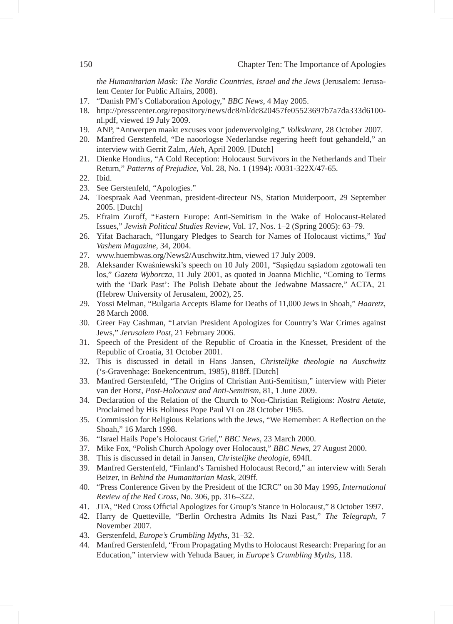*the Humanitarian Mask: The Nordic Countries, Israel and the Jews* (Jerusalem: Jerusalem Center for Public Affairs, 2008).

- 17. "Danish PM's Collaboration Apology," *BBC News*, 4 May 2005.
- 18. http://presscenter.org/repository/news/dc8/nl/dc820457fe05523697b7a7da333d6100 nl.pdf, viewed 19 July 2009.
- 19. ANP, "Antwerpen maakt excuses voor jodenvervolging," *Volkskrant*, 28 October 2007.
- 20. Manfred Gerstenfeld, "De naoorlogse Nederlandse regering heeft fout gehandeld," an interview with Gerrit Zalm, *Aleh*, April 2009. [Dutch]
- 21. Dienke Hondius, "A Cold Reception: Holocaust Survivors in the Netherlands and Their Return," *Patterns of Prejudice*, Vol. 28, No. 1 (1994): /0031-322X/47-65.
- 22. Ibid.
- 23. See Gerstenfeld, "Apologies."
- 24. Toespraak Aad Veenman, president-directeur NS, Station Muiderpoort, 29 September 2005. [Dutch]
- 25. Efraim Zuroff, "Eastern Europe: Anti-Semitism in the Wake of Holocaust-Related Issues," *Jewish Political Studies Review*, Vol. 17, Nos. 1–2 (Spring 2005): 63–79.
- 26. Yifat Bacharach, "Hungary Pledges to Search for Names of Holocaust victims," *Yad Vashem Magazine*, 34, 2004.
- 27. www.huembwas.org/News2/Auschwitz.htm, viewed 17 July 2009.
- 28. Aleksander Kwaśniewski's speech on 10 July 2001, "Sąsiędzu sąsiadom zgotowali ten los," *Gazeta Wyborcza*, 11 July 2001, as quoted in Joanna Michlic, "Coming to Terms with the 'Dark Past': The Polish Debate about the Jedwabne Massacre," ACTA, 21 (Hebrew University of Jerusalem, 2002), 25.
- 29. Yossi Melman, "Bulgaria Accepts Blame for Deaths of 11,000 Jews in Shoah," *Haaretz*, 28 March 2008.
- 30. Greer Fay Cashman, "Latvian President Apologizes for Country's War Crimes against Jews," *Jerusalem Post*, 21 February 2006.
- 31. Speech of the President of the Republic of Croatia in the Knesset, President of the Republic of Croatia, 31 October 2001.
- 32. This is discussed in detail in Hans Jansen, *Christelijke theologie na Auschwitz* ('s-Gravenhage: Boekencentrum, 1985), 818ff. [Dutch]
- 33. Manfred Gerstenfeld, "The Origins of Christian Anti-Semitism," interview with Pieter van der Horst, *Post-Holocaust and Anti-Semitism,* 81, 1 June 2009.
- 34. Declaration of the Relation of the Church to Non-Christian Religions: *Nostra Aetate*, Proclaimed by His Holiness Pope Paul VI on 28 October 1965.
- 35. Commission for Religious Relations with the Jews, "We Remember: A Reflection on the Shoah," 16 March 1998.
- 36. "Israel Hails Pope's Holocaust Grief," *BBC News*, 23 March 2000.
- 37. Mike Fox, "Polish Church Apology over Holocaust," *BBC News*, 27 August 2000.
- 38. This is discussed in detail in Jansen, *Christelijke theologie,* 694ff*.*
- 39. Manfred Gerstenfeld, "Finland's Tarnished Holocaust Record," an interview with Serah Beizer, in *Behind the Humanitarian Mask*, 209ff.
- 40. "Press Conference Given by the President of the ICRC" on 30 May 1995*, International Review of the Red Cross*, No. 306, pp. 316–322.
- 41. JTA, "Red Cross Official Apologizes for Group's Stance in Holocaust," 8 October 1997.
- 42. Harry de Quetteville, "Berlin Orchestra Admits Its Nazi Past," *The Telegraph*, 7 November 2007.
- 43. Gerstenfeld, *Europe's Crumbling Myths*, 31–32.
- 44. Manfred Gerstenfeld, "From Propagating Myths to Holocaust Research: Preparing for an Education," interview with Yehuda Bauer, in *Europe's Crumbling Myths*, 118.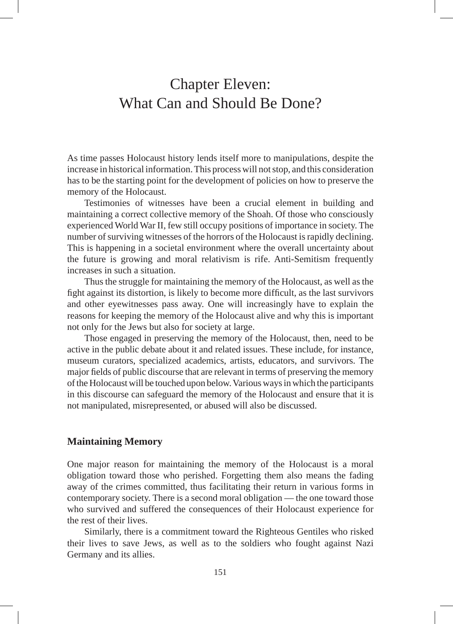## Chapter Eleven: What Can and Should Be Done?

As time passes Holocaust history lends itself more to manipulations, despite the increase in historical information. This process will not stop, and this consideration has to be the starting point for the development of policies on how to preserve the memory of the Holocaust.

Testimonies of witnesses have been a crucial element in building and maintaining a correct collective memory of the Shoah. Of those who consciously experienced World War II, few still occupy positions of importance in society. The number of surviving witnesses of the horrors of the Holocaust is rapidly declining. This is happening in a societal environment where the overall uncertainty about the future is growing and moral relativism is rife. Anti-Semitism frequently increases in such a situation.

Thus the struggle for maintaining the memory of the Holocaust, as well as the fight against its distortion, is likely to become more difficult, as the last survivors and other eyewitnesses pass away. One will increasingly have to explain the reasons for keeping the memory of the Holocaust alive and why this is important not only for the Jews but also for society at large.

Those engaged in preserving the memory of the Holocaust, then, need to be active in the public debate about it and related issues. These include, for instance, museum curators, specialized academics, artists, educators, and survivors. The major fields of public discourse that are relevant in terms of preserving the memory of the Holocaust will be touched upon below. Various ways in which the participants in this discourse can safeguard the memory of the Holocaust and ensure that it is not manipulated, misrepresented, or abused will also be discussed.

#### **Maintaining Memory**

One major reason for maintaining the memory of the Holocaust is a moral obligation toward those who perished. Forgetting them also means the fading away of the crimes committed, thus facilitating their return in various forms in contemporary society. There is a second moral obligation — the one toward those who survived and suffered the consequences of their Holocaust experience for the rest of their lives.

Similarly, there is a commitment toward the Righteous Gentiles who risked their lives to save Jews, as well as to the soldiers who fought against Nazi Germany and its allies.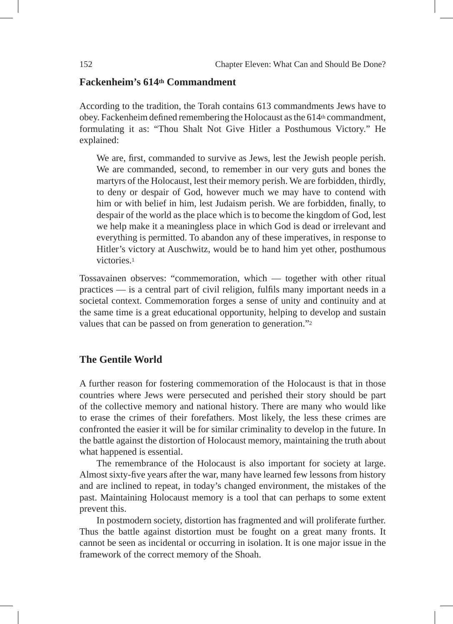### **Fackenheim's 614th Commandment**

According to the tradition, the Torah contains 613 commandments Jews have to obey. Fackenheim defined remembering the Holocaust as the  $614<sup>th</sup>$  commandment, formulating it as: "Thou Shalt Not Give Hitler a Posthumous Victory." He explained:

We are, first, commanded to survive as Jews, lest the Jewish people perish. We are commanded, second, to remember in our very guts and bones the martyrs of the Holocaust, lest their memory perish. We are forbidden, thirdly, to deny or despair of God, however much we may have to contend with him or with belief in him, lest Judaism perish. We are forbidden, finally, to despair of the world as the place which is to become the kingdom of God, lest we help make it a meaningless place in which God is dead or irrelevant and everything is permitted. To abandon any of these imperatives, in response to Hitler's victory at Auschwitz, would be to hand him yet other, posthumous victories<sup>1</sup>

Tossavainen observes: "commemoration, which — together with other ritual practices — is a central part of civil religion, fulfils many important needs in a societal context. Commemoration forges a sense of unity and continuity and at the same time is a great educational opportunity, helping to develop and sustain values that can be passed on from generation to generation."<sup>2</sup>

### **The Gentile World**

A further reason for fostering commemoration of the Holocaust is that in those countries where Jews were persecuted and perished their story should be part of the collective memory and national history. There are many who would like to erase the crimes of their forefathers. Most likely, the less these crimes are confronted the easier it will be for similar criminality to develop in the future. In the battle against the distortion of Holocaust memory, maintaining the truth about what happened is essential.

The remembrance of the Holocaust is also important for society at large. Almost sixty-five years after the war, many have learned few lessons from history and are inclined to repeat, in today's changed environment, the mistakes of the past. Maintaining Holocaust memory is a tool that can perhaps to some extent prevent this.

In postmodern society, distortion has fragmented and will proliferate further. Thus the battle against distortion must be fought on a great many fronts. It cannot be seen as incidental or occurring in isolation. It is one major issue in the framework of the correct memory of the Shoah.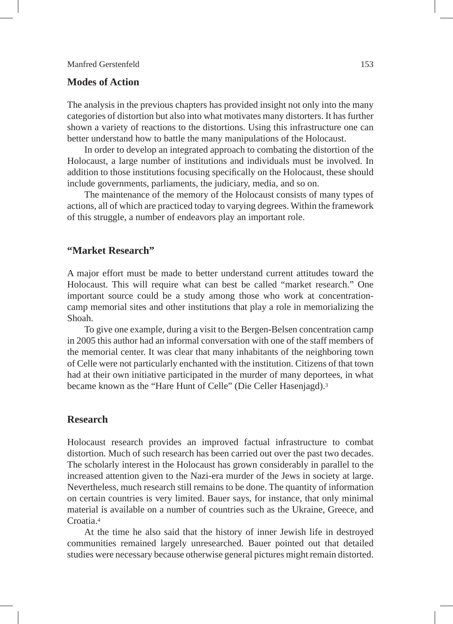#### **Modes of Action**

The analysis in the previous chapters has provided insight not only into the many categories of distortion but also into what motivates many distorters. It has further shown a variety of reactions to the distortions. Using this infrastructure one can better understand how to battle the many manipulations of the Holocaust.

In order to develop an integrated approach to combating the distortion of the Holocaust, a large number of institutions and individuals must be involved. In addition to those institutions focusing specifically on the Holocaust, these should include governments, parliaments, the judiciary, media, and so on.

The maintenance of the memory of the Holocaust consists of many types of actions, all of which are practiced today to varying degrees. Within the framework of this struggle, a number of endeavors play an important role.

#### **"Market Research"**

A major effort must be made to better understand current attitudes toward the Holocaust. This will require what can best be called "market research." One important source could be a study among those who work at concentrationcamp memorial sites and other institutions that play a role in memorializing the Shoah.

To give one example, during a visit to the Bergen-Belsen concentration camp in 2005 this author had an informal conversation with one of the staff members of the memorial center. It was clear that many inhabitants of the neighboring town of Celle were not particularly enchanted with the institution. Citizens of that town had at their own initiative participated in the murder of many deportees, in what became known as the "Hare Hunt of Celle" (Die Celler Hasenjagd).3

#### **Research**

Holocaust research provides an improved factual infrastructure to combat distortion. Much of such research has been carried out over the past two decades. The scholarly interest in the Holocaust has grown considerably in parallel to the increased attention given to the Nazi-era murder of the Jews in society at large. Nevertheless, much research still remains to be done. The quantity of information on certain countries is very limited. Bauer says, for instance, that only minimal material is available on a number of countries such as the Ukraine, Greece, and Croatia<sup>4</sup>

At the time he also said that the history of inner Jewish life in destroyed communities remained largely unresearched. Bauer pointed out that detailed studies were necessary because otherwise general pictures might remain distorted.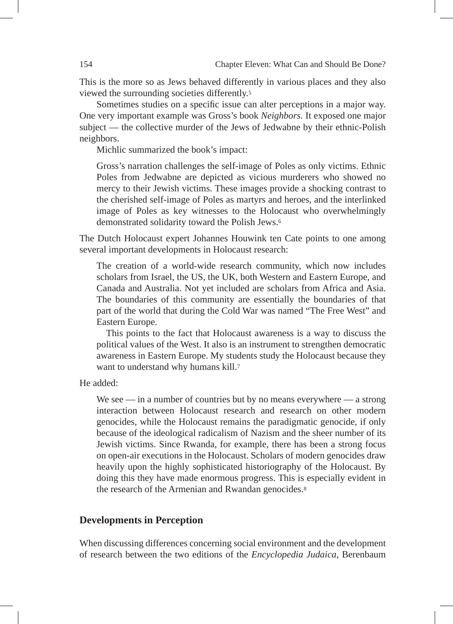This is the more so as Jews behaved differently in various places and they also viewed the surrounding societies differently.5

Sometimes studies on a specific issue can alter perceptions in a major way. One very important example was Gross's book *Neighbors.* It exposed one major subject — the collective murder of the Jews of Jedwabne by their ethnic-Polish neighbors.

Michlic summarized the book's impact:

Gross's narration challenges the self-image of Poles as only victims. Ethnic Poles from Jedwabne are depicted as vicious murderers who showed no mercy to their Jewish victims. These images provide a shocking contrast to the cherished self-image of Poles as martyrs and heroes, and the interlinked image of Poles as key witnesses to the Holocaust who overwhelmingly demonstrated solidarity toward the Polish Jews.6

The Dutch Holocaust expert Johannes Houwink ten Cate points to one among several important developments in Holocaust research:

The creation of a world-wide research community, which now includes scholars from Israel, the US, the UK, both Western and Eastern Europe, and Canada and Australia. Not yet included are scholars from Africa and Asia. The boundaries of this community are essentially the boundaries of that part of the world that during the Cold War was named "The Free West" and Eastern Europe.

This points to the fact that Holocaust awareness is a way to discuss the political values of the West. It also is an instrument to strengthen democratic awareness in Eastern Europe. My students study the Holocaust because they want to understand why humans kill.<sup>7</sup>

He added:

We see — in a number of countries but by no means everywhere — a strong interaction between Holocaust research and research on other modern genocides, while the Holocaust remains the paradigmatic genocide, if only because of the ideological radicalism of Nazism and the sheer number of its Jewish victims. Since Rwanda, for example, there has been a strong focus on open-air executions in the Holocaust. Scholars of modern genocides draw heavily upon the highly sophisticated historiography of the Holocaust. By doing this they have made enormous progress. This is especially evident in the research of the Armenian and Rwandan genocides.<sup>8</sup>

#### **Developments in Perception**

When discussing differences concerning social environment and the development of research between the two editions of the *Encyclopedia Judaica*, Berenbaum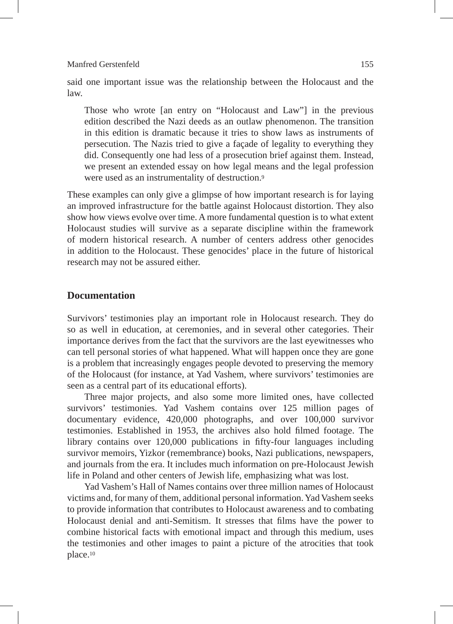said one important issue was the relationship between the Holocaust and the law.

Those who wrote [an entry on "Holocaust and Law"] in the previous edition described the Nazi deeds as an outlaw phenomenon. The transition in this edition is dramatic because it tries to show laws as instruments of persecution. The Nazis tried to give a façade of legality to everything they did. Consequently one had less of a prosecution brief against them. Instead, we present an extended essay on how legal means and the legal profession were used as an instrumentality of destruction.9

These examples can only give a glimpse of how important research is for laying an improved infrastructure for the battle against Holocaust distortion. They also show how views evolve over time. A more fundamental question is to what extent Holocaust studies will survive as a separate discipline within the framework of modern historical research. A number of centers address other genocides in addition to the Holocaust. These genocides' place in the future of historical research may not be assured either.

#### **Documentation**

Survivors' testimonies play an important role in Holocaust research. They do so as well in education, at ceremonies, and in several other categories. Their importance derives from the fact that the survivors are the last eyewitnesses who can tell personal stories of what happened. What will happen once they are gone is a problem that increasingly engages people devoted to preserving the memory of the Holocaust (for instance, at Yad Vashem, where survivors' testimonies are seen as a central part of its educational efforts).

Three major projects, and also some more limited ones, have collected survivors' testimonies. Yad Vashem contains over 125 million pages of documentary evidence, 420,000 photographs, and over 100,000 survivor testimonies. Established in 1953, the archives also hold filmed footage. The library contains over 120,000 publications in fifty-four languages including survivor memoirs, Yizkor (remembrance) books, Nazi publications, newspapers, and journals from the era. It includes much information on pre-Holocaust Jewish life in Poland and other centers of Jewish life, emphasizing what was lost.

Yad Vashem's Hall of Names contains over three million names of Holocaust victims and, for many of them, additional personal information. Yad Vashem seeks to provide information that contributes to Holocaust awareness and to combating Holocaust denial and anti-Semitism. It stresses that films have the power to combine historical facts with emotional impact and through this medium, uses the testimonies and other images to paint a picture of the atrocities that took place.10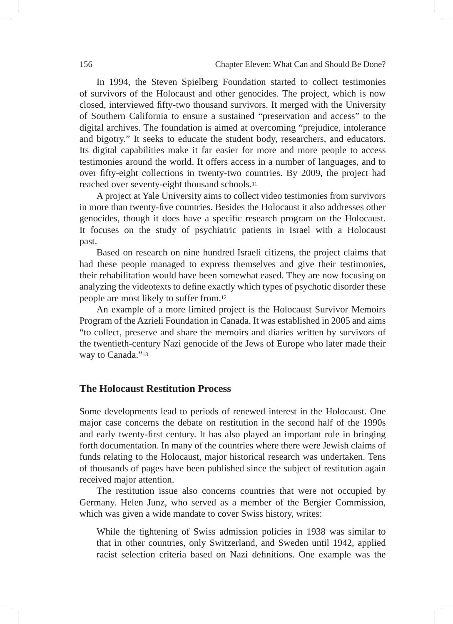In 1994, the Steven Spielberg Foundation started to collect testimonies of survivors of the Holocaust and other genocides. The project, which is now closed, interviewed fifty-two thousand survivors. It merged with the University of Southern California to ensure a sustained "preservation and access" to the digital archives. The foundation is aimed at overcoming "prejudice, intolerance and bigotry." It seeks to educate the student body, researchers, and educators. Its digital capabilities make it far easier for more and more people to access testimonies around the world. It offers access in a number of languages, and to over fifty-eight collections in twenty-two countries. By 2009, the project had reached over seventy-eight thousand schools.11

A project at Yale University aims to collect video testimonies from survivors in more than twenty-five countries. Besides the Holocaust it also addresses other genocides, though it does have a specific research program on the Holocaust. It focuses on the study of psychiatric patients in Israel with a Holocaust past.

Based on research on nine hundred Israeli citizens, the project claims that had these people managed to express themselves and give their testimonies, their rehabilitation would have been somewhat eased. They are now focusing on analyzing the videotexts to define exactly which types of psychotic disorder these people are most likely to suffer from.12

An example of a more limited project is the Holocaust Survivor Memoirs Program of the Azrieli Foundation in Canada. It was established in 2005 and aims "to collect, preserve and share the memoirs and diaries written by survivors of the twentieth-century Nazi genocide of the Jews of Europe who later made their way to Canada."<sup>13</sup>

#### **The Holocaust Restitution Process**

Some developments lead to periods of renewed interest in the Holocaust. One major case concerns the debate on restitution in the second half of the 1990s and early twenty-first century. It has also played an important role in bringing forth documentation. In many of the countries where there were Jewish claims of funds relating to the Holocaust, major historical research was undertaken. Tens of thousands of pages have been published since the subject of restitution again received major attention.

The restitution issue also concerns countries that were not occupied by Germany. Helen Junz, who served as a member of the Bergier Commission, which was given a wide mandate to cover Swiss history, writes:

While the tightening of Swiss admission policies in 1938 was similar to that in other countries, only Switzerland, and Sweden until 1942, applied racist selection criteria based on Nazi definitions. One example was the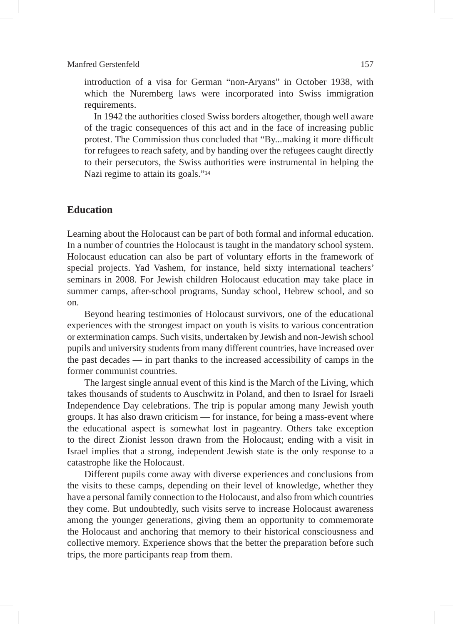introduction of a visa for German "non-Aryans" in October 1938, with which the Nuremberg laws were incorporated into Swiss immigration requirements.

In 1942 the authorities closed Swiss borders altogether, though well aware of the tragic consequences of this act and in the face of increasing public protest. The Commission thus concluded that "By...making it more difficult for refugees to reach safety, and by handing over the refugees caught directly to their persecutors, the Swiss authorities were instrumental in helping the Nazi regime to attain its goals."<sup>14</sup>

#### **Education**

Learning about the Holocaust can be part of both formal and informal education. In a number of countries the Holocaust is taught in the mandatory school system. Holocaust education can also be part of voluntary efforts in the framework of special projects. Yad Vashem, for instance, held sixty international teachers' seminars in 2008. For Jewish children Holocaust education may take place in summer camps, after-school programs, Sunday school, Hebrew school, and so on.

Beyond hearing testimonies of Holocaust survivors, one of the educational experiences with the strongest impact on youth is visits to various concentration or extermination camps. Such visits, undertaken by Jewish and non-Jewish school pupils and university students from many different countries, have increased over the past decades — in part thanks to the increased accessibility of camps in the former communist countries.

The largest single annual event of this kind is the March of the Living, which takes thousands of students to Auschwitz in Poland, and then to Israel for Israeli Independence Day celebrations. The trip is popular among many Jewish youth groups. It has also drawn criticism — for instance, for being a mass-event where the educational aspect is somewhat lost in pageantry. Others take exception to the direct Zionist lesson drawn from the Holocaust; ending with a visit in Israel implies that a strong, independent Jewish state is the only response to a catastrophe like the Holocaust.

Different pupils come away with diverse experiences and conclusions from the visits to these camps, depending on their level of knowledge, whether they have a personal family connection to the Holocaust, and also from which countries they come. But undoubtedly, such visits serve to increase Holocaust awareness among the younger generations, giving them an opportunity to commemorate the Holocaust and anchoring that memory to their historical consciousness and collective memory. Experience shows that the better the preparation before such trips, the more participants reap from them.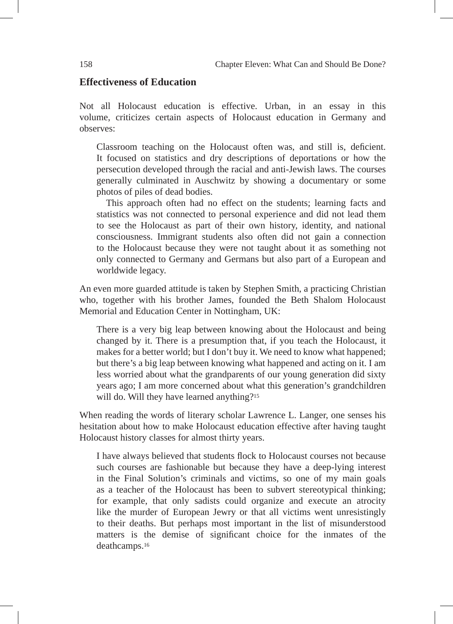#### **Effectiveness of Education**

Not all Holocaust education is effective. Urban, in an essay in this volume, criticizes certain aspects of Holocaust education in Germany and observes:

Classroom teaching on the Holocaust often was, and still is, deficient. It focused on statistics and dry descriptions of deportations or how the persecution developed through the racial and anti-Jewish laws. The courses generally culminated in Auschwitz by showing a documentary or some photos of piles of dead bodies.

This approach often had no effect on the students; learning facts and statistics was not connected to personal experience and did not lead them to see the Holocaust as part of their own history, identity, and national consciousness. Immigrant students also often did not gain a connection to the Holocaust because they were not taught about it as something not only connected to Germany and Germans but also part of a European and worldwide legacy.

An even more guarded attitude is taken by Stephen Smith, a practicing Christian who, together with his brother James, founded the Beth Shalom Holocaust Memorial and Education Center in Nottingham, UK:

There is a very big leap between knowing about the Holocaust and being changed by it. There is a presumption that, if you teach the Holocaust, it makes for a better world; but I don't buy it. We need to know what happened; but there's a big leap between knowing what happened and acting on it. I am less worried about what the grandparents of our young generation did sixty years ago; I am more concerned about what this generation's grandchildren will do. Will they have learned anything?<sup>15</sup>

When reading the words of literary scholar Lawrence L. Langer, one senses his hesitation about how to make Holocaust education effective after having taught Holocaust history classes for almost thirty years.

I have always believed that students flock to Holocaust courses not because such courses are fashionable but because they have a deep-lying interest in the Final Solution's criminals and victims, so one of my main goals as a teacher of the Holocaust has been to subvert stereotypical thinking; for example, that only sadists could organize and execute an atrocity like the murder of European Jewry or that all victims went unresistingly to their deaths. But perhaps most important in the list of misunderstood matters is the demise of significant choice for the inmates of the deathcamps.16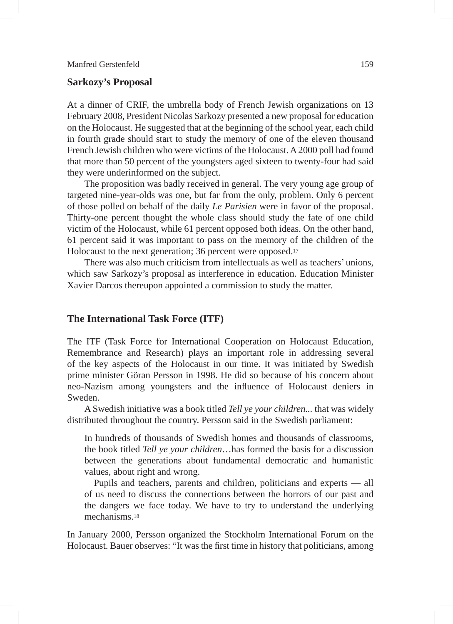#### **Sarkozy's Proposal**

At a dinner of CRIF, the umbrella body of French Jewish organizations on 13 February 2008, President Nicolas Sarkozy presented a new proposal for education on the Holocaust. He suggested that at the beginning of the school year, each child in fourth grade should start to study the memory of one of the eleven thousand French Jewish children who were victims of the Holocaust. A 2000 poll had found that more than 50 percent of the youngsters aged sixteen to twenty-four had said they were underinformed on the subject.

The proposition was badly received in general. The very young age group of targeted nine-year-olds was one, but far from the only, problem. Only 6 percent of those polled on behalf of the daily *Le Parisien* were in favor of the proposal. Thirty-one percent thought the whole class should study the fate of one child victim of the Holocaust, while 61 percent opposed both ideas. On the other hand, 61 percent said it was important to pass on the memory of the children of the Holocaust to the next generation; 36 percent were opposed.17

There was also much criticism from intellectuals as well as teachers' unions, which saw Sarkozy's proposal as interference in education. Education Minister Xavier Darcos thereupon appointed a commission to study the matter.

#### **The International Task Force (ITF)**

The ITF (Task Force for International Cooperation on Holocaust Education, Remembrance and Research) plays an important role in addressing several of the key aspects of the Holocaust in our time. It was initiated by Swedish prime minister Göran Persson in 1998. He did so because of his concern about neo-Nazism among youngsters and the influence of Holocaust deniers in Sweden.

A Swedish initiative was a book titled *Tell ye your children...* that was widely distributed throughout the country. Persson said in the Swedish parliament:

In hundreds of thousands of Swedish homes and thousands of classrooms, the book titled *Tell ye your children*…has formed the basis for a discussion between the generations about fundamental democratic and humanistic values, about right and wrong.

Pupils and teachers, parents and children, politicians and experts — all of us need to discuss the connections between the horrors of our past and the dangers we face today. We have to try to understand the underlying mechanisms<sup>18</sup>

In January 2000, Persson organized the Stockholm International Forum on the Holocaust. Bauer observes: "It was the first time in history that politicians, among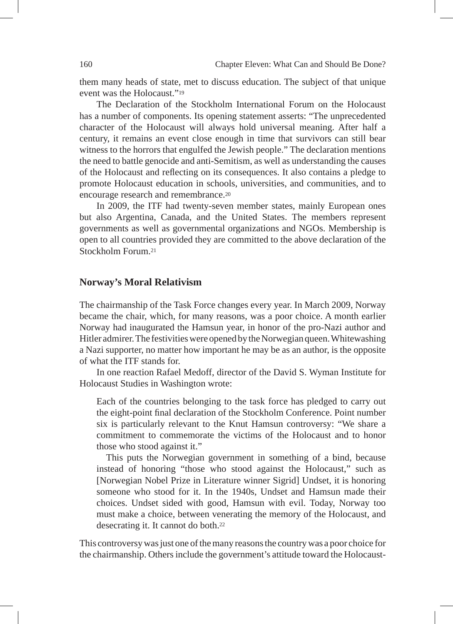them many heads of state, met to discuss education. The subject of that unique event was the Holocaust."19

The Declaration of the Stockholm International Forum on the Holocaust has a number of components. Its opening statement asserts: "The unprecedented character of the Holocaust will always hold universal meaning. After half a century, it remains an event close enough in time that survivors can still bear witness to the horrors that engulfed the Jewish people." The declaration mentions the need to battle genocide and anti-Semitism, as well as understanding the causes of the Holocaust and reflecting on its consequences. It also contains a pledge to promote Holocaust education in schools, universities, and communities, and to encourage research and remembrance.20

In 2009, the ITF had twenty-seven member states, mainly European ones but also Argentina, Canada, and the United States. The members represent governments as well as governmental organizations and NGOs. Membership is open to all countries provided they are committed to the above declaration of the Stockholm Forum.21

#### **Norway's Moral Relativism**

The chairmanship of the Task Force changes every year. In March 2009, Norway became the chair, which, for many reasons, was a poor choice. A month earlier Norway had inaugurated the Hamsun year, in honor of the pro-Nazi author and Hitler admirer. The festivities were opened by the Norwegian queen. Whitewashing a Nazi supporter, no matter how important he may be as an author, is the opposite of what the ITF stands for.

In one reaction Rafael Medoff, director of the David S. Wyman Institute for Holocaust Studies in Washington wrote:

Each of the countries belonging to the task force has pledged to carry out the eight-point final declaration of the Stockholm Conference. Point number six is particularly relevant to the Knut Hamsun controversy: "We share a commitment to commemorate the victims of the Holocaust and to honor those who stood against it."

This puts the Norwegian government in something of a bind, because instead of honoring "those who stood against the Holocaust," such as [Norwegian Nobel Prize in Literature winner Sigrid] Undset, it is honoring someone who stood for it. In the 1940s, Undset and Hamsun made their choices. Undset sided with good, Hamsun with evil. Today, Norway too must make a choice, between venerating the memory of the Holocaust, and desecrating it. It cannot do both.22

This controversy was just one of the many reasons the country was a poor choice for the chairmanship. Others include the government's attitude toward the Holocaust-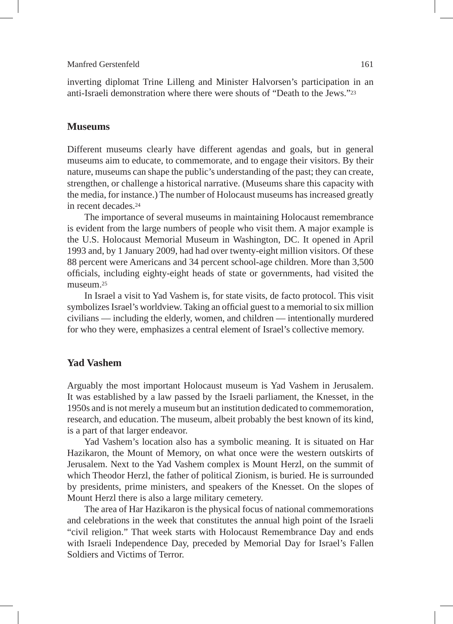inverting diplomat Trine Lilleng and Minister Halvorsen's participation in an anti-Israeli demonstration where there were shouts of "Death to the Jews."23

#### **Museums**

Different museums clearly have different agendas and goals, but in general museums aim to educate, to commemorate, and to engage their visitors. By their nature, museums can shape the public's understanding of the past; they can create, strengthen, or challenge a historical narrative. (Museums share this capacity with the media, for instance.) The number of Holocaust museums has increased greatly in recent decades.24

The importance of several museums in maintaining Holocaust remembrance is evident from the large numbers of people who visit them. A major example is the U.S. Holocaust Memorial Museum in Washington, DC. It opened in April 1993 and, by 1 January 2009, had had over twenty-eight million visitors. Of these 88 percent were Americans and 34 percent school-age children. More than 3,500 officials, including eighty-eight heads of state or governments, had visited the museum<sup>25</sup>

In Israel a visit to Yad Vashem is, for state visits, de facto protocol. This visit symbolizes Israel's worldview. Taking an official guest to a memorial to six million civilians — including the elderly, women, and children — intentionally murdered for who they were, emphasizes a central element of Israel's collective memory.

#### **Yad Vashem**

Arguably the most important Holocaust museum is Yad Vashem in Jerusalem. It was established by a law passed by the Israeli parliament, the Knesset, in the 1950s and is not merely a museum but an institution dedicated to commemoration, research, and education. The museum, albeit probably the best known of its kind, is a part of that larger endeavor.

Yad Vashem's location also has a symbolic meaning. It is situated on Har Hazikaron, the Mount of Memory, on what once were the western outskirts of Jerusalem. Next to the Yad Vashem complex is Mount Herzl, on the summit of which Theodor Herzl, the father of political Zionism, is buried. He is surrounded by presidents, prime ministers, and speakers of the Knesset. On the slopes of Mount Herzl there is also a large military cemetery.

The area of Har Hazikaron is the physical focus of national commemorations and celebrations in the week that constitutes the annual high point of the Israeli "civil religion." That week starts with Holocaust Remembrance Day and ends with Israeli Independence Day, preceded by Memorial Day for Israel's Fallen Soldiers and Victims of Terror.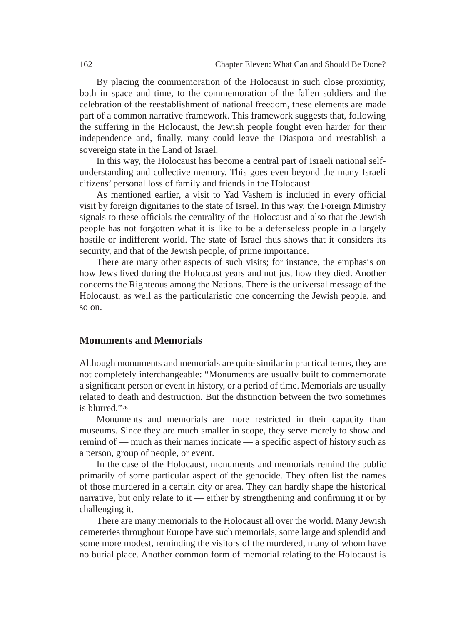By placing the commemoration of the Holocaust in such close proximity, both in space and time, to the commemoration of the fallen soldiers and the celebration of the reestablishment of national freedom, these elements are made part of a common narrative framework. This framework suggests that, following the suffering in the Holocaust, the Jewish people fought even harder for their independence and, finally, many could leave the Diaspora and reestablish a sovereign state in the Land of Israel.

In this way, the Holocaust has become a central part of Israeli national selfunderstanding and collective memory. This goes even beyond the many Israeli citizens' personal loss of family and friends in the Holocaust.

As mentioned earlier, a visit to Yad Vashem is included in every official visit by foreign dignitaries to the state of Israel. In this way, the Foreign Ministry signals to these officials the centrality of the Holocaust and also that the Jewish people has not forgotten what it is like to be a defenseless people in a largely hostile or indifferent world. The state of Israel thus shows that it considers its security, and that of the Jewish people, of prime importance.

There are many other aspects of such visits; for instance, the emphasis on how Jews lived during the Holocaust years and not just how they died. Another concerns the Righteous among the Nations. There is the universal message of the Holocaust, as well as the particularistic one concerning the Jewish people, and so on.

#### **Monuments and Memorials**

Although monuments and memorials are quite similar in practical terms, they are not completely interchangeable: "Monuments are usually built to commemorate a significant person or event in history, or a period of time. Memorials are usually related to death and destruction. But the distinction between the two sometimes is blurred<sup>"26</sup>

Monuments and memorials are more restricted in their capacity than museums. Since they are much smaller in scope, they serve merely to show and remind of — much as their names indicate — a specific aspect of history such as a person, group of people, or event.

In the case of the Holocaust, monuments and memorials remind the public primarily of some particular aspect of the genocide. They often list the names of those murdered in a certain city or area. They can hardly shape the historical narrative, but only relate to it — either by strengthening and confirming it or by challenging it.

There are many memorials to the Holocaust all over the world. Many Jewish cemeteries throughout Europe have such memorials, some large and splendid and some more modest, reminding the visitors of the murdered, many of whom have no burial place. Another common form of memorial relating to the Holocaust is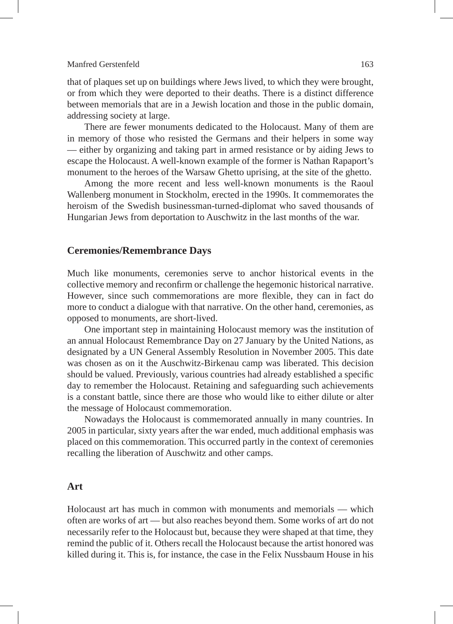that of plaques set up on buildings where Jews lived, to which they were brought, or from which they were deported to their deaths. There is a distinct difference between memorials that are in a Jewish location and those in the public domain, addressing society at large.

There are fewer monuments dedicated to the Holocaust. Many of them are in memory of those who resisted the Germans and their helpers in some way — either by organizing and taking part in armed resistance or by aiding Jews to escape the Holocaust. A well-known example of the former is Nathan Rapaport's monument to the heroes of the Warsaw Ghetto uprising, at the site of the ghetto.

Among the more recent and less well-known monuments is the Raoul Wallenberg monument in Stockholm, erected in the 1990s. It commemorates the heroism of the Swedish businessman-turned-diplomat who saved thousands of Hungarian Jews from deportation to Auschwitz in the last months of the war.

#### **Ceremonies/Remembrance Days**

Much like monuments, ceremonies serve to anchor historical events in the collective memory and reconfirm or challenge the hegemonic historical narrative. However, since such commemorations are more flexible, they can in fact do more to conduct a dialogue with that narrative. On the other hand, ceremonies, as opposed to monuments, are short-lived.

One important step in maintaining Holocaust memory was the institution of an annual Holocaust Remembrance Day on 27 January by the United Nations, as designated by a UN General Assembly Resolution in November 2005. This date was chosen as on it the Auschwitz-Birkenau camp was liberated. This decision should be valued. Previously, various countries had already established a specific day to remember the Holocaust. Retaining and safeguarding such achievements is a constant battle, since there are those who would like to either dilute or alter the message of Holocaust commemoration.

Nowadays the Holocaust is commemorated annually in many countries. In 2005 in particular, sixty years after the war ended, much additional emphasis was placed on this commemoration. This occurred partly in the context of ceremonies recalling the liberation of Auschwitz and other camps.

#### **Art**

Holocaust art has much in common with monuments and memorials — which often are works of art — but also reaches beyond them. Some works of art do not necessarily refer to the Holocaust but, because they were shaped at that time, they remind the public of it. Others recall the Holocaust because the artist honored was killed during it. This is, for instance, the case in the Felix Nussbaum House in his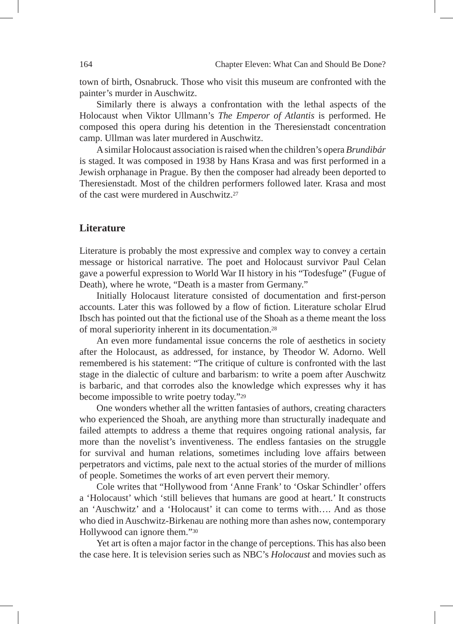town of birth, Osnabruck. Those who visit this museum are confronted with the painter's murder in Auschwitz.

Similarly there is always a confrontation with the lethal aspects of the Holocaust when Viktor Ullmann's *The Emperor of Atlantis* is performed. He composed this opera during his detention in the Theresienstadt concentration camp. Ullman was later murdered in Auschwitz.

A similar Holocaust association is raised when the children's opera *Brundibár* is staged. It was composed in 1938 by Hans Krasa and was first performed in a Jewish orphanage in Prague. By then the composer had already been deported to Theresienstadt. Most of the children performers followed later. Krasa and most of the cast were murdered in Auschwitz.27

#### **Literature**

Literature is probably the most expressive and complex way to convey a certain message or historical narrative. The poet and Holocaust survivor Paul Celan gave a powerful expression to World War II history in his "Todesfuge" (Fugue of Death), where he wrote, "Death is a master from Germany."

Initially Holocaust literature consisted of documentation and first-person accounts. Later this was followed by a flow of fiction. Literature scholar Elrud Ibsch has pointed out that the fictional use of the Shoah as a theme meant the loss of moral superiority inherent in its documentation.28

An even more fundamental issue concerns the role of aesthetics in society after the Holocaust, as addressed, for instance, by Theodor W. Adorno. Well remembered is his statement: "The critique of culture is confronted with the last stage in the dialectic of culture and barbarism: to write a poem after Auschwitz is barbaric, and that corrodes also the knowledge which expresses why it has become impossible to write poetry today."29

One wonders whether all the written fantasies of authors, creating characters who experienced the Shoah, are anything more than structurally inadequate and failed attempts to address a theme that requires ongoing rational analysis, far more than the novelist's inventiveness. The endless fantasies on the struggle for survival and human relations, sometimes including love affairs between perpetrators and victims, pale next to the actual stories of the murder of millions of people. Sometimes the works of art even pervert their memory.

Cole writes that "Hollywood from 'Anne Frank' to 'Oskar Schindler' offers a 'Holocaust' which 'still believes that humans are good at heart.' It constructs an 'Auschwitz' and a 'Holocaust' it can come to terms with…. And as those who died in Auschwitz-Birkenau are nothing more than ashes now, contemporary Hollywood can ignore them."30

Yet art is often a major factor in the change of perceptions. This has also been the case here. It is television series such as NBC's *Holocaust* and movies such as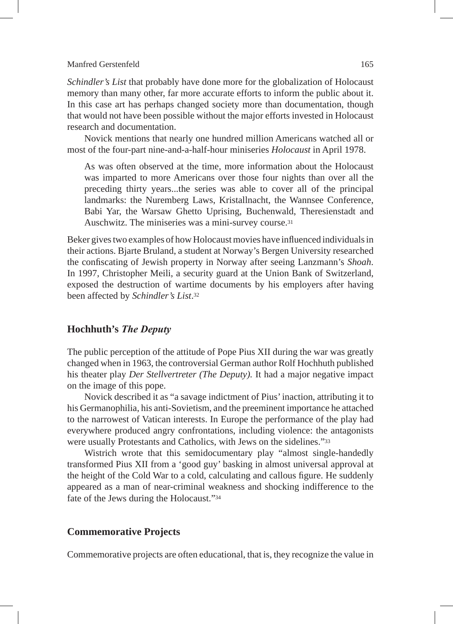*Schindler's List* that probably have done more for the globalization of Holocaust memory than many other, far more accurate efforts to inform the public about it. In this case art has perhaps changed society more than documentation, though that would not have been possible without the major efforts invested in Holocaust research and documentation.

Novick mentions that nearly one hundred million Americans watched all or most of the four-part nine-and-a-half-hour miniseries *Holocaust* in April 1978.

As was often observed at the time, more information about the Holocaust was imparted to more Americans over those four nights than over all the preceding thirty years...the series was able to cover all of the principal landmarks: the Nuremberg Laws, Kristallnacht, the Wannsee Conference, Babi Yar, the Warsaw Ghetto Uprising, Buchenwald, Theresienstadt and Auschwitz. The miniseries was a mini-survey course.31

Beker gives two examples of how Holocaust movies have influenced individuals in their actions. Bjarte Bruland, a student at Norway's Bergen University researched the confiscating of Jewish property in Norway after seeing Lanzmann's *Shoah*. In 1997, Christopher Meili, a security guard at the Union Bank of Switzerland, exposed the destruction of wartime documents by his employers after having been affected by *Schindler's List*.32

#### **Hochhuth's** *The Deputy*

The public perception of the attitude of Pope Pius XII during the war was greatly changed when in 1963, the controversial German author Rolf Hochhuth published his theater play *Der Stellvertreter (The Deputy).* It had a major negative impact on the image of this pope.

Novick described it as "a savage indictment of Pius' inaction, attributing it to his Germanophilia, his anti-Sovietism, and the preeminent importance he attached to the narrowest of Vatican interests. In Europe the performance of the play had everywhere produced angry confrontations, including violence: the antagonists were usually Protestants and Catholics, with Jews on the sidelines."33

Wistrich wrote that this semidocumentary play "almost single-handedly transformed Pius XII from a 'good guy' basking in almost universal approval at the height of the Cold War to a cold, calculating and callous figure. He suddenly appeared as a man of near-criminal weakness and shocking indifference to the fate of the Jews during the Holocaust."34

#### **Commemorative Projects**

Commemorative projects are often educational, that is, they recognize the value in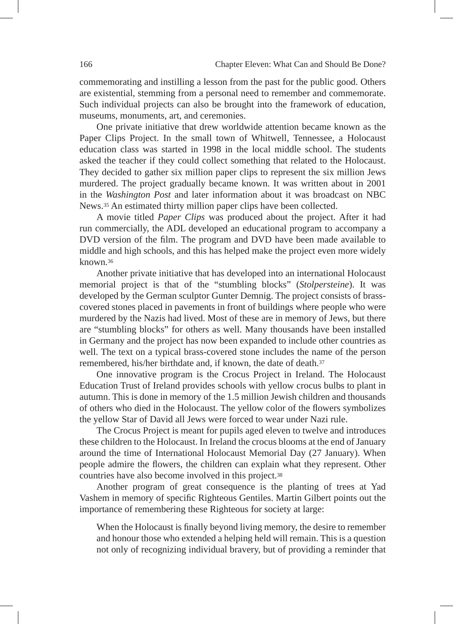commemorating and instilling a lesson from the past for the public good. Others are existential, stemming from a personal need to remember and commemorate. Such individual projects can also be brought into the framework of education, museums, monuments, art, and ceremonies.

One private initiative that drew worldwide attention became known as the Paper Clips Project. In the small town of Whitwell, Tennessee, a Holocaust education class was started in 1998 in the local middle school. The students asked the teacher if they could collect something that related to the Holocaust. They decided to gather six million paper clips to represent the six million Jews murdered. The project gradually became known. It was written about in 2001 in the *Washington Post* and later information about it was broadcast on NBC News.35 An estimated thirty million paper clips have been collected.

A movie titled *Paper Clips* was produced about the project. After it had run commercially, the ADL developed an educational program to accompany a DVD version of the film. The program and DVD have been made available to middle and high schools, and this has helped make the project even more widely known.36

Another private initiative that has developed into an international Holocaust memorial project is that of the "stumbling blocks" (*Stolpersteine*). It was developed by the German sculptor Gunter Demnig. The project consists of brasscovered stones placed in pavements in front of buildings where people who were murdered by the Nazis had lived. Most of these are in memory of Jews, but there are "stumbling blocks" for others as well. Many thousands have been installed in Germany and the project has now been expanded to include other countries as well. The text on a typical brass-covered stone includes the name of the person remembered, his/her birthdate and, if known, the date of death.37

One innovative program is the Crocus Project in Ireland. The Holocaust Education Trust of Ireland provides schools with yellow crocus bulbs to plant in autumn. This is done in memory of the 1.5 million Jewish children and thousands of others who died in the Holocaust. The yellow color of the flowers symbolizes the yellow Star of David all Jews were forced to wear under Nazi rule.

The Crocus Project is meant for pupils aged eleven to twelve and introduces these children to the Holocaust. In Ireland the crocus blooms at the end of January around the time of International Holocaust Memorial Day (27 January). When people admire the flowers, the children can explain what they represent. Other countries have also become involved in this project.38

Another program of great consequence is the planting of trees at Yad Vashem in memory of specific Righteous Gentiles. Martin Gilbert points out the importance of remembering these Righteous for society at large:

When the Holocaust is finally beyond living memory, the desire to remember and honour those who extended a helping held will remain. This is a question not only of recognizing individual bravery, but of providing a reminder that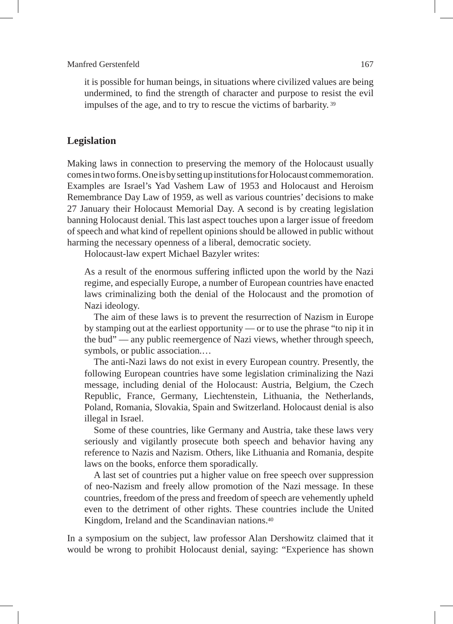it is possible for human beings, in situations where civilized values are being undermined, to find the strength of character and purpose to resist the evil impulses of the age, and to try to rescue the victims of barbarity. 39

#### **Legislation**

Making laws in connection to preserving the memory of the Holocaust usually comes in two forms. One is by setting up institutions for Holocaust commemoration. Examples are Israel's Yad Vashem Law of 1953 and Holocaust and Heroism Remembrance Day Law of 1959, as well as various countries' decisions to make 27 January their Holocaust Memorial Day. A second is by creating legislation banning Holocaust denial. This last aspect touches upon a larger issue of freedom of speech and what kind of repellent opinions should be allowed in public without harming the necessary openness of a liberal, democratic society.

Holocaust-law expert Michael Bazyler writes:

As a result of the enormous suffering inflicted upon the world by the Nazi regime, and especially Europe, a number of European countries have enacted laws criminalizing both the denial of the Holocaust and the promotion of Nazi ideology.

The aim of these laws is to prevent the resurrection of Nazism in Europe by stamping out at the earliest opportunity — or to use the phrase "to nip it in the bud" — any public reemergence of Nazi views, whether through speech, symbols, or public association.…

The anti-Nazi laws do not exist in every European country. Presently, the following European countries have some legislation criminalizing the Nazi message, including denial of the Holocaust: Austria, Belgium, the Czech Republic, France, Germany, Liechtenstein, Lithuania, the Netherlands, Poland, Romania, Slovakia, Spain and Switzerland. Holocaust denial is also illegal in Israel.

Some of these countries, like Germany and Austria, take these laws very seriously and vigilantly prosecute both speech and behavior having any reference to Nazis and Nazism. Others, like Lithuania and Romania, despite laws on the books, enforce them sporadically.

A last set of countries put a higher value on free speech over suppression of neo-Nazism and freely allow promotion of the Nazi message. In these countries, freedom of the press and freedom of speech are vehemently upheld even to the detriment of other rights. These countries include the United Kingdom, Ireland and the Scandinavian nations.40

In a symposium on the subject, law professor Alan Dershowitz claimed that it would be wrong to prohibit Holocaust denial, saying: "Experience has shown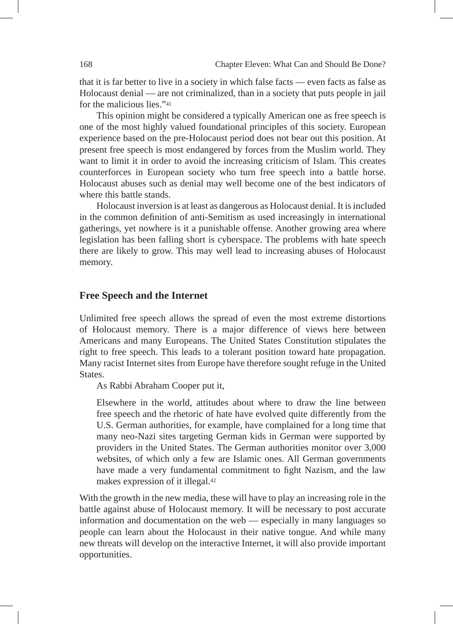that it is far better to live in a society in which false facts — even facts as false as Holocaust denial — are not criminalized, than in a society that puts people in jail for the malicious lies."41

This opinion might be considered a typically American one as free speech is one of the most highly valued foundational principles of this society. European experience based on the pre-Holocaust period does not bear out this position. At present free speech is most endangered by forces from the Muslim world. They want to limit it in order to avoid the increasing criticism of Islam. This creates counterforces in European society who turn free speech into a battle horse. Holocaust abuses such as denial may well become one of the best indicators of where this battle stands.

Holocaust inversion is at least as dangerous as Holocaust denial. It is included in the common definition of anti-Semitism as used increasingly in international gatherings, yet nowhere is it a punishable offense. Another growing area where legislation has been falling short is cyberspace. The problems with hate speech there are likely to grow. This may well lead to increasing abuses of Holocaust memory.

#### **Free Speech and the Internet**

Unlimited free speech allows the spread of even the most extreme distortions of Holocaust memory. There is a major difference of views here between Americans and many Europeans. The United States Constitution stipulates the right to free speech. This leads to a tolerant position toward hate propagation. Many racist Internet sites from Europe have therefore sought refuge in the United States.

As Rabbi Abraham Cooper put it,

Elsewhere in the world, attitudes about where to draw the line between free speech and the rhetoric of hate have evolved quite differently from the U.S. German authorities, for example, have complained for a long time that many neo-Nazi sites targeting German kids in German were supported by providers in the United States. The German authorities monitor over 3,000 websites, of which only a few are Islamic ones. All German governments have made a very fundamental commitment to fight Nazism, and the law makes expression of it illegal.42

With the growth in the new media, these will have to play an increasing role in the battle against abuse of Holocaust memory. It will be necessary to post accurate information and documentation on the web — especially in many languages so people can learn about the Holocaust in their native tongue. And while many new threats will develop on the interactive Internet, it will also provide important opportunities.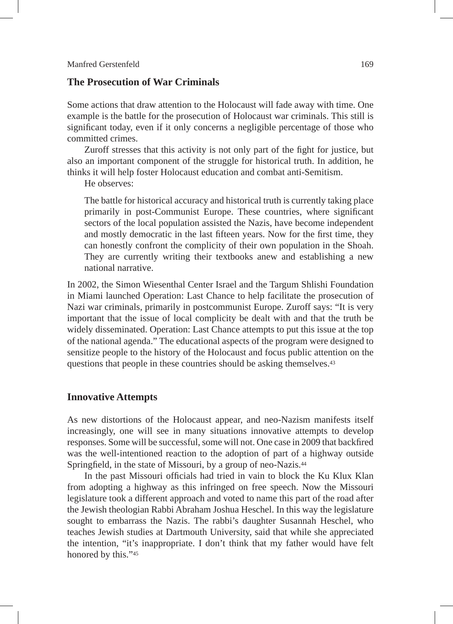#### **The Prosecution of War Criminals**

Some actions that draw attention to the Holocaust will fade away with time. One example is the battle for the prosecution of Holocaust war criminals. This still is significant today, even if it only concerns a negligible percentage of those who committed crimes.

Zuroff stresses that this activity is not only part of the fight for justice, but also an important component of the struggle for historical truth. In addition, he thinks it will help foster Holocaust education and combat anti-Semitism.

He observes:

The battle for historical accuracy and historical truth is currently taking place primarily in post-Communist Europe. These countries, where significant sectors of the local population assisted the Nazis, have become independent and mostly democratic in the last fifteen years. Now for the first time, they can honestly confront the complicity of their own population in the Shoah. They are currently writing their textbooks anew and establishing a new national narrative.

In 2002, the Simon Wiesenthal Center Israel and the Targum Shlishi Foundation in Miami launched Operation: Last Chance to help facilitate the prosecution of Nazi war criminals, primarily in postcommunist Europe. Zuroff says: "It is very important that the issue of local complicity be dealt with and that the truth be widely disseminated. Operation: Last Chance attempts to put this issue at the top of the national agenda." The educational aspects of the program were designed to sensitize people to the history of the Holocaust and focus public attention on the questions that people in these countries should be asking themselves.43

#### **Innovative Attempts**

As new distortions of the Holocaust appear, and neo-Nazism manifests itself increasingly, one will see in many situations innovative attempts to develop responses. Some will be successful, some will not. One case in 2009 that backfired was the well-intentioned reaction to the adoption of part of a highway outside Springfield, in the state of Missouri, by a group of neo-Nazis.44

In the past Missouri officials had tried in vain to block the Ku Klux Klan from adopting a highway as this infringed on free speech. Now the Missouri legislature took a different approach and voted to name this part of the road after the Jewish theologian Rabbi Abraham Joshua Heschel. In this way the legislature sought to embarrass the Nazis. The rabbi's daughter Susannah Heschel, who teaches Jewish studies at Dartmouth University, said that while she appreciated the intention, "it's inappropriate. I don't think that my father would have felt honored by this."45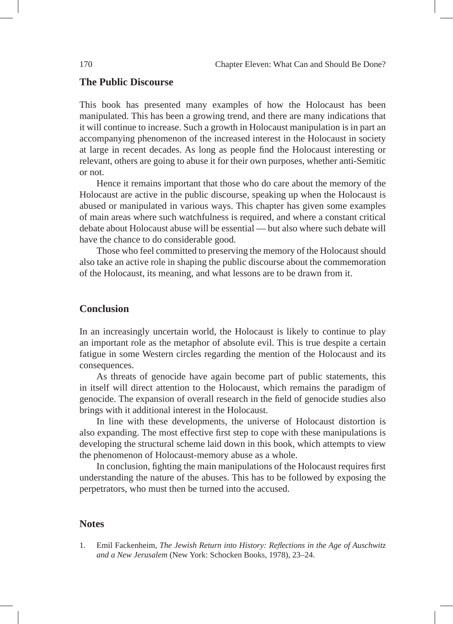#### **The Public Discourse**

This book has presented many examples of how the Holocaust has been manipulated. This has been a growing trend, and there are many indications that it will continue to increase. Such a growth in Holocaust manipulation is in part an accompanying phenomenon of the increased interest in the Holocaust in society at large in recent decades. As long as people find the Holocaust interesting or relevant, others are going to abuse it for their own purposes, whether anti-Semitic or not.

Hence it remains important that those who do care about the memory of the Holocaust are active in the public discourse, speaking up when the Holocaust is abused or manipulated in various ways. This chapter has given some examples of main areas where such watchfulness is required, and where a constant critical debate about Holocaust abuse will be essential — but also where such debate will have the chance to do considerable good.

Those who feel committed to preserving the memory of the Holocaust should also take an active role in shaping the public discourse about the commemoration of the Holocaust, its meaning, and what lessons are to be drawn from it.

#### **Conclusion**

In an increasingly uncertain world, the Holocaust is likely to continue to play an important role as the metaphor of absolute evil. This is true despite a certain fatigue in some Western circles regarding the mention of the Holocaust and its consequences.

As threats of genocide have again become part of public statements, this in itself will direct attention to the Holocaust, which remains the paradigm of genocide. The expansion of overall research in the field of genocide studies also brings with it additional interest in the Holocaust.

In line with these developments, the universe of Holocaust distortion is also expanding. The most effective first step to cope with these manipulations is developing the structural scheme laid down in this book, which attempts to view the phenomenon of Holocaust-memory abuse as a whole.

In conclusion, fighting the main manipulations of the Holocaust requires first understanding the nature of the abuses. This has to be followed by exposing the perpetrators, who must then be turned into the accused.

#### **Notes**

1. Emil Fackenheim, *The Jewish Return into History: Reflections in the Age of Auschwitz and a New Jerusalem* (New York: Schocken Books, 1978), 23–24.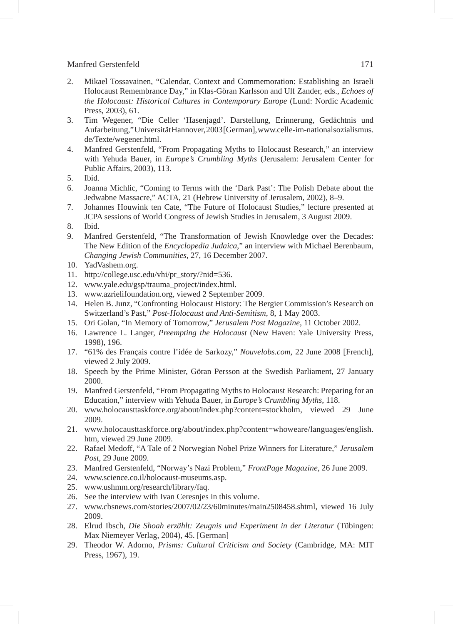- 2. Mikael Tossavainen, "Calendar, Context and Commemoration: Establishing an Israeli Holocaust Remembrance Day," in Klas-Göran Karlsson and Ulf Zander, eds., *Echoes of the Holocaust: Historical Cultures in Contemporary Europe* (Lund: Nordic Academic Press, 2003), 61.
- 3. Tim Wegener, "Die Celler 'Hasenjagd'. Darstellung, Erinnerung, Gedächtnis und Aufarbeitung," Universität Hannover, 2003 [German], www.celle-im-nationalsozialismus. de/Texte/wegener.html.
- 4. Manfred Gerstenfeld, "From Propagating Myths to Holocaust Research," an interview with Yehuda Bauer, in *Europe's Crumbling Myths* (Jerusalem: Jerusalem Center for Public Affairs, 2003), 113.
- 5. Ibid.
- 6. Joanna Michlic, "Coming to Terms with the 'Dark Past': The Polish Debate about the Jedwabne Massacre," ACTA, 21 (Hebrew University of Jerusalem, 2002), 8–9.
- 7. Johannes Houwink ten Cate, "The Future of Holocaust Studies," lecture presented at JCPA sessions of World Congress of Jewish Studies in Jerusalem, 3 August 2009.
- 8. Ibid.
- Manfred Gerstenfeld, "The Transformation of Jewish Knowledge over the Decades: The New Edition of the *Encyclopedia Judaica*," an interview with Michael Berenbaum, *Changing Jewish Communities*, 27, 16 December 2007.
- 10. YadVashem.org.
- 11. http://college.usc.edu/vhi/pr\_story/?nid=536.
- 12. www.yale.edu/gsp/trauma\_project/index.html.
- 13. www.azrielifoundation.org, viewed 2 September 2009.
- 14. Helen B. Junz, "Confronting Holocaust History: The Bergier Commission's Research on Switzerland's Past," *Post-Holocaust and Anti-Semitism*, 8, 1 May 2003.
- 15. Ori Golan, "In Memory of Tomorrow," *Jerusalem Post Magazine*, 11 October 2002.
- 16. Lawrence L. Langer, *Preempting the Holocaust* (New Haven: Yale University Press, 1998), 196.
- 17. "61% des Français contre l'idée de Sarkozy," *Nouvelobs.com*, 22 June 2008 [French], viewed 2 July 2009.
- 18. Speech by the Prime Minister, Göran Persson at the Swedish Parliament, 27 January 2000.
- 19. Manfred Gerstenfeld, "From Propagating Myths to Holocaust Research: Preparing for an Education," interview with Yehuda Bauer, in *Europe's Crumbling Myths*, 118.
- 20. www.holocausttaskforce.org/about/index.php?content=stockholm, viewed 29 June 2009.
- 21. www.holocausttaskforce.org/about/index.php?content=whoweare/languages/english. htm, viewed 29 June 2009.
- 22. Rafael Medoff, "A Tale of 2 Norwegian Nobel Prize Winners for Literature," *Jerusalem Post*, 29 June 2009.
- 23. Manfred Gerstenfeld, "Norway's Nazi Problem," *FrontPage Magazine*, 26 June 2009.
- 24. www.science.co.il/holocaust-museums.asp.
- 25. www.ushmm.org/research/library/faq.
- 26. See the interview with Ivan Ceresnjes in this volume.
- 27. www.cbsnews.com/stories/2007/02/23/60minutes/main2508458.shtml, viewed 16 July 2009.
- 28. Elrud Ibsch, *Die Shoah erzählt: Zeugnis und Experiment in der Literatur* (Tübingen: Max Niemeyer Verlag, 2004), 45. [German]
- 29. Theodor W. Adorno, *Prisms: Cultural Criticism and Society* (Cambridge, MA: MIT Press, 1967), 19.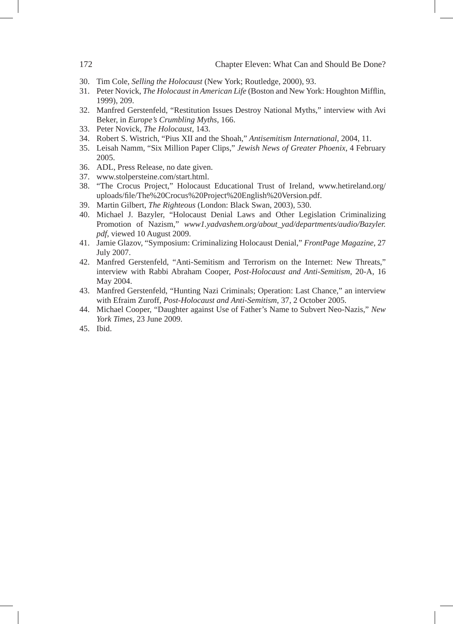- 30. Tim Cole, *Selling the Holocaust* (New York; Routledge, 2000), 93.
- 31. Peter Novick, *The Holocaust in American Life* (Boston and New York: Houghton Mifflin, 1999), 209.
- 32. Manfred Gerstenfeld, "Restitution Issues Destroy National Myths," interview with Avi Beker, in *Europe's Crumbling Myths*, 166.
- 33. Peter Novick, *The Holocaust*, 143.
- 34. Robert S. Wistrich, "Pius XII and the Shoah," *Antisemitism International*, 2004, 11.
- 35. Leisah Namm, "Six Million Paper Clips," *Jewish News of Greater Phoenix*, 4 February 2005.
- 36. ADL, Press Release, no date given.
- 37. www.stolpersteine.com/start.html.
- 38. "The Crocus Project," Holocaust Educational Trust of Ireland, www.hetireland.org/ uploads/file/The%20Crocus%20Project%20English%20Version.pdf.
- 39. Martin Gilbert, *The Righteous* (London: Black Swan, 2003), 530.
- 40. Michael J. Bazyler, "Holocaust Denial Laws and Other Legislation Criminalizing Promotion of Nazism," *www1.yadvashem.org/about\_yad/departments/audio/Bazyler. pdf*, viewed 10 August 2009.
- 41. Jamie Glazov, "Symposium: Criminalizing Holocaust Denial," *FrontPage Magazine*, 27 July 2007.
- 42. Manfred Gerstenfeld, "Anti-Semitism and Terrorism on the Internet: New Threats," interview with Rabbi Abraham Cooper, *Post-Holocaust and Anti-Semitism*, 20-A, 16 May 2004.
- 43. Manfred Gerstenfeld, "Hunting Nazi Criminals; Operation: Last Chance," an interview with Efraim Zuroff, *Post-Holocaust and Anti-Semitism*, 37, 2 October 2005.
- 44. Michael Cooper, "Daughter against Use of Father's Name to Subvert Neo-Nazis," *New York Times*, 23 June 2009.
- 45. Ibid.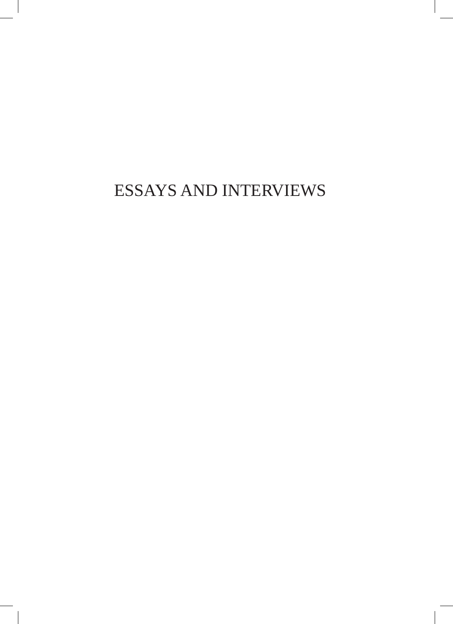# ESSAYS AND INTERVIEWS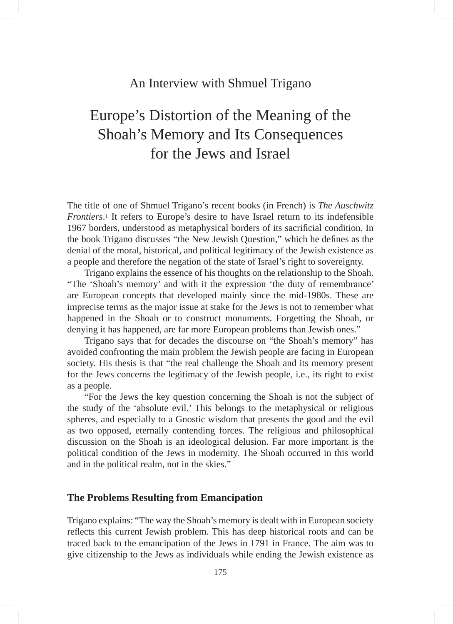### An Interview with Shmuel Trigano

# Europe's Distortion of the Meaning of the Shoah's Memory and Its Consequences for the Jews and Israel

The title of one of Shmuel Trigano's recent books (in French) is *The Auschwitz Frontiers*.1 It refers to Europe's desire to have Israel return to its indefensible 1967 borders, understood as metaphysical borders of its sacrificial condition. In the book Trigano discusses "the New Jewish Question," which he defines as the denial of the moral, historical, and political legitimacy of the Jewish existence as a people and therefore the negation of the state of Israel's right to sovereignty.

Trigano explains the essence of his thoughts on the relationship to the Shoah. "The 'Shoah's memory' and with it the expression 'the duty of remembrance' are European concepts that developed mainly since the mid-1980s. These are imprecise terms as the major issue at stake for the Jews is not to remember what happened in the Shoah or to construct monuments. Forgetting the Shoah, or denying it has happened, are far more European problems than Jewish ones."

Trigano says that for decades the discourse on "the Shoah's memory" has avoided confronting the main problem the Jewish people are facing in European society. His thesis is that "the real challenge the Shoah and its memory present for the Jews concerns the legitimacy of the Jewish people, i.e., its right to exist as a people.

"For the Jews the key question concerning the Shoah is not the subject of the study of the 'absolute evil.' This belongs to the metaphysical or religious spheres, and especially to a Gnostic wisdom that presents the good and the evil as two opposed, eternally contending forces. The religious and philosophical discussion on the Shoah is an ideological delusion. Far more important is the political condition of the Jews in modernity. The Shoah occurred in this world and in the political realm, not in the skies."

#### **The Problems Resulting from Emancipation**

Trigano explains: "The way the Shoah's memory is dealt with in European society reflects this current Jewish problem. This has deep historical roots and can be traced back to the emancipation of the Jews in 1791 in France. The aim was to give citizenship to the Jews as individuals while ending the Jewish existence as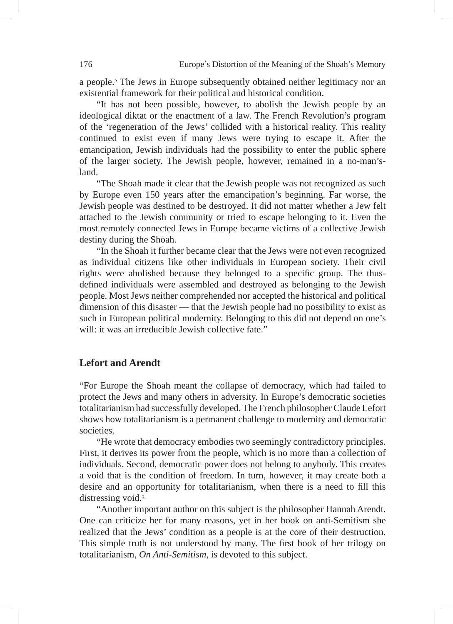a people.2 The Jews in Europe subsequently obtained neither legitimacy nor an existential framework for their political and historical condition.

"It has not been possible, however, to abolish the Jewish people by an ideological diktat or the enactment of a law. The French Revolution's program of the 'regeneration of the Jews' collided with a historical reality. This reality continued to exist even if many Jews were trying to escape it. After the emancipation, Jewish individuals had the possibility to enter the public sphere of the larger society. The Jewish people, however, remained in a no-man'sland.

"The Shoah made it clear that the Jewish people was not recognized as such by Europe even 150 years after the emancipation's beginning. Far worse, the Jewish people was destined to be destroyed. It did not matter whether a Jew felt attached to the Jewish community or tried to escape belonging to it. Even the most remotely connected Jews in Europe became victims of a collective Jewish destiny during the Shoah.

"In the Shoah it further became clear that the Jews were not even recognized as individual citizens like other individuals in European society. Their civil rights were abolished because they belonged to a specific group. The thusdefined individuals were assembled and destroyed as belonging to the Jewish people. Most Jews neither comprehended nor accepted the historical and political dimension of this disaster — that the Jewish people had no possibility to exist as such in European political modernity. Belonging to this did not depend on one's will: it was an irreducible Jewish collective fate."

### **Lefort and Arendt**

"For Europe the Shoah meant the collapse of democracy, which had failed to protect the Jews and many others in adversity. In Europe's democratic societies totalitarianism had successfully developed. The French philosopher Claude Lefort shows how totalitarianism is a permanent challenge to modernity and democratic societies.

"He wrote that democracy embodies two seemingly contradictory principles. First, it derives its power from the people, which is no more than a collection of individuals. Second, democratic power does not belong to anybody. This creates a void that is the condition of freedom. In turn, however, it may create both a desire and an opportunity for totalitarianism, when there is a need to fill this distressing void.3

"Another important author on this subject is the philosopher Hannah Arendt. One can criticize her for many reasons, yet in her book on anti-Semitism she realized that the Jews' condition as a people is at the core of their destruction. This simple truth is not understood by many. The first book of her trilogy on totalitarianism, *On Anti-Semitism*, is devoted to this subject.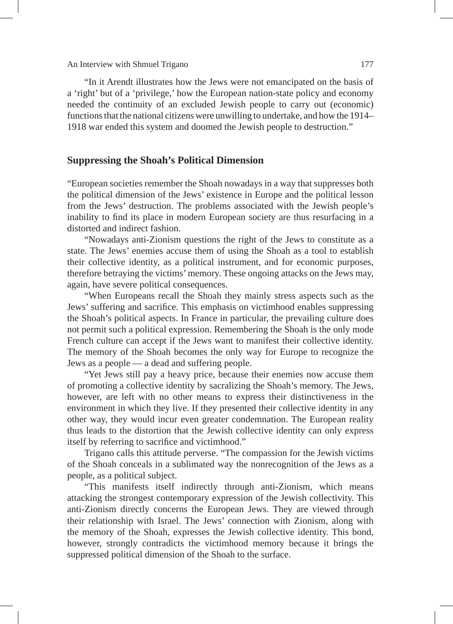An Interview with Shmuel Trigano 177

"In it Arendt illustrates how the Jews were not emancipated on the basis of a 'right' but of a 'privilege,' how the European nation-state policy and economy needed the continuity of an excluded Jewish people to carry out (economic) functions that the national citizens were unwilling to undertake, and how the 1914– 1918 war ended this system and doomed the Jewish people to destruction."

#### **Suppressing the Shoah's Political Dimension**

"European societies remember the Shoah nowadays in a way that suppresses both the political dimension of the Jews' existence in Europe and the political lesson from the Jews' destruction. The problems associated with the Jewish people's inability to find its place in modern European society are thus resurfacing in a distorted and indirect fashion.

"Nowadays anti-Zionism questions the right of the Jews to constitute as a state. The Jews' enemies accuse them of using the Shoah as a tool to establish their collective identity, as a political instrument, and for economic purposes, therefore betraying the victims' memory. These ongoing attacks on the Jews may, again, have severe political consequences.

"When Europeans recall the Shoah they mainly stress aspects such as the Jews' suffering and sacrifice. This emphasis on victimhood enables suppressing the Shoah's political aspects. In France in particular, the prevailing culture does not permit such a political expression. Remembering the Shoah is the only mode French culture can accept if the Jews want to manifest their collective identity. The memory of the Shoah becomes the only way for Europe to recognize the Jews as a people — a dead and suffering people.

"Yet Jews still pay a heavy price, because their enemies now accuse them of promoting a collective identity by sacralizing the Shoah's memory. The Jews, however, are left with no other means to express their distinctiveness in the environment in which they live. If they presented their collective identity in any other way, they would incur even greater condemnation. The European reality thus leads to the distortion that the Jewish collective identity can only express itself by referring to sacrifice and victimhood."

Trigano calls this attitude perverse. "The compassion for the Jewish victims of the Shoah conceals in a sublimated way the nonrecognition of the Jews as a people, as a political subject.

"This manifests itself indirectly through anti-Zionism, which means attacking the strongest contemporary expression of the Jewish collectivity. This anti-Zionism directly concerns the European Jews. They are viewed through their relationship with Israel. The Jews' connection with Zionism, along with the memory of the Shoah, expresses the Jewish collective identity. This bond, however, strongly contradicts the victimhood memory because it brings the suppressed political dimension of the Shoah to the surface.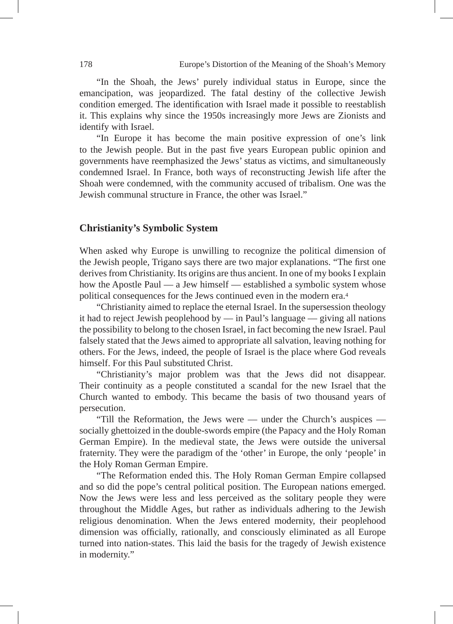"In the Shoah, the Jews' purely individual status in Europe, since the emancipation, was jeopardized. The fatal destiny of the collective Jewish condition emerged. The identification with Israel made it possible to reestablish it. This explains why since the 1950s increasingly more Jews are Zionists and identify with Israel.

"In Europe it has become the main positive expression of one's link to the Jewish people. But in the past five years European public opinion and governments have reemphasized the Jews' status as victims, and simultaneously condemned Israel. In France, both ways of reconstructing Jewish life after the Shoah were condemned, with the community accused of tribalism. One was the Jewish communal structure in France, the other was Israel."

#### **Christianity's Symbolic System**

When asked why Europe is unwilling to recognize the political dimension of the Jewish people, Trigano says there are two major explanations. "The first one derives from Christianity. Its origins are thus ancient. In one of my books I explain how the Apostle Paul — a Jew himself — established a symbolic system whose political consequences for the Jews continued even in the modern era.4

"Christianity aimed to replace the eternal Israel. In the supersession theology it had to reject Jewish peoplehood by — in Paul's language — giving all nations the possibility to belong to the chosen Israel, in fact becoming the new Israel. Paul falsely stated that the Jews aimed to appropriate all salvation, leaving nothing for others. For the Jews, indeed, the people of Israel is the place where God reveals himself. For this Paul substituted Christ.

"Christianity's major problem was that the Jews did not disappear. Their continuity as a people constituted a scandal for the new Israel that the Church wanted to embody. This became the basis of two thousand years of persecution.

"Till the Reformation, the Jews were — under the Church's auspices socially ghettoized in the double-swords empire (the Papacy and the Holy Roman German Empire). In the medieval state, the Jews were outside the universal fraternity. They were the paradigm of the 'other' in Europe, the only 'people' in the Holy Roman German Empire.

"The Reformation ended this. The Holy Roman German Empire collapsed and so did the pope's central political position. The European nations emerged. Now the Jews were less and less perceived as the solitary people they were throughout the Middle Ages, but rather as individuals adhering to the Jewish religious denomination. When the Jews entered modernity, their peoplehood dimension was officially, rationally, and consciously eliminated as all Europe turned into nation-states. This laid the basis for the tragedy of Jewish existence in modernity."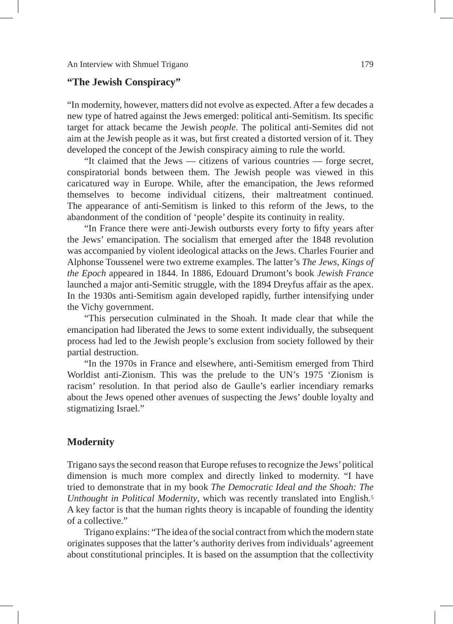### **"The Jewish Conspiracy"**

"In modernity, however, matters did not evolve as expected. After a few decades a new type of hatred against the Jews emerged: political anti-Semitism. Its specific target for attack became the Jewish *people*. The political anti-Semites did not aim at the Jewish people as it was, but first created a distorted version of it. They developed the concept of the Jewish conspiracy aiming to rule the world.

"It claimed that the Jews — citizens of various countries — forge secret, conspiratorial bonds between them. The Jewish people was viewed in this caricatured way in Europe. While, after the emancipation, the Jews reformed themselves to become individual citizens, their maltreatment continued. The appearance of anti-Semitism is linked to this reform of the Jews, to the abandonment of the condition of 'people' despite its continuity in reality.

"In France there were anti-Jewish outbursts every forty to fifty years after the Jews' emancipation. The socialism that emerged after the 1848 revolution was accompanied by violent ideological attacks on the Jews. Charles Fourier and Alphonse Toussenel were two extreme examples. The latter's *The Jews, Kings of the Epoch* appeared in 1844. In 1886, Edouard Drumont's book *Jewish France* launched a major anti-Semitic struggle, with the 1894 Dreyfus affair as the apex. In the 1930s anti-Semitism again developed rapidly, further intensifying under the Vichy government.

"This persecution culminated in the Shoah. It made clear that while the emancipation had liberated the Jews to some extent individually, the subsequent process had led to the Jewish people's exclusion from society followed by their partial destruction.

"In the 1970s in France and elsewhere, anti-Semitism emerged from Third Worldist anti-Zionism. This was the prelude to the UN's 1975 'Zionism is racism' resolution. In that period also de Gaulle's earlier incendiary remarks about the Jews opened other avenues of suspecting the Jews' double loyalty and stigmatizing Israel."

#### **Modernity**

Trigano says the second reason that Europe refuses to recognize the Jews' political dimension is much more complex and directly linked to modernity. "I have tried to demonstrate that in my book *The Democratic Ideal and the Shoah: The Unthought in Political Modernity*, which was recently translated into English*.*<sup>5</sup> A key factor is that the human rights theory is incapable of founding the identity of a collective."

Trigano explains: "The idea of the social contract from which the modern state originates supposes that the latter's authority derives from individuals' agreement about constitutional principles. It is based on the assumption that the collectivity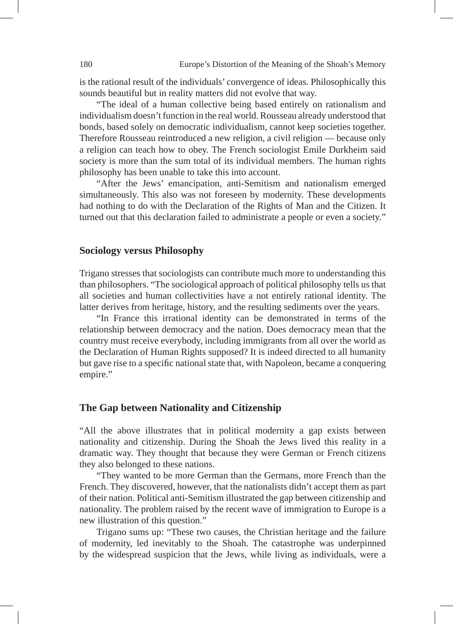is the rational result of the individuals' convergence of ideas. Philosophically this sounds beautiful but in reality matters did not evolve that way.

"The ideal of a human collective being based entirely on rationalism and individualism doesn't function in the real world. Rousseau already understood that bonds, based solely on democratic individualism, cannot keep societies together. Therefore Rousseau reintroduced a new religion, a civil religion — because only a religion can teach how to obey. The French sociologist Emile Durkheim said society is more than the sum total of its individual members. The human rights philosophy has been unable to take this into account.

"After the Jews' emancipation, anti-Semitism and nationalism emerged simultaneously. This also was not foreseen by modernity. These developments had nothing to do with the Declaration of the Rights of Man and the Citizen. It turned out that this declaration failed to administrate a people or even a society."

### **Sociology versus Philosophy**

Trigano stresses that sociologists can contribute much more to understanding this than philosophers. "The sociological approach of political philosophy tells us that all societies and human collectivities have a not entirely rational identity. The latter derives from heritage, history, and the resulting sediments over the years.

"In France this irrational identity can be demonstrated in terms of the relationship between democracy and the nation. Does democracy mean that the country must receive everybody, including immigrants from all over the world as the Declaration of Human Rights supposed? It is indeed directed to all humanity but gave rise to a specific national state that, with Napoleon, became a conquering empire."

#### **The Gap between Nationality and Citizenship**

"All the above illustrates that in political modernity a gap exists between nationality and citizenship. During the Shoah the Jews lived this reality in a dramatic way. They thought that because they were German or French citizens they also belonged to these nations.

"They wanted to be more German than the Germans, more French than the French. They discovered, however, that the nationalists didn't accept them as part of their nation. Political anti-Semitism illustrated the gap between citizenship and nationality. The problem raised by the recent wave of immigration to Europe is a new illustration of this question."

Trigano sums up: "These two causes, the Christian heritage and the failure of modernity, led inevitably to the Shoah. The catastrophe was underpinned by the widespread suspicion that the Jews, while living as individuals, were a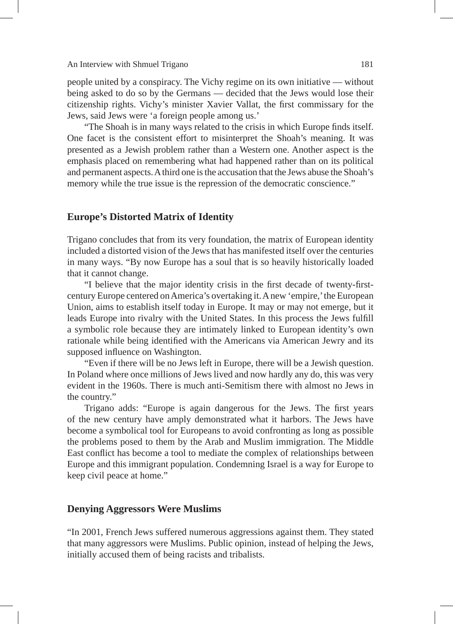#### An Interview with Shmuel Trigano 181

people united by a conspiracy. The Vichy regime on its own initiative — without being asked to do so by the Germans — decided that the Jews would lose their citizenship rights. Vichy's minister Xavier Vallat, the first commissary for the Jews, said Jews were 'a foreign people among us.'

"The Shoah is in many ways related to the crisis in which Europe finds itself. One facet is the consistent effort to misinterpret the Shoah's meaning. It was presented as a Jewish problem rather than a Western one. Another aspect is the emphasis placed on remembering what had happened rather than on its political and permanent aspects. A third one is the accusation that the Jews abuse the Shoah's memory while the true issue is the repression of the democratic conscience."

### **Europe's Distorted Matrix of Identity**

Trigano concludes that from its very foundation, the matrix of European identity included a distorted vision of the Jews that has manifested itself over the centuries in many ways. "By now Europe has a soul that is so heavily historically loaded that it cannot change.

"I believe that the major identity crisis in the first decade of twenty-firstcentury Europe centered on America's overtaking it. A new 'empire,' the European Union, aims to establish itself today in Europe. It may or may not emerge, but it leads Europe into rivalry with the United States. In this process the Jews fulfill a symbolic role because they are intimately linked to European identity's own rationale while being identified with the Americans via American Jewry and its supposed influence on Washington.

"Even if there will be no Jews left in Europe, there will be a Jewish question. In Poland where once millions of Jews lived and now hardly any do, this was very evident in the 1960s. There is much anti-Semitism there with almost no Jews in the country."

Trigano adds: "Europe is again dangerous for the Jews. The first years of the new century have amply demonstrated what it harbors. The Jews have become a symbolical tool for Europeans to avoid confronting as long as possible the problems posed to them by the Arab and Muslim immigration. The Middle East conflict has become a tool to mediate the complex of relationships between Europe and this immigrant population. Condemning Israel is a way for Europe to keep civil peace at home."

### **Denying Aggressors Were Muslims**

"In 2001, French Jews suffered numerous aggressions against them. They stated that many aggressors were Muslims. Public opinion, instead of helping the Jews, initially accused them of being racists and tribalists.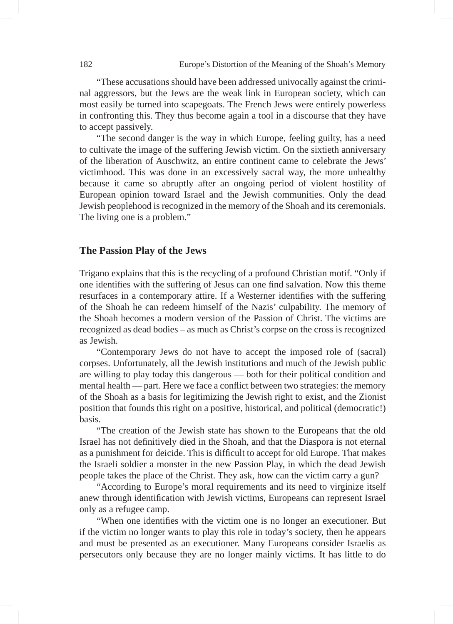"These accusations should have been addressed univocally against the criminal aggressors, but the Jews are the weak link in European society, which can most easily be turned into scapegoats. The French Jews were entirely powerless in confronting this. They thus become again a tool in a discourse that they have to accept passively.

"The second danger is the way in which Europe, feeling guilty, has a need to cultivate the image of the suffering Jewish victim. On the sixtieth anniversary of the liberation of Auschwitz, an entire continent came to celebrate the Jews' victimhood. This was done in an excessively sacral way, the more unhealthy because it came so abruptly after an ongoing period of violent hostility of European opinion toward Israel and the Jewish communities. Only the dead Jewish peoplehood is recognized in the memory of the Shoah and its ceremonials. The living one is a problem."

#### **The Passion Play of the Jews**

Trigano explains that this is the recycling of a profound Christian motif. "Only if one identifies with the suffering of Jesus can one find salvation. Now this theme resurfaces in a contemporary attire. If a Westerner identifies with the suffering of the Shoah he can redeem himself of the Nazis' culpability. The memory of the Shoah becomes a modern version of the Passion of Christ. The victims are recognized as dead bodies – as much as Christ's corpse on the cross is recognized as Jewish.

"Contemporary Jews do not have to accept the imposed role of (sacral) corpses. Unfortunately, all the Jewish institutions and much of the Jewish public are willing to play today this dangerous — both for their political condition and mental health — part. Here we face a conflict between two strategies: the memory of the Shoah as a basis for legitimizing the Jewish right to exist, and the Zionist position that founds this right on a positive, historical, and political (democratic!) basis.

"The creation of the Jewish state has shown to the Europeans that the old Israel has not definitively died in the Shoah, and that the Diaspora is not eternal as a punishment for deicide. This is difficult to accept for old Europe. That makes the Israeli soldier a monster in the new Passion Play, in which the dead Jewish people takes the place of the Christ. They ask, how can the victim carry a gun?

"According to Europe's moral requirements and its need to virginize itself anew through identification with Jewish victims, Europeans can represent Israel only as a refugee camp.

"When one identifies with the victim one is no longer an executioner. But if the victim no longer wants to play this role in today's society, then he appears and must be presented as an executioner. Many Europeans consider Israelis as persecutors only because they are no longer mainly victims. It has little to do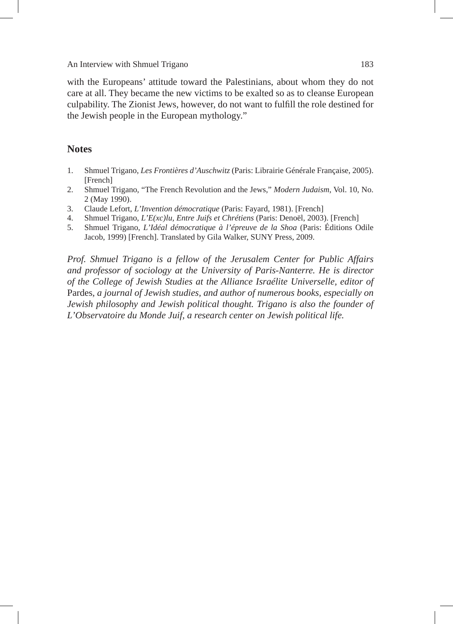An Interview with Shmuel Trigano 183

with the Europeans' attitude toward the Palestinians, about whom they do not care at all. They became the new victims to be exalted so as to cleanse European culpability. The Zionist Jews, however, do not want to fulfill the role destined for the Jewish people in the European mythology."

# **Notes**

- 1. Shmuel Trigano, *Les Frontières d'Auschwitz* (Paris: Librairie Générale Française, 2005). [French]
- 2. Shmuel Trigano, "The French Revolution and the Jews," *Modern Judaism*, Vol. 10, No. 2 (May 1990).
- 3. Claude Lefort, *L'Invention démocratique* (Paris: Fayard, 1981). [French]
- 4. Shmuel Trigano, *L'E(xc)lu, Entre Juifs et Chrétiens* (Paris: Denoël, 2003). [French]
- 5. Shmuel Trigano, *L'Idéal démocratique à l'épreuve de la Shoa* (Paris: Éditions Odile Jacob, 1999) [French]. Translated by Gila Walker, SUNY Press, 2009.

*Prof. Shmuel Trigano is a fellow of the Jerusalem Center for Public Affairs and professor of sociology at the University of Paris-Nanterre. He is director of the College of Jewish Studies at the Alliance Israélite Universelle, editor of*  Pardes*, a journal of Jewish studies, and author of numerous books, especially on Jewish philosophy and Jewish political thought. Trigano is also the founder of L'Observatoire du Monde Juif, a research center on Jewish political life.*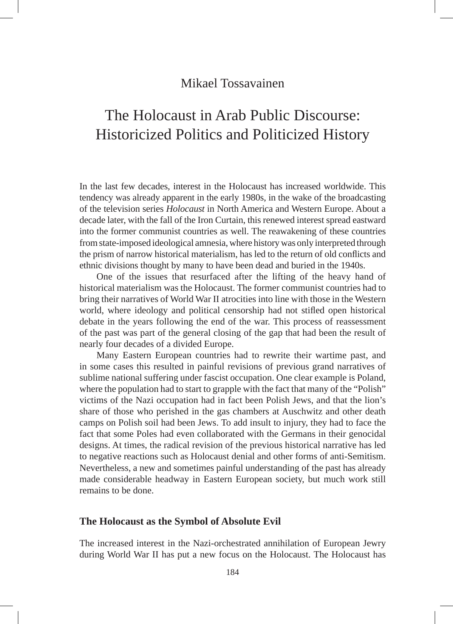# Mikael Tossavainen

# The Holocaust in Arab Public Discourse: Historicized Politics and Politicized History

In the last few decades, interest in the Holocaust has increased worldwide. This tendency was already apparent in the early 1980s, in the wake of the broadcasting of the television series *Holocaust* in North America and Western Europe. About a decade later, with the fall of the Iron Curtain, this renewed interest spread eastward into the former communist countries as well. The reawakening of these countries from state-imposed ideological amnesia, where history was only interpreted through the prism of narrow historical materialism, has led to the return of old conflicts and ethnic divisions thought by many to have been dead and buried in the 1940s.

One of the issues that resurfaced after the lifting of the heavy hand of historical materialism was the Holocaust. The former communist countries had to bring their narratives of World War II atrocities into line with those in the Western world, where ideology and political censorship had not stifled open historical debate in the years following the end of the war. This process of reassessment of the past was part of the general closing of the gap that had been the result of nearly four decades of a divided Europe.

Many Eastern European countries had to rewrite their wartime past, and in some cases this resulted in painful revisions of previous grand narratives of sublime national suffering under fascist occupation. One clear example is Poland, where the population had to start to grapple with the fact that many of the "Polish" victims of the Nazi occupation had in fact been Polish Jews, and that the lion's share of those who perished in the gas chambers at Auschwitz and other death camps on Polish soil had been Jews. To add insult to injury, they had to face the fact that some Poles had even collaborated with the Germans in their genocidal designs. At times, the radical revision of the previous historical narrative has led to negative reactions such as Holocaust denial and other forms of anti-Semitism. Nevertheless, a new and sometimes painful understanding of the past has already made considerable headway in Eastern European society, but much work still remains to be done.

#### **The Holocaust as the Symbol of Absolute Evil**

The increased interest in the Nazi-orchestrated annihilation of European Jewry during World War II has put a new focus on the Holocaust. The Holocaust has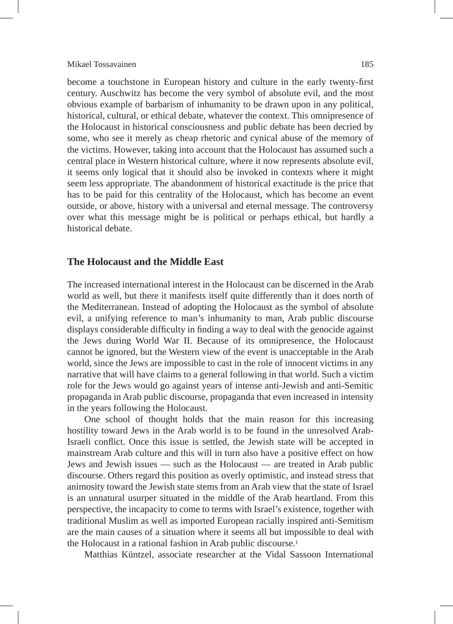#### Mikael Tossavainen 185

become a touchstone in European history and culture in the early twenty-first century. Auschwitz has become the very symbol of absolute evil, and the most obvious example of barbarism of inhumanity to be drawn upon in any political, historical, cultural, or ethical debate, whatever the context. This omnipresence of the Holocaust in historical consciousness and public debate has been decried by some, who see it merely as cheap rhetoric and cynical abuse of the memory of the victims. However, taking into account that the Holocaust has assumed such a central place in Western historical culture, where it now represents absolute evil, it seems only logical that it should also be invoked in contexts where it might seem less appropriate. The abandonment of historical exactitude is the price that has to be paid for this centrality of the Holocaust, which has become an event outside, or above, history with a universal and eternal message. The controversy over what this message might be is political or perhaps ethical, but hardly a historical debate.

#### **The Holocaust and the Middle East**

The increased international interest in the Holocaust can be discerned in the Arab world as well, but there it manifests itself quite differently than it does north of the Mediterranean. Instead of adopting the Holocaust as the symbol of absolute evil, a unifying reference to man's inhumanity to man, Arab public discourse displays considerable difficulty in finding a way to deal with the genocide against the Jews during World War II. Because of its omnipresence, the Holocaust cannot be ignored, but the Western view of the event is unacceptable in the Arab world, since the Jews are impossible to cast in the role of innocent victims in any narrative that will have claims to a general following in that world. Such a victim role for the Jews would go against years of intense anti-Jewish and anti-Semitic propaganda in Arab public discourse, propaganda that even increased in intensity in the years following the Holocaust.

One school of thought holds that the main reason for this increasing hostility toward Jews in the Arab world is to be found in the unresolved Arab-Israeli conflict. Once this issue is settled, the Jewish state will be accepted in mainstream Arab culture and this will in turn also have a positive effect on how Jews and Jewish issues — such as the Holocaust — are treated in Arab public discourse. Others regard this position as overly optimistic, and instead stress that animosity toward the Jewish state stems from an Arab view that the state of Israel is an unnatural usurper situated in the middle of the Arab heartland. From this perspective, the incapacity to come to terms with Israel's existence, together with traditional Muslim as well as imported European racially inspired anti-Semitism are the main causes of a situation where it seems all but impossible to deal with the Holocaust in a rational fashion in Arab public discourse.1

Matthias Küntzel, associate researcher at the Vidal Sassoon International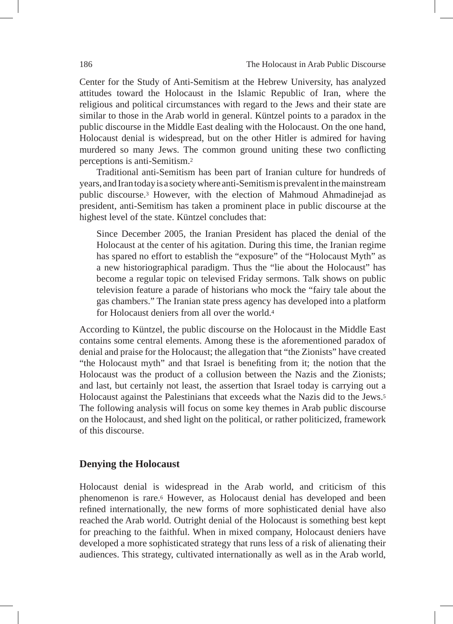Center for the Study of Anti-Semitism at the Hebrew University, has analyzed attitudes toward the Holocaust in the Islamic Republic of Iran, where the religious and political circumstances with regard to the Jews and their state are similar to those in the Arab world in general. Küntzel points to a paradox in the public discourse in the Middle East dealing with the Holocaust. On the one hand, Holocaust denial is widespread, but on the other Hitler is admired for having murdered so many Jews. The common ground uniting these two conflicting perceptions is anti-Semitism.2

Traditional anti-Semitism has been part of Iranian culture for hundreds of years, and Iran today is a society where anti-Semitism is prevalent in the mainstream public discourse.3 However, with the election of Mahmoud Ahmadinejad as president, anti-Semitism has taken a prominent place in public discourse at the highest level of the state. Küntzel concludes that:

Since December 2005, the Iranian President has placed the denial of the Holocaust at the center of his agitation. During this time, the Iranian regime has spared no effort to establish the "exposure" of the "Holocaust Myth" as a new historiographical paradigm. Thus the "lie about the Holocaust" has become a regular topic on televised Friday sermons. Talk shows on public television feature a parade of historians who mock the "fairy tale about the gas chambers." The Iranian state press agency has developed into a platform for Holocaust deniers from all over the world.4

According to Küntzel, the public discourse on the Holocaust in the Middle East contains some central elements. Among these is the aforementioned paradox of denial and praise for the Holocaust; the allegation that "the Zionists" have created "the Holocaust myth" and that Israel is benefiting from it; the notion that the Holocaust was the product of a collusion between the Nazis and the Zionists; and last, but certainly not least, the assertion that Israel today is carrying out a Holocaust against the Palestinians that exceeds what the Nazis did to the Jews.5 The following analysis will focus on some key themes in Arab public discourse on the Holocaust, and shed light on the political, or rather politicized, framework of this discourse.

# **Denying the Holocaust**

Holocaust denial is widespread in the Arab world, and criticism of this phenomenon is rare.6 However, as Holocaust denial has developed and been refined internationally, the new forms of more sophisticated denial have also reached the Arab world. Outright denial of the Holocaust is something best kept for preaching to the faithful. When in mixed company, Holocaust deniers have developed a more sophisticated strategy that runs less of a risk of alienating their audiences. This strategy, cultivated internationally as well as in the Arab world,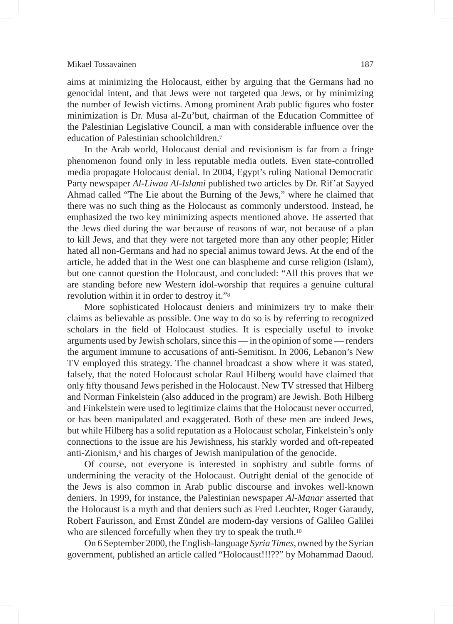#### Mikael Tossavainen 187

aims at minimizing the Holocaust, either by arguing that the Germans had no genocidal intent, and that Jews were not targeted qua Jews, or by minimizing the number of Jewish victims. Among prominent Arab public figures who foster minimization is Dr. Musa al-Zu'but, chairman of the Education Committee of the Palestinian Legislative Council, a man with considerable influence over the education of Palestinian schoolchildren.7

In the Arab world, Holocaust denial and revisionism is far from a fringe phenomenon found only in less reputable media outlets. Even state-controlled media propagate Holocaust denial. In 2004, Egypt's ruling National Democratic Party newspaper *Al-Liwaa Al-Islami* published two articles by Dr. Rif'at Sayyed Ahmad called "The Lie about the Burning of the Jews," where he claimed that there was no such thing as the Holocaust as commonly understood. Instead, he emphasized the two key minimizing aspects mentioned above. He asserted that the Jews died during the war because of reasons of war, not because of a plan to kill Jews, and that they were not targeted more than any other people; Hitler hated all non-Germans and had no special animus toward Jews. At the end of the article, he added that in the West one can blaspheme and curse religion (Islam), but one cannot question the Holocaust, and concluded: "All this proves that we are standing before new Western idol-worship that requires a genuine cultural revolution within it in order to destroy it."8

More sophisticated Holocaust deniers and minimizers try to make their claims as believable as possible. One way to do so is by referring to recognized scholars in the field of Holocaust studies. It is especially useful to invoke arguments used by Jewish scholars, since this — in the opinion of some — renders the argument immune to accusations of anti-Semitism. In 2006, Lebanon's New TV employed this strategy. The channel broadcast a show where it was stated, falsely, that the noted Holocaust scholar Raul Hilberg would have claimed that only fifty thousand Jews perished in the Holocaust. New TV stressed that Hilberg and Norman Finkelstein (also adduced in the program) are Jewish. Both Hilberg and Finkelstein were used to legitimize claims that the Holocaust never occurred, or has been manipulated and exaggerated. Both of these men are indeed Jews, but while Hilberg has a solid reputation as a Holocaust scholar, Finkelstein's only connections to the issue are his Jewishness, his starkly worded and oft-repeated anti-Zionism,9 and his charges of Jewish manipulation of the genocide.

Of course, not everyone is interested in sophistry and subtle forms of undermining the veracity of the Holocaust. Outright denial of the genocide of the Jews is also common in Arab public discourse and invokes well-known deniers. In 1999, for instance, the Palestinian newspaper *Al-Manar* asserted that the Holocaust is a myth and that deniers such as Fred Leuchter, Roger Garaudy, Robert Faurisson, and Ernst Zündel are modern-day versions of Galileo Galilei who are silenced forcefully when they try to speak the truth.<sup>10</sup>

On 6 September 2000, the English-language *Syria Times*, owned by the Syrian government, published an article called "Holocaust!!!??" by Mohammad Daoud.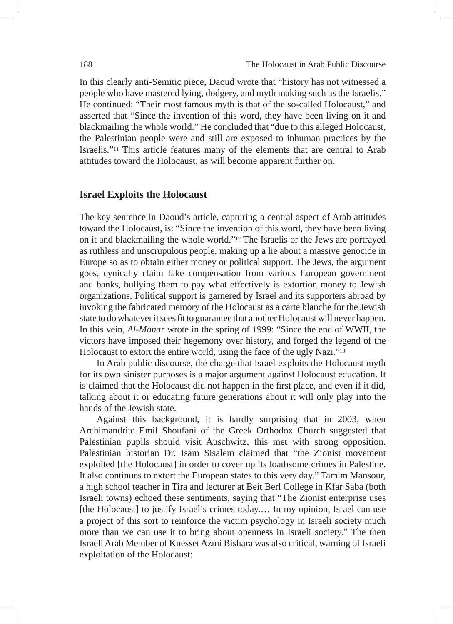In this clearly anti-Semitic piece, Daoud wrote that "history has not witnessed a people who have mastered lying, dodgery, and myth making such as the Israelis." He continued: "Their most famous myth is that of the so-called Holocaust," and asserted that "Since the invention of this word, they have been living on it and blackmailing the whole world." He concluded that "due to this alleged Holocaust, the Palestinian people were and still are exposed to inhuman practices by the Israelis."11 This article features many of the elements that are central to Arab attitudes toward the Holocaust, as will become apparent further on.

### **Israel Exploits the Holocaust**

The key sentence in Daoud's article, capturing a central aspect of Arab attitudes toward the Holocaust, is: "Since the invention of this word, they have been living on it and blackmailing the whole world."12 The Israelis or the Jews are portrayed as ruthless and unscrupulous people, making up a lie about a massive genocide in Europe so as to obtain either money or political support. The Jews, the argument goes, cynically claim fake compensation from various European government and banks, bullying them to pay what effectively is extortion money to Jewish organizations. Political support is garnered by Israel and its supporters abroad by invoking the fabricated memory of the Holocaust as a carte blanche for the Jewish state to do whatever it sees fit to guarantee that another Holocaust will never happen. In this vein, *Al-Manar* wrote in the spring of 1999: "Since the end of WWII, the victors have imposed their hegemony over history, and forged the legend of the Holocaust to extort the entire world, using the face of the ugly Nazi."13

In Arab public discourse, the charge that Israel exploits the Holocaust myth for its own sinister purposes is a major argument against Holocaust education. It is claimed that the Holocaust did not happen in the first place, and even if it did, talking about it or educating future generations about it will only play into the hands of the Jewish state.

Against this background, it is hardly surprising that in 2003, when Archimandrite Emil Shoufani of the Greek Orthodox Church suggested that Palestinian pupils should visit Auschwitz, this met with strong opposition. Palestinian historian Dr. Isam Sisalem claimed that "the Zionist movement exploited [the Holocaust] in order to cover up its loathsome crimes in Palestine. It also continues to extort the European states to this very day." Tamim Mansour, a high school teacher in Tira and lecturer at Beit Berl College in Kfar Saba (both Israeli towns) echoed these sentiments, saying that "The Zionist enterprise uses [the Holocaust] to justify Israel's crimes today.... In my opinion, Israel can use a project of this sort to reinforce the victim psychology in Israeli society much more than we can use it to bring about openness in Israeli society." The then Israeli Arab Member of Knesset Azmi Bishara was also critical, warning of Israeli exploitation of the Holocaust: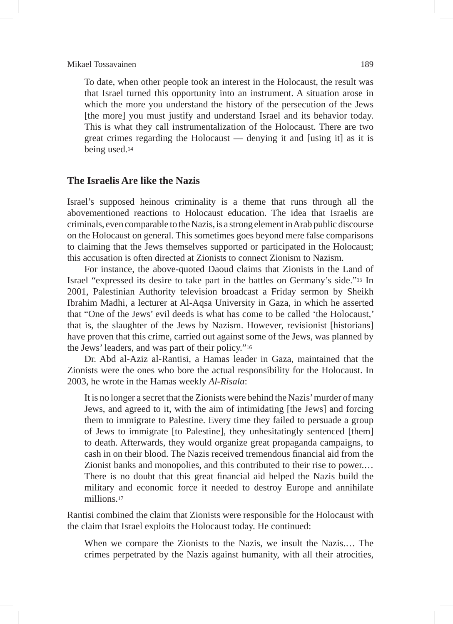#### Mikael Tossavainen 189

To date, when other people took an interest in the Holocaust, the result was that Israel turned this opportunity into an instrument. A situation arose in which the more you understand the history of the persecution of the Jews [the more] you must justify and understand Israel and its behavior today. This is what they call instrumentalization of the Holocaust. There are two great crimes regarding the Holocaust — denying it and [using it] as it is being used.14

# **The Israelis Are like the Nazis**

Israel's supposed heinous criminality is a theme that runs through all the abovementioned reactions to Holocaust education. The idea that Israelis are criminals, even comparable to the Nazis, is a strong element in Arab public discourse on the Holocaust on general. This sometimes goes beyond mere false comparisons to claiming that the Jews themselves supported or participated in the Holocaust; this accusation is often directed at Zionists to connect Zionism to Nazism.

For instance, the above-quoted Daoud claims that Zionists in the Land of Israel "expressed its desire to take part in the battles on Germany's side."15 In 2001, Palestinian Authority television broadcast a Friday sermon by Sheikh Ibrahim Madhi, a lecturer at Al-Aqsa University in Gaza, in which he asserted that "One of the Jews' evil deeds is what has come to be called 'the Holocaust,' that is, the slaughter of the Jews by Nazism. However, revisionist [historians] have proven that this crime, carried out against some of the Jews, was planned by the Jews' leaders, and was part of their policy."16

Dr. Abd al-Aziz al-Rantisi, a Hamas leader in Gaza, maintained that the Zionists were the ones who bore the actual responsibility for the Holocaust. In 2003, he wrote in the Hamas weekly *Al-Risala*:

It is no longer a secret that the Zionists were behind the Nazis' murder of many Jews, and agreed to it, with the aim of intimidating [the Jews] and forcing them to immigrate to Palestine. Every time they failed to persuade a group of Jews to immigrate [to Palestine], they unhesitatingly sentenced [them] to death. Afterwards, they would organize great propaganda campaigns, to cash in on their blood. The Nazis received tremendous financial aid from the Zionist banks and monopolies, and this contributed to their rise to power.… There is no doubt that this great financial aid helped the Nazis build the military and economic force it needed to destroy Europe and annihilate millions.17

Rantisi combined the claim that Zionists were responsible for the Holocaust with the claim that Israel exploits the Holocaust today. He continued:

When we compare the Zionists to the Nazis, we insult the Nazis.… The crimes perpetrated by the Nazis against humanity, with all their atrocities,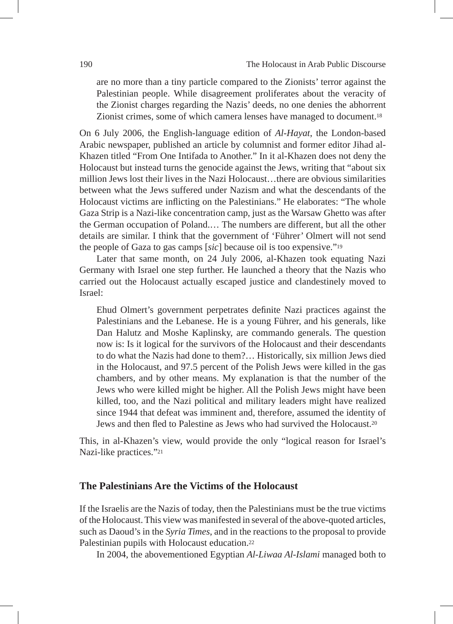are no more than a tiny particle compared to the Zionists' terror against the Palestinian people. While disagreement proliferates about the veracity of the Zionist charges regarding the Nazis' deeds, no one denies the abhorrent Zionist crimes, some of which camera lenses have managed to document.18

On 6 July 2006, the English-language edition of *Al-Hayat*, the London-based Arabic newspaper, published an article by columnist and former editor Jihad al-Khazen titled "From One Intifada to Another." In it al-Khazen does not deny the Holocaust but instead turns the genocide against the Jews, writing that "about six million Jews lost their lives in the Nazi Holocaust…there are obvious similarities between what the Jews suffered under Nazism and what the descendants of the Holocaust victims are inflicting on the Palestinians." He elaborates: "The whole Gaza Strip is a Nazi-like concentration camp, just as the Warsaw Ghetto was after the German occupation of Poland.… The numbers are different, but all the other details are similar. I think that the government of 'Führer' Olmert will not send the people of Gaza to gas camps [*sic*] because oil is too expensive."19

Later that same month, on 24 July 2006, al-Khazen took equating Nazi Germany with Israel one step further. He launched a theory that the Nazis who carried out the Holocaust actually escaped justice and clandestinely moved to Israel:

Ehud Olmert's government perpetrates definite Nazi practices against the Palestinians and the Lebanese. He is a young Führer, and his generals, like Dan Halutz and Moshe Kaplinsky, are commando generals. The question now is: Is it logical for the survivors of the Holocaust and their descendants to do what the Nazis had done to them?… Historically, six million Jews died in the Holocaust, and 97.5 percent of the Polish Jews were killed in the gas chambers, and by other means. My explanation is that the number of the Jews who were killed might be higher. All the Polish Jews might have been killed, too, and the Nazi political and military leaders might have realized since 1944 that defeat was imminent and, therefore, assumed the identity of Jews and then fled to Palestine as Jews who had survived the Holocaust.20

This, in al-Khazen's view, would provide the only "logical reason for Israel's Nazi-like practices."21

# **The Palestinians Are the Victims of the Holocaust**

If the Israelis are the Nazis of today, then the Palestinians must be the true victims of the Holocaust. This view was manifested in several of the above-quoted articles, such as Daoud's in the *Syria Times*, and in the reactions to the proposal to provide Palestinian pupils with Holocaust education.22

In 2004, the abovementioned Egyptian *Al-Liwaa Al-Islami* managed both to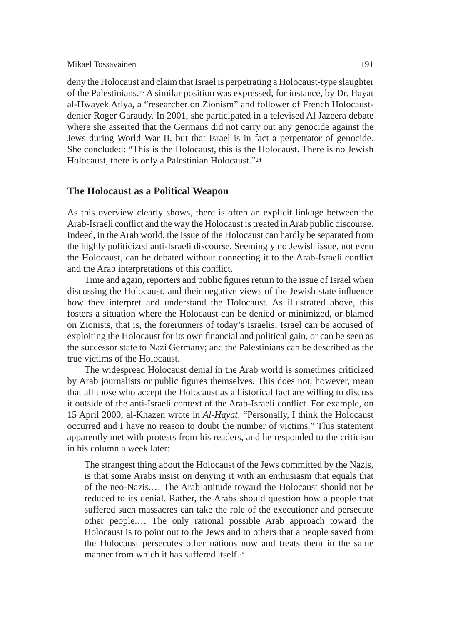#### Mikael Tossavainen 191

deny the Holocaust and claim that Israel is perpetrating a Holocaust-type slaughter of the Palestinians.23 A similar position was expressed, for instance, by Dr. Hayat al-Hwayek Atiya, a "researcher on Zionism" and follower of French Holocaustdenier Roger Garaudy. In 2001, she participated in a televised Al Jazeera debate where she asserted that the Germans did not carry out any genocide against the Jews during World War II, but that Israel is in fact a perpetrator of genocide. She concluded: "This is the Holocaust, this is the Holocaust. There is no Jewish Holocaust, there is only a Palestinian Holocaust."24

#### **The Holocaust as a Political Weapon**

As this overview clearly shows, there is often an explicit linkage between the Arab-Israeli conflict and the way the Holocaust is treated in Arab public discourse. Indeed, in the Arab world, the issue of the Holocaust can hardly be separated from the highly politicized anti-Israeli discourse. Seemingly no Jewish issue, not even the Holocaust, can be debated without connecting it to the Arab-Israeli conflict and the Arab interpretations of this conflict.

Time and again, reporters and public figures return to the issue of Israel when discussing the Holocaust, and their negative views of the Jewish state influence how they interpret and understand the Holocaust. As illustrated above, this fosters a situation where the Holocaust can be denied or minimized, or blamed on Zionists, that is, the forerunners of today's Israelis; Israel can be accused of exploiting the Holocaust for its own financial and political gain, or can be seen as the successor state to Nazi Germany; and the Palestinians can be described as the true victims of the Holocaust.

The widespread Holocaust denial in the Arab world is sometimes criticized by Arab journalists or public figures themselves. This does not, however, mean that all those who accept the Holocaust as a historical fact are willing to discuss it outside of the anti-Israeli context of the Arab-Israeli conflict. For example, on 15 April 2000, al-Khazen wrote in *Al-Hayat*: "Personally, I think the Holocaust occurred and I have no reason to doubt the number of victims." This statement apparently met with protests from his readers, and he responded to the criticism in his column a week later:

The strangest thing about the Holocaust of the Jews committed by the Nazis, is that some Arabs insist on denying it with an enthusiasm that equals that of the neo-Nazis.… The Arab attitude toward the Holocaust should not be reduced to its denial. Rather, the Arabs should question how a people that suffered such massacres can take the role of the executioner and persecute other people.… The only rational possible Arab approach toward the Holocaust is to point out to the Jews and to others that a people saved from the Holocaust persecutes other nations now and treats them in the same manner from which it has suffered itself.25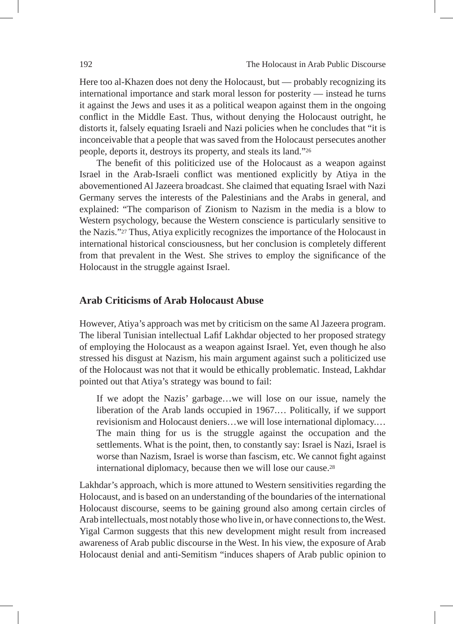Here too al-Khazen does not deny the Holocaust, but — probably recognizing its international importance and stark moral lesson for posterity — instead he turns it against the Jews and uses it as a political weapon against them in the ongoing conflict in the Middle East. Thus, without denying the Holocaust outright, he distorts it, falsely equating Israeli and Nazi policies when he concludes that "it is inconceivable that a people that was saved from the Holocaust persecutes another people, deports it, destroys its property, and steals its land."26

The benefit of this politicized use of the Holocaust as a weapon against Israel in the Arab-Israeli conflict was mentioned explicitly by Atiya in the abovementioned Al Jazeera broadcast. She claimed that equating Israel with Nazi Germany serves the interests of the Palestinians and the Arabs in general, and explained: "The comparison of Zionism to Nazism in the media is a blow to Western psychology, because the Western conscience is particularly sensitive to the Nazis."27 Thus, Atiya explicitly recognizes the importance of the Holocaust in international historical consciousness, but her conclusion is completely different from that prevalent in the West. She strives to employ the significance of the Holocaust in the struggle against Israel.

# **Arab Criticisms of Arab Holocaust Abuse**

However, Atiya's approach was met by criticism on the same Al Jazeera program. The liberal Tunisian intellectual Lafif Lakhdar objected to her proposed strategy of employing the Holocaust as a weapon against Israel. Yet, even though he also stressed his disgust at Nazism, his main argument against such a politicized use of the Holocaust was not that it would be ethically problematic. Instead, Lakhdar pointed out that Atiya's strategy was bound to fail:

If we adopt the Nazis' garbage…we will lose on our issue, namely the liberation of the Arab lands occupied in 1967.… Politically, if we support revisionism and Holocaust deniers…we will lose international diplomacy.… The main thing for us is the struggle against the occupation and the settlements. What is the point, then, to constantly say: Israel is Nazi, Israel is worse than Nazism, Israel is worse than fascism, etc. We cannot fight against international diplomacy, because then we will lose our cause.28

Lakhdar's approach, which is more attuned to Western sensitivities regarding the Holocaust, and is based on an understanding of the boundaries of the international Holocaust discourse, seems to be gaining ground also among certain circles of Arab intellectuals, most notably those who live in, or have connections to, the West. Yigal Carmon suggests that this new development might result from increased awareness of Arab public discourse in the West. In his view, the exposure of Arab Holocaust denial and anti-Semitism "induces shapers of Arab public opinion to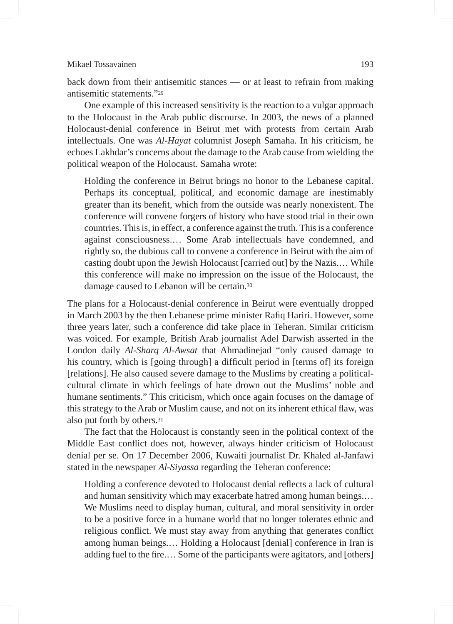#### Mikael Tossavainen 193

back down from their antisemitic stances — or at least to refrain from making antisemitic statements."29

One example of this increased sensitivity is the reaction to a vulgar approach to the Holocaust in the Arab public discourse. In 2003, the news of a planned Holocaust-denial conference in Beirut met with protests from certain Arab intellectuals. One was *Al-Hayat* columnist Joseph Samaha. In his criticism, he echoes Lakhdar's concerns about the damage to the Arab cause from wielding the political weapon of the Holocaust. Samaha wrote:

Holding the conference in Beirut brings no honor to the Lebanese capital. Perhaps its conceptual, political, and economic damage are inestimably greater than its benefit, which from the outside was nearly nonexistent. The conference will convene forgers of history who have stood trial in their own countries. This is, in effect, a conference against the truth. This is a conference against consciousness.… Some Arab intellectuals have condemned, and rightly so, the dubious call to convene a conference in Beirut with the aim of casting doubt upon the Jewish Holocaust [carried out] by the Nazis.… While this conference will make no impression on the issue of the Holocaust, the damage caused to Lebanon will be certain.30

The plans for a Holocaust-denial conference in Beirut were eventually dropped in March 2003 by the then Lebanese prime minister Rafiq Hariri. However, some three years later, such a conference did take place in Teheran. Similar criticism was voiced. For example, British Arab journalist Adel Darwish asserted in the London daily *Al-Sharq Al-Awsat* that Ahmadinejad "only caused damage to his country, which is [going through] a difficult period in [terms of] its foreign [relations]. He also caused severe damage to the Muslims by creating a politicalcultural climate in which feelings of hate drown out the Muslims' noble and humane sentiments." This criticism, which once again focuses on the damage of this strategy to the Arab or Muslim cause, and not on its inherent ethical flaw, was also put forth by others.31

The fact that the Holocaust is constantly seen in the political context of the Middle East conflict does not, however, always hinder criticism of Holocaust denial per se. On 17 December 2006, Kuwaiti journalist Dr. Khaled al-Janfawi stated in the newspaper *Al-Siyassa* regarding the Teheran conference:

Holding a conference devoted to Holocaust denial reflects a lack of cultural and human sensitivity which may exacerbate hatred among human beings.… We Muslims need to display human, cultural, and moral sensitivity in order to be a positive force in a humane world that no longer tolerates ethnic and religious conflict. We must stay away from anything that generates conflict among human beings.… Holding a Holocaust [denial] conference in Iran is adding fuel to the fire.… Some of the participants were agitators, and [others]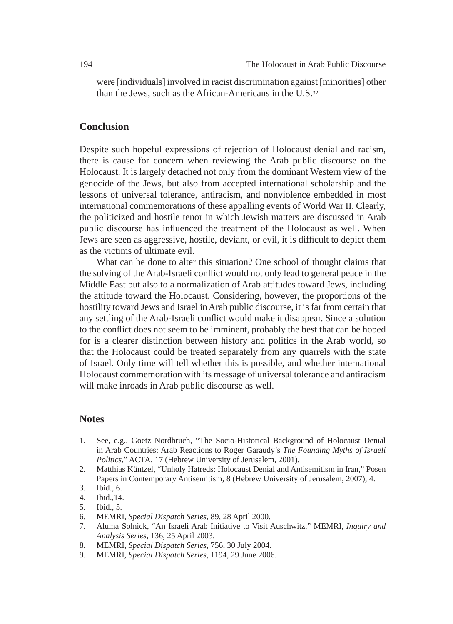were [individuals] involved in racist discrimination against [minorities] other than the Jews, such as the African-Americans in the U.S.32

# **Conclusion**

Despite such hopeful expressions of rejection of Holocaust denial and racism, there is cause for concern when reviewing the Arab public discourse on the Holocaust. It is largely detached not only from the dominant Western view of the genocide of the Jews, but also from accepted international scholarship and the lessons of universal tolerance, antiracism, and nonviolence embedded in most international commemorations of these appalling events of World War II. Clearly, the politicized and hostile tenor in which Jewish matters are discussed in Arab public discourse has influenced the treatment of the Holocaust as well. When Jews are seen as aggressive, hostile, deviant, or evil, it is difficult to depict them as the victims of ultimate evil.

What can be done to alter this situation? One school of thought claims that the solving of the Arab-Israeli conflict would not only lead to general peace in the Middle East but also to a normalization of Arab attitudes toward Jews, including the attitude toward the Holocaust. Considering, however, the proportions of the hostility toward Jews and Israel in Arab public discourse, it is far from certain that any settling of the Arab-Israeli conflict would make it disappear. Since a solution to the conflict does not seem to be imminent, probably the best that can be hoped for is a clearer distinction between history and politics in the Arab world, so that the Holocaust could be treated separately from any quarrels with the state of Israel. Only time will tell whether this is possible, and whether international Holocaust commemoration with its message of universal tolerance and antiracism will make inroads in Arab public discourse as well.

# **Notes**

- 1. See, e.g., Goetz Nordbruch, "The Socio-Historical Background of Holocaust Denial in Arab Countries: Arab Reactions to Roger Garaudy's *The Founding Myths of Israeli Politics*," ACTA, 17 (Hebrew University of Jerusalem, 2001).
- 2. Matthias Küntzel, "Unholy Hatreds: Holocaust Denial and Antisemitism in Iran," Posen Papers in Contemporary Antisemitism, 8 (Hebrew University of Jerusalem, 2007), 4.
- 3. Ibid., 6.
- 4. Ibid.,14.
- 5. Ibid., 5.
- 6. MEMRI, *Special Dispatch Series*, 89, 28 April 2000.
- 7. Aluma Solnick, "An Israeli Arab Initiative to Visit Auschwitz," MEMRI, *Inquiry and Analysis Series*, 136, 25 April 2003.
- 8. MEMRI, *Special Dispatch Series*, 756, 30 July 2004.
- 9. MEMRI, *Special Dispatch Series*, 1194, 29 June 2006.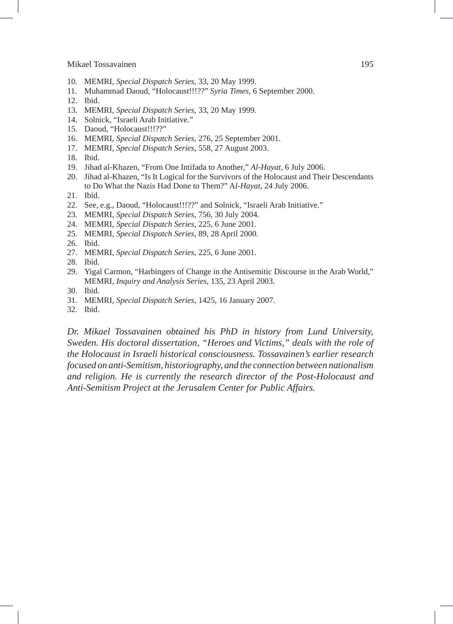#### Mikael Tossavainen 195

- 10. MEMRI, *Special Dispatch Series*, 33, 20 May 1999.
- 11. Muhammad Daoud, "Holocaust!!!??" *Syria Times*, 6 September 2000.
- 12. Ibid.
- 13. MEMRI, *Special Dispatch Series*, 33, 20 May 1999.
- 14. Solnick, "Israeli Arab Initiative."
- 15. Daoud, "Holocaust!!!??"
- 16. MEMRI, *Special Dispatch Series*, 276, 25 September 2001.
- 17. MEMRI, *Special Dispatch Series*, 558, 27 August 2003.
- 18. Ibid.
- 19. Jihad al-Khazen, "From One Intifada to Another," *Al-Hayat*, 6 July 2006.
- 20. Jihad al-Khazen, "Is It Logical for the Survivors of the Holocaust and Their Descendants to Do What the Nazis Had Done to Them?" A*l-Hayat*, 24 July 2006.
- 21. Ibid.
- 22. See, e.g., Daoud, "Holocaust!!!??" and Solnick, "Israeli Arab Initiative."
- 23. MEMRI, *Special Dispatch Series*, 756, 30 July 2004.
- 24. MEMRI, *Special Dispatch Series*, 225, 6 June 2001.
- 25. MEMRI, *Special Dispatch Series*, 89, 28 April 2000.
- 26. Ibid.
- 27. MEMRI, *Special Dispatch Series*, 225, 6 June 2001.
- 28. Ibid.
- 29. Yigal Carmon, "Harbingers of Change in the Antisemitic Discourse in the Arab World," MEMRI, *Inquiry and Analysis Series*, 135, 23 April 2003.
- 30. Ibid.
- 31. MEMRI, *Special Dispatch Series*, 1425, 16 January 2007.
- 32. Ibid.

*Dr. Mikael Tossavainen obtained his PhD in history from Lund University, Sweden. His doctoral dissertation, "Heroes and Victims," deals with the role of the Holocaust in Israeli historical consciousness. Tossavainen's earlier research focused on anti-Semitism, historiography, and the connection between nationalism and religion. He is currently the research director of the Post-Holocaust and Anti-Semitism Project at the Jerusalem Center for Public Affairs.*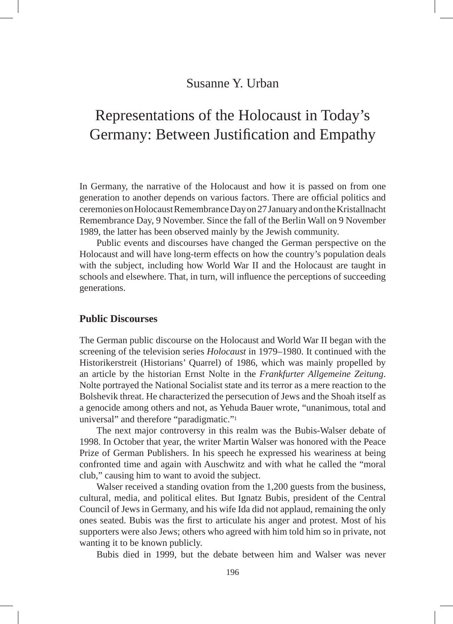# Susanne Y. Urban

# Representations of the Holocaust in Today's Germany: Between Justification and Empathy

In Germany, the narrative of the Holocaust and how it is passed on from one generation to another depends on various factors. There are official politics and ceremonies on Holocaust Remembrance Day on 27 January and on the Kristallnacht Remembrance Day, 9 November. Since the fall of the Berlin Wall on 9 November 1989, the latter has been observed mainly by the Jewish community.

Public events and discourses have changed the German perspective on the Holocaust and will have long-term effects on how the country's population deals with the subject, including how World War II and the Holocaust are taught in schools and elsewhere. That, in turn, will influence the perceptions of succeeding generations.

# **Public Discourses**

The German public discourse on the Holocaust and World War II began with the screening of the television series *Holocaust* in 1979–1980. It continued with the Historikerstreit (Historians' Quarrel) of 1986, which was mainly propelled by an article by the historian Ernst Nolte in the *Frankfurter Allgemeine Zeitung*. Nolte portrayed the National Socialist state and its terror as a mere reaction to the Bolshevik threat. He characterized the persecution of Jews and the Shoah itself as a genocide among others and not, as Yehuda Bauer wrote, "unanimous, total and universal" and therefore "paradigmatic."1

The next major controversy in this realm was the Bubis-Walser debate of 1998. In October that year, the writer Martin Walser was honored with the Peace Prize of German Publishers. In his speech he expressed his weariness at being confronted time and again with Auschwitz and with what he called the "moral club," causing him to want to avoid the subject.

Walser received a standing ovation from the 1,200 guests from the business, cultural, media, and political elites. But Ignatz Bubis, president of the Central Council of Jews in Germany, and his wife Ida did not applaud, remaining the only ones seated. Bubis was the first to articulate his anger and protest. Most of his supporters were also Jews; others who agreed with him told him so in private, not wanting it to be known publicly.

Bubis died in 1999, but the debate between him and Walser was never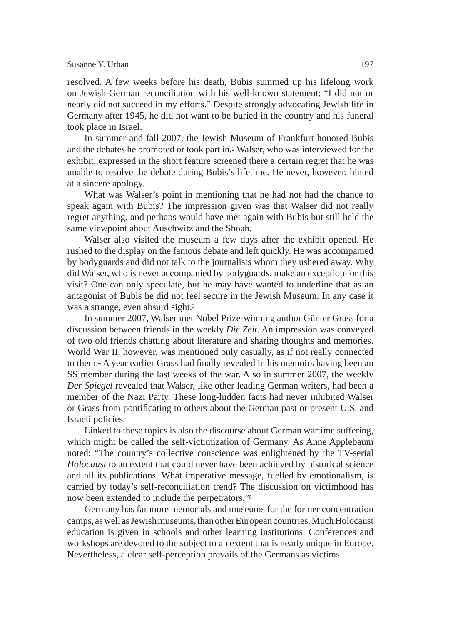#### Susanne Y. Urban 197

resolved. A few weeks before his death, Bubis summed up his lifelong work on Jewish-German reconciliation with his well-known statement: "I did not or nearly did not succeed in my efforts." Despite strongly advocating Jewish life in Germany after 1945, he did not want to be buried in the country and his funeral took place in Israel.

In summer and fall 2007, the Jewish Museum of Frankfurt honored Bubis and the debates he promoted or took part in.2 Walser, who was interviewed for the exhibit, expressed in the short feature screened there a certain regret that he was unable to resolve the debate during Bubis's lifetime. He never, however, hinted at a sincere apology.

What was Walser's point in mentioning that he had not had the chance to speak again with Bubis? The impression given was that Walser did not really regret anything, and perhaps would have met again with Bubis but still held the same viewpoint about Auschwitz and the Shoah.

Walser also visited the museum a few days after the exhibit opened. He rushed to the display on the famous debate and left quickly. He was accompanied by bodyguards and did not talk to the journalists whom they ushered away. Why did Walser, who is never accompanied by bodyguards, make an exception for this visit? One can only speculate, but he may have wanted to underline that as an antagonist of Bubis he did not feel secure in the Jewish Museum. In any case it was a strange, even absurd sight.<sup>3</sup>

In summer 2007, Walser met Nobel Prize-winning author Günter Grass for a discussion between friends in the weekly *Die Zeit*. An impression was conveyed of two old friends chatting about literature and sharing thoughts and memories. World War II, however, was mentioned only casually, as if not really connected to them.4 A year earlier Grass had finally revealed in his memoirs having been an SS member during the last weeks of the war. Also in summer 2007, the weekly *Der Spiegel* revealed that Walser, like other leading German writers, had been a member of the Nazi Party. These long-hidden facts had never inhibited Walser or Grass from pontificating to others about the German past or present U.S. and Israeli policies.

Linked to these topics is also the discourse about German wartime suffering, which might be called the self-victimization of Germany. As Anne Applebaum noted: "The country's collective conscience was enlightened by the TV-serial *Holocaust* to an extent that could never have been achieved by historical science and all its publications. What imperative message, fuelled by emotionalism, is carried by today's self-reconciliation trend? The discussion on victimhood has now been extended to include the perpetrators."5

Germany has far more memorials and museums for the former concentration camps, as well as Jewish museums, than other European countries. Much Holocaust education is given in schools and other learning institutions. Conferences and workshops are devoted to the subject to an extent that is nearly unique in Europe. Nevertheless, a clear self-perception prevails of the Germans as victims.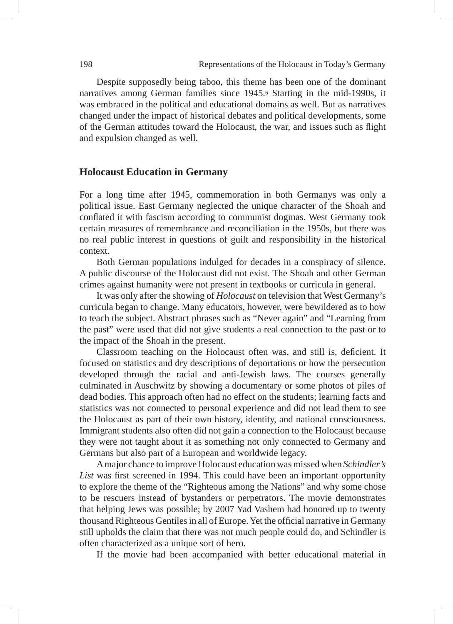Despite supposedly being taboo, this theme has been one of the dominant narratives among German families since 1945.6 Starting in the mid-1990s, it was embraced in the political and educational domains as well. But as narratives changed under the impact of historical debates and political developments, some of the German attitudes toward the Holocaust, the war, and issues such as flight and expulsion changed as well.

#### **Holocaust Education in Germany**

For a long time after 1945, commemoration in both Germanys was only a political issue. East Germany neglected the unique character of the Shoah and conflated it with fascism according to communist dogmas. West Germany took certain measures of remembrance and reconciliation in the 1950s, but there was no real public interest in questions of guilt and responsibility in the historical context.

Both German populations indulged for decades in a conspiracy of silence. A public discourse of the Holocaust did not exist. The Shoah and other German crimes against humanity were not present in textbooks or curricula in general.

It was only after the showing of *Holocaust* on television that West Germany's curricula began to change. Many educators, however, were bewildered as to how to teach the subject. Abstract phrases such as "Never again" and "Learning from the past" were used that did not give students a real connection to the past or to the impact of the Shoah in the present.

Classroom teaching on the Holocaust often was, and still is, deficient. It focused on statistics and dry descriptions of deportations or how the persecution developed through the racial and anti-Jewish laws. The courses generally culminated in Auschwitz by showing a documentary or some photos of piles of dead bodies. This approach often had no effect on the students; learning facts and statistics was not connected to personal experience and did not lead them to see the Holocaust as part of their own history, identity, and national consciousness. Immigrant students also often did not gain a connection to the Holocaust because they were not taught about it as something not only connected to Germany and Germans but also part of a European and worldwide legacy.

A major chance to improve Holocaust education was missed when *Schindler's List* was first screened in 1994. This could have been an important opportunity to explore the theme of the "Righteous among the Nations" and why some chose to be rescuers instead of bystanders or perpetrators. The movie demonstrates that helping Jews was possible; by 2007 Yad Vashem had honored up to twenty thousand Righteous Gentiles in all of Europe. Yet the official narrative in Germany still upholds the claim that there was not much people could do, and Schindler is often characterized as a unique sort of hero.

If the movie had been accompanied with better educational material in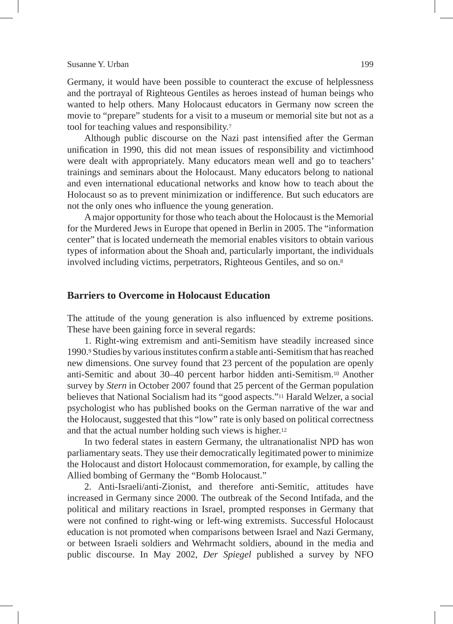#### Susanne Y. Urban 199

Germany, it would have been possible to counteract the excuse of helplessness and the portrayal of Righteous Gentiles as heroes instead of human beings who wanted to help others. Many Holocaust educators in Germany now screen the movie to "prepare" students for a visit to a museum or memorial site but not as a tool for teaching values and responsibility.7

Although public discourse on the Nazi past intensified after the German unification in 1990, this did not mean issues of responsibility and victimhood were dealt with appropriately. Many educators mean well and go to teachers' trainings and seminars about the Holocaust. Many educators belong to national and even international educational networks and know how to teach about the Holocaust so as to prevent minimization or indifference. But such educators are not the only ones who influence the young generation.

A major opportunity for those who teach about the Holocaust is the Memorial for the Murdered Jews in Europe that opened in Berlin in 2005. The "information center" that is located underneath the memorial enables visitors to obtain various types of information about the Shoah and, particularly important, the individuals involved including victims, perpetrators, Righteous Gentiles, and so on.8

## **Barriers to Overcome in Holocaust Education**

The attitude of the young generation is also influenced by extreme positions. These have been gaining force in several regards:

1. Right-wing extremism and anti-Semitism have steadily increased since 1990.9 Studies by various institutes confirm a stable anti-Semitism that has reached new dimensions. One survey found that 23 percent of the population are openly anti-Semitic and about 30–40 percent harbor hidden anti-Semitism.10 Another survey by *Stern* in October 2007 found that 25 percent of the German population believes that National Socialism had its "good aspects."11 Harald Welzer, a social psychologist who has published books on the German narrative of the war and the Holocaust, suggested that this "low" rate is only based on political correctness and that the actual number holding such views is higher.12

In two federal states in eastern Germany, the ultranationalist NPD has won parliamentary seats. They use their democratically legitimated power to minimize the Holocaust and distort Holocaust commemoration, for example, by calling the Allied bombing of Germany the "Bomb Holocaust."

2. Anti-Israeli/anti-Zionist, and therefore anti-Semitic, attitudes have increased in Germany since 2000. The outbreak of the Second Intifada, and the political and military reactions in Israel, prompted responses in Germany that were not confined to right-wing or left-wing extremists. Successful Holocaust education is not promoted when comparisons between Israel and Nazi Germany, or between Israeli soldiers and Wehrmacht soldiers, abound in the media and public discourse. In May 2002, *Der Spiegel* published a survey by NFO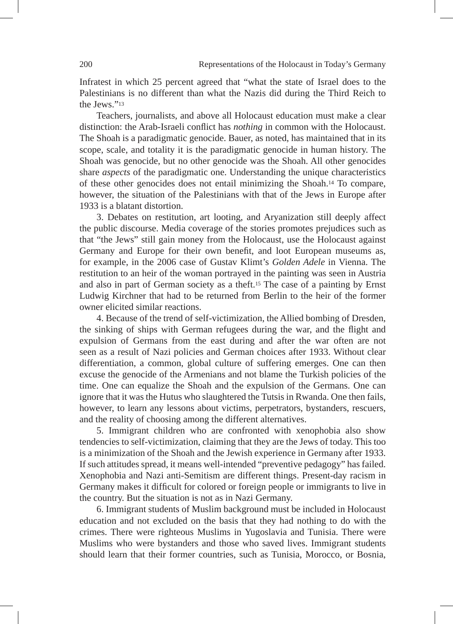Infratest in which 25 percent agreed that "what the state of Israel does to the Palestinians is no different than what the Nazis did during the Third Reich to the Jews<sup>"13</sup>

Teachers, journalists, and above all Holocaust education must make a clear distinction: the Arab-Israeli conflict has *nothing* in common with the Holocaust. The Shoah is a paradigmatic genocide. Bauer, as noted, has maintained that in its scope, scale, and totality it is the paradigmatic genocide in human history. The Shoah was genocide, but no other genocide was the Shoah. All other genocides share *aspects* of the paradigmatic one. Understanding the unique characteristics of these other genocides does not entail minimizing the Shoah.14 To compare, however, the situation of the Palestinians with that of the Jews in Europe after 1933 is a blatant distortion.

3. Debates on restitution, art looting, and Aryanization still deeply affect the public discourse. Media coverage of the stories promotes prejudices such as that "the Jews" still gain money from the Holocaust, use the Holocaust against Germany and Europe for their own benefit, and loot European museums as, for example, in the 2006 case of Gustav Klimt's *Golden Adele* in Vienna. The restitution to an heir of the woman portrayed in the painting was seen in Austria and also in part of German society as a theft.15 The case of a painting by Ernst Ludwig Kirchner that had to be returned from Berlin to the heir of the former owner elicited similar reactions.

4. Because of the trend of self-victimization, the Allied bombing of Dresden, the sinking of ships with German refugees during the war, and the flight and expulsion of Germans from the east during and after the war often are not seen as a result of Nazi policies and German choices after 1933. Without clear differentiation, a common, global culture of suffering emerges. One can then excuse the genocide of the Armenians and not blame the Turkish policies of the time. One can equalize the Shoah and the expulsion of the Germans. One can ignore that it was the Hutus who slaughtered the Tutsis in Rwanda. One then fails, however, to learn any lessons about victims, perpetrators, bystanders, rescuers, and the reality of choosing among the different alternatives.

5. Immigrant children who are confronted with xenophobia also show tendencies to self-victimization, claiming that they are the Jews of today. This too is a minimization of the Shoah and the Jewish experience in Germany after 1933. If such attitudes spread, it means well-intended "preventive pedagogy" has failed. Xenophobia and Nazi anti-Semitism are different things. Present-day racism in Germany makes it difficult for colored or foreign people or immigrants to live in the country. But the situation is not as in Nazi Germany.

6. Immigrant students of Muslim background must be included in Holocaust education and not excluded on the basis that they had nothing to do with the crimes. There were righteous Muslims in Yugoslavia and Tunisia. There were Muslims who were bystanders and those who saved lives. Immigrant students should learn that their former countries, such as Tunisia, Morocco, or Bosnia,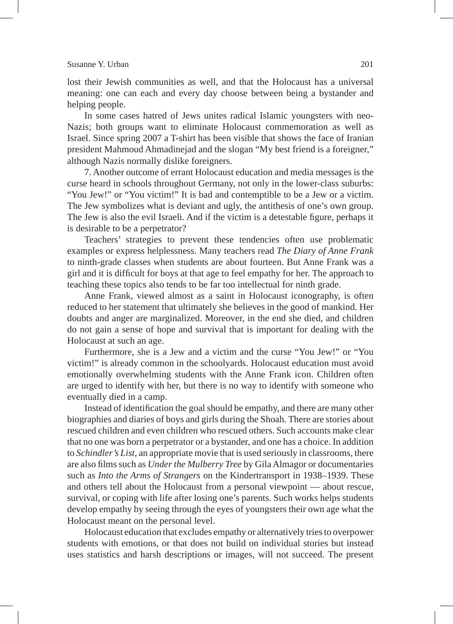#### Susanne Y. Urban 201

lost their Jewish communities as well, and that the Holocaust has a universal meaning: one can each and every day choose between being a bystander and helping people.

In some cases hatred of Jews unites radical Islamic youngsters with neo-Nazis; both groups want to eliminate Holocaust commemoration as well as Israel. Since spring 2007 a T-shirt has been visible that shows the face of Iranian president Mahmoud Ahmadinejad and the slogan "My best friend is a foreigner," although Nazis normally dislike foreigners.

7. Another outcome of errant Holocaust education and media messages is the curse heard in schools throughout Germany, not only in the lower-class suburbs: "You Jew!" or "You victim!" It is bad and contemptible to be a Jew or a victim. The Jew symbolizes what is deviant and ugly, the antithesis of one's own group. The Jew is also the evil Israeli. And if the victim is a detestable figure, perhaps it is desirable to be a perpetrator?

Teachers' strategies to prevent these tendencies often use problematic examples or express helplessness. Many teachers read *The Diary of Anne Frank* to ninth-grade classes when students are about fourteen. But Anne Frank was a girl and it is difficult for boys at that age to feel empathy for her. The approach to teaching these topics also tends to be far too intellectual for ninth grade.

Anne Frank, viewed almost as a saint in Holocaust iconography, is often reduced to her statement that ultimately she believes in the good of mankind. Her doubts and anger are marginalized. Moreover, in the end she died, and children do not gain a sense of hope and survival that is important for dealing with the Holocaust at such an age.

Furthermore, she is a Jew and a victim and the curse "You Jew!" or "You victim!" is already common in the schoolyards. Holocaust education must avoid emotionally overwhelming students with the Anne Frank icon. Children often are urged to identify with her, but there is no way to identify with someone who eventually died in a camp.

Instead of identification the goal should be empathy, and there are many other biographies and diaries of boys and girls during the Shoah. There are stories about rescued children and even children who rescued others. Such accounts make clear that no one was born a perpetrator or a bystander, and one has a choice. In addition to *Schindler's List*, an appropriate movie that is used seriously in classrooms, there are also films such as *Under the Mulberry Tree* by Gila Almagor or documentaries such as *Into the Arms of Strangers* on the Kindertransport in 1938–1939. These and others tell about the Holocaust from a personal viewpoint — about rescue, survival, or coping with life after losing one's parents. Such works helps students develop empathy by seeing through the eyes of youngsters their own age what the Holocaust meant on the personal level.

Holocaust education that excludes empathy or alternatively tries to overpower students with emotions, or that does not build on individual stories but instead uses statistics and harsh descriptions or images, will not succeed. The present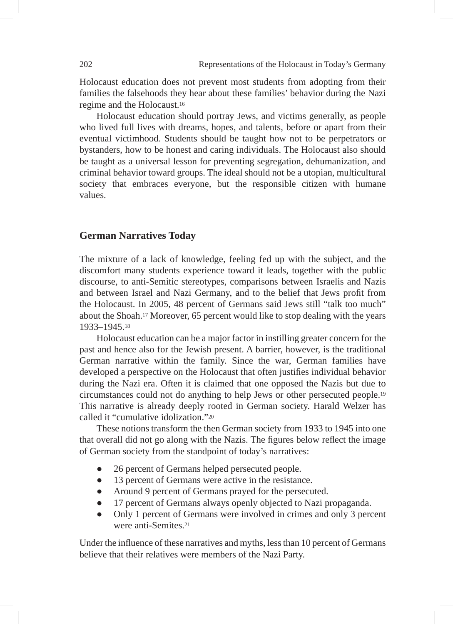Holocaust education does not prevent most students from adopting from their families the falsehoods they hear about these families' behavior during the Nazi regime and the Holocaust.16

Holocaust education should portray Jews, and victims generally, as people who lived full lives with dreams, hopes, and talents, before or apart from their eventual victimhood. Students should be taught how not to be perpetrators or bystanders, how to be honest and caring individuals. The Holocaust also should be taught as a universal lesson for preventing segregation, dehumanization, and criminal behavior toward groups. The ideal should not be a utopian, multicultural society that embraces everyone, but the responsible citizen with humane values.

#### **German Narratives Today**

The mixture of a lack of knowledge, feeling fed up with the subject, and the discomfort many students experience toward it leads, together with the public discourse, to anti-Semitic stereotypes, comparisons between Israelis and Nazis and between Israel and Nazi Germany, and to the belief that Jews profit from the Holocaust. In 2005, 48 percent of Germans said Jews still "talk too much" about the Shoah.17 Moreover, 65 percent would like to stop dealing with the years 1933–1945.18

Holocaust education can be a major factor in instilling greater concern for the past and hence also for the Jewish present. A barrier, however, is the traditional German narrative within the family. Since the war, German families have developed a perspective on the Holocaust that often justifies individual behavior during the Nazi era. Often it is claimed that one opposed the Nazis but due to circumstances could not do anything to help Jews or other persecuted people.19 This narrative is already deeply rooted in German society. Harald Welzer has called it "cumulative idolization"<sup>20</sup>

These notions transform the then German society from 1933 to 1945 into one that overall did not go along with the Nazis. The figures below reflect the image of German society from the standpoint of today's narratives:

- 26 percent of Germans helped persecuted people.
- 13 percent of Germans were active in the resistance.
- Around 9 percent of Germans prayed for the persecuted.
- 17 percent of Germans always openly objected to Nazi propaganda.
- Only 1 percent of Germans were involved in crimes and only 3 percent were anti-Semites<sup>21</sup>

Under the influence of these narratives and myths, less than 10 percent of Germans believe that their relatives were members of the Nazi Party.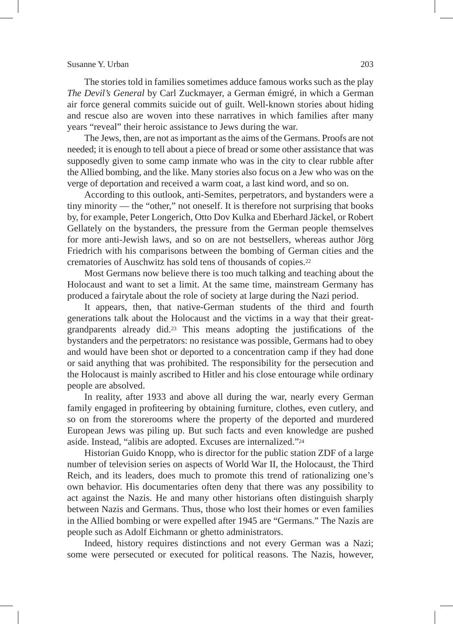#### Susanne Y. Urban 203

The stories told in families sometimes adduce famous works such as the play *The Devil's General* by Carl Zuckmayer, a German émigré, in which a German air force general commits suicide out of guilt. Well-known stories about hiding and rescue also are woven into these narratives in which families after many years "reveal" their heroic assistance to Jews during the war.

The Jews, then, are not as important as the aims of the Germans. Proofs are not needed; it is enough to tell about a piece of bread or some other assistance that was supposedly given to some camp inmate who was in the city to clear rubble after the Allied bombing, and the like. Many stories also focus on a Jew who was on the verge of deportation and received a warm coat, a last kind word, and so on.

According to this outlook, anti-Semites, perpetrators, and bystanders were a tiny minority — the "other," not oneself. It is therefore not surprising that books by, for example, Peter Longerich, Otto Dov Kulka and Eberhard Jäckel, or Robert Gellately on the bystanders, the pressure from the German people themselves for more anti-Jewish laws, and so on are not bestsellers, whereas author Jörg Friedrich with his comparisons between the bombing of German cities and the crematories of Auschwitz has sold tens of thousands of copies.22

Most Germans now believe there is too much talking and teaching about the Holocaust and want to set a limit. At the same time, mainstream Germany has produced a fairytale about the role of society at large during the Nazi period.

It appears, then, that native-German students of the third and fourth generations talk about the Holocaust and the victims in a way that their greatgrandparents already did.23 This means adopting the justifications of the bystanders and the perpetrators: no resistance was possible, Germans had to obey and would have been shot or deported to a concentration camp if they had done or said anything that was prohibited. The responsibility for the persecution and the Holocaust is mainly ascribed to Hitler and his close entourage while ordinary people are absolved.

In reality, after 1933 and above all during the war, nearly every German family engaged in profiteering by obtaining furniture, clothes, even cutlery, and so on from the storerooms where the property of the deported and murdered European Jews was piling up. But such facts and even knowledge are pushed aside. Instead, "alibis are adopted. Excuses are internalized."24

Historian Guido Knopp, who is director for the public station ZDF of a large number of television series on aspects of World War II, the Holocaust, the Third Reich, and its leaders, does much to promote this trend of rationalizing one's own behavior. His documentaries often deny that there was any possibility to act against the Nazis. He and many other historians often distinguish sharply between Nazis and Germans. Thus, those who lost their homes or even families in the Allied bombing or were expelled after 1945 are "Germans." The Nazis are people such as Adolf Eichmann or ghetto administrators.

Indeed, history requires distinctions and not every German was a Nazi; some were persecuted or executed for political reasons. The Nazis, however,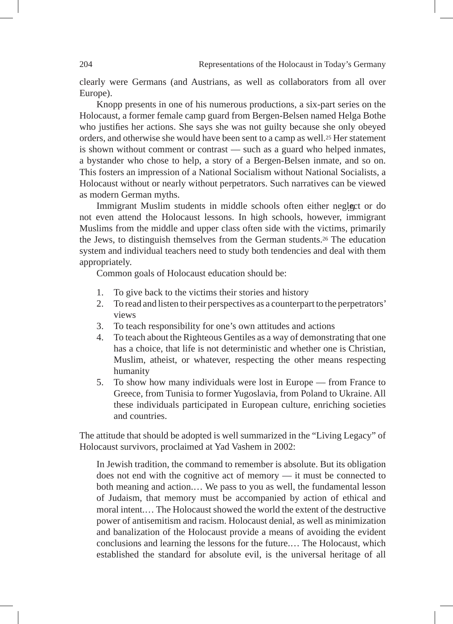clearly were Germans (and Austrians, as well as collaborators from all over Europe).

Knopp presents in one of his numerous productions, a six-part series on the Holocaust, a former female camp guard from Bergen-Belsen named Helga Bothe who justifies her actions. She says she was not guilty because she only obeyed orders, and otherwise she would have been sent to a camp as well.25 Her statement is shown without comment or contrast — such as a guard who helped inmates, a bystander who chose to help, a story of a Bergen-Belsen inmate, and so on. This fosters an impression of a National Socialism without National Socialists, a Holocaust without or nearly without perpetrators. Such narratives can be viewed as modern German myths.

Immigrant Muslim students in middle schools often either neglect or do not even attend the Holocaust lessons. In high schools, however, immigrant Muslims from the middle and upper class often side with the victims, primarily the Jews, to distinguish themselves from the German students.26 The education system and individual teachers need to study both tendencies and deal with them appropriately.

Common goals of Holocaust education should be:

- 1. To give back to the victims their stories and history
- 2. To read and listen to their perspectives as a counterpart to the perpetrators' views
- 3. To teach responsibility for one's own attitudes and actions
- 4. To teach about the Righteous Gentiles as a way of demonstrating that one has a choice, that life is not deterministic and whether one is Christian, Muslim, atheist, or whatever, respecting the other means respecting humanity
- 5. To show how many individuals were lost in Europe from France to Greece, from Tunisia to former Yugoslavia, from Poland to Ukraine. All these individuals participated in European culture, enriching societies and countries.

The attitude that should be adopted is well summarized in the "Living Legacy" of Holocaust survivors, proclaimed at Yad Vashem in 2002:

In Jewish tradition, the command to remember is absolute. But its obligation does not end with the cognitive act of memory — it must be connected to both meaning and action.… We pass to you as well, the fundamental lesson of Judaism, that memory must be accompanied by action of ethical and moral intent.… The Holocaust showed the world the extent of the destructive power of antisemitism and racism. Holocaust denial, as well as minimization and banalization of the Holocaust provide a means of avoiding the evident conclusions and learning the lessons for the future.… The Holocaust, which established the standard for absolute evil, is the universal heritage of all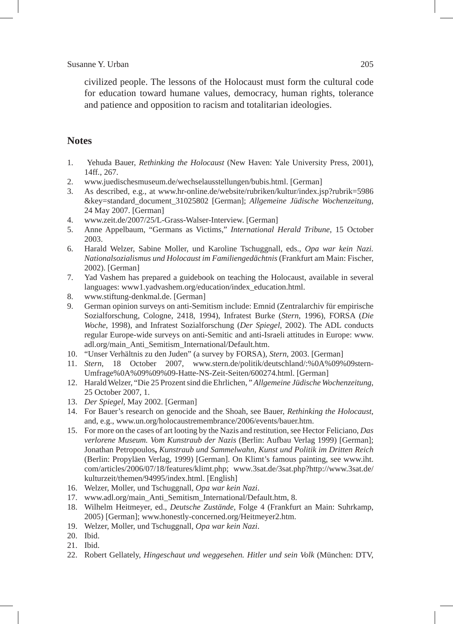#### Susanne Y. Urban 205

civilized people. The lessons of the Holocaust must form the cultural code for education toward humane values, democracy, human rights, tolerance and patience and opposition to racism and totalitarian ideologies.

# **Notes**

- 1. Yehuda Bauer, *Rethinking the Holocaust* (New Haven: Yale University Press, 2001), 14ff*.*, 267.
- 2. www.juedischesmuseum.de/wechselausstellungen/bubis.html. [German]
- 3. As described, e.g., at www.hr-online.de/website/rubriken/kultur/index.jsp?rubrik=5986 &key=standard\_document\_31025802 [German]; *Allgemeine Jüdische Wochenzeitung*, 24 May 2007. [German]
- 4. www.zeit.de/2007/25/L-Grass-Walser-Interview. [German]
- 5. Anne Appelbaum, "Germans as Victims," *International Herald Tribune*, 15 October 2003.
- 6. Harald Welzer, Sabine Moller, und Karoline Tschuggnall, eds., *Opa war kein Nazi. Nationalsozialismus und Holocaust im Familiengedächtnis* (Frankfurt am Main: Fischer, 2002). [German]
- 7. Yad Vashem has prepared a guidebook on teaching the Holocaust, available in several languages: www1.yadvashem.org/education/index\_education.html.
- 8. www.stiftung-denkmal.de. [German]
- 9. German opinion surveys on anti-Semitism include: Emnid (Zentralarchiv für empirische Sozialforschung, Cologne, 2418, 1994), Infratest Burke (*Stern*, 1996), FORSA (*Die Woche*, 1998), and Infratest Sozialforschung (*Der Spiegel*, 2002). The ADL conducts regular Europe-wide surveys on anti-Semitic and anti-Israeli attitudes in Europe: www. adl.org/main\_Anti\_Semitism\_International/Default.htm.
- 10. "Unser Verhältnis zu den Juden" (a survey by FORSA), *Stern*, 2003. [German]
- 11. *Stern*, 18 October 2007, www.stern.de/politik/deutschland/:%0A%09%09stern-Umfrage%0A%09%09%09-Hatte-NS-Zeit-Seiten/600274.html. [German]
- 12. Harald Welzer, "Die 25 Prozent sind die Ehrlichen, " *Allgemeine Jüdische Wochenzeitung*, 25 October 2007, 1.
- 13. *Der Spiegel*, May 2002. [German]
- 14. For Bauer's research on genocide and the Shoah, see Bauer, *Rethinking the Holocaust*, and, e.g., www.un.org/holocaustremembrance/2006/events/bauer.htm.
- 15. For more on the cases of art looting by the Nazis and restitution, see Hector Feliciano, *Das verlorene Museum. Vom Kunstraub der Nazis* (Berlin: Aufbau Verlag 1999) [German]; Jonathan Petropoulos**,** *Kunstraub und Sammelwahn, Kunst und Politik im Dritten Reich* (Berlin: Propyläen Verlag, 1999) [German]. On Klimt's famous painting, see www.iht. com/articles/2006/07/18/features/klimt.php; www.3sat.de/3sat.php?http://www.3sat.de/ kulturzeit/themen/94995/index.html. [English]
- 16. Welzer, Moller, und Tschuggnall, *Opa war kein Nazi*.
- 17. www.adl.org/main\_Anti\_Semitism\_International/Default.htm, 8.
- 18. Wilhelm Heitmeyer, ed., *Deutsche Zustände*, Folge 4 (Frankfurt an Main: Suhrkamp, 2005) [German]; www.honestly-concerned.org/Heitmeyer2.htm.
- 19. Welzer, Moller, und Tschuggnall, *Opa war kein Nazi*.
- 20. Ibid.
- 21. Ibid.
- 22. Robert Gellately, *Hingeschaut und weggesehen. Hitler und sein Volk* (München: DTV,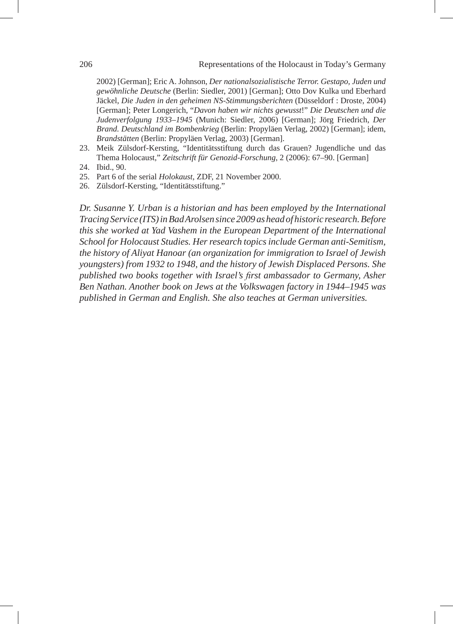2002) [German]; Eric A. Johnson, *Der nationalsozialistische Terror. Gestapo, Juden und gewöhnliche Deutsche* (Berlin: Siedler, 2001) [German]; Otto Dov Kulka und Eberhard Jäckel, *Die Juden in den geheimen NS-Stimmungsberichten* (Düsseldorf : Droste, 2004) [German]; Peter Longerich, "*Davon haben wir nichts gewusst*!" *Die Deutschen und die Judenverfolgung 1933–1945* (Munich: Siedler, 2006) [German]; Jörg Friedrich, *Der Brand. Deutschland im Bombenkrieg* (Berlin: Propyläen Verlag, 2002) [German]; idem, *Brandstätten* (Berlin: Propyläen Verlag, 2003) [German].

- 23. Meik Zülsdorf-Kersting, "Identitätsstiftung durch das Grauen? Jugendliche und das Thema Holocaust," *Zeitschrift für Genozid-Forschung*, 2 (2006): 67–90. [German]
- 24. Ibid., 90.
- 25. Part 6 of the serial *Holokaust*, ZDF, 21 November 2000.
- 26. Zülsdorf-Kersting, "Identitätsstiftung."

*Dr. Susanne Y. Urban is a historian and has been employed by the International Tracing Service (ITS) in Bad Arolsen since 2009 as head of historic research. Before this she worked at Yad Vashem in the European Department of the International School for Holocaust Studies. Her research topics include German anti-Semitism, the history of Aliyat Hanoar (an organization for immigration to Israel of Jewish youngsters) from 1932 to 1948, and the history of Jewish Displaced Persons. She published two books together with Israel's first ambassador to Germany, Asher Ben Nathan. Another book on Jews at the Volkswagen factory in 1944–1945 was published in German and English. She also teaches at German universities.*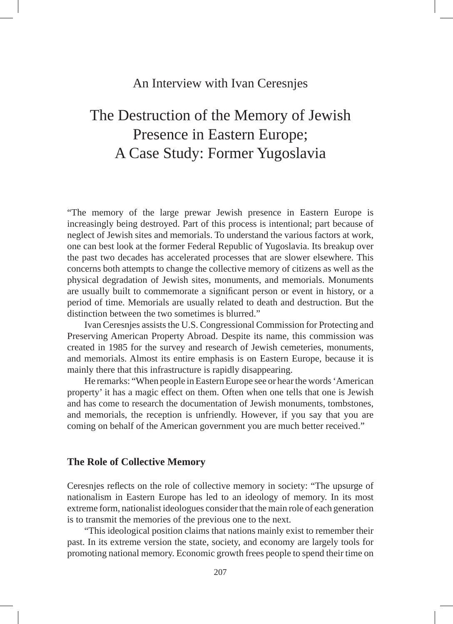# An Interview with Ivan Ceresnjes

# The Destruction of the Memory of Jewish Presence in Eastern Europe; A Case Study: Former Yugoslavia

"The memory of the large prewar Jewish presence in Eastern Europe is increasingly being destroyed. Part of this process is intentional; part because of neglect of Jewish sites and memorials. To understand the various factors at work, one can best look at the former Federal Republic of Yugoslavia. Its breakup over the past two decades has accelerated processes that are slower elsewhere. This concerns both attempts to change the collective memory of citizens as well as the physical degradation of Jewish sites, monuments, and memorials. Monuments are usually built to commemorate a significant person or event in history, or a period of time. Memorials are usually related to death and destruction. But the distinction between the two sometimes is blurred."

Ivan Ceresnjes assists the U.S. Congressional Commission for Protecting and Preserving American Property Abroad. Despite its name, this commission was created in 1985 for the survey and research of Jewish cemeteries, monuments, and memorials. Almost its entire emphasis is on Eastern Europe, because it is mainly there that this infrastructure is rapidly disappearing.

He remarks: "When people in Eastern Europe see or hear the words 'American property' it has a magic effect on them. Often when one tells that one is Jewish and has come to research the documentation of Jewish monuments, tombstones, and memorials, the reception is unfriendly. However, if you say that you are coming on behalf of the American government you are much better received."

# **The Role of Collective Memory**

Ceresnjes reflects on the role of collective memory in society: "The upsurge of nationalism in Eastern Europe has led to an ideology of memory. In its most extreme form, nationalist ideologues consider that the main role of each generation is to transmit the memories of the previous one to the next.

"This ideological position claims that nations mainly exist to remember their past. In its extreme version the state, society, and economy are largely tools for promoting national memory. Economic growth frees people to spend their time on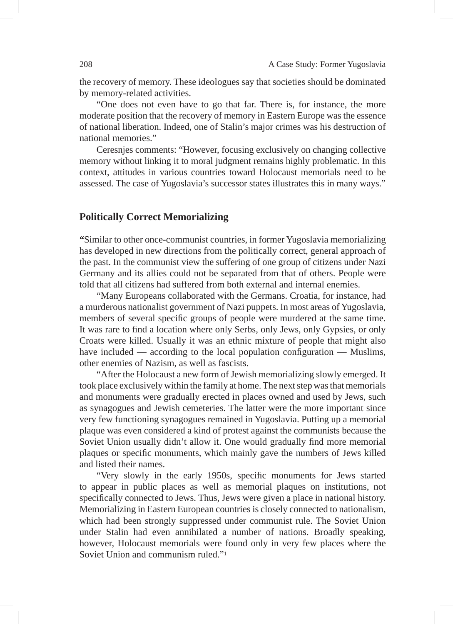the recovery of memory. These ideologues say that societies should be dominated by memory-related activities.

"One does not even have to go that far. There is, for instance, the more moderate position that the recovery of memory in Eastern Europe was the essence of national liberation. Indeed, one of Stalin's major crimes was his destruction of national memories."

Ceresnjes comments: "However, focusing exclusively on changing collective memory without linking it to moral judgment remains highly problematic. In this context, attitudes in various countries toward Holocaust memorials need to be assessed. The case of Yugoslavia's successor states illustrates this in many ways."

### **Politically Correct Memorializing**

**"**Similar to other once-communist countries, in former Yugoslavia memorializing has developed in new directions from the politically correct, general approach of the past. In the communist view the suffering of one group of citizens under Nazi Germany and its allies could not be separated from that of others. People were told that all citizens had suffered from both external and internal enemies.

"Many Europeans collaborated with the Germans. Croatia, for instance, had a murderous nationalist government of Nazi puppets. In most areas of Yugoslavia, members of several specific groups of people were murdered at the same time. It was rare to find a location where only Serbs, only Jews, only Gypsies, or only Croats were killed. Usually it was an ethnic mixture of people that might also have included — according to the local population configuration — Muslims, other enemies of Nazism, as well as fascists.

"After the Holocaust a new form of Jewish memorializing slowly emerged. It took place exclusively within the family at home. The next step was that memorials and monuments were gradually erected in places owned and used by Jews, such as synagogues and Jewish cemeteries. The latter were the more important since very few functioning synagogues remained in Yugoslavia. Putting up a memorial plaque was even considered a kind of protest against the communists because the Soviet Union usually didn't allow it. One would gradually find more memorial plaques or specific monuments, which mainly gave the numbers of Jews killed and listed their names.

"Very slowly in the early 1950s, specific monuments for Jews started to appear in public places as well as memorial plaques on institutions, not specifically connected to Jews. Thus, Jews were given a place in national history. Memorializing in Eastern European countries is closely connected to nationalism, which had been strongly suppressed under communist rule. The Soviet Union under Stalin had even annihilated a number of nations. Broadly speaking, however, Holocaust memorials were found only in very few places where the Soviet Union and communism ruled."<sup>1</sup>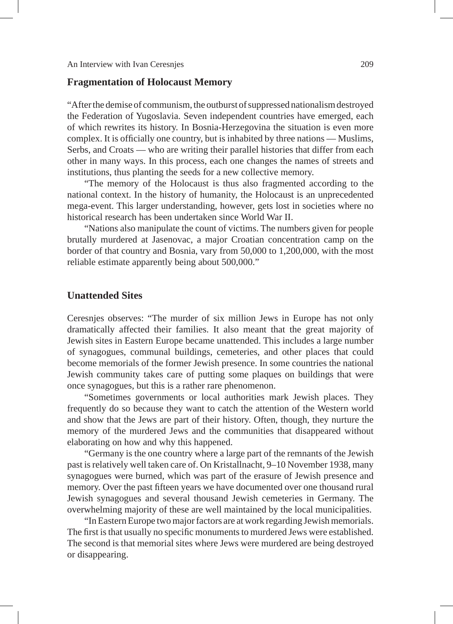### **Fragmentation of Holocaust Memory**

"After the demise of communism, the outburst of suppressed nationalism destroyed the Federation of Yugoslavia. Seven independent countries have emerged, each of which rewrites its history. In Bosnia-Herzegovina the situation is even more complex. It is officially one country, but is inhabited by three nations — Muslims, Serbs, and Croats — who are writing their parallel histories that differ from each other in many ways. In this process, each one changes the names of streets and institutions, thus planting the seeds for a new collective memory.

"The memory of the Holocaust is thus also fragmented according to the national context. In the history of humanity, the Holocaust is an unprecedented mega-event. This larger understanding, however, gets lost in societies where no historical research has been undertaken since World War II.

"Nations also manipulate the count of victims. The numbers given for people brutally murdered at Jasenovac, a major Croatian concentration camp on the border of that country and Bosnia, vary from 50,000 to 1,200,000, with the most reliable estimate apparently being about 500,000."

# **Unattended Sites**

Ceresnjes observes: "The murder of six million Jews in Europe has not only dramatically affected their families. It also meant that the great majority of Jewish sites in Eastern Europe became unattended. This includes a large number of synagogues, communal buildings, cemeteries, and other places that could become memorials of the former Jewish presence. In some countries the national Jewish community takes care of putting some plaques on buildings that were once synagogues, but this is a rather rare phenomenon.

"Sometimes governments or local authorities mark Jewish places. They frequently do so because they want to catch the attention of the Western world and show that the Jews are part of their history. Often, though, they nurture the memory of the murdered Jews and the communities that disappeared without elaborating on how and why this happened.

"Germany is the one country where a large part of the remnants of the Jewish past is relatively well taken care of. On Kristallnacht, 9–10 November 1938, many synagogues were burned, which was part of the erasure of Jewish presence and memory. Over the past fifteen years we have documented over one thousand rural Jewish synagogues and several thousand Jewish cemeteries in Germany. The overwhelming majority of these are well maintained by the local municipalities.

"In Eastern Europe two major factors are at work regarding Jewish memorials. The first is that usually no specific monuments to murdered Jews were established. The second is that memorial sites where Jews were murdered are being destroyed or disappearing.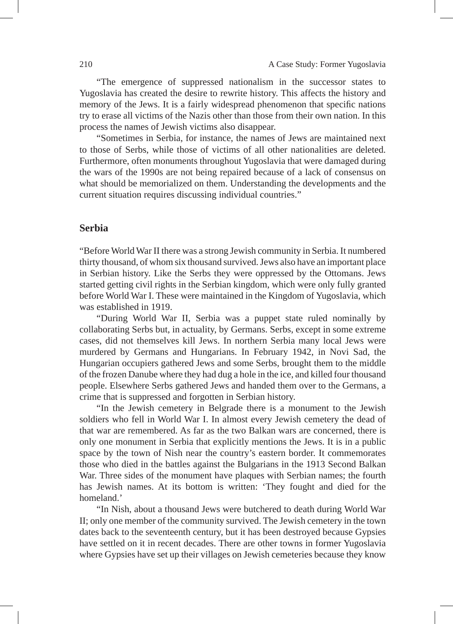"The emergence of suppressed nationalism in the successor states to Yugoslavia has created the desire to rewrite history. This affects the history and memory of the Jews. It is a fairly widespread phenomenon that specific nations try to erase all victims of the Nazis other than those from their own nation. In this process the names of Jewish victims also disappear.

"Sometimes in Serbia, for instance, the names of Jews are maintained next to those of Serbs, while those of victims of all other nationalities are deleted. Furthermore, often monuments throughout Yugoslavia that were damaged during the wars of the 1990s are not being repaired because of a lack of consensus on what should be memorialized on them. Understanding the developments and the current situation requires discussing individual countries."

#### **Serbia**

"Before World War II there was a strong Jewish community in Serbia. It numbered thirty thousand, of whom six thousand survived. Jews also have an important place in Serbian history. Like the Serbs they were oppressed by the Ottomans. Jews started getting civil rights in the Serbian kingdom, which were only fully granted before World War I. These were maintained in the Kingdom of Yugoslavia, which was established in 1919.

"During World War II, Serbia was a puppet state ruled nominally by collaborating Serbs but, in actuality, by Germans. Serbs, except in some extreme cases, did not themselves kill Jews. In northern Serbia many local Jews were murdered by Germans and Hungarians. In February 1942, in Novi Sad, the Hungarian occupiers gathered Jews and some Serbs, brought them to the middle of the frozen Danube where they had dug a hole in the ice, and killed four thousand people. Elsewhere Serbs gathered Jews and handed them over to the Germans, a crime that is suppressed and forgotten in Serbian history.

"In the Jewish cemetery in Belgrade there is a monument to the Jewish soldiers who fell in World War I. In almost every Jewish cemetery the dead of that war are remembered. As far as the two Balkan wars are concerned, there is only one monument in Serbia that explicitly mentions the Jews. It is in a public space by the town of Nish near the country's eastern border. It commemorates those who died in the battles against the Bulgarians in the 1913 Second Balkan War. Three sides of the monument have plaques with Serbian names; the fourth has Jewish names. At its bottom is written: 'They fought and died for the homeland.'

"In Nish, about a thousand Jews were butchered to death during World War II; only one member of the community survived. The Jewish cemetery in the town dates back to the seventeenth century, but it has been destroyed because Gypsies have settled on it in recent decades. There are other towns in former Yugoslavia where Gypsies have set up their villages on Jewish cemeteries because they know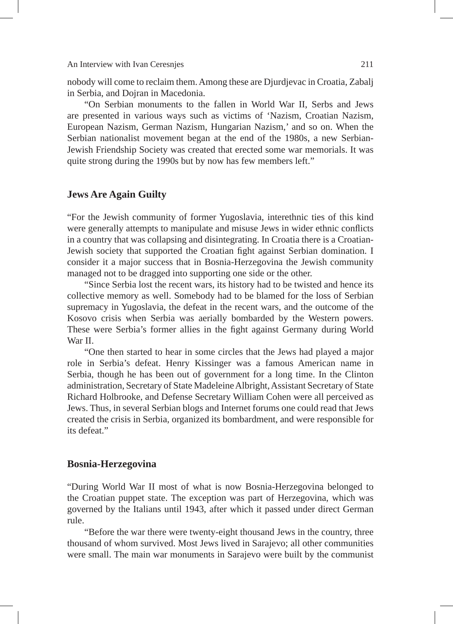An Interview with Ivan Ceresnjes 211

nobody will come to reclaim them. Among these are Djurdjevac in Croatia, Zabalj in Serbia, and Dojran in Macedonia.

"On Serbian monuments to the fallen in World War II, Serbs and Jews are presented in various ways such as victims of 'Nazism, Croatian Nazism, European Nazism, German Nazism, Hungarian Nazism,' and so on. When the Serbian nationalist movement began at the end of the 1980s, a new Serbian-Jewish Friendship Society was created that erected some war memorials. It was quite strong during the 1990s but by now has few members left."

### **Jews Are Again Guilty**

"For the Jewish community of former Yugoslavia, interethnic ties of this kind were generally attempts to manipulate and misuse Jews in wider ethnic conflicts in a country that was collapsing and disintegrating. In Croatia there is a Croatian-Jewish society that supported the Croatian fight against Serbian domination. I consider it a major success that in Bosnia-Herzegovina the Jewish community managed not to be dragged into supporting one side or the other.

"Since Serbia lost the recent wars, its history had to be twisted and hence its collective memory as well. Somebody had to be blamed for the loss of Serbian supremacy in Yugoslavia, the defeat in the recent wars, and the outcome of the Kosovo crisis when Serbia was aerially bombarded by the Western powers. These were Serbia's former allies in the fight against Germany during World War II.

"One then started to hear in some circles that the Jews had played a major role in Serbia's defeat. Henry Kissinger was a famous American name in Serbia, though he has been out of government for a long time. In the Clinton administration, Secretary of State Madeleine Albright, Assistant Secretary of State Richard Holbrooke, and Defense Secretary William Cohen were all perceived as Jews. Thus, in several Serbian blogs and Internet forums one could read that Jews created the crisis in Serbia, organized its bombardment, and were responsible for its defeat."

# **Bosnia-Herzegovina**

"During World War II most of what is now Bosnia-Herzegovina belonged to the Croatian puppet state. The exception was part of Herzegovina, which was governed by the Italians until 1943, after which it passed under direct German rule.

"Before the war there were twenty-eight thousand Jews in the country, three thousand of whom survived. Most Jews lived in Sarajevo; all other communities were small. The main war monuments in Sarajevo were built by the communist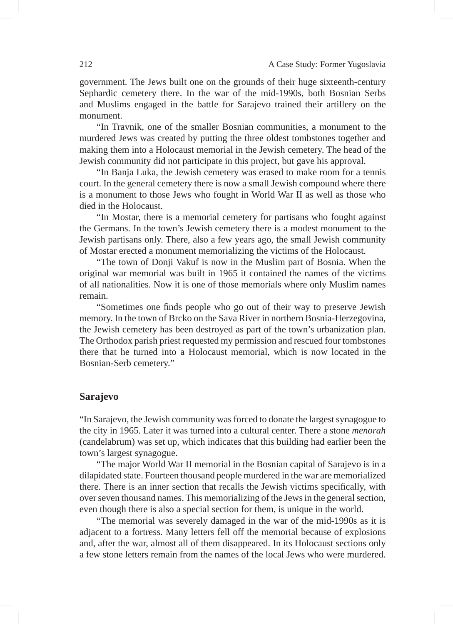government. The Jews built one on the grounds of their huge sixteenth-century Sephardic cemetery there. In the war of the mid-1990s, both Bosnian Serbs and Muslims engaged in the battle for Sarajevo trained their artillery on the monument.

"In Travnik, one of the smaller Bosnian communities, a monument to the murdered Jews was created by putting the three oldest tombstones together and making them into a Holocaust memorial in the Jewish cemetery. The head of the Jewish community did not participate in this project, but gave his approval.

"In Banja Luka, the Jewish cemetery was erased to make room for a tennis court. In the general cemetery there is now a small Jewish compound where there is a monument to those Jews who fought in World War II as well as those who died in the Holocaust.

"In Mostar, there is a memorial cemetery for partisans who fought against the Germans. In the town's Jewish cemetery there is a modest monument to the Jewish partisans only. There, also a few years ago, the small Jewish community of Mostar erected a monument memorializing the victims of the Holocaust.

"The town of Donji Vakuf is now in the Muslim part of Bosnia. When the original war memorial was built in 1965 it contained the names of the victims of all nationalities. Now it is one of those memorials where only Muslim names remain.

"Sometimes one finds people who go out of their way to preserve Jewish memory. In the town of Brcko on the Sava River in northern Bosnia-Herzegovina, the Jewish cemetery has been destroyed as part of the town's urbanization plan. The Orthodox parish priest requested my permission and rescued four tombstones there that he turned into a Holocaust memorial, which is now located in the Bosnian-Serb cemetery."

#### **Sarajevo**

"In Sarajevo, the Jewish community was forced to donate the largest synagogue to the city in 1965. Later it was turned into a cultural center. There a stone *menorah* (candelabrum) was set up, which indicates that this building had earlier been the town's largest synagogue.

"The major World War II memorial in the Bosnian capital of Sarajevo is in a dilapidated state. Fourteen thousand people murdered in the war are memorialized there. There is an inner section that recalls the Jewish victims specifically, with over seven thousand names. This memorializing of the Jews in the general section, even though there is also a special section for them, is unique in the world.

"The memorial was severely damaged in the war of the mid-1990s as it is adjacent to a fortress. Many letters fell off the memorial because of explosions and, after the war, almost all of them disappeared. In its Holocaust sections only a few stone letters remain from the names of the local Jews who were murdered.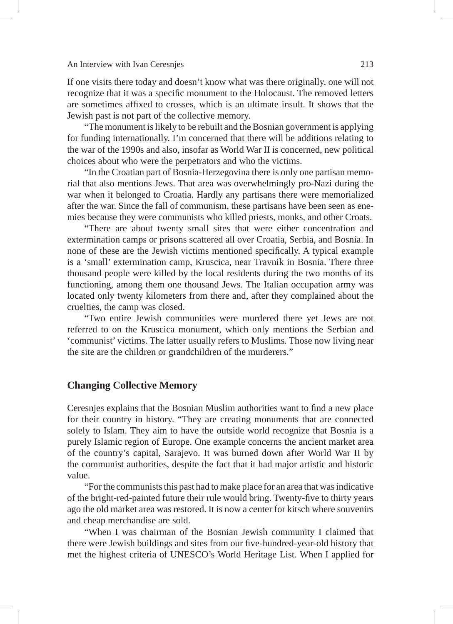#### An Interview with Ivan Ceresnjes 213

If one visits there today and doesn't know what was there originally, one will not recognize that it was a specific monument to the Holocaust. The removed letters are sometimes affixed to crosses, which is an ultimate insult. It shows that the Jewish past is not part of the collective memory.

"The monument is likely to be rebuilt and the Bosnian government is applying for funding internationally. I'm concerned that there will be additions relating to the war of the 1990s and also, insofar as World War II is concerned, new political choices about who were the perpetrators and who the victims.

"In the Croatian part of Bosnia-Herzegovina there is only one partisan memorial that also mentions Jews. That area was overwhelmingly pro-Nazi during the war when it belonged to Croatia. Hardly any partisans there were memorialized after the war. Since the fall of communism, these partisans have been seen as enemies because they were communists who killed priests, monks, and other Croats.

"There are about twenty small sites that were either concentration and extermination camps or prisons scattered all over Croatia, Serbia, and Bosnia. In none of these are the Jewish victims mentioned specifically. A typical example is a 'small' extermination camp, Kruscica, near Travnik in Bosnia. There three thousand people were killed by the local residents during the two months of its functioning, among them one thousand Jews. The Italian occupation army was located only twenty kilometers from there and, after they complained about the cruelties, the camp was closed.

"Two entire Jewish communities were murdered there yet Jews are not referred to on the Kruscica monument, which only mentions the Serbian and 'communist' victims. The latter usually refers to Muslims. Those now living near the site are the children or grandchildren of the murderers."

#### **Changing Collective Memory**

Ceresnjes explains that the Bosnian Muslim authorities want to find a new place for their country in history. "They are creating monuments that are connected solely to Islam. They aim to have the outside world recognize that Bosnia is a purely Islamic region of Europe. One example concerns the ancient market area of the country's capital, Sarajevo. It was burned down after World War II by the communist authorities, despite the fact that it had major artistic and historic value.

"For the communists this past had to make place for an area that was indicative of the bright-red-painted future their rule would bring. Twenty-five to thirty years ago the old market area was restored. It is now a center for kitsch where souvenirs and cheap merchandise are sold.

"When I was chairman of the Bosnian Jewish community I claimed that there were Jewish buildings and sites from our five-hundred-year-old history that met the highest criteria of UNESCO's World Heritage List. When I applied for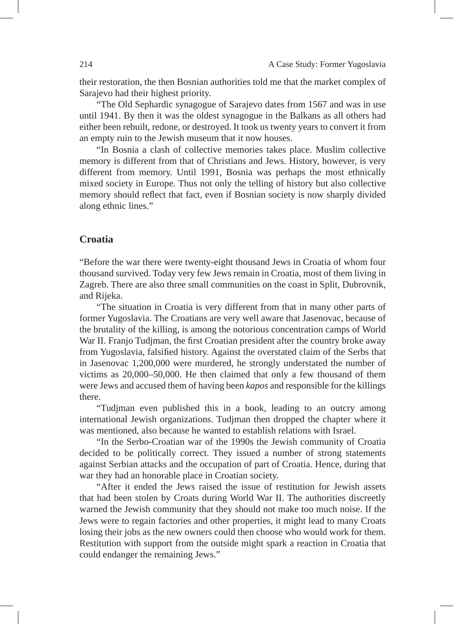their restoration, the then Bosnian authorities told me that the market complex of Sarajevo had their highest priority.

"The Old Sephardic synagogue of Sarajevo dates from 1567 and was in use until 1941. By then it was the oldest synagogue in the Balkans as all others had either been rebuilt, redone, or destroyed. It took us twenty years to convert it from an empty ruin to the Jewish museum that it now houses.

"In Bosnia a clash of collective memories takes place. Muslim collective memory is different from that of Christians and Jews. History, however, is very different from memory. Until 1991, Bosnia was perhaps the most ethnically mixed society in Europe. Thus not only the telling of history but also collective memory should reflect that fact, even if Bosnian society is now sharply divided along ethnic lines."

# **Croatia**

"Before the war there were twenty-eight thousand Jews in Croatia of whom four thousand survived. Today very few Jews remain in Croatia, most of them living in Zagreb. There are also three small communities on the coast in Split, Dubrovnik, and Rijeka.

"The situation in Croatia is very different from that in many other parts of former Yugoslavia. The Croatians are very well aware that Jasenovac, because of the brutality of the killing, is among the notorious concentration camps of World War II. Franjo Tudjman, the first Croatian president after the country broke away from Yugoslavia, falsified history. Against the overstated claim of the Serbs that in Jasenovac 1,200,000 were murdered, he strongly understated the number of victims as 20,000–50,000. He then claimed that only a few thousand of them were Jews and accused them of having been *kapos* and responsible for the killings there.

"Tudjman even published this in a book, leading to an outcry among international Jewish organizations. Tudjman then dropped the chapter where it was mentioned, also because he wanted to establish relations with Israel.

"In the Serbo-Croatian war of the 1990s the Jewish community of Croatia decided to be politically correct. They issued a number of strong statements against Serbian attacks and the occupation of part of Croatia. Hence, during that war they had an honorable place in Croatian society.

"After it ended the Jews raised the issue of restitution for Jewish assets that had been stolen by Croats during World War II. The authorities discreetly warned the Jewish community that they should not make too much noise. If the Jews were to regain factories and other properties, it might lead to many Croats losing their jobs as the new owners could then choose who would work for them. Restitution with support from the outside might spark a reaction in Croatia that could endanger the remaining Jews."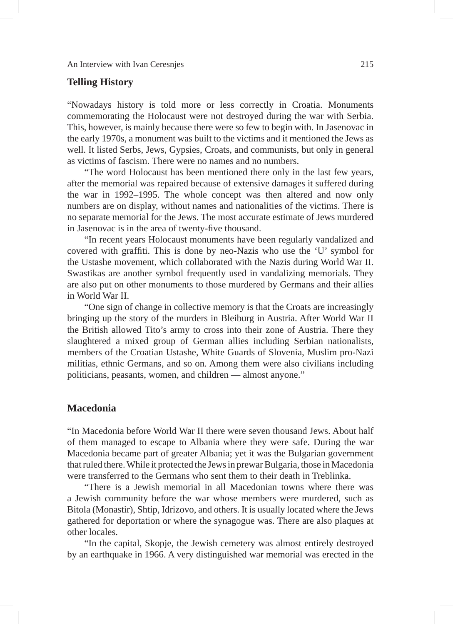# **Telling History**

"Nowadays history is told more or less correctly in Croatia. Monuments commemorating the Holocaust were not destroyed during the war with Serbia. This, however, is mainly because there were so few to begin with. In Jasenovac in the early 1970s, a monument was built to the victims and it mentioned the Jews as well. It listed Serbs, Jews, Gypsies, Croats, and communists, but only in general as victims of fascism. There were no names and no numbers.

"The word Holocaust has been mentioned there only in the last few years, after the memorial was repaired because of extensive damages it suffered during the war in 1992–1995. The whole concept was then altered and now only numbers are on display, without names and nationalities of the victims. There is no separate memorial for the Jews. The most accurate estimate of Jews murdered in Jasenovac is in the area of twenty-five thousand.

"In recent years Holocaust monuments have been regularly vandalized and covered with graffiti. This is done by neo-Nazis who use the 'U' symbol for the Ustashe movement, which collaborated with the Nazis during World War II. Swastikas are another symbol frequently used in vandalizing memorials. They are also put on other monuments to those murdered by Germans and their allies in World War II.

"One sign of change in collective memory is that the Croats are increasingly bringing up the story of the murders in Bleiburg in Austria. After World War II the British allowed Tito's army to cross into their zone of Austria. There they slaughtered a mixed group of German allies including Serbian nationalists, members of the Croatian Ustashe, White Guards of Slovenia, Muslim pro-Nazi militias, ethnic Germans, and so on. Among them were also civilians including politicians, peasants, women, and children — almost anyone."

# **Macedonia**

"In Macedonia before World War II there were seven thousand Jews. About half of them managed to escape to Albania where they were safe. During the war Macedonia became part of greater Albania; yet it was the Bulgarian government that ruled there. While it protected the Jews in prewar Bulgaria, those in Macedonia were transferred to the Germans who sent them to their death in Treblinka.

"There is a Jewish memorial in all Macedonian towns where there was a Jewish community before the war whose members were murdered, such as Bitola (Monastir), Shtip, Idrizovo, and others. It is usually located where the Jews gathered for deportation or where the synagogue was. There are also plaques at other locales.

"In the capital, Skopje, the Jewish cemetery was almost entirely destroyed by an earthquake in 1966. A very distinguished war memorial was erected in the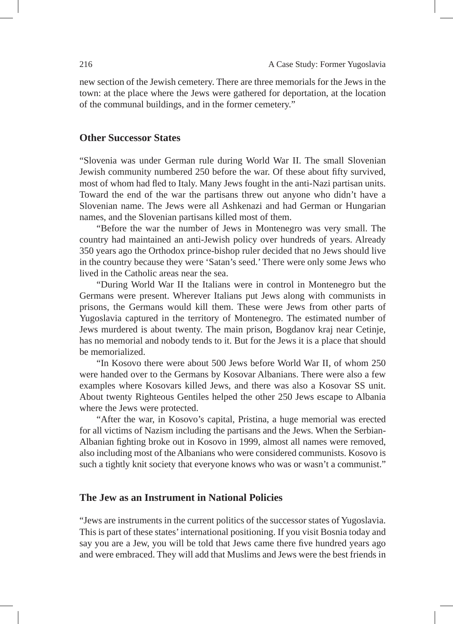new section of the Jewish cemetery. There are three memorials for the Jews in the town: at the place where the Jews were gathered for deportation, at the location of the communal buildings, and in the former cemetery."

### **Other Successor States**

"Slovenia was under German rule during World War II. The small Slovenian Jewish community numbered 250 before the war. Of these about fifty survived, most of whom had fled to Italy. Many Jews fought in the anti-Nazi partisan units. Toward the end of the war the partisans threw out anyone who didn't have a Slovenian name. The Jews were all Ashkenazi and had German or Hungarian names, and the Slovenian partisans killed most of them.

"Before the war the number of Jews in Montenegro was very small. The country had maintained an anti-Jewish policy over hundreds of years. Already 350 years ago the Orthodox prince-bishop ruler decided that no Jews should live in the country because they were 'Satan's seed.' There were only some Jews who lived in the Catholic areas near the sea.

"During World War II the Italians were in control in Montenegro but the Germans were present. Wherever Italians put Jews along with communists in prisons, the Germans would kill them. These were Jews from other parts of Yugoslavia captured in the territory of Montenegro. The estimated number of Jews murdered is about twenty. The main prison, Bogdanov kraj near Cetinje, has no memorial and nobody tends to it. But for the Jews it is a place that should be memorialized.

"In Kosovo there were about 500 Jews before World War II, of whom 250 were handed over to the Germans by Kosovar Albanians. There were also a few examples where Kosovars killed Jews, and there was also a Kosovar SS unit. About twenty Righteous Gentiles helped the other 250 Jews escape to Albania where the Jews were protected.

"After the war, in Kosovo's capital, Pristina, a huge memorial was erected for all victims of Nazism including the partisans and the Jews. When the Serbian-Albanian fighting broke out in Kosovo in 1999, almost all names were removed, also including most of the Albanians who were considered communists. Kosovo is such a tightly knit society that everyone knows who was or wasn't a communist."

# **The Jew as an Instrument in National Policies**

"Jews are instruments in the current politics of the successor states of Yugoslavia. This is part of these states' international positioning. If you visit Bosnia today and say you are a Jew, you will be told that Jews came there five hundred years ago and were embraced. They will add that Muslims and Jews were the best friends in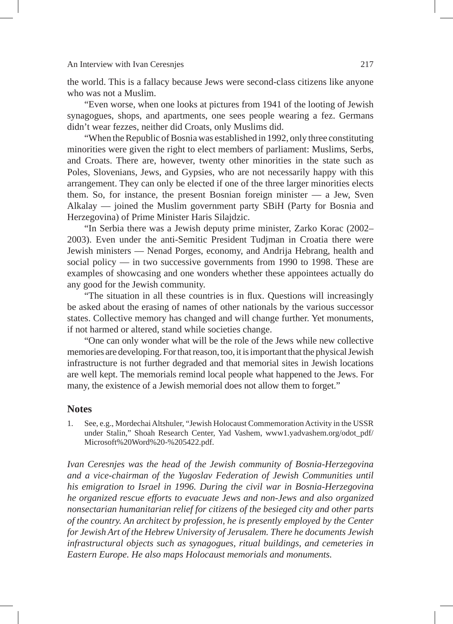### An Interview with Ivan Ceresnjes 217

the world. This is a fallacy because Jews were second-class citizens like anyone who was not a Muslim.

"Even worse, when one looks at pictures from 1941 of the looting of Jewish synagogues, shops, and apartments, one sees people wearing a fez. Germans didn't wear fezzes, neither did Croats, only Muslims did.

"When the Republic of Bosnia was established in 1992, only three constituting minorities were given the right to elect members of parliament: Muslims, Serbs, and Croats. There are, however, twenty other minorities in the state such as Poles, Slovenians, Jews, and Gypsies, who are not necessarily happy with this arrangement. They can only be elected if one of the three larger minorities elects them. So, for instance, the present Bosnian foreign minister — a Jew, Sven Alkalay — joined the Muslim government party SBiH (Party for Bosnia and Herzegovina) of Prime Minister Haris Silajdzic.

"In Serbia there was a Jewish deputy prime minister, Zarko Korac (2002– 2003). Even under the anti-Semitic President Tudjman in Croatia there were Jewish ministers — Nenad Porges, economy, and Andrija Hebrang, health and social policy — in two successive governments from 1990 to 1998. These are examples of showcasing and one wonders whether these appointees actually do any good for the Jewish community.

"The situation in all these countries is in flux. Questions will increasingly be asked about the erasing of names of other nationals by the various successor states. Collective memory has changed and will change further. Yet monuments, if not harmed or altered, stand while societies change.

"One can only wonder what will be the role of the Jews while new collective memories are developing. For that reason, too, it is important that the physical Jewish infrastructure is not further degraded and that memorial sites in Jewish locations are well kept. The memorials remind local people what happened to the Jews. For many, the existence of a Jewish memorial does not allow them to forget."

# **Notes**

1. See, e.g., Mordechai Altshuler, "Jewish Holocaust Commemoration Activity in the USSR under Stalin," Shoah Research Center, Yad Vashem, www1.yadvashem.org/odot\_pdf/ Microsoft%20Word%20-%205422.pdf.

*Ivan Ceresnjes was the head of the Jewish community of Bosnia-Herzegovina and a vice-chairman of the Yugoslav Federation of Jewish Communities until his emigration to Israel in 1996. During the civil war in Bosnia-Herzegovina he organized rescue efforts to evacuate Jews and non-Jews and also organized nonsectarian humanitarian relief for citizens of the besieged city and other parts of the country. An architect by profession, he is presently employed by the Center for Jewish Art of the Hebrew University of Jerusalem. There he documents Jewish infrastructural objects such as synagogues, ritual buildings, and cemeteries in Eastern Europe. He also maps Holocaust memorials and monuments.*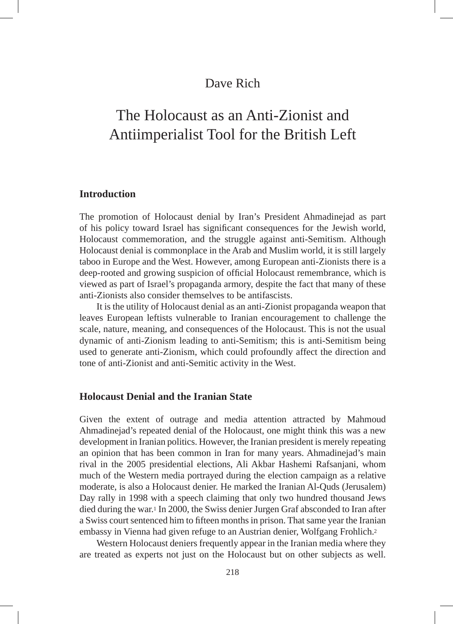# The Holocaust as an Anti-Zionist and Antiimperialist Tool for the British Left

# **Introduction**

The promotion of Holocaust denial by Iran's President Ahmadinejad as part of his policy toward Israel has significant consequences for the Jewish world, Holocaust commemoration, and the struggle against anti-Semitism. Although Holocaust denial is commonplace in the Arab and Muslim world, it is still largely taboo in Europe and the West. However, among European anti-Zionists there is a deep-rooted and growing suspicion of official Holocaust remembrance, which is viewed as part of Israel's propaganda armory, despite the fact that many of these anti-Zionists also consider themselves to be antifascists.

It is the utility of Holocaust denial as an anti-Zionist propaganda weapon that leaves European leftists vulnerable to Iranian encouragement to challenge the scale, nature, meaning, and consequences of the Holocaust. This is not the usual dynamic of anti-Zionism leading to anti-Semitism; this is anti-Semitism being used to generate anti-Zionism, which could profoundly affect the direction and tone of anti-Zionist and anti-Semitic activity in the West.

# **Holocaust Denial and the Iranian State**

Given the extent of outrage and media attention attracted by Mahmoud Ahmadinejad's repeated denial of the Holocaust, one might think this was a new development in Iranian politics. However, the Iranian president is merely repeating an opinion that has been common in Iran for many years. Ahmadinejad's main rival in the 2005 presidential elections, Ali Akbar Hashemi Rafsanjani, whom much of the Western media portrayed during the election campaign as a relative moderate, is also a Holocaust denier. He marked the Iranian Al-Quds (Jerusalem) Day rally in 1998 with a speech claiming that only two hundred thousand Jews died during the war.1 In 2000, the Swiss denier Jurgen Graf absconded to Iran after a Swiss court sentenced him to fifteen months in prison. That same year the Iranian embassy in Vienna had given refuge to an Austrian denier, Wolfgang Frohlich.2

Western Holocaust deniers frequently appear in the Iranian media where they are treated as experts not just on the Holocaust but on other subjects as well.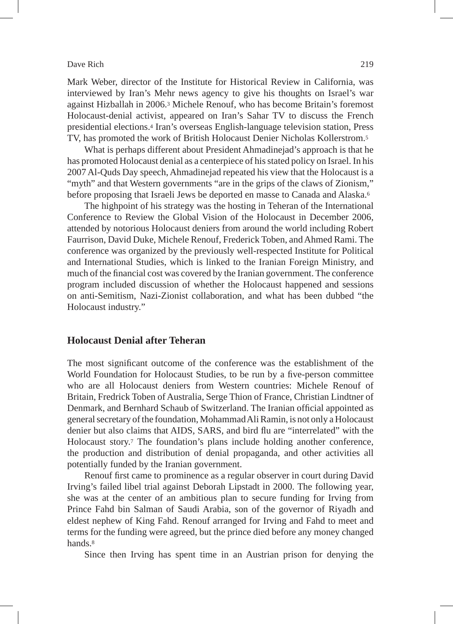Mark Weber, director of the Institute for Historical Review in California, was interviewed by Iran's Mehr news agency to give his thoughts on Israel's war against Hizballah in 2006.3 Michele Renouf, who has become Britain's foremost Holocaust-denial activist, appeared on Iran's Sahar TV to discuss the French presidential elections.4 Iran's overseas English-language television station, Press TV, has promoted the work of British Holocaust Denier Nicholas Kollerstrom.5

What is perhaps different about President Ahmadinejad's approach is that he has promoted Holocaust denial as a centerpiece of his stated policy on Israel. In his 2007 Al-Quds Day speech, Ahmadinejad repeated his view that the Holocaust is a "myth" and that Western governments "are in the grips of the claws of Zionism," before proposing that Israeli Jews be deported en masse to Canada and Alaska.6

The highpoint of his strategy was the hosting in Teheran of the International Conference to Review the Global Vision of the Holocaust in December 2006, attended by notorious Holocaust deniers from around the world including Robert Faurrison, David Duke, Michele Renouf, Frederick Toben, and Ahmed Rami. The conference was organized by the previously well-respected Institute for Political and International Studies, which is linked to the Iranian Foreign Ministry, and much of the financial cost was covered by the Iranian government. The conference program included discussion of whether the Holocaust happened and sessions on anti-Semitism, Nazi-Zionist collaboration, and what has been dubbed "the Holocaust industry."

# **Holocaust Denial after Teheran**

The most significant outcome of the conference was the establishment of the World Foundation for Holocaust Studies, to be run by a five-person committee who are all Holocaust deniers from Western countries: Michele Renouf of Britain, Fredrick Toben of Australia, Serge Thion of France, Christian Lindtner of Denmark, and Bernhard Schaub of Switzerland. The Iranian official appointed as general secretary of the foundation, Mohammad Ali Ramin, is not only a Holocaust denier but also claims that AIDS, SARS, and bird flu are "interrelated" with the Holocaust story.7 The foundation's plans include holding another conference, the production and distribution of denial propaganda, and other activities all potentially funded by the Iranian government.

Renouf first came to prominence as a regular observer in court during David Irving's failed libel trial against Deborah Lipstadt in 2000. The following year, she was at the center of an ambitious plan to secure funding for Irving from Prince Fahd bin Salman of Saudi Arabia, son of the governor of Riyadh and eldest nephew of King Fahd. Renouf arranged for Irving and Fahd to meet and terms for the funding were agreed, but the prince died before any money changed hands.8

Since then Irving has spent time in an Austrian prison for denying the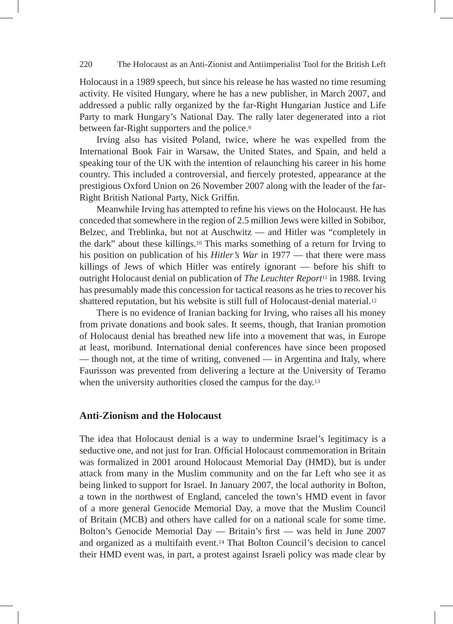# 220 The Holocaust as an Anti-Zionist and Antiimperialist Tool for the British Left

Holocaust in a 1989 speech, but since his release he has wasted no time resuming activity. He visited Hungary, where he has a new publisher, in March 2007, and addressed a public rally organized by the far-Right Hungarian Justice and Life Party to mark Hungary's National Day. The rally later degenerated into a riot between far-Right supporters and the police.9

Irving also has visited Poland, twice, where he was expelled from the International Book Fair in Warsaw, the United States, and Spain, and held a speaking tour of the UK with the intention of relaunching his career in his home country. This included a controversial, and fiercely protested, appearance at the prestigious Oxford Union on 26 November 2007 along with the leader of the far-Right British National Party, Nick Griffin.

Meanwhile Irving has attempted to refine his views on the Holocaust. He has conceded that somewhere in the region of 2.5 million Jews were killed in Sobibor, Belzec, and Treblinka, but not at Auschwitz — and Hitler was "completely in the dark" about these killings.10 This marks something of a return for Irving to his position on publication of his *Hitler's War* in 1977 — that there were mass killings of Jews of which Hitler was entirely ignorant — before his shift to outright Holocaust denial on publication of *The Leuchter Report*11 in 1988. Irving has presumably made this concession for tactical reasons as he tries to recover his shattered reputation, but his website is still full of Holocaust-denial material.12

There is no evidence of Iranian backing for Irving, who raises all his money from private donations and book sales. It seems, though, that Iranian promotion of Holocaust denial has breathed new life into a movement that was, in Europe at least, moribund. International denial conferences have since been proposed — though not, at the time of writing, convened — in Argentina and Italy, where Faurisson was prevented from delivering a lecture at the University of Teramo when the university authorities closed the campus for the day.<sup>13</sup>

# **Anti-Zionism and the Holocaust**

The idea that Holocaust denial is a way to undermine Israel's legitimacy is a seductive one, and not just for Iran. Official Holocaust commemoration in Britain was formalized in 2001 around Holocaust Memorial Day (HMD), but is under attack from many in the Muslim community and on the far Left who see it as being linked to support for Israel. In January 2007, the local authority in Bolton, a town in the northwest of England, canceled the town's HMD event in favor of a more general Genocide Memorial Day, a move that the Muslim Council of Britain (MCB) and others have called for on a national scale for some time. Bolton's Genocide Memorial Day — Britain's first — was held in June 2007 and organized as a multifaith event.14 That Bolton Council's decision to cancel their HMD event was, in part, a protest against Israeli policy was made clear by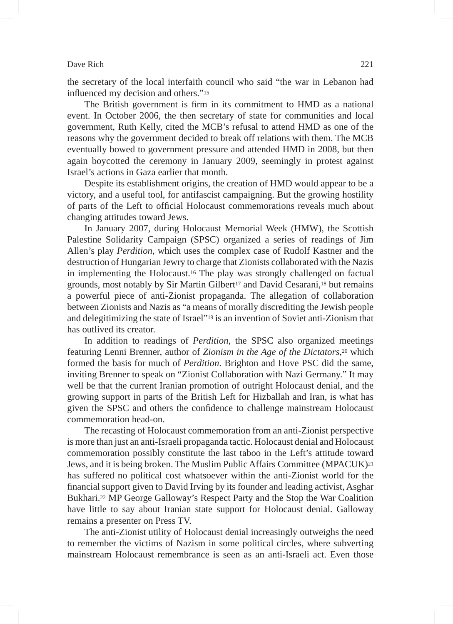the secretary of the local interfaith council who said "the war in Lebanon had influenced my decision and others."15

The British government is firm in its commitment to HMD as a national event. In October 2006, the then secretary of state for communities and local government, Ruth Kelly, cited the MCB's refusal to attend HMD as one of the reasons why the government decided to break off relations with them. The MCB eventually bowed to government pressure and attended HMD in 2008, but then again boycotted the ceremony in January 2009, seemingly in protest against Israel's actions in Gaza earlier that month.

Despite its establishment origins, the creation of HMD would appear to be a victory, and a useful tool, for antifascist campaigning. But the growing hostility of parts of the Left to official Holocaust commemorations reveals much about changing attitudes toward Jews.

In January 2007, during Holocaust Memorial Week (HMW), the Scottish Palestine Solidarity Campaign (SPSC) organized a series of readings of Jim Allen's play *Perdition*, which uses the complex case of Rudolf Kastner and the destruction of Hungarian Jewry to charge that Zionists collaborated with the Nazis in implementing the Holocaust.16 The play was strongly challenged on factual grounds, most notably by Sir Martin Gilbert<sup>17</sup> and David Cesarani,<sup>18</sup> but remains a powerful piece of anti-Zionist propaganda. The allegation of collaboration between Zionists and Nazis as "a means of morally discrediting the Jewish people and delegitimizing the state of Israel"19 is an invention of Soviet anti-Zionism that has outlived its creator.

In addition to readings of *Perdition*, the SPSC also organized meetings featuring Lenni Brenner, author of *Zionism in the Age of the Dictators*,20 which formed the basis for much of *Perdition*. Brighton and Hove PSC did the same, inviting Brenner to speak on "Zionist Collaboration with Nazi Germany." It may well be that the current Iranian promotion of outright Holocaust denial, and the growing support in parts of the British Left for Hizballah and Iran, is what has given the SPSC and others the confidence to challenge mainstream Holocaust commemoration head-on.

The recasting of Holocaust commemoration from an anti-Zionist perspective is more than just an anti-Israeli propaganda tactic. Holocaust denial and Holocaust commemoration possibly constitute the last taboo in the Left's attitude toward Jews, and it is being broken. The Muslim Public Affairs Committee (MPACUK)<sup>21</sup> has suffered no political cost whatsoever within the anti-Zionist world for the financial support given to David Irving by its founder and leading activist, Asghar Bukhari.22 MP George Galloway's Respect Party and the Stop the War Coalition have little to say about Iranian state support for Holocaust denial. Galloway remains a presenter on Press TV.

The anti-Zionist utility of Holocaust denial increasingly outweighs the need to remember the victims of Nazism in some political circles, where subverting mainstream Holocaust remembrance is seen as an anti-Israeli act. Even those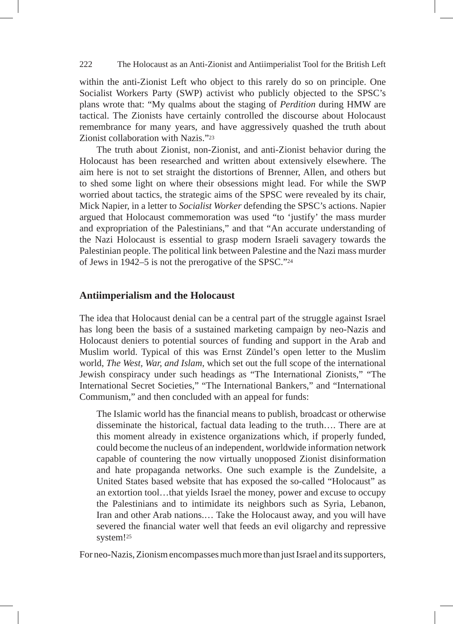# 222 The Holocaust as an Anti-Zionist and Antiimperialist Tool for the British Left

within the anti-Zionist Left who object to this rarely do so on principle. One Socialist Workers Party (SWP) activist who publicly objected to the SPSC's plans wrote that: "My qualms about the staging of *Perdition* during HMW are tactical. The Zionists have certainly controlled the discourse about Holocaust remembrance for many years, and have aggressively quashed the truth about Zionist collaboration with Nazis."23

The truth about Zionist, non-Zionist, and anti-Zionist behavior during the Holocaust has been researched and written about extensively elsewhere. The aim here is not to set straight the distortions of Brenner, Allen, and others but to shed some light on where their obsessions might lead. For while the SWP worried about tactics, the strategic aims of the SPSC were revealed by its chair, Mick Napier, in a letter to *Socialist Worker* defending the SPSC's actions. Napier argued that Holocaust commemoration was used "to 'justify' the mass murder and expropriation of the Palestinians," and that "An accurate understanding of the Nazi Holocaust is essential to grasp modern Israeli savagery towards the Palestinian people. The political link between Palestine and the Nazi mass murder of Jews in 1942–5 is not the prerogative of the SPSC."24

# **Antiimperialism and the Holocaust**

The idea that Holocaust denial can be a central part of the struggle against Israel has long been the basis of a sustained marketing campaign by neo-Nazis and Holocaust deniers to potential sources of funding and support in the Arab and Muslim world. Typical of this was Ernst Zündel's open letter to the Muslim world, *The West, War, and Islam*, which set out the full scope of the international Jewish conspiracy under such headings as "The International Zionists," "The International Secret Societies," "The International Bankers," and "International Communism," and then concluded with an appeal for funds:

The Islamic world has the financial means to publish, broadcast or otherwise disseminate the historical, factual data leading to the truth…. There are at this moment already in existence organizations which, if properly funded, could become the nucleus of an independent, worldwide information network capable of countering the now virtually unopposed Zionist disinformation and hate propaganda networks. One such example is the Zundelsite, a United States based website that has exposed the so-called "Holocaust" as an extortion tool…that yields Israel the money, power and excuse to occupy the Palestinians and to intimidate its neighbors such as Syria, Lebanon, Iran and other Arab nations.… Take the Holocaust away, and you will have severed the financial water well that feeds an evil oligarchy and repressive system!25

For neo-Nazis, Zionism encompasses much more than just Israel and its supporters,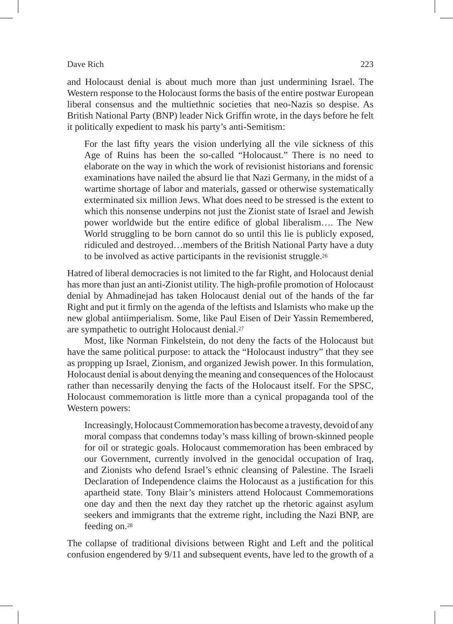and Holocaust denial is about much more than just undermining Israel. The Western response to the Holocaust forms the basis of the entire postwar European liberal consensus and the multiethnic societies that neo-Nazis so despise. As British National Party (BNP) leader Nick Griffin wrote, in the days before he felt it politically expedient to mask his party's anti-Semitism:

For the last fifty years the vision underlying all the vile sickness of this Age of Ruins has been the so-called "Holocaust." There is no need to elaborate on the way in which the work of revisionist historians and forensic examinations have nailed the absurd lie that Nazi Germany, in the midst of a wartime shortage of labor and materials, gassed or otherwise systematically exterminated six million Jews. What does need to be stressed is the extent to which this nonsense underpins not just the Zionist state of Israel and Jewish power worldwide but the entire edifice of global liberalism…. The New World struggling to be born cannot do so until this lie is publicly exposed, ridiculed and destroyed…members of the British National Party have a duty to be involved as active participants in the revisionist struggle.26

Hatred of liberal democracies is not limited to the far Right, and Holocaust denial has more than just an anti-Zionist utility. The high-profile promotion of Holocaust denial by Ahmadinejad has taken Holocaust denial out of the hands of the far Right and put it firmly on the agenda of the leftists and Islamists who make up the new global antiimperialism. Some, like Paul Eisen of Deir Yassin Remembered, are sympathetic to outright Holocaust denial.27

Most, like Norman Finkelstein, do not deny the facts of the Holocaust but have the same political purpose: to attack the "Holocaust industry" that they see as propping up Israel, Zionism, and organized Jewish power. In this formulation, Holocaust denial is about denying the meaning and consequences of the Holocaust rather than necessarily denying the facts of the Holocaust itself. For the SPSC, Holocaust commemoration is little more than a cynical propaganda tool of the Western powers:

Increasingly, Holocaust Commemoration has become a travesty, devoid of any moral compass that condemns today's mass killing of brown-skinned people for oil or strategic goals. Holocaust commemoration has been embraced by our Government, currently involved in the genocidal occupation of Iraq, and Zionists who defend Israel's ethnic cleansing of Palestine. The Israeli Declaration of Independence claims the Holocaust as a justification for this apartheid state. Tony Blair's ministers attend Holocaust Commemorations one day and then the next day they ratchet up the rhetoric against asylum seekers and immigrants that the extreme right, including the Nazi BNP, are feeding on.28

The collapse of traditional divisions between Right and Left and the political confusion engendered by 9/11 and subsequent events, have led to the growth of a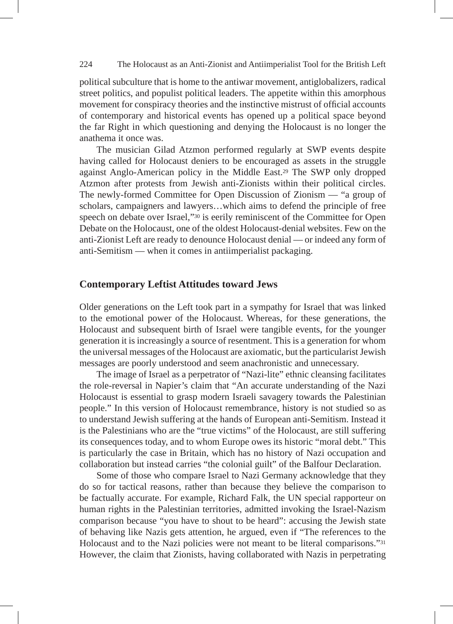# 224 The Holocaust as an Anti-Zionist and Antiimperialist Tool for the British Left

political subculture that is home to the antiwar movement, antiglobalizers, radical street politics, and populist political leaders. The appetite within this amorphous movement for conspiracy theories and the instinctive mistrust of official accounts of contemporary and historical events has opened up a political space beyond the far Right in which questioning and denying the Holocaust is no longer the anathema it once was.

The musician Gilad Atzmon performed regularly at SWP events despite having called for Holocaust deniers to be encouraged as assets in the struggle against Anglo-American policy in the Middle East.29 The SWP only dropped Atzmon after protests from Jewish anti-Zionists within their political circles. The newly-formed Committee for Open Discussion of Zionism — "a group of scholars, campaigners and lawyers…which aims to defend the principle of free speech on debate over Israel,"30 is eerily reminiscent of the Committee for Open Debate on the Holocaust, one of the oldest Holocaust-denial websites. Few on the anti-Zionist Left are ready to denounce Holocaust denial — or indeed any form of anti-Semitism — when it comes in antiimperialist packaging.

# **Contemporary Leftist Attitudes toward Jews**

Older generations on the Left took part in a sympathy for Israel that was linked to the emotional power of the Holocaust. Whereas, for these generations, the Holocaust and subsequent birth of Israel were tangible events, for the younger generation it is increasingly a source of resentment. This is a generation for whom the universal messages of the Holocaust are axiomatic, but the particularist Jewish messages are poorly understood and seem anachronistic and unnecessary.

The image of Israel as a perpetrator of "Nazi-lite" ethnic cleansing facilitates the role-reversal in Napier's claim that "An accurate understanding of the Nazi Holocaust is essential to grasp modern Israeli savagery towards the Palestinian people." In this version of Holocaust remembrance, history is not studied so as to understand Jewish suffering at the hands of European anti-Semitism. Instead it is the Palestinians who are the "true victims" of the Holocaust, are still suffering its consequences today, and to whom Europe owes its historic "moral debt." This is particularly the case in Britain, which has no history of Nazi occupation and collaboration but instead carries "the colonial guilt" of the Balfour Declaration.

Some of those who compare Israel to Nazi Germany acknowledge that they do so for tactical reasons, rather than because they believe the comparison to be factually accurate. For example, Richard Falk, the UN special rapporteur on human rights in the Palestinian territories, admitted invoking the Israel-Nazism comparison because "you have to shout to be heard": accusing the Jewish state of behaving like Nazis gets attention, he argued, even if "The references to the Holocaust and to the Nazi policies were not meant to be literal comparisons."31 However, the claim that Zionists, having collaborated with Nazis in perpetrating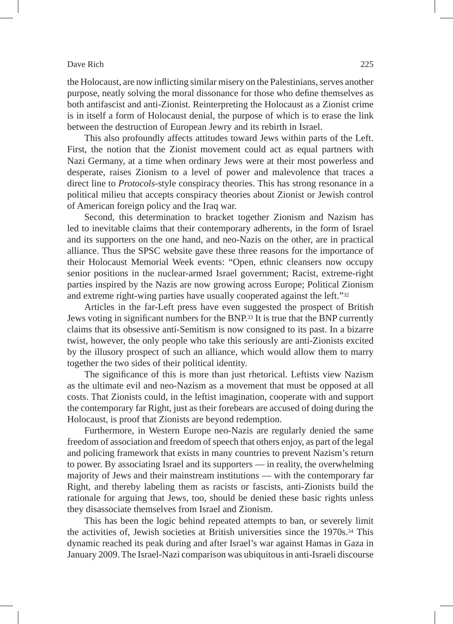the Holocaust, are now inflicting similar misery on the Palestinians, serves another purpose, neatly solving the moral dissonance for those who define themselves as both antifascist and anti-Zionist. Reinterpreting the Holocaust as a Zionist crime is in itself a form of Holocaust denial, the purpose of which is to erase the link between the destruction of European Jewry and its rebirth in Israel.

This also profoundly affects attitudes toward Jews within parts of the Left. First, the notion that the Zionist movement could act as equal partners with Nazi Germany, at a time when ordinary Jews were at their most powerless and desperate, raises Zionism to a level of power and malevolence that traces a direct line to *Protocols*-style conspiracy theories. This has strong resonance in a political milieu that accepts conspiracy theories about Zionist or Jewish control of American foreign policy and the Iraq war.

Second, this determination to bracket together Zionism and Nazism has led to inevitable claims that their contemporary adherents, in the form of Israel and its supporters on the one hand, and neo-Nazis on the other, are in practical alliance. Thus the SPSC website gave these three reasons for the importance of their Holocaust Memorial Week events: "Open, ethnic cleansers now occupy senior positions in the nuclear-armed Israel government; Racist, extreme-right parties inspired by the Nazis are now growing across Europe; Political Zionism and extreme right-wing parties have usually cooperated against the left."32

Articles in the far-Left press have even suggested the prospect of British Jews voting in significant numbers for the BNP.33 It is true that the BNP currently claims that its obsessive anti-Semitism is now consigned to its past. In a bizarre twist, however, the only people who take this seriously are anti-Zionists excited by the illusory prospect of such an alliance, which would allow them to marry together the two sides of their political identity.

The significance of this is more than just rhetorical. Leftists view Nazism as the ultimate evil and neo-Nazism as a movement that must be opposed at all costs. That Zionists could, in the leftist imagination, cooperate with and support the contemporary far Right, just as their forebears are accused of doing during the Holocaust, is proof that Zionists are beyond redemption.

Furthermore, in Western Europe neo-Nazis are regularly denied the same freedom of association and freedom of speech that others enjoy, as part of the legal and policing framework that exists in many countries to prevent Nazism's return to power. By associating Israel and its supporters — in reality, the overwhelming majority of Jews and their mainstream institutions — with the contemporary far Right, and thereby labeling them as racists or fascists, anti-Zionists build the rationale for arguing that Jews, too, should be denied these basic rights unless they disassociate themselves from Israel and Zionism.

This has been the logic behind repeated attempts to ban, or severely limit the activities of, Jewish societies at British universities since the 1970s.34 This dynamic reached its peak during and after Israel's war against Hamas in Gaza in January 2009. The Israel-Nazi comparison was ubiquitous in anti-Israeli discourse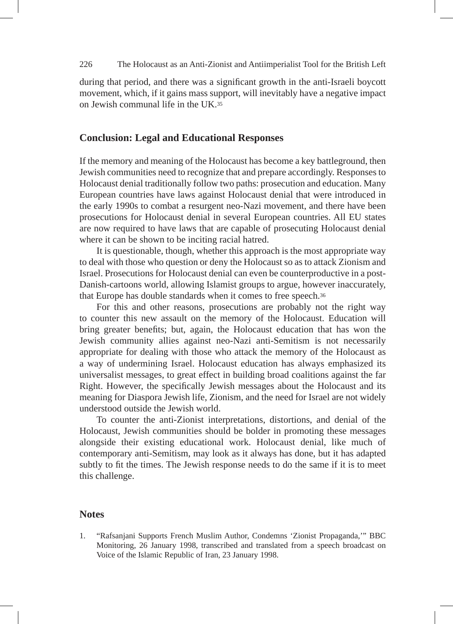# 226 The Holocaust as an Anti-Zionist and Antiimperialist Tool for the British Left

during that period, and there was a significant growth in the anti-Israeli boycott movement, which, if it gains mass support, will inevitably have a negative impact on Jewish communal life in the UK 35

# **Conclusion: Legal and Educational Responses**

If the memory and meaning of the Holocaust has become a key battleground, then Jewish communities need to recognize that and prepare accordingly. Responses to Holocaust denial traditionally follow two paths: prosecution and education. Many European countries have laws against Holocaust denial that were introduced in the early 1990s to combat a resurgent neo-Nazi movement, and there have been prosecutions for Holocaust denial in several European countries. All EU states are now required to have laws that are capable of prosecuting Holocaust denial where it can be shown to be inciting racial hatred.

It is questionable, though, whether this approach is the most appropriate way to deal with those who question or deny the Holocaust so as to attack Zionism and Israel. Prosecutions for Holocaust denial can even be counterproductive in a post-Danish-cartoons world, allowing Islamist groups to argue, however inaccurately, that Europe has double standards when it comes to free speech.36

For this and other reasons, prosecutions are probably not the right way to counter this new assault on the memory of the Holocaust. Education will bring greater benefits; but, again, the Holocaust education that has won the Jewish community allies against neo-Nazi anti-Semitism is not necessarily appropriate for dealing with those who attack the memory of the Holocaust as a way of undermining Israel. Holocaust education has always emphasized its universalist messages, to great effect in building broad coalitions against the far Right. However, the specifically Jewish messages about the Holocaust and its meaning for Diaspora Jewish life, Zionism, and the need for Israel are not widely understood outside the Jewish world.

To counter the anti-Zionist interpretations, distortions, and denial of the Holocaust, Jewish communities should be bolder in promoting these messages alongside their existing educational work. Holocaust denial, like much of contemporary anti-Semitism, may look as it always has done, but it has adapted subtly to fit the times. The Jewish response needs to do the same if it is to meet this challenge.

# **Notes**

1. "Rafsanjani Supports French Muslim Author, Condemns 'Zionist Propaganda,'" BBC Monitoring, 26 January 1998, transcribed and translated from a speech broadcast on Voice of the Islamic Republic of Iran, 23 January 1998.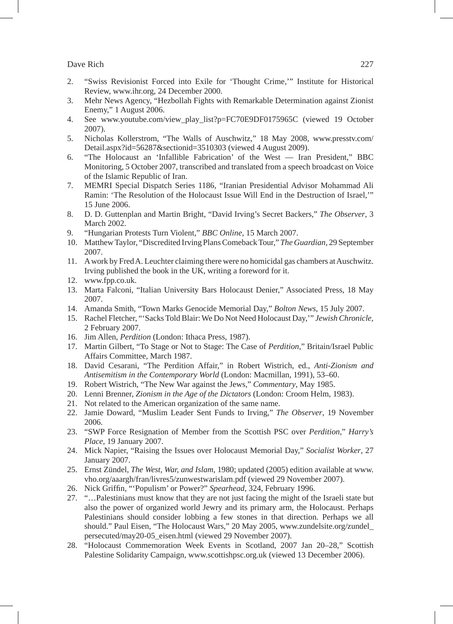- 2. "Swiss Revisionist Forced into Exile for 'Thought Crime,'" Institute for Historical Review, www.ihr.org, 24 December 2000.
- 3. Mehr News Agency, "Hezbollah Fights with Remarkable Determination against Zionist Enemy," 1 August 2006.
- 4. See www.youtube.com/view\_play\_list?p=FC70E9DF0175965C (viewed 19 October 2007).
- 5. Nicholas Kollerstrom, "The Walls of Auschwitz," 18 May 2008, www.presstv.com/ Detail.aspx?id=56287&sectionid=3510303 (viewed 4 August 2009).
- 6. "The Holocaust an 'Infallible Fabrication' of the West Iran President," BBC Monitoring, 5 October 2007, transcribed and translated from a speech broadcast on Voice of the Islamic Republic of Iran.
- 7. MEMRI Special Dispatch Series 1186, "Iranian Presidential Advisor Mohammad Ali Ramin: 'The Resolution of the Holocaust Issue Will End in the Destruction of Israel,'" 15 June 2006.
- 8. D. D. Guttenplan and Martin Bright, "David Irving's Secret Backers," *The Observer*, 3 March 2002.
- 9. "Hungarian Protests Turn Violent," *BBC Online*, 15 March 2007.
- 10. Matthew Taylor, "Discredited Irving Plans Comeback Tour," *The Guardian*, 29 September 2007.
- 11. A work by Fred A. Leuchter claiming there were no homicidal gas chambers at Auschwitz. Irving published the book in the UK, writing a foreword for it.
- 12. www.fpp.co.uk.
- 13. Marta Falconi, "Italian University Bars Holocaust Denier," Associated Press, 18 May 2007.
- 14. Amanda Smith, "Town Marks Genocide Memorial Day," *Bolton News*, 15 July 2007.
- 15. Rachel Fletcher, "'Sacks Told Blair: We Do Not Need Holocaust Day,'" *Jewish Chronicle*, 2 February 2007.
- 16. Jim Allen, *Perdition* (London: Ithaca Press, 1987).
- 17. Martin Gilbert, "To Stage or Not to Stage: The Case of *Perdition*," Britain/Israel Public Affairs Committee, March 1987.
- 18. David Cesarani, "The Perdition Affair," in Robert Wistrich, ed., *Anti-Zionism and Antisemitism in the Contemporary World* (London: Macmillan, 1991), 53–60.
- 19. Robert Wistrich, "The New War against the Jews," *Commentary*, May 1985.
- 20. Lenni Brenner, *Zionism in the Age of the Dictators* (London: Croom Helm, 1983).
- 21. Not related to the American organization of the same name.
- 22. Jamie Doward, "Muslim Leader Sent Funds to Irving," *The Observer*, 19 November 2006.
- 23. "SWP Force Resignation of Member from the Scottish PSC over *Perdition*," *Harry's Place*, 19 January 2007.
- 24. Mick Napier, "Raising the Issues over Holocaust Memorial Day," *Socialist Worker*, 27 January 2007.
- 25. Ernst Zündel, *The West, War, and Islam*, 1980; updated (2005) edition available at www. vho.org/aaargh/fran/livres5/zunwestwarislam.pdf (viewed 29 November 2007).
- 26. Nick Griffin, "'Populism' or Power?" *Spearhead*, 324, February 1996.
- 27. "…Palestinians must know that they are not just facing the might of the Israeli state but also the power of organized world Jewry and its primary arm, the Holocaust. Perhaps Palestinians should consider lobbing a few stones in that direction. Perhaps we all should." Paul Eisen, "The Holocaust Wars," 20 May 2005, www.zundelsite.org/zundel\_ persecuted/may20-05\_eisen.html (viewed 29 November 2007).
- 28. "Holocaust Commemoration Week Events in Scotland, 2007 Jan 20–28," Scottish Palestine Solidarity Campaign, www.scottishpsc.org.uk (viewed 13 December 2006).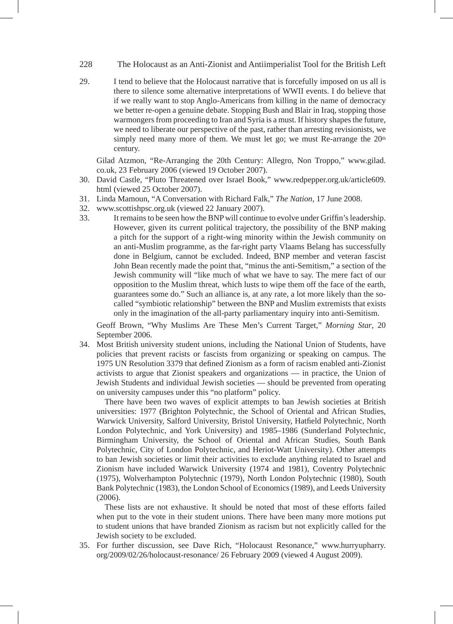- 228 The Holocaust as an Anti-Zionist and Antiimperialist Tool for the British Left
- 29. I tend to believe that the Holocaust narrative that is forcefully imposed on us all is there to silence some alternative interpretations of WWII events. I do believe that if we really want to stop Anglo-Americans from killing in the name of democracy we better re-open a genuine debate. Stopping Bush and Blair in Iraq, stopping those warmongers from proceeding to Iran and Syria is a must. If history shapes the future, we need to liberate our perspective of the past, rather than arresting revisionists, we simply need many more of them. We must let go; we must Re-arrange the  $20<sup>th</sup>$ century.

 Gilad Atzmon, "Re-Arranging the 20th Century: Allegro, Non Troppo," www.gilad. co.uk, 23 February 2006 (viewed 19 October 2007).

- 30. David Castle, "Pluto Threatened over Israel Book," www.redpepper.org.uk/article609. html (viewed 25 October 2007).
- 31. Linda Mamoun, "A Conversation with Richard Falk," *The Nation,* 17 June 2008.
- 32. www.scottishpsc.org.uk (viewed 22 January 2007).
- 33. It remains to be seen how the BNP will continue to evolve under Griffin's leadership. However, given its current political trajectory, the possibility of the BNP making a pitch for the support of a right-wing minority within the Jewish community on an anti-Muslim programme, as the far-right party Vlaams Belang has successfully done in Belgium, cannot be excluded. Indeed, BNP member and veteran fascist John Bean recently made the point that, "minus the anti-Semitism," a section of the Jewish community will "like much of what we have to say. The mere fact of our opposition to the Muslim threat, which lusts to wipe them off the face of the earth, guarantees some do." Such an alliance is, at any rate, a lot more likely than the socalled "symbiotic relationship" between the BNP and Muslim extremists that exists only in the imagination of the all-party parliamentary inquiry into anti-Semitism.

 Geoff Brown, "Why Muslims Are These Men's Current Target," *Morning Star*, 20 September 2006.

34. Most British university student unions, including the National Union of Students, have policies that prevent racists or fascists from organizing or speaking on campus. The 1975 UN Resolution 3379 that defined Zionism as a form of racism enabled anti-Zionist activists to argue that Zionist speakers and organizations — in practice, the Union of Jewish Students and individual Jewish societies — should be prevented from operating on university campuses under this "no platform" policy.

 There have been two waves of explicit attempts to ban Jewish societies at British universities: 1977 (Brighton Polytechnic, the School of Oriental and African Studies, Warwick University, Salford University, Bristol University, Hatfield Polytechnic, North London Polytechnic, and York University) and 1985–1986 (Sunderland Polytechnic, Birmingham University, the School of Oriental and African Studies, South Bank Polytechnic, City of London Polytechnic, and Heriot-Watt University). Other attempts to ban Jewish societies or limit their activities to exclude anything related to Israel and Zionism have included Warwick University (1974 and 1981), Coventry Polytechnic (1975), Wolverhampton Polytechnic (1979), North London Polytechnic (1980), South Bank Polytechnic (1983), the London School of Economics (1989), and Leeds University (2006).

 These lists are not exhaustive. It should be noted that most of these efforts failed when put to the vote in their student unions. There have been many more motions put to student unions that have branded Zionism as racism but not explicitly called for the Jewish society to be excluded.

35. For further discussion, see Dave Rich, "Holocaust Resonance," www.hurryupharry. org/2009/02/26/holocaust-resonance/ 26 February 2009 (viewed 4 August 2009).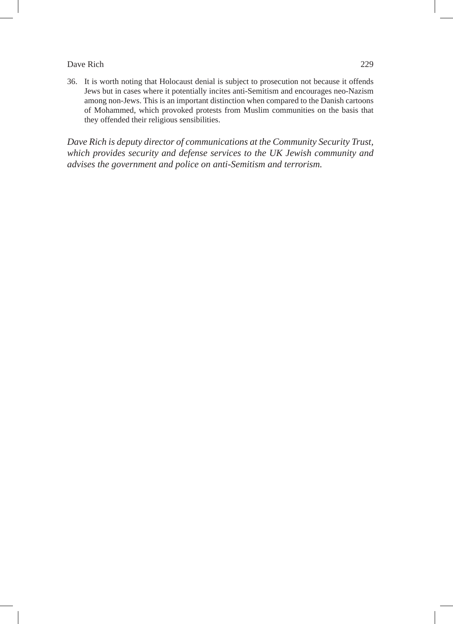36. It is worth noting that Holocaust denial is subject to prosecution not because it offends Jews but in cases where it potentially incites anti-Semitism and encourages neo-Nazism among non-Jews. This is an important distinction when compared to the Danish cartoons of Mohammed, which provoked protests from Muslim communities on the basis that they offended their religious sensibilities.

*Dave Rich is deputy director of communications at the Community Security Trust, which provides security and defense services to the UK Jewish community and advises the government and police on anti-Semitism and terrorism.*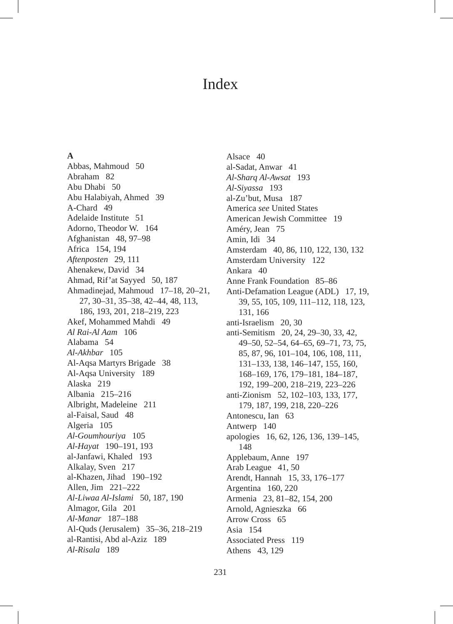# **A**

Abbas, Mahmoud 50 Abraham 82 Abu Dhabi 50 Abu Halabiyah, Ahmed 39 A-Chard 49 Adelaide Institute 51 Adorno, Theodor W. 164 Afghanistan 48, 97–98 Africa 154, 194 *Aftenposten* 29, 111 Ahenakew, David 34 Ahmad, Rif'at Sayyed 50, 187 Ahmadinejad, Mahmoud 17–18, 20–21, 27, 30–31, 35–38, 42–44, 48, 113, 186, 193, 201, 218–219, 223 Akef, Mohammed Mahdi 49 *Al Rai-Al Aam* 106 Alabama 54 *Al-Akhbar* 105 Al-Aqsa Martyrs Brigade 38 Al-Aqsa University 189 Alaska 219 Albania 215–216 Albright, Madeleine 211 al-Faisal, Saud 48 Algeria 105 *Al-Goumhouriya* 105 *Al-Hayat* 190–191, 193 al-Janfawi, Khaled 193 Alkalay, Sven 217 al-Khazen, Jihad 190–192 Allen, Jim 221–222 *Al-Liwaa Al-Islami* 50, 187, 190 Almagor, Gila 201 *Al-Manar* 187–188 Al-Quds (Jerusalem) 35–36, 218–219 al-Rantisi, Abd al-Aziz 189 *Al-Risala* 189

Alsace 40 al-Sadat, Anwar 41 *Al-Sharq Al-Awsat* 193 *Al-Siyassa* 193 al-Zu'but, Musa 187 America *see* United States American Jewish Committee 19 Améry, Jean 75 Amin, Idi 34 Amsterdam 40, 86, 110, 122, 130, 132 Amsterdam University 122 Ankara 40 Anne Frank Foundation 85–86 Anti-Defamation League (ADL) 17, 19, 39, 55, 105, 109, 111–112, 118, 123, 131, 166 anti-Israelism 20, 30 anti-Semitism 20, 24, 29–30, 33, 42, 49–50, 52–54, 64–65, 69–71, 73, 75, 85, 87, 96, 101–104, 106, 108, 111, 131–133, 138, 146–147, 155, 160, 168–169, 176, 179–181, 184–187, 192, 199–200, 218–219, 223–226 anti-Zionism 52, 102–103, 133, 177, 179, 187, 199, 218, 220–226 Antonescu, Ian 63 Antwerp 140 apologies 16, 62, 126, 136, 139–145, 148 Applebaum, Anne 197 Arab League 41, 50 Arendt, Hannah 15, 33, 176–177 Argentina 160, 220 Armenia 23, 81–82, 154, 200 Arnold, Agnieszka 66 Arrow Cross 65 Asia 154 Associated Press 119 Athens 43, 129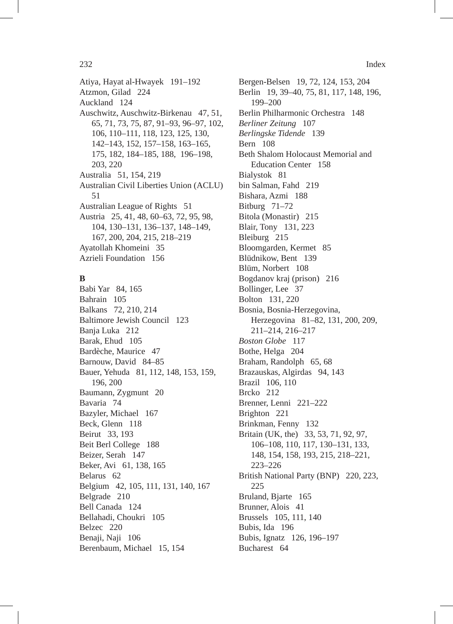Atiya, Hayat al-Hwayek 191–192 Atzmon, Gilad 224 Auckland 124 Auschwitz, Auschwitz-Birkenau 47, 51, 65, 71, 73, 75, 87, 91–93, 96–97, 102, 106, 110–111, 118, 123, 125, 130, 142–143, 152, 157–158, 163–165, 175, 182, 184–185, 188, 196–198, 203, 220 Australia 51, 154, 219 Australian Civil Liberties Union (ACLU) 51 Australian League of Rights 51 Austria 25, 41, 48, 60–63, 72, 95, 98, 104, 130–131, 136–137, 148–149, 167, 200, 204, 215, 218–219 Ayatollah Khomeini 35 Azrieli Foundation 156

# **B**

Babi Yar 84, 165 Bahrain 105 Balkans 72, 210, 214 Baltimore Jewish Council 123 Banja Luka 212 Barak, Ehud 105 Bardèche, Maurice 47 Barnouw, David 84–85 Bauer, Yehuda 81, 112, 148, 153, 159, 196, 200 Baumann, Zygmunt 20 Bavaria 74 Bazyler, Michael 167 Beck, Glenn 118 Beirut 33, 193 Beit Berl College 188 Beizer, Serah 147 Beker, Avi 61, 138, 165 Belarus 62 Belgium 42, 105, 111, 131, 140, 167 Belgrade 210 Bell Canada 124 Bellahadi, Choukri 105 Belzec 220 Benaji, Naji 106 Berenbaum, Michael 15, 154

Bergen-Belsen 19, 72, 124, 153, 204 Berlin 19, 39–40, 75, 81, 117, 148, 196, 199–200 Berlin Philharmonic Orchestra 148 *Berliner Zeitung* 107 *Berlingske Tidende* 139 Bern 108 Beth Shalom Holocaust Memorial and Education Center 158 Bialystok 81 bin Salman, Fahd 219 Bishara, Azmi 188 Bitburg 71–72 Bitola (Monastir) 215 Blair, Tony 131, 223 Bleiburg 215 Bloomgarden, Kermet 85 Blüdnikow, Bent 139 Blüm, Norbert 108 Bogdanov kraj (prison) 216 Bollinger, Lee 37 Bolton 131, 220 Bosnia, Bosnia-Herzegovina, Herzegovina 81–82, 131, 200, 209, 211–214, 216–217 *Boston Globe* 117 Bothe, Helga 204 Braham, Randolph 65, 68 Brazauskas, Algirdas 94, 143 Brazil 106, 110 Brcko 212 Brenner, Lenni 221–222 Brighton 221 Brinkman, Fenny 132 Britain (UK, the) 33, 53, 71, 92, 97, 106–108, 110, 117, 130–131, 133, 148, 154, 158, 193, 215, 218–221, 223–226 British National Party (BNP) 220, 223, 225 Bruland, Bjarte 165 Brunner, Alois 41 Brussels 105, 111, 140 Bubis, Ida 196 Bubis, Ignatz 126, 196–197 Bucharest 64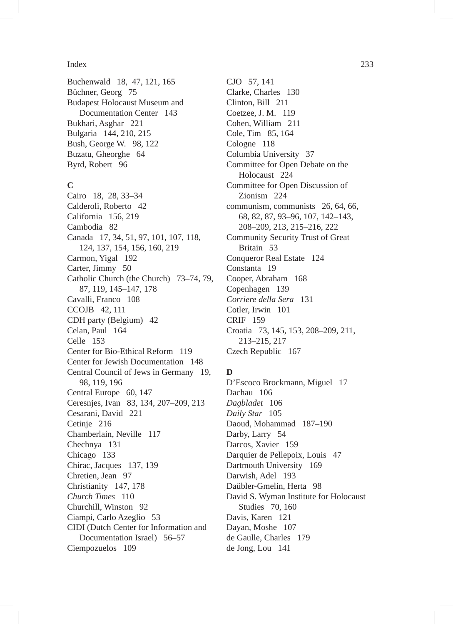Buchenwald 18, 47, 121, 165 Büchner, Georg 75 Budapest Holocaust Museum and Documentation Center 143 Bukhari, Asghar 221 Bulgaria 144, 210, 215 Bush, George W. 98, 122 Buzatu, Gheorghe 64 Byrd, Robert 96

# **C**

Cairo 18, 28, 33–34 Calderoli, Roberto 42 California 156, 219 Cambodia 82 Canada 17, 34, 51, 97, 101, 107, 118, 124, 137, 154, 156, 160, 219 Carmon, Yigal 192 Carter, Jimmy 50 Catholic Church (the Church) 73–74, 79, 87, 119, 145–147, 178 Cavalli, Franco 108 CCOJB 42, 111 CDH party (Belgium) 42 Celan, Paul 164 Celle 153 Center for Bio-Ethical Reform 119 Center for Jewish Documentation 148 Central Council of Jews in Germany 19, 98, 119, 196 Central Europe 60, 147 Ceresnjes, Ivan 83, 134, 207–209, 213 Cesarani, David 221 Cetinje 216 Chamberlain, Neville 117 Chechnya 131 Chicago 133 Chirac, Jacques 137, 139 Chretien, Jean 97 Christianity 147, 178 *Church Times* 110 Churchill, Winston 92 Ciampi, Carlo Azeglio 53 CIDI (Dutch Center for Information and Documentation Israel) 56–57 Ciempozuelos 109

CJO 57, 141 Clarke, Charles 130 Clinton, Bill 211 Coetzee, J. M. 119 Cohen, William 211 Cole, Tim 85, 164 Cologne 118 Columbia University 37 Committee for Open Debate on the Holocaust 224 Committee for Open Discussion of Zionism 224 communism, communists 26, 64, 66, 68, 82, 87, 93–96, 107, 142–143, 208–209, 213, 215–216, 222 Community Security Trust of Great Britain 53 Conqueror Real Estate 124 Constanta 19 Cooper, Abraham 168 Copenhagen 139 *Corriere della Sera* 131 Cotler, Irwin 101 CRIF 159 Croatia 73, 145, 153, 208–209, 211, 213–215, 217 Czech Republic 167

## **D**

D'Escoco Brockmann, Miguel 17 Dachau 106 *Dagbladet* 106 *Daily Star* 105 Daoud, Mohammad 187–190 Darby, Larry 54 Darcos, Xavier 159 Darquier de Pellepoix, Louis 47 Dartmouth University 169 Darwish, Adel 193 Daübler-Gmelin, Herta 98 David S. Wyman Institute for Holocaust Studies 70, 160 Davis, Karen 121 Dayan, Moshe 107 de Gaulle, Charles 179 de Jong, Lou 141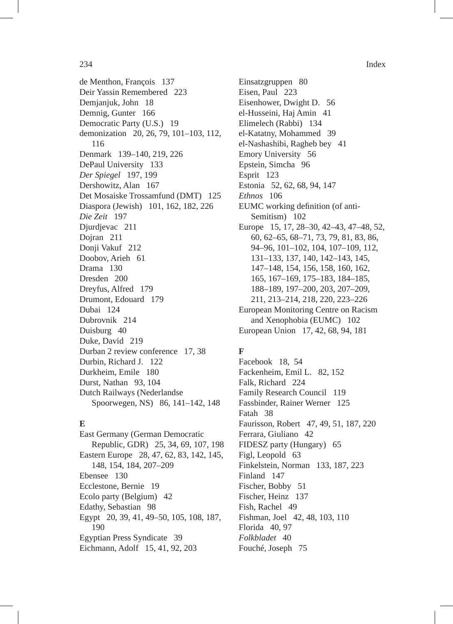de Menthon, François 137 Deir Yassin Remembered 223 Demjanjuk, John 18 Demnig, Gunter 166 Democratic Party (U.S.) 19 demonization 20, 26, 79, 101–103, 112, 116 Denmark 139–140, 219, 226 DePaul University 133 *Der Spiegel* 197, 199 Dershowitz, Alan 167 Det Mosaiske Trossamfund (DMT) 125 Diaspora (Jewish) 101, 162, 182, 226 *Die Zeit* 197 Djurdjevac 211 Dojran 211 Donji Vakuf 212 Doobov, Arieh 61 Drama 130 Dresden 200 Dreyfus, Alfred 179 Drumont, Edouard 179 Dubai 124 Dubrovnik 214 Duisburg 40 Duke, David 219 Durban 2 review conference 17, 38 Durbin, Richard J. 122 Durkheim, Emile 180 Durst, Nathan 93, 104 Dutch Railways (Nederlandse Spoorwegen, NS) 86, 141–142, 148

# **E**

East Germany (German Democratic Republic, GDR) 25, 34, 69, 107, 198 Eastern Europe 28, 47, 62, 83, 142, 145, 148, 154, 184, 207–209 Ebensee 130 Ecclestone, Bernie 19 Ecolo party (Belgium) 42 Edathy, Sebastian 98 Egypt 20, 39, 41, 49–50, 105, 108, 187, 190 Egyptian Press Syndicate 39 Eichmann, Adolf 15, 41, 92, 203

Einsatzgruppen 80 Eisen, Paul 223 Eisenhower, Dwight D. 56 el-Husseini, Haj Amin 41 Elimelech (Rabbi) 134 el-Katatny, Mohammed 39 el-Nashashibi, Ragheb bey 41 Emory University 56 Epstein, Simcha 96 Esprit 123 Estonia 52, 62, 68, 94, 147 *Ethnos* 106 EUMC working definition (of anti-Semitism) 102 Europe 15, 17, 28–30, 42–43, 47–48, 52, 60, 62–65, 68–71, 73, 79, 81, 83, 86, 94–96, 101–102, 104, 107–109, 112, 131–133, 137, 140, 142–143, 145, 147–148, 154, 156, 158, 160, 162, 165, 167–169, 175–183, 184–185, 188–189, 197–200, 203, 207–209, 211, 213–214, 218, 220, 223–226 European Monitoring Centre on Racism and Xenophobia (EUMC) 102 European Union 17, 42, 68, 94, 181

# **F**

Facebook 18, 54 Fackenheim, Emil L. 82, 152 Falk, Richard 224 Family Research Council 119 Fassbinder, Rainer Werner 125 Fatah 38 Faurisson, Robert 47, 49, 51, 187, 220 Ferrara, Giuliano 42 FIDESZ party (Hungary) 65 Figl, Leopold 63 Finkelstein, Norman 133, 187, 223 Finland 147 Fischer, Bobby 51 Fischer, Heinz 137 Fish, Rachel 49 Fishman, Joel 42, 48, 103, 110 Florida 40, 97 *Folkbladet* 40 Fouché, Joseph 75

234 Index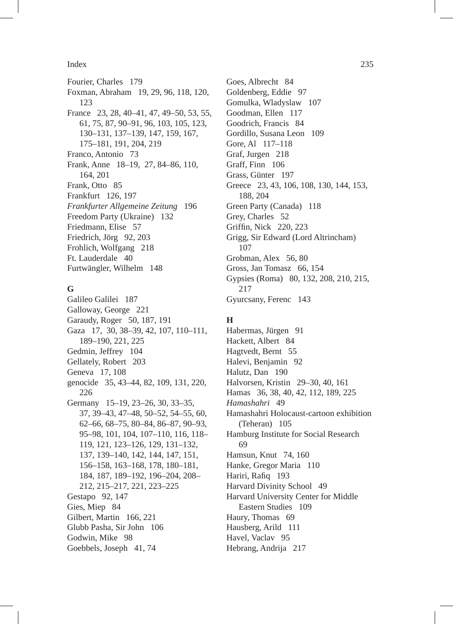Fourier, Charles 179 Foxman, Abraham 19, 29, 96, 118, 120, 123 France 23, 28, 40–41, 47, 49–50, 53, 55, 61, 75, 87, 90–91, 96, 103, 105, 123, 130–131, 137–139, 147, 159, 167, 175–181, 191, 204, 219 Franco, Antonio 73 Frank, Anne 18–19, 27, 84–86, 110, 164, 201 Frank, Otto 85 Frankfurt 126, 197 *Frankfurter Allgemeine Zeitung* 196 Freedom Party (Ukraine) 132 Friedmann, Elise 57 Friedrich, Jörg 92, 203 Frohlich, Wolfgang 218 Ft. Lauderdale 40 Furtwängler, Wilhelm 148

# **G**

Galileo Galilei 187 Galloway, George 221 Garaudy, Roger 50, 187, 191 Gaza 17, 30, 38–39, 42, 107, 110–111, 189–190, 221, 225 Gedmin, Jeffrey 104 Gellately, Robert 203 Geneva 17, 108 genocide 35, 43–44, 82, 109, 131, 220, 226 Germany 15–19, 23–26, 30, 33–35, 37, 39–43, 47–48, 50–52, 54–55, 60, 62–66, 68–75, 80–84, 86–87, 90–93, 95–98, 101, 104, 107–110, 116, 118– 119, 121, 123–126, 129, 131–132, 137, 139–140, 142, 144, 147, 151, 156–158, 163–168, 178, 180–181, 184, 187, 189–192, 196–204, 208– 212, 215–217, 221, 223–225 Gestapo 92, 147 Gies, Miep 84 Gilbert, Martin 166, 221 Glubb Pasha, Sir John 106 Godwin, Mike 98 Goebbels, Joseph 41, 74

Goes, Albrecht 84 Goldenberg, Eddie 97 Gomulka, Wladyslaw 107 Goodman, Ellen 117 Goodrich, Francis 84 Gordillo, Susana Leon 109 Gore, Al 117–118 Graf, Jurgen 218 Graff, Finn 106 Grass, Günter 197 Greece 23, 43, 106, 108, 130, 144, 153, 188, 204 Green Party (Canada) 118 Grey, Charles 52 Griffin, Nick 220, 223 Grigg, Sir Edward (Lord Altrincham) 107 Grobman, Alex 56, 80 Gross, Jan Tomasz 66, 154 Gypsies (Roma) 80, 132, 208, 210, 215, 217 Gyurcsany, Ferenc 143

# **H**

Habermas, Jürgen 91 Hackett, Albert 84 Hagtvedt, Bernt 55 Halevi, Benjamin 92 Halutz, Dan 190 Halvorsen, Kristin 29–30, 40, 161 Hamas 36, 38, 40, 42, 112, 189, 225 *Hamashahri* 49 Hamashahri Holocaust-cartoon exhibition (Teheran) 105 Hamburg Institute for Social Research 69 Hamsun, Knut 74, 160 Hanke, Gregor Maria 110 Hariri, Rafiq 193 Harvard Divinity School 49 Harvard University Center for Middle Eastern Studies 109 Haury, Thomas 69 Hausberg, Arild 111 Havel, Vaclav 95 Hebrang, Andrija 217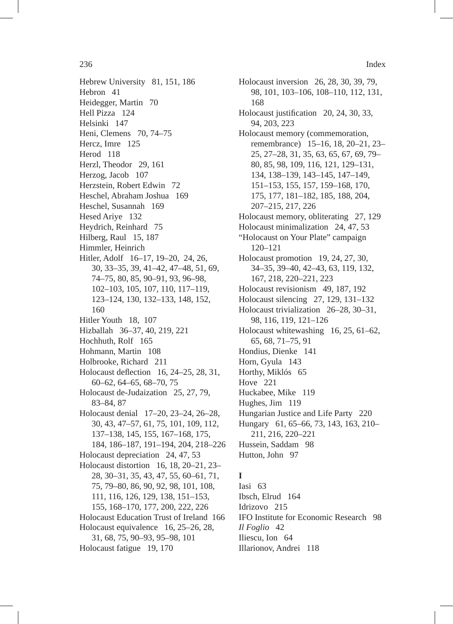Hebrew University 81, 151, 186 Hebron 41 Heidegger, Martin 70 Hell Pizza 124 Helsinki 147 Heni, Clemens 70, 74–75 Hercz, Imre 125 Herod 118 Herzl, Theodor 29, 161 Herzog, Jacob 107 Herzstein, Robert Edwin 72 Heschel, Abraham Joshua 169 Heschel, Susannah 169 Hesed Ariye 132 Heydrich, Reinhard 75 Hilberg, Raul 15, 187 Himmler, Heinrich Hitler, Adolf 16–17, 19–20, 24, 26, 30, 33–35, 39, 41–42, 47–48, 51, 69, 74–75, 80, 85, 90–91, 93, 96–98, 102–103, 105, 107, 110, 117–119, 123–124, 130, 132–133, 148, 152, 160 Hitler Youth 18, 107 Hizballah 36–37, 40, 219, 221 Hochhuth, Rolf 165 Hohmann, Martin 108 Holbrooke, Richard 211 Holocaust deflection 16, 24–25, 28, 31, 60–62, 64–65, 68–70, 75 Holocaust de-Judaization 25, 27, 79, 83–84, 87 Holocaust denial 17–20, 23–24, 26–28, 30, 43, 47–57, 61, 75, 101, 109, 112, 137–138, 145, 155, 167–168, 175, 184, 186–187, 191–194, 204, 218–226 Holocaust depreciation 24, 47, 53 Holocaust distortion 16, 18, 20–21, 23– 28, 30–31, 35, 43, 47, 55, 60–61, 71, 75, 79–80, 86, 90, 92, 98, 101, 108, 111, 116, 126, 129, 138, 151–153, 155, 168–170, 177, 200, 222, 226 Holocaust Education Trust of Ireland 166 Holocaust equivalence 16, 25–26, 28, 31, 68, 75, 90–93, 95–98, 101 Holocaust fatigue 19, 170

Holocaust inversion 26, 28, 30, 39, 79, 98, 101, 103–106, 108–110, 112, 131, 168 Holocaust justification 20, 24, 30, 33, 94, 203, 223 Holocaust memory (commemoration, remembrance) 15–16, 18, 20–21, 23– 25, 27–28, 31, 35, 63, 65, 67, 69, 79– 80, 85, 98, 109, 116, 121, 129–131, 134, 138–139, 143–145, 147–149, 151–153, 155, 157, 159–168, 170, 175, 177, 181–182, 185, 188, 204, 207–215, 217, 226 Holocaust memory, obliterating 27, 129 Holocaust minimalization 24, 47, 53 "Holocaust on Your Plate" campaign 120–121 Holocaust promotion 19, 24, 27, 30, 34–35, 39–40, 42–43, 63, 119, 132, 167, 218, 220–221, 223 Holocaust revisionism 49, 187, 192 Holocaust silencing 27, 129, 131–132 Holocaust trivialization 26–28, 30–31, 98, 116, 119, 121–126 Holocaust whitewashing 16, 25, 61–62, 65, 68, 71–75, 91 Hondius, Dienke 141 Horn, Gyula 143 Horthy, Miklós 65 Hove 221 Huckabee, Mike 119 Hughes, Jim 119 Hungarian Justice and Life Party 220 Hungary 61, 65–66, 73, 143, 163, 210– 211, 216, 220–221 Hussein, Saddam 98 Hutton, John 97

# **I**

Iasi 63 Ibsch, Elrud 164 Idrizovo 215 IFO Institute for Economic Research 98 *Il Foglio* 42 Iliescu, Ion 64 Illarionov, Andrei 118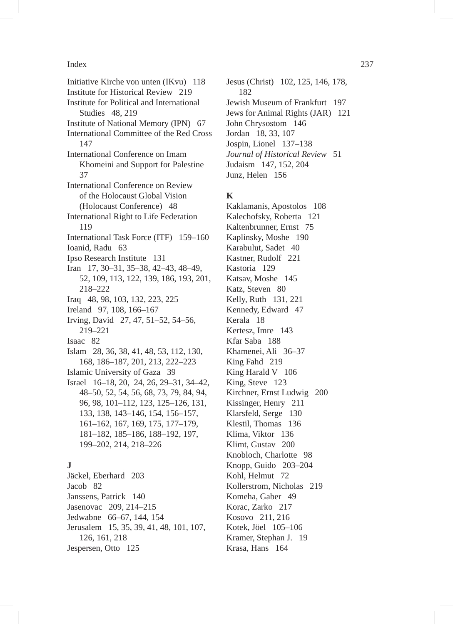Initiative Kirche von unten (IKvu) 118 Institute for Historical Review 219 Institute for Political and International Studies 48, 219 Institute of National Memory (IPN) 67 International Committee of the Red Cross 147 International Conference on Imam Khomeini and Support for Palestine 37 International Conference on Review of the Holocaust Global Vision (Holocaust Conference) 48 International Right to Life Federation 119 International Task Force (ITF) 159–160 Ioanid, Radu 63 Ipso Research Institute 131 Iran 17, 30–31, 35–38, 42–43, 48–49, 52, 109, 113, 122, 139, 186, 193, 201, 218–222 Iraq 48, 98, 103, 132, 223, 225 Ireland 97, 108, 166–167 Irving, David 27, 47, 51–52, 54–56, 219–221 Isaac 82 Islam 28, 36, 38, 41, 48, 53, 112, 130, 168, 186–187, 201, 213, 222–223 Islamic University of Gaza 39 Israel 16–18, 20, 24, 26, 29–31, 34–42, 48–50, 52, 54, 56, 68, 73, 79, 84, 94, 96, 98, 101–112, 123, 125–126, 131, 133, 138, 143–146, 154, 156–157, 161–162, 167, 169, 175, 177–179, 181–182, 185–186, 188–192, 197, 199–202, 214, 218–226 **J** Jäckel, Eberhard 203 Jacob 82

Janssens, Patrick 140 Jasenovac 209, 214–215 Jedwabne 66–67, 144, 154 Jerusalem 15, 35, 39, 41, 48, 101, 107, 126, 161, 218 Jespersen, Otto 125

Jesus (Christ) 102, 125, 146, 178, 182 Jewish Museum of Frankfurt 197 Jews for Animal Rights (JAR) 121 John Chrysostom 146 Jordan 18, 33, 107 Jospin, Lionel 137–138 *Journal of Historical Review* 51 Judaism 147, 152, 204 Junz, Helen 156

# **K**

Kaklamanis, Apostolos 108 Kalechofsky, Roberta 121 Kaltenbrunner, Ernst 75 Kaplinsky, Moshe 190 Karabulut, Sadet 40 Kastner, Rudolf 221 Kastoria 129 Katsav, Moshe 145 Katz, Steven 80 Kelly, Ruth 131, 221 Kennedy, Edward 47 Kerala 18 Kertesz, Imre 143 Kfar Saba 188 Khamenei, Ali 36–37 King Fahd 219 King Harald V 106 King, Steve 123 Kirchner, Ernst Ludwig 200 Kissinger, Henry 211 Klarsfeld, Serge 130 Klestil, Thomas 136 Klima, Viktor 136 Klimt, Gustav 200 Knobloch, Charlotte 98 Knopp, Guido 203–204 Kohl, Helmut 72 Kollerstrom, Nicholas 219 Komeha, Gaber 49 Korac, Zarko 217 Kosovo 211, 216 Kotek, Jöel 105–106 Kramer, Stephan J. 19 Krasa, Hans 164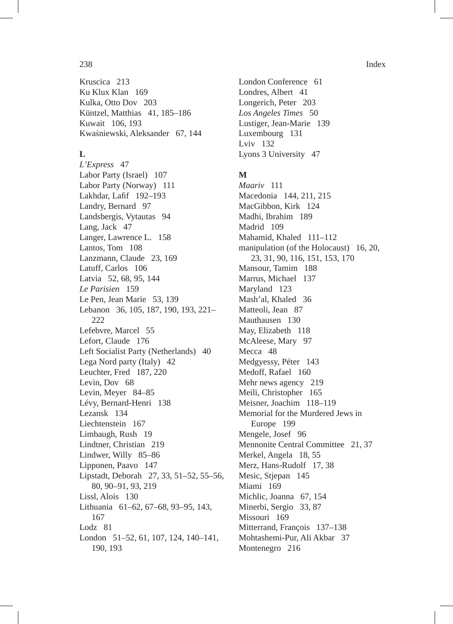Kruscica 213 Ku Klux Klan 169 Kulka, Otto Dov 203 Küntzel, Matthias 41, 185–186 Kuwait 106, 193 Kwaśniewski, Aleksander 67, 144

# **L**

*L'Express* 47 Labor Party (Israel) 107 Labor Party (Norway) 111 Lakhdar, Lafif 192–193 Landry, Bernard 97 Landsbergis, Vytautas 94 Lang, Jack 47 Langer, Lawrence L. 158 Lantos, Tom 108 Lanzmann, Claude 23, 169 Latuff, Carlos 106 Latvia 52, 68, 95, 144 *Le Parisien* 159 Le Pen, Jean Marie 53, 139 Lebanon 36, 105, 187, 190, 193, 221– 222 Lefebvre, Marcel 55 Lefort, Claude 176 Left Socialist Party (Netherlands) 40 Lega Nord party (Italy) 42 Leuchter, Fred 187, 220 Levin, Dov 68 Levin, Meyer 84–85 Lévy, Bernard-Henri 138 Lezansk 134 Liechtenstein 167 Limbaugh, Rush 19 Lindtner, Christian 219 Lindwer, Willy 85–86 Lipponen, Paavo 147 Lipstadt, Deborah 27, 33, 51–52, 55–56, 80, 90–91, 93, 219 Lissl, Alois 130 Lithuania 61–62, 67–68, 93–95, 143, 167 Lodz 81 London 51–52, 61, 107, 124, 140–141, 190, 193

London Conference 61 Londres, Albert 41 Longerich, Peter 203 *Los Angeles Times* 50 Lustiger, Jean-Marie 139 Luxembourg 131 Lviv 132 Lyons 3 University 47

# **M**

*Maariv* 111 Macedonia 144, 211, 215 MacGibbon, Kirk 124 Madhi, Ibrahim 189 Madrid 109 Mahamid, Khaled 111–112 manipulation (of the Holocaust) 16, 20, 23, 31, 90, 116, 151, 153, 170 Mansour, Tamim 188 Marrus, Michael 137 Maryland 123 Mash'al, Khaled 36 Matteoli, Jean 87 Mauthausen 130 May, Elizabeth 118 McAleese, Mary 97 Mecca<sub>48</sub> Medgyessy, Péter 143 Medoff, Rafael 160 Mehr news agency 219 Meili, Christopher 165 Meisner, Joachim 118–119 Memorial for the Murdered Jews in Europe 199 Mengele, Josef 96 Mennonite Central Committee 21, 37 Merkel, Angela 18, 55 Merz, Hans-Rudolf 17, 38 Mesic, Stjepan 145 Miami 169 Michlic, Joanna 67, 154 Minerbi, Sergio 33, 87 Missouri 169 Mitterrand, François 137–138 Mohtashemi-Pur, Ali Akbar 37 Montenegro 216

### 238 Index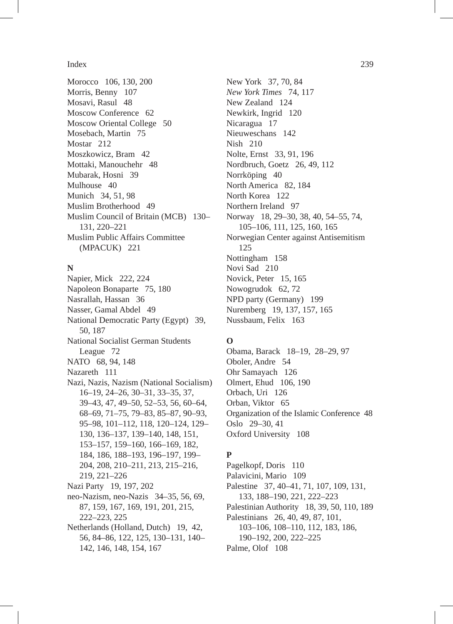Morocco 106, 130, 200 Morris, Benny 107 Mosavi, Rasul 48 Moscow Conference 62 Moscow Oriental College 50 Mosebach, Martin 75 Mostar 212 Moszkowicz, Bram 42 Mottaki, Manouchehr 48 Mubarak, Hosni 39 Mulhouse 40 Munich 34, 51, 98 Muslim Brotherhood 49 Muslim Council of Britain (MCB) 130– 131, 220–221 Muslim Public Affairs Committee (MPACUK) 221

# **N**

Napier, Mick 222, 224 Napoleon Bonaparte 75, 180 Nasrallah, Hassan 36 Nasser, Gamal Abdel 49 National Democratic Party (Egypt) 39, 50, 187 National Socialist German Students League 72 NATO 68, 94, 148 Nazareth 111 Nazi, Nazis, Nazism (National Socialism) 16–19, 24–26, 30–31, 33–35, 37, 39–43, 47, 49–50, 52–53, 56, 60–64, 68–69, 71–75, 79–83, 85–87, 90–93, 95–98, 101–112, 118, 120–124, 129– 130, 136–137, 139–140, 148, 151, 153–157, 159–160, 166–169, 182, 184, 186, 188–193, 196–197, 199– 204, 208, 210–211, 213, 215–216, 219, 221–226 Nazi Party 19, 197, 202 neo-Nazism, neo-Nazis 34–35, 56, 69, 87, 159, 167, 169, 191, 201, 215, 222–223, 225 Netherlands (Holland, Dutch) 19, 42,

56, 84–86, 122, 125, 130–131, 140– 142, 146, 148, 154, 167

New York 37, 70, 84 *New York Times* 74, 117 New Zealand 124 Newkirk, Ingrid 120 Nicaragua 17 Nieuweschans 142 Nish 210 Nolte, Ernst 33, 91, 196 Nordbruch, Goetz 26, 49, 112 Norrköping 40 North America 82, 184 North Korea 122 Northern Ireland 97 Norway 18, 29–30, 38, 40, 54–55, 74, 105–106, 111, 125, 160, 165 Norwegian Center against Antisemitism 125 Nottingham 158 Novi Sad 210 Novick, Peter 15, 165 Nowogrudok 62, 72 NPD party (Germany) 199 Nuremberg 19, 137, 157, 165 Nussbaum, Felix 163

# **O**

Obama, Barack 18–19, 28–29, 97 Oboler, Andre 54 Ohr Samayach 126 Olmert, Ehud 106, 190 Orbach, Uri 126 Orban, Viktor 65 Organization of the Islamic Conference 48 Oslo 29–30, 41 Oxford University 108

# **P**

Pagelkopf, Doris 110 Palavicini, Mario 109 Palestine 37, 40–41, 71, 107, 109, 131, 133, 188–190, 221, 222–223 Palestinian Authority 18, 39, 50, 110, 189 Palestinians 26, 40, 49, 87, 101, 103–106, 108–110, 112, 183, 186, 190–192, 200, 222–225 Palme, Olof 108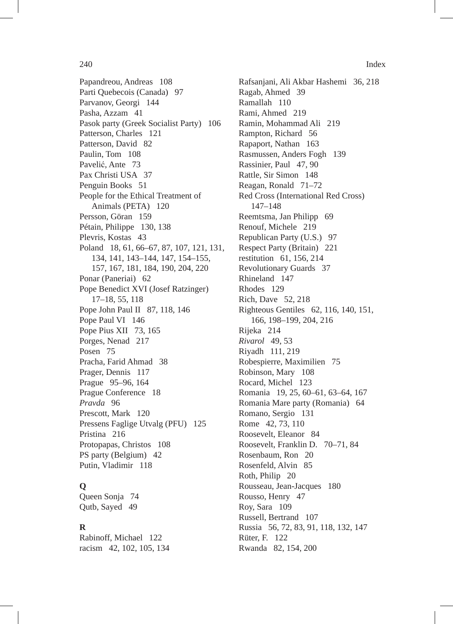Papandreou, Andreas 108 Parti Quebecois (Canada) 97 Parvanov, Georgi 144 Pasha, Azzam 41 Pasok party (Greek Socialist Party) 106 Patterson, Charles 121 Patterson, David 82 Paulin, Tom 108 Pavelić, Ante 73 Pax Christi USA 37 Penguin Books 51 People for the Ethical Treatment of Animals (PETA) 120 Persson, Göran 159 Pétain, Philippe 130, 138 Plevris, Kostas 43 Poland 18, 61, 66–67, 87, 107, 121, 131, 134, 141, 143–144, 147, 154–155, 157, 167, 181, 184, 190, 204, 220 Ponar (Paneriai) 62 Pope Benedict XVI (Josef Ratzinger) 17–18, 55, 118 Pope John Paul II 87, 118, 146 Pope Paul VI 146 Pope Pius XII 73, 165 Porges, Nenad 217 Posen 75 Pracha, Farid Ahmad 38 Prager, Dennis 117 Prague 95–96, 164 Prague Conference 18 *Pravda* 96 Prescott, Mark 120 Pressens Faglige Utvalg (PFU) 125 Pristina 216 Protopapas, Christos 108 PS party (Belgium) 42 Putin, Vladimir 118

# **Q**

Queen Sonja 74 Qutb, Sayed 49

# **R**

Rabinoff, Michael 122 racism 42, 102, 105, 134 Rafsanjani, Ali Akbar Hashemi 36, 218 Ragab, Ahmed 39 Ramallah 110 Rami, Ahmed 219 Ramin, Mohammad Ali 219 Rampton, Richard 56 Rapaport, Nathan 163 Rasmussen, Anders Fogh 139 Rassinier, Paul 47, 90 Rattle, Sir Simon 148 Reagan, Ronald 71–72 Red Cross (International Red Cross) 147–148 Reemtsma, Jan Philipp 69 Renouf, Michele 219 Republican Party (U.S.) 97 Respect Party (Britain) 221 restitution 61, 156, 214 Revolutionary Guards 37 Rhineland 147 Rhodes 129 Rich, Dave 52, 218 Righteous Gentiles 62, 116, 140, 151, 166, 198–199, 204, 216 Rijeka 214 *Rivarol* 49, 53 Riyadh 111, 219 Robespierre, Maximilien 75 Robinson, Mary 108 Rocard, Michel 123 Romania 19, 25, 60–61, 63–64, 167 Romania Mare party (Romania) 64 Romano, Sergio 131 Rome 42, 73, 110 Roosevelt, Eleanor 84 Roosevelt, Franklin D. 70–71, 84 Rosenbaum, Ron 20 Rosenfeld, Alvin 85 Roth, Philip 20 Rousseau, Jean-Jacques 180 Rousso, Henry 47 Roy, Sara 109 Russell, Bertrand 107 Russia 56, 72, 83, 91, 118, 132, 147 Rüter, F. 122 Rwanda 82, 154, 200

240 Index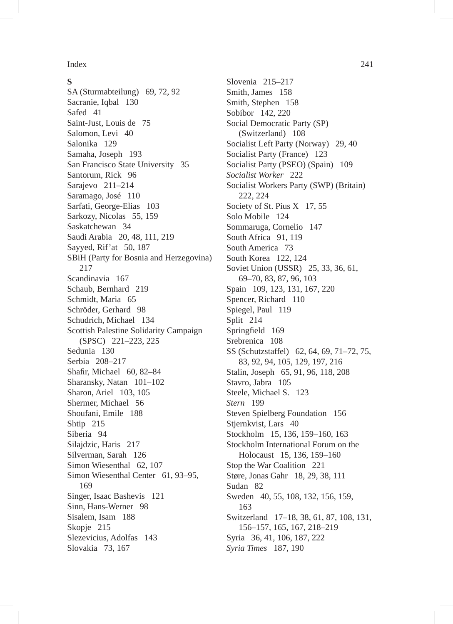# **S**

SA (Sturmabteilung) 69, 72, 92 Sacranie, Iqbal 130 Safed 41 Saint-Just, Louis de 75 Salomon, Levi 40 Salonika 129 Samaha, Joseph 193 San Francisco State University 35 Santorum, Rick 96 Sarajevo 211–214 Saramago, José 110 Sarfati, George-Elias 103 Sarkozy, Nicolas 55, 159 Saskatchewan 34 Saudi Arabia 20, 48, 111, 219 Sayyed, Rif'at 50, 187 SBiH (Party for Bosnia and Herzegovina) 217 Scandinavia 167 Schaub, Bernhard 219 Schmidt, Maria 65 Schröder, Gerhard 98 Schudrich, Michael 134 Scottish Palestine Solidarity Campaign (SPSC) 221–223, 225 Sedunia 130 Serbia 208–217 Shafir, Michael 60, 82–84 Sharansky, Natan 101–102 Sharon, Ariel 103, 105 Shermer, Michael 56 Shoufani, Emile 188 Shtip 215 Siberia 94 Silajdzic, Haris 217 Silverman, Sarah 126 Simon Wiesenthal 62, 107 Simon Wiesenthal Center 61, 93–95, 169 Singer, Isaac Bashevis 121 Sinn, Hans-Werner 98 Sisalem, Isam 188 Skopje 215 Slezevicius, Adolfas 143 Slovakia 73, 167

Slovenia 215–217 Smith, James 158 Smith, Stephen 158 Sobibor 142, 220 Social Democratic Party (SP) (Switzerland) 108 Socialist Left Party (Norway) 29, 40 Socialist Party (France) 123 Socialist Party (PSEO) (Spain) 109 *Socialist Worker* 222 Socialist Workers Party (SWP) (Britain) 222, 224 Society of St. Pius X 17, 55 Solo Mobile 124 Sommaruga, Cornelio 147 South Africa 91, 119 South America 73 South Korea 122, 124 Soviet Union (USSR) 25, 33, 36, 61, 69–70, 83, 87, 96, 103 Spain 109, 123, 131, 167, 220 Spencer, Richard 110 Spiegel, Paul 119 Split 214 Springfield 169 Srebrenica 108 SS (Schutzstaffel) 62, 64, 69, 71–72, 75, 83, 92, 94, 105, 129, 197, 216 Stalin, Joseph 65, 91, 96, 118, 208 Stavro, Jabra 105 Steele, Michael S. 123 *Stern* 199 Steven Spielberg Foundation 156 Stjernkvist, Lars 40 Stockholm 15, 136, 159–160, 163 Stockholm International Forum on the Holocaust 15, 136, 159–160 Stop the War Coalition 221 Støre, Jonas Gahr 18, 29, 38, 111 Sudan 82 Sweden 40, 55, 108, 132, 156, 159, 163 Switzerland 17–18, 38, 61, 87, 108, 131, 156–157, 165, 167, 218–219 Syria 36, 41, 106, 187, 222 *Syria Times* 187, 190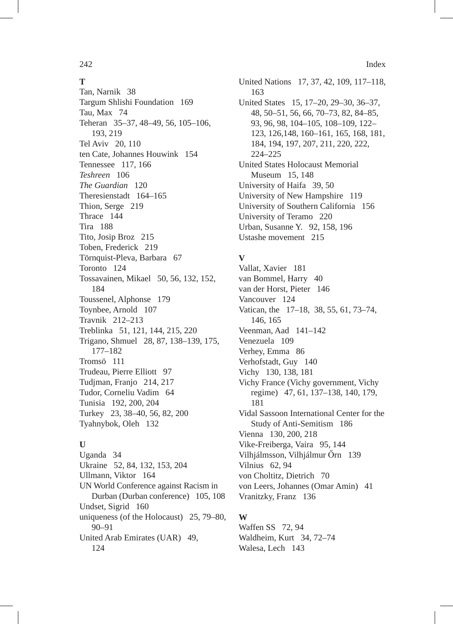# **T**

Tan, Narnik 38 Targum Shlishi Foundation 169 Tau, Max 74 Teheran 35–37, 48–49, 56, 105–106, 193, 219 Tel Aviv 20, 110 ten Cate, Johannes Houwink 154 Tennessee 117, 166 *Teshreen* 106 *The Guardian* 120 Theresienstadt 164–165 Thion, Serge 219 Thrace 144 Tira 188 Tito, Josip Broz 215 Toben, Frederick 219 Törnquist-Pleva, Barbara 67 Toronto 124 Tossavainen, Mikael 50, 56, 132, 152, 184 Toussenel, Alphonse 179 Toynbee, Arnold 107 Travnik 212–213 Treblinka 51, 121, 144, 215, 220 Trigano, Shmuel 28, 87, 138–139, 175, 177–182 Tromsö 111 Trudeau, Pierre Elliott 97 Tudjman, Franjo 214, 217 Tudor, Corneliu Vadim 64 Tunisia 192, 200, 204 Turkey 23, 38–40, 56, 82, 200 Tyahnybok, Oleh 132

# **U**

Uganda 34 Ukraine 52, 84, 132, 153, 204 Ullmann, Viktor 164 UN World Conference against Racism in Durban (Durban conference) 105, 108 Undset, Sigrid 160 uniqueness (of the Holocaust) 25, 79–80, 90–91 United Arab Emirates (UAR) 49, 124

United Nations 17, 37, 42, 109, 117–118, 163 United States 15, 17–20, 29–30, 36–37, 48, 50–51, 56, 66, 70–73, 82, 84–85, 93, 96, 98, 104–105, 108–109, 122– 123, 126,148, 160–161, 165, 168, 181, 184, 194, 197, 207, 211, 220, 222, 224–225 United States Holocaust Memorial Museum 15, 148 University of Haifa 39, 50 University of New Hampshire 119 University of Southern California 156 University of Teramo 220 Urban, Susanne Y. 92, 158, 196 Ustashe movement 215

# **V**

Vallat, Xavier 181 van Bommel, Harry 40 van der Horst, Pieter 146 Vancouver 124 Vatican, the 17–18, 38, 55, 61, 73–74, 146, 165 Veenman, Aad 141–142 Venezuela 109 Verhey, Emma 86 Verhofstadt, Guy 140 Vichy 130, 138, 181 Vichy France (Vichy government, Vichy regime) 47, 61, 137–138, 140, 179, 181 Vidal Sassoon International Center for the Study of Anti-Semitism 186 Vienna 130, 200, 218 Vike-Freiberga, Vaira 95, 144 Vilhjálmsson, Vilhjálmur Őrn 139 Vilnius 62, 94 von Choltitz, Dietrich 70 von Leers, Johannes (Omar Amin) 41 Vranitzky, Franz 136

# **W**

Waffen SS 72, 94 Waldheim, Kurt 34, 72–74 Walesa, Lech 143